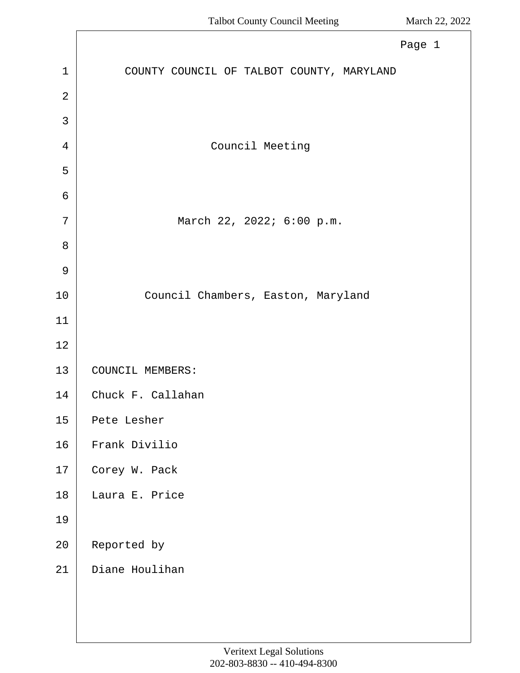|                | Page 1                                    |
|----------------|-------------------------------------------|
| $\mathbf{1}$   | COUNTY COUNCIL OF TALBOT COUNTY, MARYLAND |
| $\overline{2}$ |                                           |
| 3              |                                           |
| $\overline{4}$ | Council Meeting                           |
| 5              |                                           |
| 6              |                                           |
| 7              | March 22, 2022; 6:00 p.m.                 |
| 8              |                                           |
| $\mathcal{G}$  |                                           |
| 10             | Council Chambers, Easton, Maryland        |
| 11             |                                           |
| 12             |                                           |
| 13             | COUNCIL MEMBERS:                          |
| 14             | Chuck F. Callahan                         |
| 15             | Pete Lesher                               |
| 16             | Frank Divilio                             |
| 17             | Corey W. Pack                             |
| $18\,$         | Laura E. Price                            |
| 19             |                                           |
| 20             | Reported by                               |
| 21             | Diane Houlihan                            |
|                |                                           |
|                |                                           |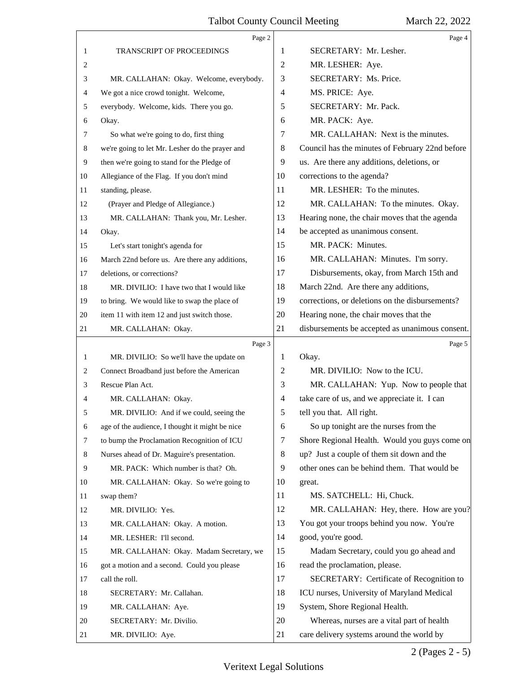#### Talbot County Council Meeting March 22, 2022  $\top$

|    | Page 2                                          |                | Page 4                                          |
|----|-------------------------------------------------|----------------|-------------------------------------------------|
| 1  | <b>TRANSCRIPT OF PROCEEDINGS</b>                | 1              | SECRETARY: Mr. Lesher.                          |
| 2  |                                                 | $\overline{2}$ | MR. LESHER: Aye.                                |
| 3  | MR. CALLAHAN: Okay. Welcome, everybody.         | 3              | SECRETARY: Ms. Price.                           |
| 4  | We got a nice crowd tonight. Welcome,           | 4              | MS. PRICE: Aye.                                 |
| 5  | everybody. Welcome, kids. There you go.         | 5              | SECRETARY: Mr. Pack.                            |
| 6  | Okay.                                           | 6              | MR. PACK: Aye.                                  |
| 7  | So what we're going to do, first thing          | 7              | MR. CALLAHAN: Next is the minutes.              |
| 8  | we're going to let Mr. Lesher do the prayer and | 8              | Council has the minutes of February 22nd before |
| 9  | then we're going to stand for the Pledge of     | 9              | us. Are there any additions, deletions, or      |
| 10 | Allegiance of the Flag. If you don't mind       | 10             | corrections to the agenda?                      |
| 11 | standing, please.                               | 11             | MR. LESHER: To the minutes.                     |
| 12 | (Prayer and Pledge of Allegiance.)              | 12             | MR. CALLAHAN: To the minutes. Okay.             |
| 13 | MR. CALLAHAN: Thank you, Mr. Lesher.            | 13             | Hearing none, the chair moves that the agenda   |
| 14 | Okay.                                           | 14             | be accepted as unanimous consent.               |
| 15 | Let's start tonight's agenda for                | 15             | MR. PACK: Minutes.                              |
| 16 | March 22nd before us. Are there any additions,  | 16             | MR. CALLAHAN: Minutes. I'm sorry.               |
| 17 | deletions, or corrections?                      | 17             | Disbursements, okay, from March 15th and        |
| 18 | MR. DIVILIO: I have two that I would like       | 18             | March 22nd. Are there any additions,            |
| 19 | to bring. We would like to swap the place of    | 19             | corrections, or deletions on the disbursements? |
| 20 | item 11 with item 12 and just switch those.     | 20             | Hearing none, the chair moves that the          |
| 21 | MR. CALLAHAN: Okay.                             | 21             | disbursements be accepted as unanimous consent. |
|    | Page 3                                          |                | Page 5                                          |
| 1  | MR. DIVILIO: So we'll have the update on        |                |                                                 |
|    |                                                 | 1              | Okay.                                           |
| 2  | Connect Broadband just before the American      | 2              | MR. DIVILIO: Now to the ICU.                    |
| 3  | Rescue Plan Act.                                | 3              | MR. CALLAHAN: Yup. Now to people that           |
| 4  | MR. CALLAHAN: Okay.                             | $\overline{4}$ | take care of us, and we appreciate it. I can    |
| 5  | MR. DIVILIO: And if we could, seeing the        | 5              | tell you that. All right.                       |
| 6  | age of the audience, I thought it might be nice | 6              | So up tonight are the nurses from the           |
| 7  | to bump the Proclamation Recognition of ICU     | 7              | Shore Regional Health. Would you guys come on   |
| 8  | Nurses ahead of Dr. Maguire's presentation.     | 8              | up? Just a couple of them sit down and the      |
| 9  | MR. PACK: Which number is that? Oh.             | 9              | other ones can be behind them. That would be    |
| 10 | MR. CALLAHAN: Okay. So we're going to           | 10             | great.                                          |
| 11 | swap them?                                      | 11             | MS. SATCHELL: Hi, Chuck.                        |
| 12 | MR. DIVILIO: Yes.                               | 12             | MR. CALLAHAN: Hey, there. How are you?          |
| 13 | MR. CALLAHAN: Okay. A motion.                   | 13             | You got your troops behind you now. You're      |
| 14 | MR. LESHER: I'll second.                        | 14             | good, you're good.                              |
| 15 | MR. CALLAHAN: Okay. Madam Secretary, we         | 15             | Madam Secretary, could you go ahead and         |
| 16 | got a motion and a second. Could you please     | 16             | read the proclamation, please.                  |
| 17 | call the roll.                                  | 17             | SECRETARY: Certificate of Recognition to        |
| 18 | SECRETARY: Mr. Callahan.                        | 18             | ICU nurses, University of Maryland Medical      |
| 19 | MR. CALLAHAN: Aye.                              | 19             | System, Shore Regional Health.                  |
| 20 | SECRETARY: Mr. Divilio.                         | 20             | Whereas, nurses are a vital part of health      |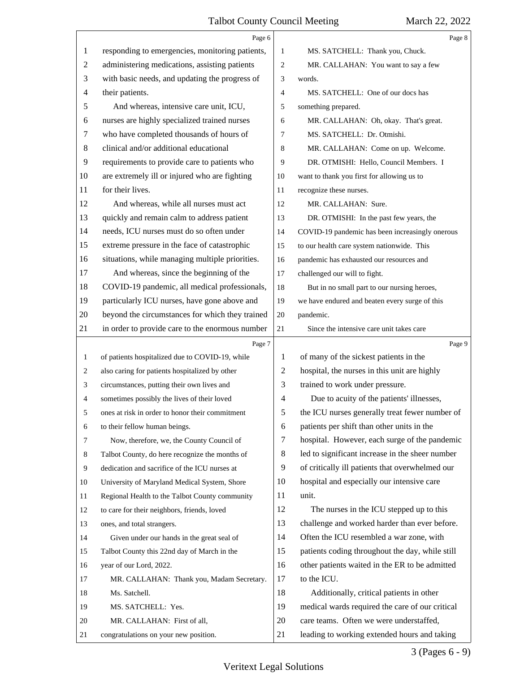|              | Page 6                                          |                | Page 8                                          |
|--------------|-------------------------------------------------|----------------|-------------------------------------------------|
| 1            | responding to emergencies, monitoring patients, | 1              | MS. SATCHELL: Thank you, Chuck.                 |
| 2            | administering medications, assisting patients   | $\overline{2}$ | MR. CALLAHAN: You want to say a few             |
| 3            | with basic needs, and updating the progress of  | 3              | words.                                          |
| 4            | their patients.                                 | $\overline{4}$ | MS. SATCHELL: One of our docs has               |
| 5            | And whereas, intensive care unit, ICU,          | 5              | something prepared.                             |
| 6            | nurses are highly specialized trained nurses    | 6              | MR. CALLAHAN: Oh, okay. That's great.           |
| 7            | who have completed thousands of hours of        | $\overline{7}$ | MS. SATCHELL: Dr. Otmishi.                      |
| 8            | clinical and/or additional educational          | 8              | MR. CALLAHAN: Come on up. Welcome.              |
| 9            | requirements to provide care to patients who    | 9              | DR. OTMISHI: Hello, Council Members. I          |
| 10           | are extremely ill or injured who are fighting   | 10             | want to thank you first for allowing us to      |
| 11           | for their lives.                                | 11             | recognize these nurses.                         |
| 12           | And whereas, while all nurses must act          | 12             | MR. CALLAHAN: Sure.                             |
| 13           | quickly and remain calm to address patient      | 13             | DR. OTMISHI: In the past few years, the         |
| 14           | needs, ICU nurses must do so often under        | 14             | COVID-19 pandemic has been increasingly onerous |
| 15           | extreme pressure in the face of catastrophic    | 15             | to our health care system nationwide. This      |
| 16           | situations, while managing multiple priorities. | 16             | pandemic has exhausted our resources and        |
| 17           | And whereas, since the beginning of the         | 17             | challenged our will to fight.                   |
| 18           | COVID-19 pandemic, all medical professionals,   | 18             | But in no small part to our nursing heroes,     |
| 19           | particularly ICU nurses, have gone above and    | 19             | we have endured and beaten every surge of this  |
| 20           | beyond the circumstances for which they trained | $20\,$         | pandemic.                                       |
| 21           | in order to provide care to the enormous number | 21             | Since the intensive care unit takes care        |
|              |                                                 |                |                                                 |
|              | Page 7                                          |                | Page 9                                          |
| $\mathbf{1}$ | of patients hospitalized due to COVID-19, while | 1              | of many of the sickest patients in the          |
| 2            | also caring for patients hospitalized by other  | 2              | hospital, the nurses in this unit are highly    |
| 3            | circumstances, putting their own lives and      | 3              | trained to work under pressure.                 |
| 4            | sometimes possibly the lives of their loved     | 4              | Due to acuity of the patients' illnesses,       |
|              | ones at risk in order to honor their commitment | 5              | the ICU nurses generally treat fewer number of  |
| 6            | to their fellow human beings.                   | 6              | patients per shift than other units in the      |
| 7            | Now, therefore, we, the County Council of       | 7              | hospital. However, each surge of the pandemic   |
| 8            | Talbot County, do here recognize the months of  | 8              | led to significant increase in the sheer number |
| 9            | dedication and sacrifice of the ICU nurses at   | 9              | of critically ill patients that overwhelmed our |
| 10           | University of Maryland Medical System, Shore    | 10             | hospital and especially our intensive care      |
| 11           | Regional Health to the Talbot County community  | 11             | unit.                                           |
| 12           | to care for their neighbors, friends, loved     | 12             | The nurses in the ICU stepped up to this        |
| 13           | ones, and total strangers.                      | 13             | challenge and worked harder than ever before.   |
| 14           | Given under our hands in the great seal of      | 14             | Often the ICU resembled a war zone, with        |
| 15           | Talbot County this 22nd day of March in the     | 15             | patients coding throughout the day, while still |
| 16           | year of our Lord, 2022.                         | 16             | other patients waited in the ER to be admitted  |
| 17           | MR. CALLAHAN: Thank you, Madam Secretary.       | 17             | to the ICU.                                     |
| 18           | Ms. Satchell.                                   | 18             | Additionally, critical patients in other        |
| 19           | MS. SATCHELL: Yes.                              | 19             | medical wards required the care of our critical |
| 20           | MR. CALLAHAN: First of all,                     | 20             | care teams. Often we were understaffed,         |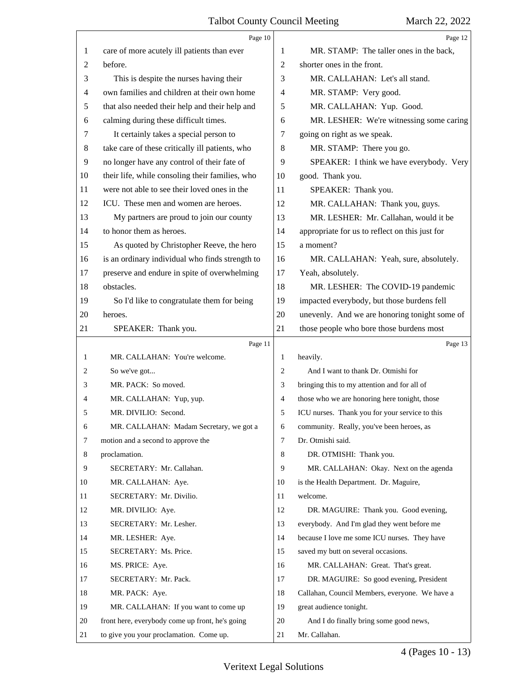|                | Page 10                                         |                | Page 12                                        |
|----------------|-------------------------------------------------|----------------|------------------------------------------------|
| 1              | care of more acutely ill patients than ever     | 1              | MR. STAMP: The taller ones in the back,        |
| 2              | before.                                         | $\overline{2}$ | shorter ones in the front.                     |
| 3              | This is despite the nurses having their         | 3              | MR. CALLAHAN: Let's all stand.                 |
| $\overline{4}$ | own families and children at their own home     | 4              | MR. STAMP: Very good.                          |
| 5              | that also needed their help and their help and  | 5              | MR. CALLAHAN: Yup. Good.                       |
| 6              | calming during these difficult times.           | 6              | MR. LESHER: We're witnessing some caring       |
| 7              | It certainly takes a special person to          | 7              | going on right as we speak.                    |
| 8              | take care of these critically ill patients, who | 8              | MR. STAMP: There you go.                       |
| 9              | no longer have any control of their fate of     | 9              | SPEAKER: I think we have everybody. Very       |
| 10             | their life, while consoling their families, who | 10             | good. Thank you.                               |
| 11             | were not able to see their loved ones in the    | 11             | SPEAKER: Thank you.                            |
| 12             | ICU. These men and women are heroes.            | 12             | MR. CALLAHAN: Thank you, guys.                 |
| 13             | My partners are proud to join our county        | 13             | MR. LESHER: Mr. Callahan, would it be          |
| 14             | to honor them as heroes.                        | 14             | appropriate for us to reflect on this just for |
| 15             | As quoted by Christopher Reeve, the hero        | 15             | a moment?                                      |
| 16             | is an ordinary individual who finds strength to | 16             | MR. CALLAHAN: Yeah, sure, absolutely.          |
| 17             | preserve and endure in spite of overwhelming    | 17             | Yeah, absolutely.                              |
| 18             | obstacles.                                      | 18             | MR. LESHER: The COVID-19 pandemic              |
| 19             | So I'd like to congratulate them for being      | 19             | impacted everybody, but those burdens fell     |
| 20             | heroes.                                         | 20             | unevenly. And we are honoring tonight some of  |
| 21             | SPEAKER: Thank you.                             | 21             | those people who bore those burdens most       |
|                |                                                 |                |                                                |
|                | Page 11                                         |                | Page 13                                        |
| 1              | MR. CALLAHAN: You're welcome.                   | 1              | heavily.                                       |
| 2              | So we've got                                    | 2              | And I want to thank Dr. Otmishi for            |
| 3              | MR. PACK: So moved.                             | 3              | bringing this to my attention and for all of   |
| 4              | MR. CALLAHAN: Yup, yup.                         | $\overline{4}$ | those who we are honoring here tonight, those  |
| 5              | MR. DIVILIO: Second.                            | 5              | ICU nurses. Thank you for your service to this |
| 6              | MR. CALLAHAN: Madam Secretary, we got a         | 6              | community. Really, you've been heroes, as      |
| 7              | motion and a second to approve the              | $\tau$         | Dr. Otmishi said.                              |
| 8              | proclamation.                                   | 8              | DR. OTMISHI: Thank you.                        |
| 9              | SECRETARY: Mr. Callahan.                        | 9              | MR. CALLAHAN: Okay. Next on the agenda         |
| 10             | MR. CALLAHAN: Aye.                              | 10             | is the Health Department. Dr. Maguire,         |
| 11             | SECRETARY: Mr. Divilio.                         | 11             | welcome.                                       |
| 12             | MR. DIVILIO: Aye.                               | 12             | DR. MAGUIRE: Thank you. Good evening,          |
| 13             | SECRETARY: Mr. Lesher.                          | 13             | everybody. And I'm glad they went before me    |
| 14             | MR. LESHER: Aye.                                | 14             | because I love me some ICU nurses. They have   |
| 15             | SECRETARY: Ms. Price.                           | 15             | saved my butt on several occasions.            |
| 16             | MS. PRICE: Aye.                                 | 16             | MR. CALLAHAN: Great. That's great.             |
| 17             | SECRETARY: Mr. Pack.                            | 17             | DR. MAGUIRE: So good evening, President        |
| 18             | MR. PACK: Aye.                                  | 18             | Callahan, Council Members, everyone. We have a |
| 19             | MR. CALLAHAN: If you want to come up            | 19             | great audience tonight.                        |
| 20             | front here, everybody come up front, he's going | 20             | And I do finally bring some good news,         |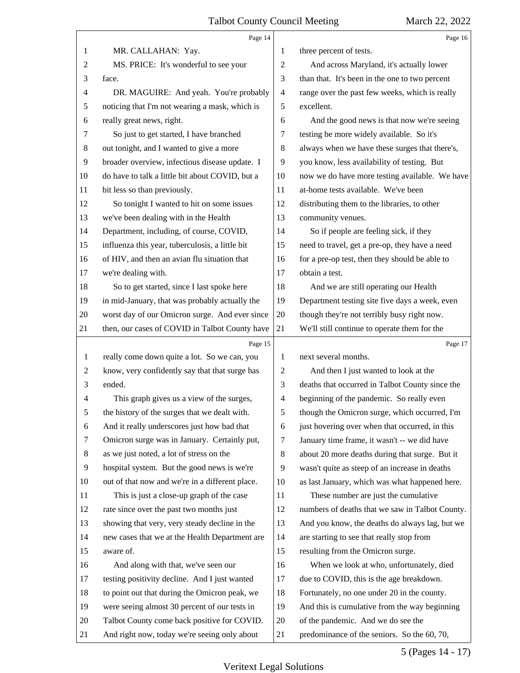|                | Page 14                                         |                | Page 16                                         |
|----------------|-------------------------------------------------|----------------|-------------------------------------------------|
| 1              | MR. CALLAHAN: Yay.                              | 1              | three percent of tests.                         |
| 2              | MS. PRICE: It's wonderful to see your           | $\overline{2}$ | And across Maryland, it's actually lower        |
| 3              | face.                                           | 3              | than that. It's been in the one to two percent  |
| $\overline{4}$ | DR. MAGUIRE: And yeah. You're probably          | $\overline{4}$ | range over the past few weeks, which is really  |
| 5              | noticing that I'm not wearing a mask, which is  | 5              | excellent.                                      |
| 6              | really great news, right.                       | 6              | And the good news is that now we're seeing      |
| 7              | So just to get started, I have branched         | 7              | testing be more widely available. So it's       |
| $\,8\,$        | out tonight, and I wanted to give a more        | 8              | always when we have these surges that there's,  |
| 9              | broader overview, infectious disease update. I  | 9              | you know, less availability of testing. But     |
| 10             | do have to talk a little bit about COVID, but a | 10             | now we do have more testing available. We have  |
| 11             | bit less so than previously.                    | 11             | at-home tests available. We've been             |
| 12             | So tonight I wanted to hit on some issues       | 12             | distributing them to the libraries, to other    |
| 13             | we've been dealing with in the Health           | 13             | community venues.                               |
| 14             | Department, including, of course, COVID,        | 14             | So if people are feeling sick, if they          |
| 15             | influenza this year, tuberculosis, a little bit | 15             | need to travel, get a pre-op, they have a need  |
| 16             | of HIV, and then an avian flu situation that    | 16             | for a pre-op test, then they should be able to  |
| 17             | we're dealing with.                             | 17             | obtain a test.                                  |
| 18             | So to get started, since I last spoke here      | 18             | And we are still operating our Health           |
| 19             | in mid-January, that was probably actually the  | 19             | Department testing site five days a week, even  |
| 20             | worst day of our Omicron surge. And ever since  | 20             | though they're not terribly busy right now.     |
| 21             | then, our cases of COVID in Talbot County have  | 21             | We'll still continue to operate them for the    |
|                | Page 15                                         |                | Page 17                                         |
| $\mathbf{1}$   | really come down quite a lot. So we can, you    | 1              | next several months.                            |
| $\overline{c}$ | know, very confidently say that that surge has  | 2              | And then I just wanted to look at the           |
| 3              | ended.                                          | 3              | deaths that occurred in Talbot County since the |
| 4              | This graph gives us a view of the surges,       | 4              | beginning of the pandemic. So really even       |
| 5              | the history of the surges that we dealt with.   | 5              | though the Omicron surge, which occurred, I'm   |
| 6              | And it really underscores just how bad that     | 6              | just hovering over when that occurred, in this  |
| 7              | Omicron surge was in January. Certainly put,    | 7              | January time frame, it wasn't -- we did have    |
| 8              | as we just noted, a lot of stress on the        | 8              | about 20 more deaths during that surge. But it  |
| 9              | hospital system. But the good news is we're     | 9              | wasn't quite as steep of an increase in deaths  |
| 10             |                                                 |                |                                                 |
| 11             | out of that now and we're in a different place. | 10             | as last January, which was what happened here.  |
| 12             | This is just a close-up graph of the case       | 11             | These number are just the cumulative            |
|                | rate since over the past two months just        | 12             | numbers of deaths that we saw in Talbot County. |
| 13             | showing that very, very steady decline in the   | 13             | And you know, the deaths do always lag, but we  |
| 14             | new cases that we at the Health Department are  | 14             | are starting to see that really stop from       |
| 15             | aware of.                                       | 15             | resulting from the Omicron surge.               |
| 16             | And along with that, we've seen our             | 16             | When we look at who, unfortunately, died        |
| 17             | testing positivity decline. And I just wanted   | 17             | due to COVID, this is the age breakdown.        |
| 18             | to point out that during the Omicron peak, we   | 18             | Fortunately, no one under 20 in the county.     |
| 19             | were seeing almost 30 percent of our tests in   | 19             | And this is cumulative from the way beginning   |
| 20             | Talbot County come back positive for COVID.     | 20             | of the pandemic. And we do see the              |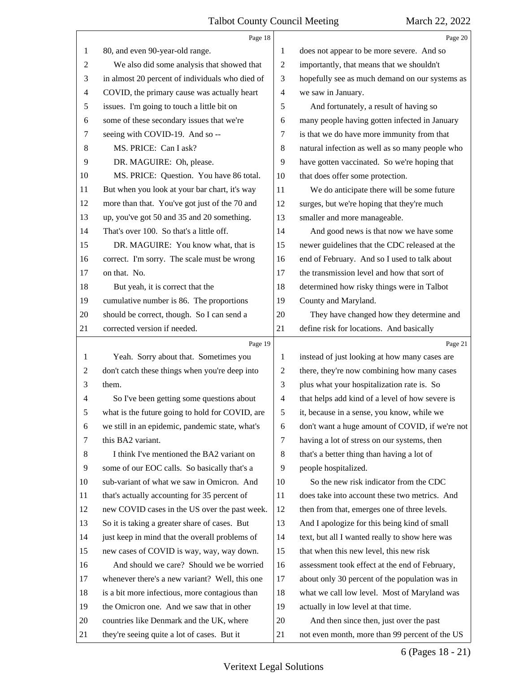|                | Page 18                                         |                | Page 20                                         |
|----------------|-------------------------------------------------|----------------|-------------------------------------------------|
| 1              | 80, and even 90-year-old range.                 | 1              | does not appear to be more severe. And so       |
| 2              | We also did some analysis that showed that      | $\overline{2}$ | importantly, that means that we shouldn't       |
| 3              | in almost 20 percent of individuals who died of | 3              | hopefully see as much demand on our systems as  |
| $\overline{4}$ | COVID, the primary cause was actually heart     | $\overline{4}$ | we saw in January.                              |
| 5              | issues. I'm going to touch a little bit on      | 5              | And fortunately, a result of having so          |
| 6              | some of these secondary issues that we're       | 6              | many people having gotten infected in January   |
| 7              | seeing with COVID-19. And so --                 | 7              | is that we do have more immunity from that      |
| 8              | MS. PRICE: Can I ask?                           | $\,8\,$        | natural infection as well as so many people who |
| 9              | DR. MAGUIRE: Oh, please.                        | 9              | have gotten vaccinated. So we're hoping that    |
| 10             | MS. PRICE: Question. You have 86 total.         | 10             | that does offer some protection.                |
| 11             | But when you look at your bar chart, it's way   | 11             | We do anticipate there will be some future      |
| 12             | more than that. You've got just of the 70 and   | 12             | surges, but we're hoping that they're much      |
| 13             | up, you've got 50 and 35 and 20 something.      | 13             | smaller and more manageable.                    |
| 14             | That's over 100. So that's a little off.        | 14             | And good news is that now we have some          |
| 15             | DR. MAGUIRE: You know what, that is             | 15             | newer guidelines that the CDC released at the   |
| 16             | correct. I'm sorry. The scale must be wrong     | 16             | end of February. And so I used to talk about    |
| 17             | on that. No.                                    | 17             | the transmission level and how that sort of     |
| 18             | But yeah, it is correct that the                | 18             | determined how risky things were in Talbot      |
| 19             | cumulative number is 86. The proportions        | 19             | County and Maryland.                            |
| 20             | should be correct, though. So I can send a      | 20             | They have changed how they determine and        |
| 21             | corrected version if needed.                    | 21             | define risk for locations. And basically        |
|                |                                                 |                |                                                 |
|                | Page 19                                         |                | Page 21                                         |
| 1              | Yeah. Sorry about that. Sometimes you           | $\mathbf{1}$   | instead of just looking at how many cases are   |
| 2              | don't catch these things when you're deep into  | $\overline{2}$ | there, they're now combining how many cases     |
| 3              | them.                                           | 3              | plus what your hospitalization rate is. So      |
| $\overline{4}$ | So I've been getting some questions about       | $\overline{4}$ | that helps add kind of a level of how severe is |
| 5              | what is the future going to hold for COVID, are | 5              | it, because in a sense, you know, while we      |
| 6              | we still in an epidemic, pandemic state, what's | 6              | don't want a huge amount of COVID, if we're not |
| 7              | this BA2 variant.                               | $\tau$         | having a lot of stress on our systems, then     |
| 8              | I think I've mentioned the BA2 variant on       | 8              | that's a better thing than having a lot of      |
| 9              | some of our EOC calls. So basically that's a    | 9              | people hospitalized.                            |
| 10             | sub-variant of what we saw in Omicron. And      | 10             | So the new risk indicator from the CDC          |
| 11             | that's actually accounting for 35 percent of    | 11             | does take into account these two metrics. And   |
| 12             | new COVID cases in the US over the past week.   | 12             | then from that, emerges one of three levels.    |
| 13             | So it is taking a greater share of cases. But   | 13             | And I apologize for this being kind of small    |
| 14             | just keep in mind that the overall problems of  | 14             | text, but all I wanted really to show here was  |
| 15             | new cases of COVID is way, way, way down.       | 15             | that when this new level, this new risk         |
| 16             | And should we care? Should we be worried        | 16             | assessment took effect at the end of February,  |
| 17             | whenever there's a new variant? Well, this one  | 17             | about only 30 percent of the population was in  |
| 18             | is a bit more infectious, more contagious than  | 18             | what we call low level. Most of Maryland was    |
| 19             | the Omicron one. And we saw that in other       | 19             | actually in low level at that time.             |
| 20             | countries like Denmark and the UK, where        | 20             | And then since then, just over the past         |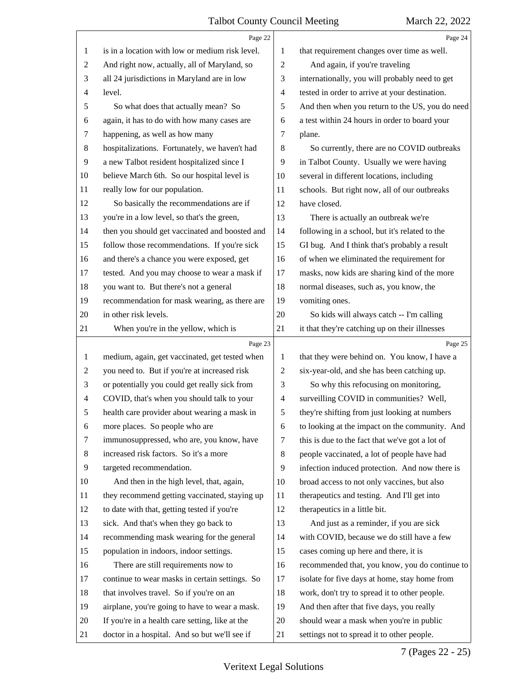|                | Page 22                                         |                | Page 24                                         |
|----------------|-------------------------------------------------|----------------|-------------------------------------------------|
| 1              | is in a location with low or medium risk level. | 1              | that requirement changes over time as well.     |
| $\overline{c}$ | And right now, actually, all of Maryland, so    | $\overline{c}$ | And again, if you're traveling                  |
| 3              | all 24 jurisdictions in Maryland are in low     | 3              | internationally, you will probably need to get  |
| 4              | level.                                          | $\overline{4}$ | tested in order to arrive at your destination.  |
| 5              | So what does that actually mean? So             | 5              | And then when you return to the US, you do need |
| 6              | again, it has to do with how many cases are     | 6              | a test within 24 hours in order to board your   |
| 7              | happening, as well as how many                  | 7              | plane.                                          |
| $\,8\,$        | hospitalizations. Fortunately, we haven't had   | 8              | So currently, there are no COVID outbreaks      |
| 9              | a new Talbot resident hospitalized since I      | 9              | in Talbot County. Usually we were having        |
| 10             | believe March 6th. So our hospital level is     | 10             | several in different locations, including       |
| 11             | really low for our population.                  | 11             | schools. But right now, all of our outbreaks    |
| 12             | So basically the recommendations are if         | 12             | have closed.                                    |
| 13             | you're in a low level, so that's the green,     | 13             | There is actually an outbreak we're             |
| 14             | then you should get vaccinated and boosted and  | 14             | following in a school, but it's related to the  |
| 15             | follow those recommendations. If you're sick    | 15             | GI bug. And I think that's probably a result    |
| 16             | and there's a chance you were exposed, get      | 16             | of when we eliminated the requirement for       |
| 17             | tested. And you may choose to wear a mask if    | 17             | masks, now kids are sharing kind of the more    |
| 18             | you want to. But there's not a general          | 18             | normal diseases, such as, you know, the         |
| 19             | recommendation for mask wearing, as there are   | 19             | vomiting ones.                                  |
| 20             | in other risk levels.                           | 20             | So kids will always catch -- I'm calling        |
| 21             | When you're in the yellow, which is             | 21             | it that they're catching up on their illnesses  |
|                | Page 23                                         |                | Page 25                                         |
|                |                                                 |                |                                                 |
| $\mathbf{1}$   | medium, again, get vaccinated, get tested when  | 1              | that they were behind on. You know, I have a    |
| $\overline{2}$ | you need to. But if you're at increased risk    | $\overline{2}$ | six-year-old, and she has been catching up.     |
| 3              | or potentially you could get really sick from   | 3              | So why this refocusing on monitoring,           |
| 4              | COVID, that's when you should talk to your      | $\overline{4}$ | surveilling COVID in communities? Well,         |
| 5              | health care provider about wearing a mask in    | 5              | they're shifting from just looking at numbers   |
| 6              | more places. So people who are                  | 6              | to looking at the impact on the community. And  |
| 7              | immunosuppressed, who are, you know, have       | 7              | this is due to the fact that we've got a lot of |
| 8              | increased risk factors. So it's a more          | 8              | people vaccinated, a lot of people have had     |
| 9              | targeted recommendation.                        | 9              | infection induced protection. And now there is  |
| 10             | And then in the high level, that, again,        | 10             | broad access to not only vaccines, but also     |
| 11             | they recommend getting vaccinated, staying up   | 11             | therapeutics and testing. And I'll get into     |
| 12             | to date with that, getting tested if you're     | 12             | therapeutics in a little bit.                   |
| 13             | sick. And that's when they go back to           | 13             | And just as a reminder, if you are sick         |
| 14             | recommending mask wearing for the general       | 14             | with COVID, because we do still have a few      |
| 15             | population in indoors, indoor settings.         | 15             | cases coming up here and there, it is           |
| 16             | There are still requirements now to             | 16             | recommended that, you know, you do continue to  |
| 17             | continue to wear masks in certain settings. So  | 17             | isolate for five days at home, stay home from   |
| 18             | that involves travel. So if you're on an        | 18             | work, don't try to spread it to other people.   |
| 19             | airplane, you're going to have to wear a mask.  | 19             | And then after that five days, you really       |
| 20             | If you're in a health care setting, like at the | 20             | should wear a mask when you're in public        |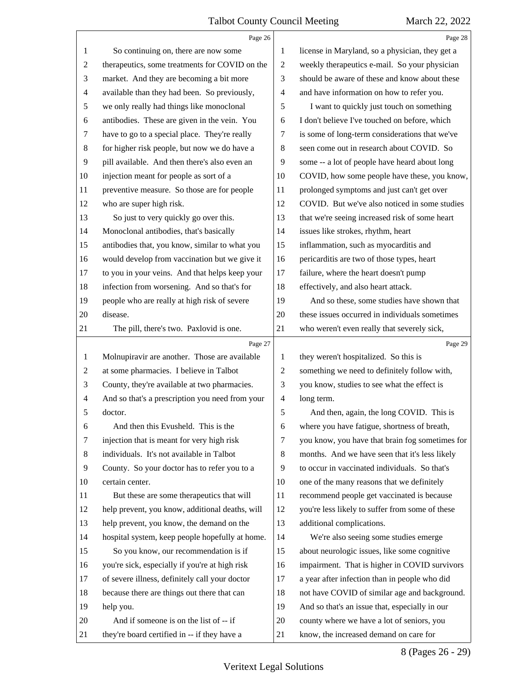|                | Page 26                                         |                          | Page 28                                         |
|----------------|-------------------------------------------------|--------------------------|-------------------------------------------------|
| 1              | So continuing on, there are now some            | 1                        | license in Maryland, so a physician, they get a |
| 2              | therapeutics, some treatments for COVID on the  | $\mathbf{2}$             | weekly therapeutics e-mail. So your physician   |
| 3              | market. And they are becoming a bit more        | 3                        | should be aware of these and know about these   |
| 4              | available than they had been. So previously,    | $\overline{\mathcal{A}}$ | and have information on how to refer you.       |
| 5              | we only really had things like monoclonal       | 5                        | I want to quickly just touch on something       |
| 6              | antibodies. These are given in the vein. You    | 6                        | I don't believe I've touched on before, which   |
| 7              | have to go to a special place. They're really   | 7                        | is some of long-term considerations that we've  |
| 8              | for higher risk people, but now we do have a    | 8                        | seen come out in research about COVID. So       |
| 9              | pill available. And then there's also even an   | 9                        | some -- a lot of people have heard about long   |
| 10             | injection meant for people as sort of a         | 10                       | COVID, how some people have these, you know,    |
| 11             | preventive measure. So those are for people     | 11                       | prolonged symptoms and just can't get over      |
| 12             | who are super high risk.                        | 12                       | COVID. But we've also noticed in some studies   |
| 13             | So just to very quickly go over this.           | 13                       | that we're seeing increased risk of some heart  |
| 14             | Monoclonal antibodies, that's basically         | 14                       | issues like strokes, rhythm, heart              |
| 15             | antibodies that, you know, similar to what you  | 15                       | inflammation, such as myocarditis and           |
| 16             | would develop from vaccination but we give it   | 16                       | pericarditis are two of those types, heart      |
| 17             | to you in your veins. And that helps keep your  | 17                       | failure, where the heart doesn't pump           |
| 18             | infection from worsening. And so that's for     | 18                       | effectively, and also heart attack.             |
| 19             | people who are really at high risk of severe    | 19                       | And so these, some studies have shown that      |
| 20             | disease.                                        | 20                       | these issues occurred in individuals sometimes  |
| 21             | The pill, there's two. Paxlovid is one.         | 21                       | who weren't even really that severely sick,     |
|                |                                                 |                          |                                                 |
|                | Page 27                                         |                          | Page 29                                         |
| 1              | Molnupiravir are another. Those are available   | 1                        | they weren't hospitalized. So this is           |
| $\overline{c}$ | at some pharmacies. I believe in Talbot         | $\mathbf{2}$             | something we need to definitely follow with,    |
| 3              | County, they're available at two pharmacies.    | 3                        | you know, studies to see what the effect is     |
| 4              | And so that's a prescription you need from your | 4                        | long term.                                      |
| ͻ              | doctor.                                         | 5                        | And then, again, the long COVID. This is        |
| 6              | And then this Evusheld. This is the             | 6                        | where you have fatigue, shortness of breath,    |
| 7              | injection that is meant for very high risk      | 7                        | you know, you have that brain fog sometimes for |
| 8              | individuals. It's not available in Talbot       | 8                        | months. And we have seen that it's less likely  |
| 9              | County. So your doctor has to refer you to a    | 9                        | to occur in vaccinated individuals. So that's   |
| 10             | certain center.                                 | 10                       | one of the many reasons that we definitely      |
| 11             | But these are some therapeutics that will       | 11                       | recommend people get vaccinated is because      |
| 12             | help prevent, you know, additional deaths, will | 12                       | you're less likely to suffer from some of these |
| 13             | help prevent, you know, the demand on the       | 13                       | additional complications.                       |
| 14             | hospital system, keep people hopefully at home. | 14                       | We're also seeing some studies emerge           |
| 15             | So you know, our recommendation is if           | 15                       | about neurologic issues, like some cognitive    |
| 16             | you're sick, especially if you're at high risk  | 16                       | impairment. That is higher in COVID survivors   |
| 17             | of severe illness, definitely call your doctor  | 17                       | a year after infection than in people who did   |
| 18             | because there are things out there that can     | 18                       | not have COVID of similar age and background.   |
| 19             | help you.                                       | 19                       | And so that's an issue that, especially in our  |
| 20             | And if someone is on the list of -- if          | 20                       | county where we have a lot of seniors, you      |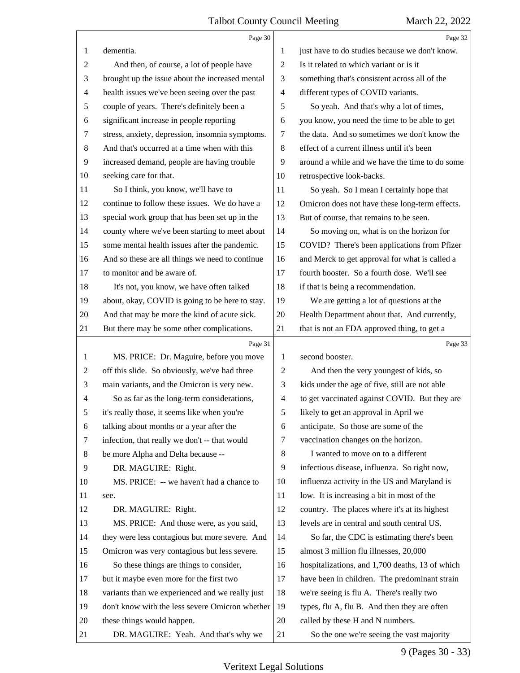|                | Page 30                                         |                | Page 32                                         |
|----------------|-------------------------------------------------|----------------|-------------------------------------------------|
| 1              | dementia.                                       | 1              | just have to do studies because we don't know.  |
| $\overline{c}$ | And then, of course, a lot of people have       | 2              | Is it related to which variant or is it         |
| 3              | brought up the issue about the increased mental | 3              | something that's consistent across all of the   |
| $\overline{4}$ | health issues we've been seeing over the past   | $\overline{4}$ | different types of COVID variants.              |
| 5              | couple of years. There's definitely been a      | 5              | So yeah. And that's why a lot of times,         |
| 6              | significant increase in people reporting        | 6              | you know, you need the time to be able to get   |
| 7              | stress, anxiety, depression, insomnia symptoms. | 7              | the data. And so sometimes we don't know the    |
| 8              | And that's occurred at a time when with this    | 8              | effect of a current illness until it's been     |
| 9              | increased demand, people are having trouble     | 9              | around a while and we have the time to do some  |
| 10             | seeking care for that.                          | 10             | retrospective look-backs.                       |
| 11             | So I think, you know, we'll have to             | 11             | So yeah. So I mean I certainly hope that        |
| 12             | continue to follow these issues. We do have a   | 12             | Omicron does not have these long-term effects.  |
| 13             | special work group that has been set up in the  | 13             | But of course, that remains to be seen.         |
| 14             | county where we've been starting to meet about  | 14             | So moving on, what is on the horizon for        |
| 15             | some mental health issues after the pandemic.   | 15             | COVID? There's been applications from Pfizer    |
| 16             | And so these are all things we need to continue | 16             | and Merck to get approval for what is called a  |
| 17             | to monitor and be aware of.                     | 17             | fourth booster. So a fourth dose. We'll see     |
| 18             | It's not, you know, we have often talked        | 18             | if that is being a recommendation.              |
| 19             | about, okay, COVID is going to be here to stay. | 19             | We are getting a lot of questions at the        |
| 20             | And that may be more the kind of acute sick.    | 20             | Health Department about that. And currently,    |
| 21             | But there may be some other complications.      | 21             | that is not an FDA approved thing, to get a     |
|                |                                                 |                |                                                 |
|                | Page 31                                         |                | Page 33                                         |
| 1              | MS. PRICE: Dr. Maguire, before you move         | 1              | second booster.                                 |
| 2              | off this slide. So obviously, we've had three   | $\overline{c}$ | And then the very youngest of kids, so          |
| 3              | main variants, and the Omicron is very new.     | 3              | kids under the age of five, still are not able  |
| 4              | So as far as the long-term considerations,      | $\overline{4}$ | to get vaccinated against COVID. But they are   |
| 5              | it's really those, it seems like when you're    | 5              | likely to get an approval in April we           |
| 6              | talking about months or a year after the        | 6              | anticipate. So those are some of the            |
| 7              | infection, that really we don't -- that would   | 7              | vaccination changes on the horizon.             |
| 8              | be more Alpha and Delta because --              | 8              | I wanted to move on to a different              |
| 9              | DR. MAGUIRE: Right.                             | 9              | infectious disease, influenza. So right now,    |
| 10             | MS. PRICE: -- we haven't had a chance to        | 10             | influenza activity in the US and Maryland is    |
| 11             | see.                                            | 11             | low. It is increasing a bit in most of the      |
| 12             | DR. MAGUIRE: Right.                             | 12             | country. The places where it's at its highest   |
| 13             | MS. PRICE: And those were, as you said,         | 13             | levels are in central and south central US.     |
| 14             | they were less contagious but more severe. And  | 14             | So far, the CDC is estimating there's been      |
| 15             | Omicron was very contagious but less severe.    | 15             | almost 3 million flu illnesses, 20,000          |
| 16             | So these things are things to consider,         | 16             | hospitalizations, and 1,700 deaths, 13 of which |
| 17             | but it maybe even more for the first two        | 17             | have been in children. The predominant strain   |
| 18             | variants than we experienced and we really just | 18             | we're seeing is flu A. There's really two       |
| 19             | don't know with the less severe Omicron whether | 19             | types, flu A, flu B. And then they are often    |
| 20             | these things would happen.                      | 20             | called by these H and N numbers.                |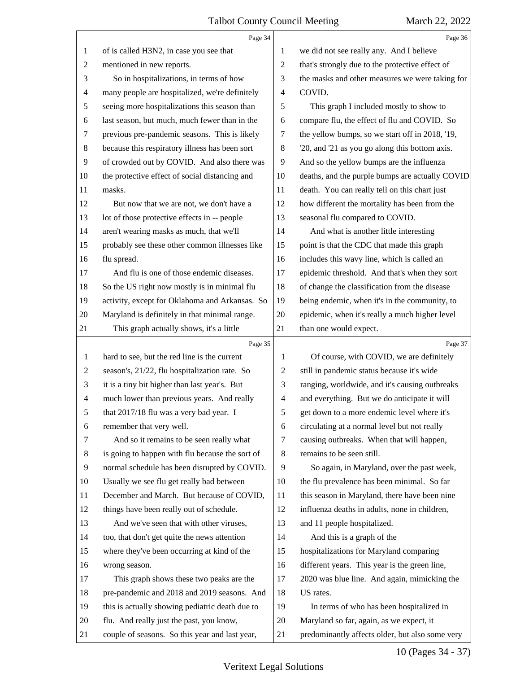|                | Page 34                                         |                | Page 36                                         |
|----------------|-------------------------------------------------|----------------|-------------------------------------------------|
| 1              | of is called H3N2, in case you see that         | 1              | we did not see really any. And I believe        |
| 2              | mentioned in new reports.                       | 2              | that's strongly due to the protective effect of |
| 3              | So in hospitalizations, in terms of how         | 3              | the masks and other measures we were taking for |
| 4              | many people are hospitalized, we're definitely  | $\overline{4}$ | COVID.                                          |
| 5              | seeing more hospitalizations this season than   | 5              | This graph I included mostly to show to         |
| 6              | last season, but much, much fewer than in the   | 6              | compare flu, the effect of flu and COVID. So    |
| 7              | previous pre-pandemic seasons. This is likely   | 7              | the yellow bumps, so we start off in 2018, '19, |
| 8              | because this respiratory illness has been sort  | 8              | '20, and '21 as you go along this bottom axis.  |
| 9              | of crowded out by COVID. And also there was     | 9              | And so the yellow bumps are the influenza       |
| 10             | the protective effect of social distancing and  | 10             | deaths, and the purple bumps are actually COVID |
| 11             | masks.                                          | 11             | death. You can really tell on this chart just   |
| 12             | But now that we are not, we don't have a        | 12             | how different the mortality has been from the   |
| 13             | lot of those protective effects in -- people    | 13             | seasonal flu compared to COVID.                 |
| 14             | aren't wearing masks as much, that we'll        | 14             | And what is another little interesting          |
| 15             | probably see these other common illnesses like  | 15             | point is that the CDC that made this graph      |
| 16             | flu spread.                                     | 16             | includes this wavy line, which is called an     |
| 17             | And flu is one of those endemic diseases.       | 17             | epidemic threshold. And that's when they sort   |
| 18             | So the US right now mostly is in minimal flu    | 18             | of change the classification from the disease   |
| 19             | activity, except for Oklahoma and Arkansas. So  | 19             | being endemic, when it's in the community, to   |
| 20             | Maryland is definitely in that minimal range.   | 20             | epidemic, when it's really a much higher level  |
| 21             | This graph actually shows, it's a little        | 21             | than one would expect.                          |
|                | Page 35                                         |                | Page 37                                         |
| 1              | hard to see, but the red line is the current    |                |                                                 |
|                |                                                 | 1              | Of course, with COVID, we are definitely        |
| $\overline{2}$ | season's, 21/22, flu hospitalization rate. So   | 2              | still in pandemic status because it's wide      |
| 3              | it is a tiny bit higher than last year's. But   | 3              | ranging, worldwide, and it's causing outbreaks  |
| $\overline{4}$ | much lower than previous years. And really      | 4              | and everything. But we do anticipate it will    |
| 5              | that 2017/18 flu was a very bad year. I         | 5              | get down to a more endemic level where it's     |
| 6              | remember that very well.                        | 6              | circulating at a normal level but not really    |
| 7              | And so it remains to be seen really what        | 7              | causing outbreaks. When that will happen,       |
| 8              | is going to happen with flu because the sort of | 8              | remains to be seen still.                       |
| 9              | normal schedule has been disrupted by COVID.    | 9              | So again, in Maryland, over the past week,      |
| 10             | Usually we see flu get really bad between       | 10             | the flu prevalence has been minimal. So far     |
| 11             | December and March. But because of COVID,       | 11             | this season in Maryland, there have been nine   |
| 12             | things have been really out of schedule.        | 12             | influenza deaths in adults, none in children,   |
| 13             | And we've seen that with other viruses,         | 13             | and 11 people hospitalized.                     |
| 14             | too, that don't get quite the news attention    | 14             | And this is a graph of the                      |
| 15             | where they've been occurring at kind of the     | 15             | hospitalizations for Maryland comparing         |
| 16             | wrong season.                                   | 16             | different years. This year is the green line,   |
| 17             | This graph shows these two peaks are the        | 17             | 2020 was blue line. And again, mimicking the    |
| 18             | pre-pandemic and 2018 and 2019 seasons. And     | 18             | US rates.                                       |
| 19             | this is actually showing pediatric death due to | 19             | In terms of who has been hospitalized in        |
| 20             | flu. And really just the past, you know,        | 20             | Maryland so far, again, as we expect, it        |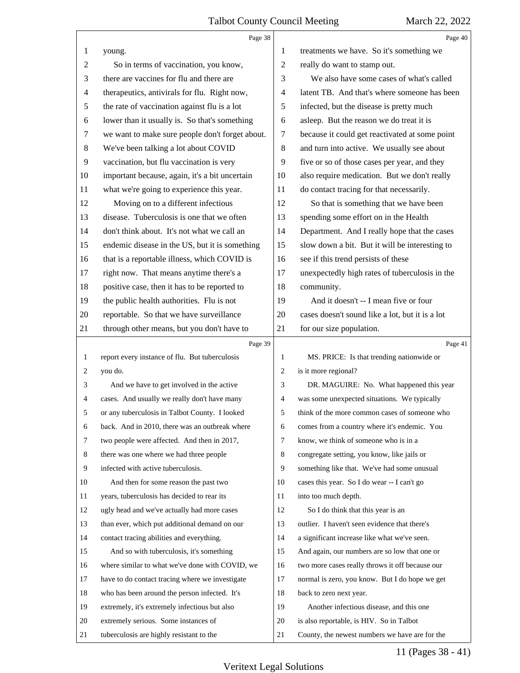|        | Page 38                                         |                | Page 40                                         |
|--------|-------------------------------------------------|----------------|-------------------------------------------------|
| 1      | young.                                          | 1              | treatments we have. So it's something we        |
| 2      | So in terms of vaccination, you know,           | 2              | really do want to stamp out.                    |
| 3      | there are vaccines for flu and there are        | 3              | We also have some cases of what's called        |
| 4      | therapeutics, antivirals for flu. Right now,    | 4              | latent TB. And that's where someone has been    |
| 5      | the rate of vaccination against flu is a lot    | 5              | infected, but the disease is pretty much        |
| 6      | lower than it usually is. So that's something   | 6              | asleep. But the reason we do treat it is        |
| $\tau$ | we want to make sure people don't forget about. | 7              | because it could get reactivated at some point  |
| $8\,$  | We've been talking a lot about COVID            | 8              | and turn into active. We usually see about      |
| 9      | vaccination, but flu vaccination is very        | 9              | five or so of those cases per year, and they    |
| 10     | important because, again, it's a bit uncertain  | 10             | also require medication. But we don't really    |
| 11     | what we're going to experience this year.       | 11             | do contact tracing for that necessarily.        |
| 12     | Moving on to a different infectious             | 12             | So that is something that we have been          |
| 13     | disease. Tuberculosis is one that we often      | 13             | spending some effort on in the Health           |
| 14     | don't think about. It's not what we call an     | 14             | Department. And I really hope that the cases    |
| 15     | endemic disease in the US, but it is something  | 15             | slow down a bit. But it will be interesting to  |
| 16     | that is a reportable illness, which COVID is    | 16             | see if this trend persists of these             |
| 17     | right now. That means anytime there's a         | 17             | unexpectedly high rates of tuberculosis in the  |
| $18\,$ | positive case, then it has to be reported to    | 18             | community.                                      |
| 19     | the public health authorities. Flu is not       | 19             | And it doesn't -- I mean five or four           |
| 20     | reportable. So that we have surveillance        | 20             | cases doesn't sound like a lot, but it is a lot |
| 21     | through other means, but you don't have to      | 21             | for our size population.                        |
|        |                                                 |                |                                                 |
|        | Page 39                                         |                | Page 41                                         |
| 1      | report every instance of flu. But tuberculosis  | 1              | MS. PRICE: Is that trending nationwide or       |
| 2      | you do.                                         | 2              | is it more regional?                            |
| 3      | And we have to get involved in the active       | 3              | DR. MAGUIRE: No. What happened this year        |
| 4      | cases. And usually we really don't have many    | $\overline{4}$ | was some unexpected situations. We typically    |
|        | or any tuberculosis in Talbot County. I looked  | 5              | think of the more common cases of someone who   |
| 6      | back. And in 2010, there was an outbreak where  | 6              | comes from a country where it's endemic. You    |
| 7      | two people were affected. And then in 2017,     | 7              | know, we think of someone who is in a           |
| 8      | there was one where we had three people         | 8              | congregate setting, you know, like jails or     |
| 9      | infected with active tuberculosis.              | 9              | something like that. We've had some unusual     |
| 10     | And then for some reason the past two           | 10             | cases this year. So I do wear -- I can't go     |
| 11     | years, tuberculosis has decided to rear its     | 11             | into too much depth.                            |
| 12     | ugly head and we've actually had more cases     | 12             | So I do think that this year is an              |
| 13     | than ever, which put additional demand on our   | 13             | outlier. I haven't seen evidence that there's   |
| 14     | contact tracing abilities and everything.       | 14             | a significant increase like what we've seen.    |
| 15     | And so with tuberculosis, it's something        | 15             | And again, our numbers are so low that one or   |
| 16     | where similar to what we've done with COVID, we | 16             | two more cases really throws it off because our |
| 17     | have to do contact tracing where we investigate | 17             | normal is zero, you know. But I do hope we get  |
| 18     | who has been around the person infected. It's   | 18             | back to zero next year.                         |
| 19     | extremely, it's extremely infectious but also   | 19             | Another infectious disease, and this one        |
| 20     | extremely serious. Some instances of            | 20             | is also reportable, is HIV. So in Talbot        |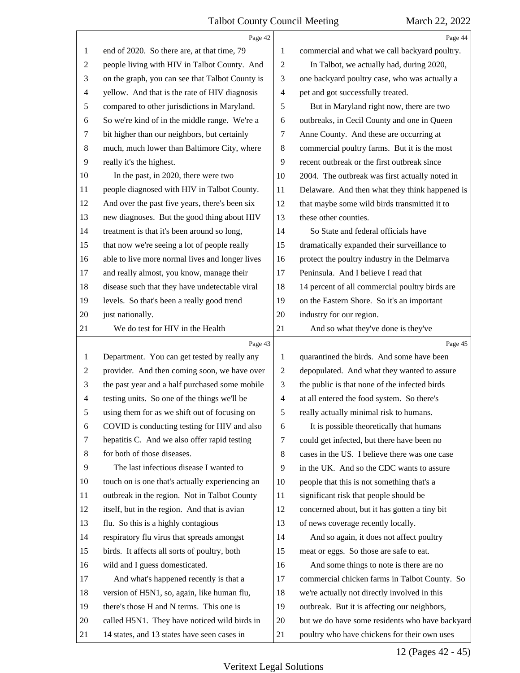|                | Page 42                                         |                          | Page 44                                         |
|----------------|-------------------------------------------------|--------------------------|-------------------------------------------------|
| 1              | end of 2020. So there are, at that time, 79     | 1                        | commercial and what we call backyard poultry.   |
| $\overline{2}$ | people living with HIV in Talbot County. And    | $\overline{2}$           | In Talbot, we actually had, during 2020,        |
| 3              | on the graph, you can see that Talbot County is | 3                        | one backyard poultry case, who was actually a   |
| $\overline{4}$ | yellow. And that is the rate of HIV diagnosis   | $\overline{\mathcal{A}}$ | pet and got successfully treated.               |
| 5              | compared to other jurisdictions in Maryland.    | 5                        | But in Maryland right now, there are two        |
| 6              | So we're kind of in the middle range. We're a   | 6                        | outbreaks, in Cecil County and one in Queen     |
| 7              | bit higher than our neighbors, but certainly    | 7                        | Anne County. And these are occurring at         |
| $8\,$          | much, much lower than Baltimore City, where     | $\,8\,$                  | commercial poultry farms. But it is the most    |
| 9              | really it's the highest.                        | 9                        | recent outbreak or the first outbreak since     |
| 10             | In the past, in 2020, there were two            | 10                       | 2004. The outbreak was first actually noted in  |
| 11             | people diagnosed with HIV in Talbot County.     | 11                       | Delaware. And then what they think happened is  |
| 12             | And over the past five years, there's been six  | 12                       | that maybe some wild birds transmitted it to    |
| 13             | new diagnoses. But the good thing about HIV     | 13                       | these other counties.                           |
| 14             | treatment is that it's been around so long,     | 14                       | So State and federal officials have             |
| 15             | that now we're seeing a lot of people really    | 15                       | dramatically expanded their surveillance to     |
| 16             | able to live more normal lives and longer lives | 16                       | protect the poultry industry in the Delmarva    |
| 17             | and really almost, you know, manage their       | 17                       | Peninsula. And I believe I read that            |
| 18             | disease such that they have undetectable viral  | 18                       | 14 percent of all commercial poultry birds are  |
| 19             | levels. So that's been a really good trend      | 19                       | on the Eastern Shore. So it's an important      |
| 20             | just nationally.                                | 20                       | industry for our region.                        |
| 21             | We do test for HIV in the Health                | 21                       | And so what they've done is they've             |
|                |                                                 |                          |                                                 |
|                | Page 43                                         |                          | Page 45                                         |
| $\mathbf{1}$   | Department. You can get tested by really any    | $\mathbf{1}$             | quarantined the birds. And some have been       |
| $\overline{2}$ | provider. And then coming soon, we have over    | 2                        | depopulated. And what they wanted to assure     |
| 3              | the past year and a half purchased some mobile  | 3                        | the public is that none of the infected birds   |
| $\overline{4}$ | testing units. So one of the things we'll be    | $\overline{\mathcal{A}}$ | at all entered the food system. So there's      |
| 5              | using them for as we shift out of focusing on   | 5                        | really actually minimal risk to humans.         |
| 6              | COVID is conducting testing for HIV and also    | 6                        | It is possible theoretically that humans        |
| 7              | hepatitis C. And we also offer rapid testing    | 7                        | could get infected, but there have been no      |
| 8              | for both of those diseases.                     | 8                        | cases in the US. I believe there was one case   |
| 9              | The last infectious disease I wanted to         | 9                        | in the UK. And so the CDC wants to assure       |
| 10             | touch on is one that's actually experiencing an | 10                       | people that this is not something that's a      |
| 11             | outbreak in the region. Not in Talbot County    | 11                       | significant risk that people should be          |
| 12             | itself, but in the region. And that is avian    | 12                       | concerned about, but it has gotten a tiny bit   |
| 13             | flu. So this is a highly contagious             | 13                       | of news coverage recently locally.              |
| 14             | respiratory flu virus that spreads amongst      | 14                       | And so again, it does not affect poultry        |
| 15             | birds. It affects all sorts of poultry, both    | 15                       | meat or eggs. So those are safe to eat.         |
| 16             | wild and I guess domesticated.                  | 16                       | And some things to note is there are no         |
| 17             | And what's happened recently is that a          | 17                       | commercial chicken farms in Talbot County. So   |
| 18             | version of H5N1, so, again, like human flu,     | 18                       | we're actually not directly involved in this    |
| 19             | there's those H and N terms. This one is        | 19                       | outbreak. But it is affecting our neighbors,    |
| 20             | called H5N1. They have noticed wild birds in    | 20                       | but we do have some residents who have backyard |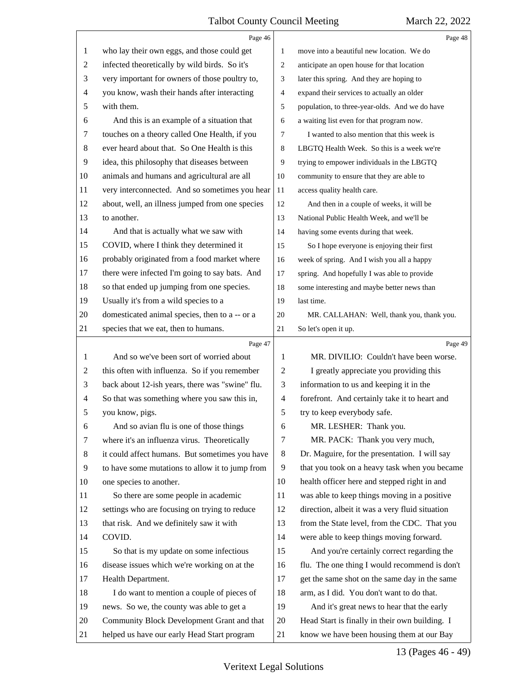|    | Page 46                                         |                | Page 48                                         |
|----|-------------------------------------------------|----------------|-------------------------------------------------|
| 1  | who lay their own eggs, and those could get     | 1              | move into a beautiful new location. We do       |
| 2  | infected theoretically by wild birds. So it's   | 2              | anticipate an open house for that location      |
| 3  | very important for owners of those poultry to,  | 3              | later this spring. And they are hoping to       |
| 4  | you know, wash their hands after interacting    | 4              | expand their services to actually an older      |
| 5  | with them.                                      | 5              | population, to three-year-olds. And we do have  |
| 6  | And this is an example of a situation that      | 6              | a waiting list even for that program now.       |
| 7  | touches on a theory called One Health, if you   | 7              | I wanted to also mention that this week is      |
| 8  | ever heard about that. So One Health is this    | 8              | LBGTQ Health Week. So this is a week we're      |
| 9  | idea, this philosophy that diseases between     | 9              | trying to empower individuals in the LBGTQ      |
| 10 | animals and humans and agricultural are all     | 10             | community to ensure that they are able to       |
| 11 | very interconnected. And so sometimes you hear  | 11             | access quality health care.                     |
| 12 | about, well, an illness jumped from one species | 12             | And then in a couple of weeks, it will be       |
| 13 | to another.                                     | 13             | National Public Health Week, and we'll be       |
| 14 | And that is actually what we saw with           | 14             | having some events during that week.            |
| 15 | COVID, where I think they determined it         | 15             | So I hope everyone is enjoying their first      |
| 16 | probably originated from a food market where    | 16             | week of spring. And I wish you all a happy      |
| 17 | there were infected I'm going to say bats. And  | 17             | spring. And hopefully I was able to provide     |
| 18 | so that ended up jumping from one species.      | 18             | some interesting and maybe better news than     |
| 19 | Usually it's from a wild species to a           | 19             | last time.                                      |
| 20 | domesticated animal species, then to a -- or a  | 20             | MR. CALLAHAN: Well, thank you, thank you.       |
| 21 | species that we eat, then to humans.            | 21             | So let's open it up.                            |
|    |                                                 |                |                                                 |
|    | Page 47                                         |                | Page 49                                         |
| 1  | And so we've been sort of worried about         | 1              | MR. DIVILIO: Couldn't have been worse.          |
| 2  | this often with influenza. So if you remember   | $\overline{2}$ | I greatly appreciate you providing this         |
| 3  | back about 12-ish years, there was "swine" flu. | 3              | information to us and keeping it in the         |
| 4  | So that was something where you saw this in,    | $\overline{4}$ | forefront. And certainly take it to heart and   |
| 5  | you know, pigs.                                 | 5              | try to keep everybody safe.                     |
| 6  | And so avian flu is one of those things         | 6              | MR. LESHER: Thank you.                          |
| 7  | where it's an influenza virus. Theoretically    | 7              | MR. PACK: Thank you very much,                  |
| 8  | it could affect humans. But sometimes you have  | 8              | Dr. Maguire, for the presentation. I will say   |
| 9  | to have some mutations to allow it to jump from | 9              | that you took on a heavy task when you became   |
| 10 | one species to another.                         | 10             | health officer here and stepped right in and    |
| 11 | So there are some people in academic            | 11             | was able to keep things moving in a positive    |
| 12 | settings who are focusing on trying to reduce   | 12             | direction, albeit it was a very fluid situation |
| 13 | that risk. And we definitely saw it with        | 13             | from the State level, from the CDC. That you    |
| 14 | COVID.                                          | 14             | were able to keep things moving forward.        |
| 15 | So that is my update on some infectious         | 15             | And you're certainly correct regarding the      |
| 16 | disease issues which we're working on at the    | 16             | flu. The one thing I would recommend is don't   |
| 17 | Health Department.                              | 17             | get the same shot on the same day in the same   |
| 18 | I do want to mention a couple of pieces of      | 18             | arm, as I did. You don't want to do that.       |
| 19 | news. So we, the county was able to get a       | 19             | And it's great news to hear that the early      |
| 20 | Community Block Development Grant and that      | 20             | Head Start is finally in their own building. I  |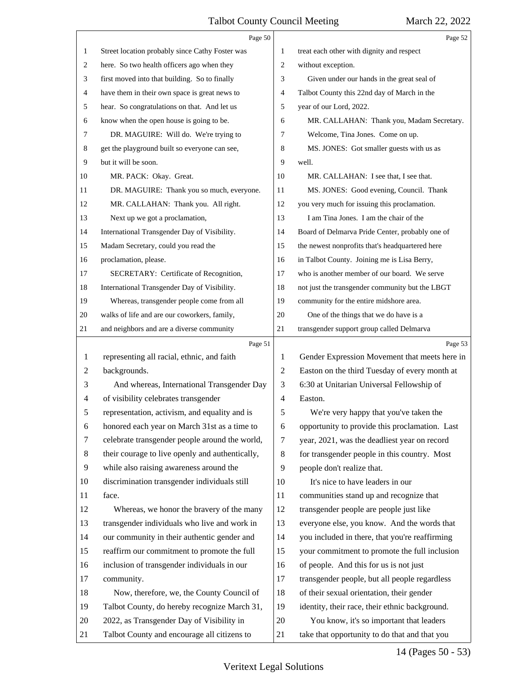|    | Page 50                                         |                | Page 52                                         |
|----|-------------------------------------------------|----------------|-------------------------------------------------|
| 1  | Street location probably since Cathy Foster was | 1              | treat each other with dignity and respect       |
| 2  | here. So two health officers ago when they      | 2              | without exception.                              |
| 3  | first moved into that building. So to finally   | 3              | Given under our hands in the great seal of      |
| 4  | have them in their own space is great news to   | 4              | Talbot County this 22nd day of March in the     |
| 5  | hear. So congratulations on that. And let us    | 5              | year of our Lord, 2022.                         |
| 6  | know when the open house is going to be.        | 6              | MR. CALLAHAN: Thank you, Madam Secretary.       |
| 7  | DR. MAGUIRE: Will do. We're trying to           | 7              | Welcome, Tina Jones. Come on up.                |
| 8  | get the playground built so everyone can see,   | 8              | MS. JONES: Got smaller guests with us as        |
| 9  | but it will be soon.                            | 9              | well.                                           |
| 10 | MR. PACK: Okay. Great.                          | 10             | MR. CALLAHAN: I see that, I see that.           |
| 11 | DR. MAGUIRE: Thank you so much, everyone.       | 11             | MS. JONES: Good evening, Council. Thank         |
| 12 | MR. CALLAHAN: Thank you. All right.             | 12             | you very much for issuing this proclamation.    |
| 13 | Next up we got a proclamation,                  | 13             | I am Tina Jones. I am the chair of the          |
| 14 | International Transgender Day of Visibility.    | 14             | Board of Delmarva Pride Center, probably one of |
| 15 | Madam Secretary, could you read the             | 15             | the newest nonprofits that's headquartered here |
| 16 | proclamation, please.                           | 16             | in Talbot County. Joining me is Lisa Berry,     |
| 17 | SECRETARY: Certificate of Recognition,          | 17             | who is another member of our board. We serve    |
| 18 | International Transgender Day of Visibility.    | 18             | not just the transgender community but the LBGT |
| 19 | Whereas, transgender people come from all       | 19             | community for the entire midshore area.         |
| 20 | walks of life and are our coworkers, family,    | 20             | One of the things that we do have is a          |
| 21 | and neighbors and are a diverse community       | 21             | transgender support group called Delmarva       |
|    |                                                 |                |                                                 |
|    | Page 51                                         |                | Page 53                                         |
| 1  | representing all racial, ethnic, and faith      | 1              | Gender Expression Movement that meets here in   |
| 2  | backgrounds.                                    | $\overline{2}$ | Easton on the third Tuesday of every month at   |
| 3  | And whereas, International Transgender Day      | 3              | 6:30 at Unitarian Universal Fellowship of       |
| 4  | of visibility celebrates transgender            | 4              | Easton.                                         |
| 5  | representation, activism, and equality and is   | 5              | We're very happy that you've taken the          |
| 6  | honored each year on March 31st as a time to    | 6              | opportunity to provide this proclamation. Last  |
| 7  | celebrate transgender people around the world,  | 7              | year, 2021, was the deadliest year on record    |
| 8  | their courage to live openly and authentically, | 8              | for transgender people in this country. Most    |
| 9  | while also raising awareness around the         | 9              | people don't realize that.                      |
| 10 | discrimination transgender individuals still    | 10             | It's nice to have leaders in our                |
| 11 | face.                                           | 11             | communities stand up and recognize that         |
| 12 | Whereas, we honor the bravery of the many       | 12             | transgender people are people just like         |
| 13 | transgender individuals who live and work in    | 13             | everyone else, you know. And the words that     |
| 14 | our community in their authentic gender and     | 14             | you included in there, that you're reaffirming  |
| 15 | reaffirm our commitment to promote the full     | 15             | your commitment to promote the full inclusion   |
| 16 | inclusion of transgender individuals in our     | 16             | of people. And this for us is not just          |
| 17 | community.                                      | 17             | transgender people, but all people regardless   |
| 18 | Now, therefore, we, the County Council of       | 18             | of their sexual orientation, their gender       |
| 19 | Talbot County, do hereby recognize March 31,    | 19             | identity, their race, their ethnic background.  |
| 20 | 2022, as Transgender Day of Visibility in       | 20             | You know, it's so important that leaders        |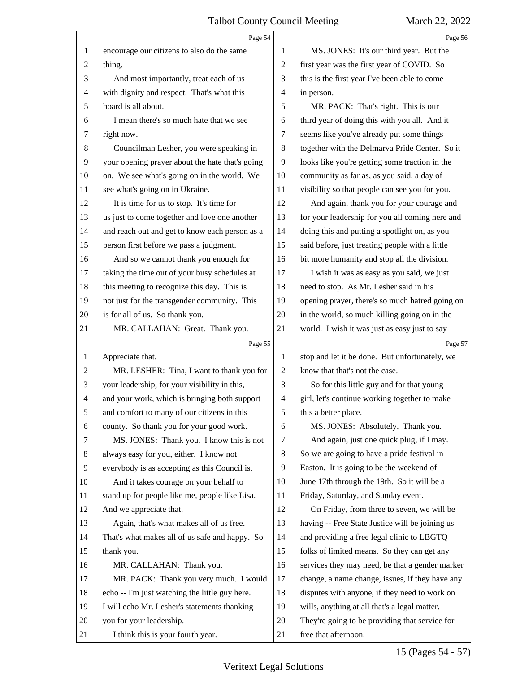|                | Page 54                                         |                | Page 56                                         |
|----------------|-------------------------------------------------|----------------|-------------------------------------------------|
| 1              | encourage our citizens to also do the same      | 1              | MS. JONES: It's our third year. But the         |
| $\overline{c}$ | thing.                                          | $\overline{c}$ | first year was the first year of COVID. So      |
| 3              | And most importantly, treat each of us          | 3              | this is the first year I've been able to come   |
| 4              | with dignity and respect. That's what this      | 4              | in person.                                      |
| 5              | board is all about.                             | 5              | MR. PACK: That's right. This is our             |
| 6              | I mean there's so much hate that we see         | 6              | third year of doing this with you all. And it   |
| 7              | right now.                                      | 7              | seems like you've already put some things       |
| 8              | Councilman Lesher, you were speaking in         | 8              | together with the Delmarva Pride Center. So it  |
| 9              | your opening prayer about the hate that's going | 9              | looks like you're getting some traction in the  |
| 10             | on. We see what's going on in the world. We     | 10             | community as far as, as you said, a day of      |
| 11             | see what's going on in Ukraine.                 | 11             | visibility so that people can see you for you.  |
| 12             | It is time for us to stop. It's time for        | 12             | And again, thank you for your courage and       |
| 13             | us just to come together and love one another   | 13             | for your leadership for you all coming here and |
| 14             | and reach out and get to know each person as a  | 14             | doing this and putting a spotlight on, as you   |
| 15             | person first before we pass a judgment.         | 15             | said before, just treating people with a little |
| 16             | And so we cannot thank you enough for           | 16             | bit more humanity and stop all the division.    |
| 17             | taking the time out of your busy schedules at   | 17             | I wish it was as easy as you said, we just      |
| 18             | this meeting to recognize this day. This is     | 18             | need to stop. As Mr. Lesher said in his         |
| 19             | not just for the transgender community. This    | 19             | opening prayer, there's so much hatred going on |
| 20             | is for all of us. So thank you.                 | 20             | in the world, so much killing going on in the   |
| 21             | MR. CALLAHAN: Great. Thank you.                 | 21             | world. I wish it was just as easy just to say   |
|                |                                                 |                |                                                 |
|                | Page 55                                         |                | Page 57                                         |
| 1              | Appreciate that.                                | 1              | stop and let it be done. But unfortunately, we  |
| 2              | MR. LESHER: Tina, I want to thank you for       | $\overline{c}$ | know that that's not the case.                  |
| 3              | your leadership, for your visibility in this,   | 3              | So for this little guy and for that young       |
| 4              | and your work, which is bringing both support   | 4              | girl, let's continue working together to make   |
| 5              | and comfort to many of our citizens in this     | 5              | this a better place.                            |
| 6              | county. So thank you for your good work.        | 6              | MS. JONES: Absolutely. Thank you.               |
| 7              | MS. JONES: Thank you. I know this is not        | 7              | And again, just one quick plug, if I may.       |
| 8              | always easy for you, either. I know not         | 8              | So we are going to have a pride festival in     |
| 9              | everybody is as accepting as this Council is.   | 9              | Easton. It is going to be the weekend of        |
| 10             | And it takes courage on your behalf to          | 10             | June 17th through the 19th. So it will be a     |
| 11             | stand up for people like me, people like Lisa.  | 11             | Friday, Saturday, and Sunday event.             |
| 12             | And we appreciate that.                         | 12             | On Friday, from three to seven, we will be      |
| 13             | Again, that's what makes all of us free.        | 13             | having -- Free State Justice will be joining us |
| 14             | That's what makes all of us safe and happy. So  | 14             | and providing a free legal clinic to LBGTQ      |
| 15             | thank you.                                      | 15             | folks of limited means. So they can get any     |
| 16             | MR. CALLAHAN: Thank you.                        | 16             | services they may need, be that a gender marker |
| 17             | MR. PACK: Thank you very much. I would          | 17             | change, a name change, issues, if they have any |
| 18             | echo -- I'm just watching the little guy here.  | 18             | disputes with anyone, if they need to work on   |
| 19             | I will echo Mr. Lesher's statements thanking    | 19             | wills, anything at all that's a legal matter.   |
| 20             | you for your leadership.                        | 20             | They're going to be providing that service for  |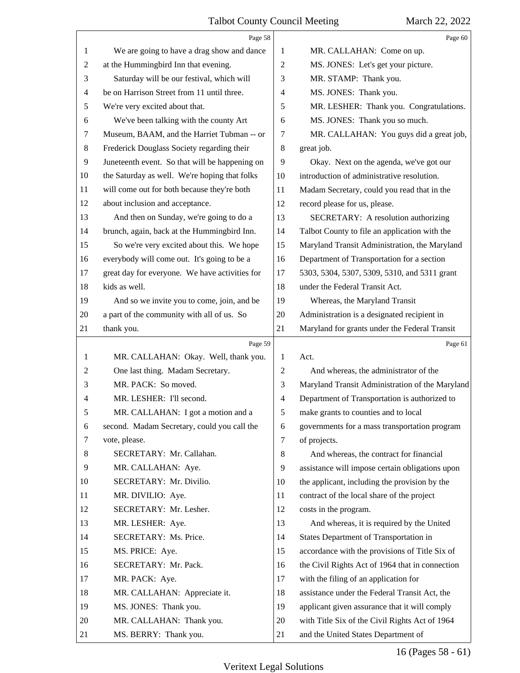|    | Page 58                                        |                | Page 60                                         |
|----|------------------------------------------------|----------------|-------------------------------------------------|
| 1  | We are going to have a drag show and dance     | 1              | MR. CALLAHAN: Come on up.                       |
| 2  | at the Hummingbird Inn that evening.           | 2              | MS. JONES: Let's get your picture.              |
| 3  | Saturday will be our festival, which will      | 3              | MR. STAMP: Thank you.                           |
| 4  | be on Harrison Street from 11 until three.     | $\overline{4}$ | MS. JONES: Thank you.                           |
| 5  | We're very excited about that.                 | 5              | MR. LESHER: Thank you. Congratulations.         |
| 6  | We've been talking with the county Art         | 6              | MS. JONES: Thank you so much.                   |
| 7  | Museum, BAAM, and the Harriet Tubman -- or     | 7              | MR. CALLAHAN: You guys did a great job,         |
| 8  | Frederick Douglass Society regarding their     | 8              | great job.                                      |
| 9  | Juneteenth event. So that will be happening on | 9              | Okay. Next on the agenda, we've got our         |
| 10 | the Saturday as well. We're hoping that folks  | 10             | introduction of administrative resolution.      |
| 11 | will come out for both because they're both    | 11             | Madam Secretary, could you read that in the     |
| 12 | about inclusion and acceptance.                | 12             | record please for us, please.                   |
| 13 | And then on Sunday, we're going to do a        | 13             | SECRETARY: A resolution authorizing             |
| 14 | brunch, again, back at the Hummingbird Inn.    | 14             | Talbot County to file an application with the   |
| 15 | So we're very excited about this. We hope      | 15             | Maryland Transit Administration, the Maryland   |
| 16 | everybody will come out. It's going to be a    | 16             | Department of Transportation for a section      |
| 17 | great day for everyone. We have activities for | 17             | 5303, 5304, 5307, 5309, 5310, and 5311 grant    |
| 18 | kids as well.                                  | 18             | under the Federal Transit Act.                  |
| 19 | And so we invite you to come, join, and be     | 19             | Whereas, the Maryland Transit                   |
| 20 | a part of the community with all of us. So     | 20             | Administration is a designated recipient in     |
| 21 | thank you.                                     | 21             | Maryland for grants under the Federal Transit   |
|    |                                                |                |                                                 |
|    | Page 59                                        |                | Page 61                                         |
| 1  | MR. CALLAHAN: Okay. Well, thank you.           | 1              | Act.                                            |
| 2  | One last thing. Madam Secretary.               | 2              | And whereas, the administrator of the           |
| 3  | MR. PACK: So moved.                            | 3              | Maryland Transit Administration of the Maryland |
| 4  | MR. LESHER: I'll second.                       | $\overline{4}$ | Department of Transportation is authorized to   |
| 5  | MR. CALLAHAN: I got a motion and a             | 5              | make grants to counties and to local            |
| 6  | second. Madam Secretary, could you call the    | 6              | governments for a mass transportation program   |
| 7  | vote, please.                                  | 7              | of projects.                                    |
| 8  | SECRETARY: Mr. Callahan.                       | 8              | And whereas, the contract for financial         |
| 9  | MR. CALLAHAN: Aye.                             | 9              | assistance will impose certain obligations upon |
| 10 | SECRETARY: Mr. Divilio.                        | 10             | the applicant, including the provision by the   |
| 11 | MR. DIVILIO: Aye.                              | 11             | contract of the local share of the project      |
| 12 | SECRETARY: Mr. Lesher.                         | 12             | costs in the program.                           |
| 13 | MR. LESHER: Aye.                               | 13             | And whereas, it is required by the United       |
| 14 | SECRETARY: Ms. Price.                          | 14             | States Department of Transportation in          |
| 15 | MS. PRICE: Aye.                                | 15             | accordance with the provisions of Title Six of  |
| 16 | SECRETARY: Mr. Pack.                           | 16             | the Civil Rights Act of 1964 that in connection |
| 17 | MR. PACK: Aye.                                 | 17             | with the filing of an application for           |
| 18 | MR. CALLAHAN: Appreciate it.                   | 18             | assistance under the Federal Transit Act, the   |
| 19 | MS. JONES: Thank you.                          | 19             | applicant given assurance that it will comply   |
| 20 | MR. CALLAHAN: Thank you.                       | 20             | with Title Six of the Civil Rights Act of 1964  |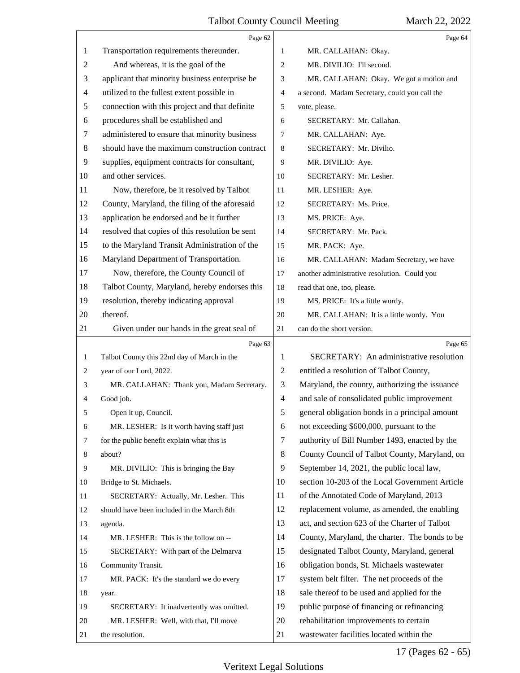|                | Page 62                                         |                | Page 64                                        |
|----------------|-------------------------------------------------|----------------|------------------------------------------------|
| 1              | Transportation requirements thereunder.         | 1              | MR. CALLAHAN: Okay.                            |
| $\overline{c}$ | And whereas, it is the goal of the              | $\overline{c}$ | MR. DIVILIO: I'll second.                      |
| 3              | applicant that minority business enterprise be  | 3              | MR. CALLAHAN: Okay. We got a motion and        |
| 4              | utilized to the fullest extent possible in      | $\overline{4}$ | a second. Madam Secretary, could you call the  |
| 5              | connection with this project and that definite  | 5              | vote, please.                                  |
| 6              | procedures shall be established and             | 6              | SECRETARY: Mr. Callahan.                       |
| 7              | administered to ensure that minority business   | 7              | MR. CALLAHAN: Aye.                             |
| 8              | should have the maximum construction contract   | 8              | SECRETARY: Mr. Divilio.                        |
| 9              | supplies, equipment contracts for consultant,   | 9              | MR. DIVILIO: Aye.                              |
| 10             | and other services.                             | 10             | SECRETARY: Mr. Lesher.                         |
| 11             | Now, therefore, be it resolved by Talbot        | 11             | MR. LESHER: Aye.                               |
| 12             | County, Maryland, the filing of the aforesaid   | 12             | SECRETARY: Ms. Price.                          |
| 13             | application be endorsed and be it further       | 13             | MS. PRICE: Aye.                                |
| 14             | resolved that copies of this resolution be sent | 14             | SECRETARY: Mr. Pack.                           |
| 15             | to the Maryland Transit Administration of the   | 15             | MR. PACK: Aye.                                 |
| 16             | Maryland Department of Transportation.          | 16             | MR. CALLAHAN: Madam Secretary, we have         |
| 17             | Now, therefore, the County Council of           | 17             | another administrative resolution. Could you   |
| 18             | Talbot County, Maryland, hereby endorses this   | 18             | read that one, too, please.                    |
| 19             | resolution, thereby indicating approval         | 19             | MS. PRICE: It's a little wordy.                |
| 20             | thereof.                                        | 20             | MR. CALLAHAN: It is a little wordy. You        |
| 21             | Given under our hands in the great seal of      | $21\,$         | can do the short version.                      |
|                |                                                 |                |                                                |
|                | Page 63                                         |                | Page 65                                        |
| $\mathbf{1}$   | Talbot County this 22nd day of March in the     | 1              | SECRETARY: An administrative resolution        |
| 2              | year of our Lord, 2022.                         | $\overline{c}$ | entitled a resolution of Talbot County,        |
| 3              | MR. CALLAHAN: Thank you, Madam Secretary.       | 3              | Maryland, the county, authorizing the issuance |
| 4              | Good job.                                       | $\overline{4}$ | and sale of consolidated public improvement    |
| 5              | Open it up, Council.                            | 5              | general obligation bonds in a principal amount |
| 6              | MR. LESHER: Is it worth having staff just       | 6              | not exceeding \$600,000, pursuant to the       |
| 7              | for the public benefit explain what this is     | $\tau$         | authority of Bill Number 1493, enacted by the  |
| 8              | about?                                          | 8              | County Council of Talbot County, Maryland, on  |
| 9              | MR. DIVILIO: This is bringing the Bay           | 9              | September 14, 2021, the public local law,      |
| 10             | Bridge to St. Michaels.                         | 10             | section 10-203 of the Local Government Article |
| 11             | SECRETARY: Actually, Mr. Lesher. This           | 11             | of the Annotated Code of Maryland, 2013        |
| 12             | should have been included in the March 8th      | 12             | replacement volume, as amended, the enabling   |
| 13             | agenda.                                         | 13             | act, and section 623 of the Charter of Talbot  |
| 14             | MR. LESHER: This is the follow on --            | 14             | County, Maryland, the charter. The bonds to be |
| 15             | SECRETARY: With part of the Delmarva            | 15             | designated Talbot County, Maryland, general    |
| 16             | Community Transit.                              | 16             | obligation bonds, St. Michaels wastewater      |
| 17             | MR. PACK: It's the standard we do every         | 17             | system belt filter. The net proceeds of the    |
| 18             | year.                                           | 18             | sale thereof to be used and applied for the    |
| 19             | SECRETARY: It inadvertently was omitted.        | 19             | public purpose of financing or refinancing     |
| 20             | MR. LESHER: Well, with that, I'll move          | 20             | rehabilitation improvements to certain         |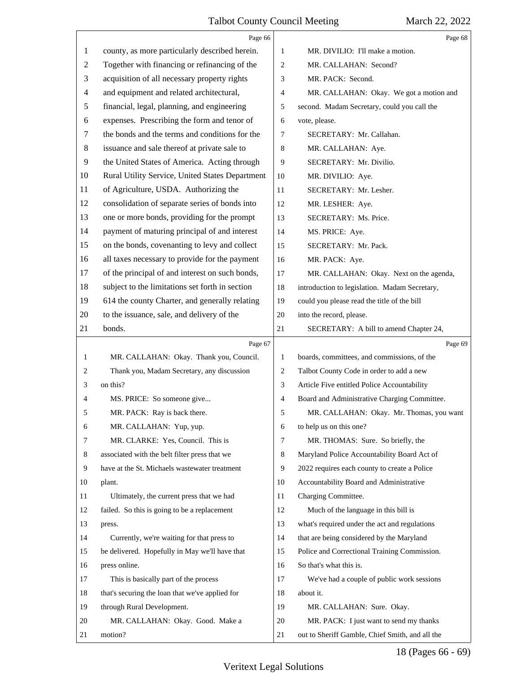|    | Page 66                                         |              | Page 68                                       |
|----|-------------------------------------------------|--------------|-----------------------------------------------|
| 1  | county, as more particularly described herein.  | 1            | MR. DIVILIO: I'll make a motion.              |
| 2  | Together with financing or refinancing of the   | 2            | MR. CALLAHAN: Second?                         |
| 3  | acquisition of all necessary property rights    | 3            | MR. PACK: Second.                             |
| 4  | and equipment and related architectural,        | 4            | MR. CALLAHAN: Okay. We got a motion and       |
| 5  | financial, legal, planning, and engineering     | 5            | second. Madam Secretary, could you call the   |
| 6  | expenses. Prescribing the form and tenor of     | 6            | vote, please.                                 |
| 7  | the bonds and the terms and conditions for the  | 7            | SECRETARY: Mr. Callahan.                      |
| 8  | issuance and sale thereof at private sale to    | 8            | MR. CALLAHAN: Aye.                            |
| 9  | the United States of America. Acting through    | 9            | SECRETARY: Mr. Divilio.                       |
| 10 | Rural Utility Service, United States Department | 10           | MR. DIVILIO: Aye.                             |
| 11 | of Agriculture, USDA. Authorizing the           | 11           | SECRETARY: Mr. Lesher.                        |
| 12 | consolidation of separate series of bonds into  | 12           | MR. LESHER: Aye.                              |
| 13 | one or more bonds, providing for the prompt     | 13           | SECRETARY: Ms. Price.                         |
| 14 | payment of maturing principal of and interest   | 14           | MS. PRICE: Aye.                               |
| 15 | on the bonds, covenanting to levy and collect   | 15           | SECRETARY: Mr. Pack.                          |
| 16 | all taxes necessary to provide for the payment  | 16           | MR. PACK: Aye.                                |
| 17 | of the principal of and interest on such bonds, | 17           | MR. CALLAHAN: Okay. Next on the agenda,       |
| 18 | subject to the limitations set forth in section | 18           | introduction to legislation. Madam Secretary, |
| 19 | 614 the county Charter, and generally relating  | 19           | could you please read the title of the bill   |
| 20 | to the issuance, sale, and delivery of the      | 20           | into the record, please.                      |
| 21 | bonds.                                          | 21           | SECRETARY: A bill to amend Chapter 24,        |
|    |                                                 |              |                                               |
|    | Page 67                                         |              | Page 69                                       |
| 1  | MR. CALLAHAN: Okay. Thank you, Council.         | $\mathbf{1}$ | boards, committees, and commissions, of the   |
| 2  | Thank you, Madam Secretary, any discussion      | 2            | Talbot County Code in order to add a new      |
| 3  | on this?                                        | 3            | Article Five entitled Police Accountability   |
| 4  | MS. PRICE: So someone give                      | 4            | Board and Administrative Charging Committee.  |
| 5  | MR. PACK: Ray is back there.                    | 5            | MR. CALLAHAN: Okay. Mr. Thomas, you want      |
| 6  | MR. CALLAHAN: Yup, yup.                         | 6            | to help us on this one?                       |
| 7  | MR. CLARKE: Yes, Council. This is               | 7            | MR. THOMAS: Sure. So briefly, the             |
| 8  | associated with the belt filter press that we   | 8            | Maryland Police Accountability Board Act of   |
| 9  | have at the St. Michaels was tewater treatment  | 9            | 2022 requires each county to create a Police  |
| 10 | plant.                                          | 10           | Accountability Board and Administrative       |
| 11 | Ultimately, the current press that we had       | 11           | Charging Committee.                           |
| 12 | failed. So this is going to be a replacement    | 12           | Much of the language in this bill is          |
| 13 | press.                                          | 13           | what's required under the act and regulations |
| 14 | Currently, we're waiting for that press to      | 14           | that are being considered by the Maryland     |
| 15 | be delivered. Hopefully in May we'll have that  | 15           | Police and Correctional Training Commission.  |
| 16 | press online.                                   | 16           | So that's what this is.                       |
| 17 | This is basically part of the process           | 17           | We've had a couple of public work sessions    |
| 18 | that's securing the loan that we've applied for | 18           | about it.                                     |
| 19 | through Rural Development.                      | 19           | MR. CALLAHAN: Sure. Okay.                     |
| 20 | MR. CALLAHAN: Okay. Good. Make a                | 20           | MR. PACK: I just want to send my thanks       |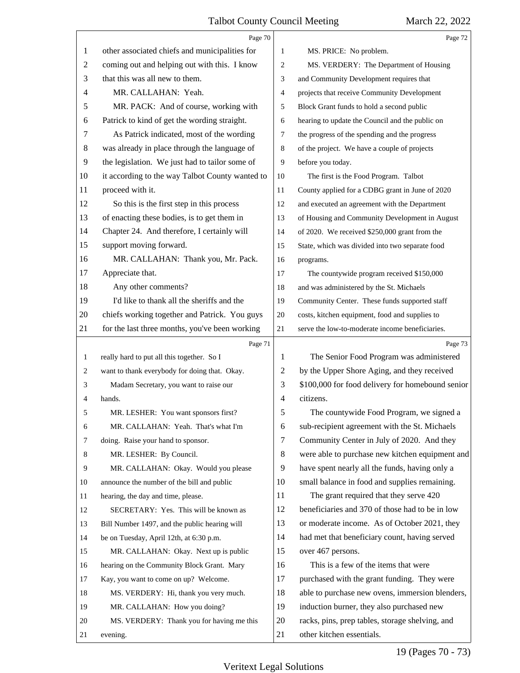|                | Page 70                                         |    | Page 72                                          |
|----------------|-------------------------------------------------|----|--------------------------------------------------|
| 1              | other associated chiefs and municipalities for  | 1  | MS. PRICE: No problem.                           |
| $\overline{c}$ | coming out and helping out with this. I know    | 2  | MS. VERDERY: The Department of Housing           |
| 3              | that this was all new to them.                  | 3  | and Community Development requires that          |
| 4              | MR. CALLAHAN: Yeah.                             | 4  | projects that receive Community Development      |
| 5              | MR. PACK: And of course, working with           | 5  | Block Grant funds to hold a second public        |
| 6              | Patrick to kind of get the wording straight.    | 6  | hearing to update the Council and the public on  |
| 7              | As Patrick indicated, most of the wording       | 7  | the progress of the spending and the progress    |
| 8              | was already in place through the language of    | 8  | of the project. We have a couple of projects     |
| 9              | the legislation. We just had to tailor some of  | 9  | before you today.                                |
| 10             | it according to the way Talbot County wanted to | 10 | The first is the Food Program. Talbot            |
| 11             | proceed with it.                                | 11 | County applied for a CDBG grant in June of 2020  |
| 12             | So this is the first step in this process       | 12 | and executed an agreement with the Department    |
| 13             | of enacting these bodies, is to get them in     | 13 | of Housing and Community Development in August   |
| 14             | Chapter 24. And therefore, I certainly will     | 14 | of 2020. We received \$250,000 grant from the    |
| 15             | support moving forward.                         | 15 | State, which was divided into two separate food  |
| 16             | MR. CALLAHAN: Thank you, Mr. Pack.              | 16 | programs.                                        |
| 17             | Appreciate that.                                | 17 | The countywide program received \$150,000        |
| 18             | Any other comments?                             | 18 | and was administered by the St. Michaels         |
| 19             | I'd like to thank all the sheriffs and the      | 19 | Community Center. These funds supported staff    |
| 20             | chiefs working together and Patrick. You guys   | 20 | costs, kitchen equipment, food and supplies to   |
| 21             | for the last three months, you've been working  | 21 | serve the low-to-moderate income beneficiaries.  |
|                | Page 71                                         |    | Page 73                                          |
| 1              | really hard to put all this together. So I      | 1  | The Senior Food Program was administered         |
| 2              | want to thank everybody for doing that. Okay.   | 2  | by the Upper Shore Aging, and they received      |
|                |                                                 |    |                                                  |
| 3              | Madam Secretary, you want to raise our          | 3  | \$100,000 for food delivery for homebound senior |
| 4              | hands.                                          | 4  | citizens.                                        |
| 5              | MR. LESHER: You want sponsors first?            | 5  | The countywide Food Program, we signed a         |
| 6              | MR. CALLAHAN: Yeah. That's what I'm             | 6  | sub-recipient agreement with the St. Michaels    |
| 7              | doing. Raise your hand to sponsor.              | 7  | Community Center in July of 2020. And they       |
| 8              | MR. LESHER: By Council.                         | 8  | were able to purchase new kitchen equipment and  |
| 9              | MR. CALLAHAN: Okay. Would you please            | 9  | have spent nearly all the funds, having only a   |
| 10             | announce the number of the bill and public      | 10 | small balance in food and supplies remaining.    |
| 11             | hearing, the day and time, please.              | 11 | The grant required that they serve 420           |
| 12             | SECRETARY: Yes. This will be known as           | 12 | beneficiaries and 370 of those had to be in low  |
| 13             | Bill Number 1497, and the public hearing will   | 13 | or moderate income. As of October 2021, they     |
| 14             | be on Tuesday, April 12th, at 6:30 p.m.         | 14 | had met that beneficiary count, having served    |
| 15             | MR. CALLAHAN: Okay. Next up is public           | 15 | over 467 persons.                                |
| 16             | hearing on the Community Block Grant. Mary      | 16 | This is a few of the items that were             |
| 17             | Kay, you want to come on up? Welcome.           | 17 | purchased with the grant funding. They were      |
| 18             | MS. VERDERY: Hi, thank you very much.           | 18 | able to purchase new ovens, immersion blenders,  |
| 19             | MR. CALLAHAN: How you doing?                    | 19 | induction burner, they also purchased new        |
| 20             | MS. VERDERY: Thank you for having me this       | 20 | racks, pins, prep tables, storage shelving, and  |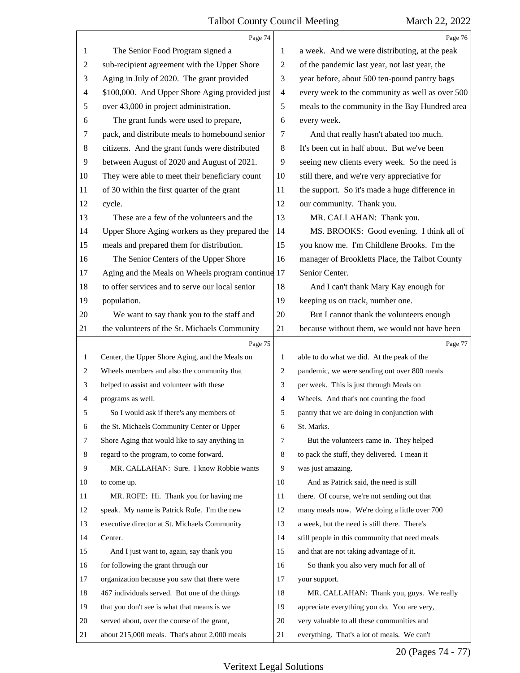|                | Page 74                                           |                          | Page 76                                         |
|----------------|---------------------------------------------------|--------------------------|-------------------------------------------------|
| 1              | The Senior Food Program signed a                  | 1                        | a week. And we were distributing, at the peak   |
| $\overline{c}$ | sub-recipient agreement with the Upper Shore      | 2                        | of the pandemic last year, not last year, the   |
| 3              | Aging in July of 2020. The grant provided         | 3                        | year before, about 500 ten-pound pantry bags    |
| 4              | \$100,000. And Upper Shore Aging provided just    | $\overline{\mathcal{A}}$ | every week to the community as well as over 500 |
| 5              | over 43,000 in project administration.            | 5                        | meals to the community in the Bay Hundred area  |
| 6              | The grant funds were used to prepare,             | 6                        | every week.                                     |
| 7              | pack, and distribute meals to homebound senior    | 7                        | And that really hasn't abated too much.         |
| 8              | citizens. And the grant funds were distributed    | 8                        | It's been cut in half about. But we've been     |
| 9              | between August of 2020 and August of 2021.        | 9                        | seeing new clients every week. So the need is   |
| 10             | They were able to meet their beneficiary count    | 10                       | still there, and we're very appreciative for    |
| 11             | of 30 within the first quarter of the grant       | 11                       | the support. So it's made a huge difference in  |
| 12             | cycle.                                            | 12                       | our community. Thank you.                       |
| 13             | These are a few of the volunteers and the         | 13                       | MR. CALLAHAN: Thank you.                        |
| 14             | Upper Shore Aging workers as they prepared the    | 14                       | MS. BROOKS: Good evening. I think all of        |
| 15             | meals and prepared them for distribution.         | 15                       | you know me. I'm Childlene Brooks. I'm the      |
| 16             | The Senior Centers of the Upper Shore             | 16                       | manager of Brookletts Place, the Talbot County  |
| 17             | Aging and the Meals on Wheels program continue 17 |                          | Senior Center.                                  |
| 18             | to offer services and to serve our local senior   | 18                       | And I can't thank Mary Kay enough for           |
| 19             | population.                                       | 19                       | keeping us on track, number one.                |
| 20             | We want to say thank you to the staff and         | 20                       | But I cannot thank the volunteers enough        |
| 21             | the volunteers of the St. Michaels Community      | 21                       | because without them, we would not have been    |
|                |                                                   |                          |                                                 |
|                | Page 75                                           |                          | Page 77                                         |
| $\mathbf{1}$   | Center, the Upper Shore Aging, and the Meals on   | 1                        | able to do what we did. At the peak of the      |
| 2              | Wheels members and also the community that        | 2                        | pandemic, we were sending out over 800 meals    |
| 3              | helped to assist and volunteer with these         | 3                        | per week. This is just through Meals on         |
| 4              | programs as well.                                 | $\overline{4}$           | Wheels. And that's not counting the food        |
| 5              | So I would ask if there's any members of          | 5                        | pantry that we are doing in conjunction with    |
| 6              | the St. Michaels Community Center or Upper        | 6                        | St. Marks.                                      |
| 7              | Shore Aging that would like to say anything in    | 7                        | But the volunteers came in. They helped         |
| 8              | regard to the program, to come forward.           | 8                        | to pack the stuff, they delivered. I mean it    |
| 9              | MR. CALLAHAN: Sure. I know Robbie wants           | 9                        | was just amazing.                               |
| 10             | to come up.                                       | 10                       | And as Patrick said, the need is still          |
| 11             | MR. ROFE: Hi. Thank you for having me             | 11                       | there. Of course, we're not sending out that    |
| 12             | speak. My name is Patrick Rofe. I'm the new       | 12                       | many meals now. We're doing a little over 700   |
| 13             | executive director at St. Michaels Community      | 13                       | a week, but the need is still there. There's    |
| 14             | Center.                                           | 14                       | still people in this community that need meals  |
| 15             | And I just want to, again, say thank you          | 15                       | and that are not taking advantage of it.        |
| 16             | for following the grant through our               | 16                       | So thank you also very much for all of          |
| 17             | organization because you saw that there were      | 17                       | your support.                                   |
| 18             | 467 individuals served. But one of the things     | 18                       | MR. CALLAHAN: Thank you, guys. We really        |
| 19             | that you don't see is what that means is we       | 19                       | appreciate everything you do. You are very,     |
| 20             | served about, over the course of the grant,       | 20                       | very valuable to all these communities and      |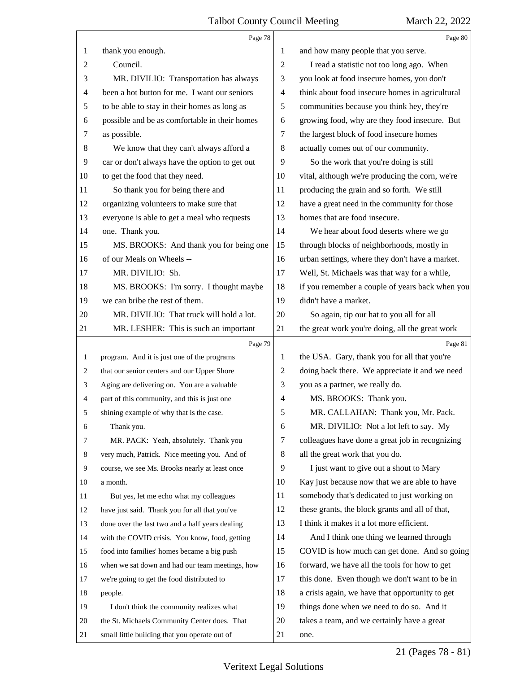#### Talbot County Council Meeting March 22, 2022  $\top$

5

|                  | Page 78                                         |                | Page 80                                         |
|------------------|-------------------------------------------------|----------------|-------------------------------------------------|
| 1                | thank you enough.                               | 1              | and how many people that you serve.             |
| $\overline{c}$   | Council.                                        | 2              | I read a statistic not too long ago. When       |
| 3                | MR. DIVILIO: Transportation has always          | 3              | you look at food insecure homes, you don't      |
| 4                | been a hot button for me. I want our seniors    | 4              | think about food insecure homes in agricultural |
| 5                | to be able to stay in their homes as long as    | 5              | communities because you think hey, they're      |
| 6                | possible and be as comfortable in their homes   | 6              | growing food, why are they food insecure. But   |
| 7                | as possible.                                    | 7              | the largest block of food insecure homes        |
| $\,8\,$          | We know that they can't always afford a         | 8              | actually comes out of our community.            |
| 9                | car or don't always have the option to get out  | 9              | So the work that you're doing is still          |
| 10               | to get the food that they need.                 | 10             | vital, although we're producing the corn, we're |
| 11               | So thank you for being there and                | 11             | producing the grain and so forth. We still      |
| 12               | organizing volunteers to make sure that         | 12             | have a great need in the community for those    |
| 13               | everyone is able to get a meal who requests     | 13             | homes that are food insecure.                   |
| 14               | one. Thank you.                                 | 14             | We hear about food deserts where we go          |
| 15               | MS. BROOKS: And thank you for being one         | 15             | through blocks of neighborhoods, mostly in      |
| 16               | of our Meals on Wheels --                       | 16             | urban settings, where they don't have a market. |
| 17               | MR. DIVILIO: Sh.                                | 17             | Well, St. Michaels was that way for a while,    |
| 18               | MS. BROOKS: I'm sorry. I thought maybe          | 18             | if you remember a couple of years back when you |
| 19               | we can bribe the rest of them.                  | 19             | didn't have a market.                           |
| 20               | MR. DIVILIO: That truck will hold a lot.        | 20             | So again, tip our hat to you all for all        |
| 21               | MR. LESHER: This is such an important           | 21             | the great work you're doing, all the great work |
|                  |                                                 |                |                                                 |
|                  | Page 79                                         |                | Page 81                                         |
| $\mathbf{1}$     | program. And it is just one of the programs     | 1              | the USA. Gary, thank you for all that you're    |
| 2                | that our senior centers and our Upper Shore     | $\overline{c}$ | doing back there. We appreciate it and we need  |
| 3                | Aging are delivering on. You are a valuable     | 3              | you as a partner, we really do.                 |
| $\overline{4}$   | part of this community, and this is just one    | 4              | MS. BROOKS: Thank you.                          |
| 5                | shining example of why that is the case.        | 5              | MR. CALLAHAN: Thank you, Mr. Pack.              |
| 6                | Thank you.                                      | 6              | MR. DIVILIO: Not a lot left to say. My          |
| 7                | MR. PACK: Yeah, absolutely. Thank you           | 7              | colleagues have done a great job in recognizing |
| 8                | very much, Patrick. Nice meeting you. And of    | 8              | all the great work that you do.                 |
| $\boldsymbol{9}$ | course, we see Ms. Brooks nearly at least once  | 9              | I just want to give out a shout to Mary         |
| 10               | a month.                                        | 10             | Kay just because now that we are able to have   |
| 11               | But yes, let me echo what my colleagues         | 11             | somebody that's dedicated to just working on    |
| 12               | have just said. Thank you for all that you've   | 12             | these grants, the block grants and all of that, |
| 13               | done over the last two and a half years dealing | 13             | I think it makes it a lot more efficient.       |
| 14               | with the COVID crisis. You know, food, getting  | 14             | And I think one thing we learned through        |
| 15               | food into families' homes became a big push     | 15             | COVID is how much can get done. And so going    |
| 16               | when we sat down and had our team meetings, how | 16             | forward, we have all the tools for how to get   |
| 17               | we're going to get the food distributed to      | 17             | this done. Even though we don't want to be in   |
| 18               | people.                                         | 18             | a crisis again, we have that opportunity to get |
| 19               | I don't think the community realizes what       | 19             | things done when we need to do so. And it       |
| 20               | the St. Michaels Community Center does. That    | 20             | takes a team, and we certainly have a great     |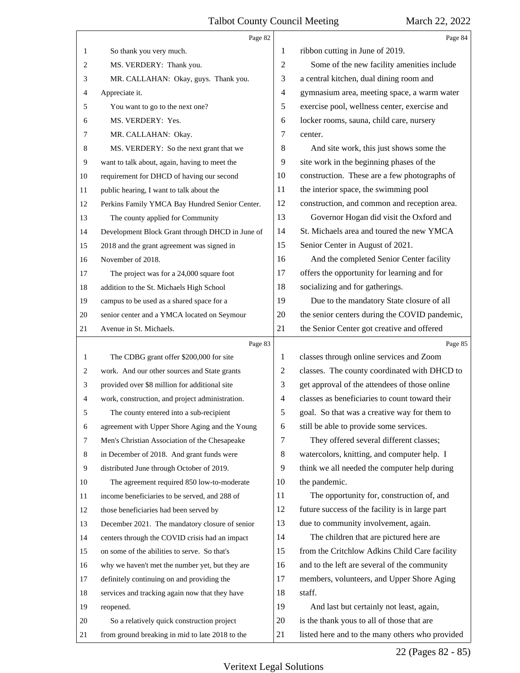|              | Page 82                                         |                | Page 84                                         |
|--------------|-------------------------------------------------|----------------|-------------------------------------------------|
| $\mathbf{1}$ | So thank you very much.                         | 1              | ribbon cutting in June of 2019.                 |
| 2            | MS. VERDERY: Thank you.                         | 2              | Some of the new facility amenities include      |
| 3            | MR. CALLAHAN: Okay, guys. Thank you.            | 3              | a central kitchen, dual dining room and         |
| 4            | Appreciate it.                                  | 4              | gymnasium area, meeting space, a warm water     |
| 5            | You want to go to the next one?                 | 5              | exercise pool, wellness center, exercise and    |
| 6            | MS. VERDERY: Yes.                               | 6              | locker rooms, sauna, child care, nursery        |
| 7            | MR. CALLAHAN: Okay.                             | 7              | center.                                         |
| 8            | MS. VERDERY: So the next grant that we          | 8              | And site work, this just shows some the         |
| 9            | want to talk about, again, having to meet the   | 9              | site work in the beginning phases of the        |
| 10           | requirement for DHCD of having our second       | 10             | construction. These are a few photographs of    |
| 11           | public hearing, I want to talk about the        | 11             | the interior space, the swimming pool           |
| 12           | Perkins Family YMCA Bay Hundred Senior Center.  | 12             | construction, and common and reception area.    |
| 13           | The county applied for Community                | 13             | Governor Hogan did visit the Oxford and         |
| 14           | Development Block Grant through DHCD in June of | 14             | St. Michaels area and toured the new YMCA       |
| 15           | 2018 and the grant agreement was signed in      | 15             | Senior Center in August of 2021.                |
| 16           | November of 2018.                               | 16             | And the completed Senior Center facility        |
| 17           | The project was for a 24,000 square foot        | 17             | offers the opportunity for learning and for     |
| 18           | addition to the St. Michaels High School        | 18             | socializing and for gatherings.                 |
| 19           | campus to be used as a shared space for a       | 19             | Due to the mandatory State closure of all       |
| 20           | senior center and a YMCA located on Seymour     | 20             | the senior centers during the COVID pandemic,   |
| 21           | Avenue in St. Michaels.                         | 21             | the Senior Center got creative and offered      |
|              |                                                 |                |                                                 |
|              | Page 83                                         |                | Page 85                                         |
| $\mathbf{1}$ | The CDBG grant offer \$200,000 for site         | 1              | classes through online services and Zoom        |
| 2            | work. And our other sources and State grants    | 2              | classes. The county coordinated with DHCD to    |
| 3            | provided over \$8 million for additional site   | 3              | get approval of the attendees of those online   |
| 4            | work, construction, and project administration. | $\overline{4}$ | classes as beneficiaries to count toward their  |
| 5            | The county entered into a sub-recipient         | 5              | goal. So that was a creative way for them to    |
| 6            | agreement with Upper Shore Aging and the Young  | 6              | still be able to provide some services.         |
| 7            | Men's Christian Association of the Chesapeake   | 7              | They offered several different classes;         |
| 8            | in December of 2018. And grant funds were       | 8              | watercolors, knitting, and computer help. I     |
| 9            | distributed June through October of 2019.       | 9              | think we all needed the computer help during    |
| 10           | The agreement required 850 low-to-moderate      | 10             | the pandemic.                                   |
| 11           | income beneficiaries to be served, and 288 of   | 11             | The opportunity for, construction of, and       |
| 12           | those beneficiaries had been served by          | 12             | future success of the facility is in large part |
| 13           | December 2021. The mandatory closure of senior  | 13             | due to community involvement, again.            |
| 14           | centers through the COVID crisis had an impact  | 14             | The children that are pictured here are         |
| 15           | on some of the abilities to serve. So that's    | 15             | from the Critchlow Adkins Child Care facility   |
| 16           | why we haven't met the number yet, but they are | 16             | and to the left are several of the community    |
| 17           | definitely continuing on and providing the      | 17             | members, volunteers, and Upper Shore Aging      |
| 18           | services and tracking again now that they have  | 18             | staff.                                          |
| 19           | reopened.                                       | 19             | And last but certainly not least, again,        |
| 20           | So a relatively quick construction project      | 20             | is the thank yous to all of those that are      |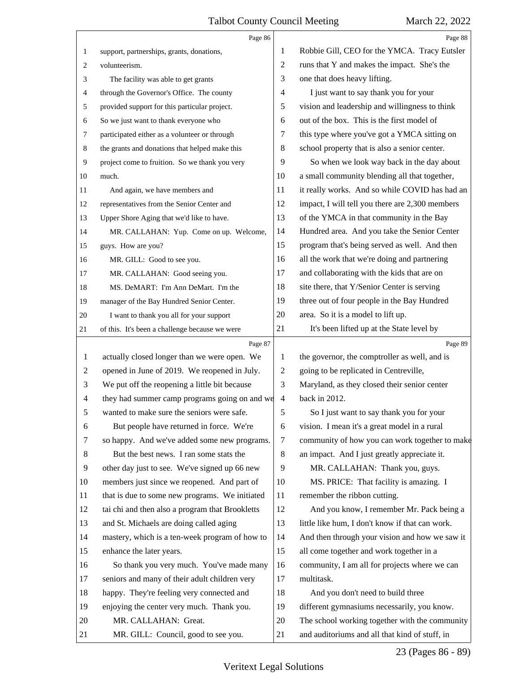|                | Page 86                                         |                | Page 88                                         |
|----------------|-------------------------------------------------|----------------|-------------------------------------------------|
| 1              | support, partnerships, grants, donations,       | 1              | Robbie Gill, CEO for the YMCA. Tracy Eutsler    |
| 2              | volunteerism.                                   | $\overline{2}$ | runs that Y and makes the impact. She's the     |
| 3              | The facility was able to get grants             | 3              | one that does heavy lifting.                    |
| 4              | through the Governor's Office. The county       | 4              | I just want to say thank you for your           |
| 5              | provided support for this particular project.   | 5              | vision and leadership and willingness to think  |
| 6              | So we just want to thank everyone who           | 6              | out of the box. This is the first model of      |
| 7              | participated either as a volunteer or through   | 7              | this type where you've got a YMCA sitting on    |
| 8              | the grants and donations that helped make this  | 8              | school property that is also a senior center.   |
| 9              | project come to fruition. So we thank you very  | 9              | So when we look way back in the day about       |
| 10             | much.                                           | 10             | a small community blending all that together,   |
| 11             | And again, we have members and                  | 11             | it really works. And so while COVID has had an  |
| 12             | representatives from the Senior Center and      | 12             | impact, I will tell you there are 2,300 members |
| 13             | Upper Shore Aging that we'd like to have.       | 13             | of the YMCA in that community in the Bay        |
| 14             | MR. CALLAHAN: Yup. Come on up. Welcome,         | 14             | Hundred area. And you take the Senior Center    |
| 15             | guys. How are you?                              | 15             | program that's being served as well. And then   |
| 16             | MR. GILL: Good to see you.                      | 16             | all the work that we're doing and partnering    |
| 17             | MR. CALLAHAN: Good seeing you.                  | 17             | and collaborating with the kids that are on     |
| 18             | MS. DeMART: I'm Ann DeMart. I'm the             | 18             | site there, that Y/Senior Center is serving     |
| 19             | manager of the Bay Hundred Senior Center.       | 19             | three out of four people in the Bay Hundred     |
| 20             | I want to thank you all for your support        | 20             | area. So it is a model to lift up.              |
| 21             | of this. It's been a challenge because we were  | 21             | It's been lifted up at the State level by       |
|                | Page 87                                         |                | Page 89                                         |
| 1              | actually closed longer than we were open. We    | 1              | the governor, the comptroller as well, and is   |
| 2              | opened in June of 2019. We reopened in July.    | $\overline{2}$ | going to be replicated in Centreville,          |
| 3              | We put off the reopening a little bit because   | 3              | Maryland, as they closed their senior center    |
| 4              | they had summer camp programs going on and we   | $\overline{4}$ | back in 2012.                                   |
| 5              | wanted to make sure the seniors were safe.      | 5              | So I just want to say thank you for your        |
| 6              | But people have returned in force. We're        | 6              | vision. I mean it's a great model in a rural    |
| 7              | so happy. And we've added some new programs.    | 7              | community of how you can work together to make  |
| 8              | But the best news. I ran some stats the         | 8              | an impact. And I just greatly appreciate it.    |
| $\overline{9}$ | other day just to see. We've signed up 66 new   | 9              | MR. CALLAHAN: Thank you, guys.                  |
| 10             | members just since we reopened. And part of     | 10             | MS. PRICE: That facility is amazing. I          |
| 11             | that is due to some new programs. We initiated  | 11             | remember the ribbon cutting.                    |
| 12             | tai chi and then also a program that Brookletts | 12             | And you know, I remember Mr. Pack being a       |
| 13             | and St. Michaels are doing called aging         | 13             | little like hum, I don't know if that can work. |
| 14             | mastery, which is a ten-week program of how to  | 14             | And then through your vision and how we saw it  |
| 15             | enhance the later years.                        | 15             | all come together and work together in a        |
| 16             | So thank you very much. You've made many        | 16             | community, I am all for projects where we can   |
| 17             | seniors and many of their adult children very   | 17             | multitask.                                      |
| 18             | happy. They're feeling very connected and       | 18             | And you don't need to build three               |
| 19             | enjoying the center very much. Thank you.       | 19             | different gymnasiums necessarily, you know.     |
| 20             | MR. CALLAHAN: Great.                            | 20             | The school working together with the community  |
|                |                                                 |                |                                                 |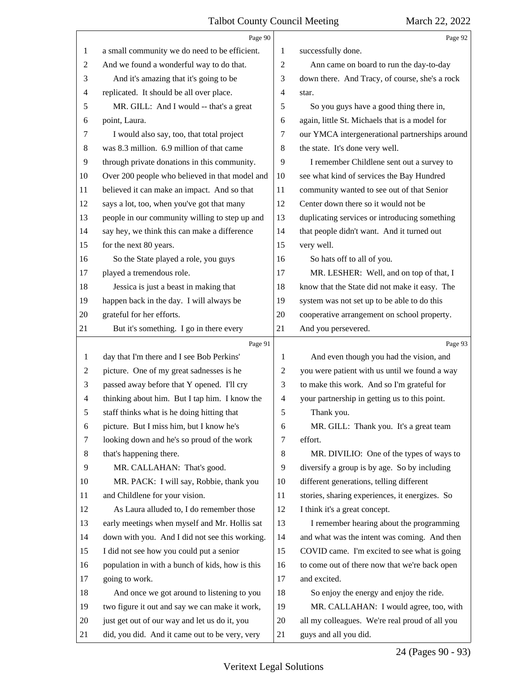|                | Page 90                                         |                | Page 92                                        |
|----------------|-------------------------------------------------|----------------|------------------------------------------------|
| 1              | a small community we do need to be efficient.   | 1              | successfully done.                             |
| 2              | And we found a wonderful way to do that.        | $\overline{2}$ | Ann came on board to run the day-to-day        |
| 3              | And it's amazing that it's going to be          | 3              | down there. And Tracy, of course, she's a rock |
| 4              | replicated. It should be all over place.        | $\overline{4}$ | star.                                          |
| 5              | MR. GILL: And I would -- that's a great         | 5              | So you guys have a good thing there in,        |
| 6              | point, Laura.                                   | 6              | again, little St. Michaels that is a model for |
| 7              | I would also say, too, that total project       | 7              | our YMCA intergenerational partnerships around |
| 8              | was 8.3 million. 6.9 million of that came       | 8              | the state. It's done very well.                |
| 9              | through private donations in this community.    | 9              | I remember Childlene sent out a survey to      |
| 10             | Over 200 people who believed in that model and  | 10             | see what kind of services the Bay Hundred      |
| 11             | believed it can make an impact. And so that     | 11             | community wanted to see out of that Senior     |
| 12             | says a lot, too, when you've got that many      | 12             | Center down there so it would not be           |
| 13             | people in our community willing to step up and  | 13             | duplicating services or introducing something  |
| 14             | say hey, we think this can make a difference    | 14             | that people didn't want. And it turned out     |
| 15             | for the next 80 years.                          | 15             | very well.                                     |
| 16             | So the State played a role, you guys            | 16             | So hats off to all of you.                     |
| 17             | played a tremendous role.                       | 17             | MR. LESHER: Well, and on top of that, I        |
| 18             | Jessica is just a beast in making that          | 18             | know that the State did not make it easy. The  |
| 19             | happen back in the day. I will always be        | 19             | system was not set up to be able to do this    |
| 20             | grateful for her efforts.                       | 20             | cooperative arrangement on school property.    |
| 21             | But it's something. I go in there every         | 21             | And you persevered.                            |
|                |                                                 |                |                                                |
|                | Page 91                                         |                | Page 93                                        |
| 1              | day that I'm there and I see Bob Perkins'       | 1              | And even though you had the vision, and        |
| $\overline{c}$ | picture. One of my great sadnesses is he        | $\overline{2}$ | you were patient with us until we found a way  |
| 3              | passed away before that Y opened. I'll cry      | 3              | to make this work. And so I'm grateful for     |
| 4              | thinking about him. But I tap him. I know the   | $\overline{4}$ | your partnership in getting us to this point.  |
| 5              | staff thinks what is he doing hitting that      | 5              | Thank you.                                     |
| 6              | picture. But I miss him, but I know he's        | 6              | MR. GILL: Thank you. It's a great team         |
| 7              | looking down and he's so proud of the work      | 7              | effort.                                        |
| 8              | that's happening there.                         | $\,8\,$        | MR. DIVILIO: One of the types of ways to       |
| 9              | MR. CALLAHAN: That's good.                      | 9              | diversify a group is by age. So by including   |
| 10             | MR. PACK: I will say, Robbie, thank you         | 10             | different generations, telling different       |
| 11             | and Childlene for your vision.                  | 11             | stories, sharing experiences, it energizes. So |
| 12             | As Laura alluded to, I do remember those        | 12             | I think it's a great concept.                  |
| 13             | early meetings when myself and Mr. Hollis sat   | 13             | I remember hearing about the programming       |
| 14             | down with you. And I did not see this working.  | 14             | and what was the intent was coming. And then   |
| 15             | I did not see how you could put a senior        | 15             | COVID came. I'm excited to see what is going   |
| 16             | population in with a bunch of kids, how is this | 16             | to come out of there now that we're back open  |
| 17             | going to work.                                  | 17             | and excited.                                   |
| 18             | And once we got around to listening to you      | 18             | So enjoy the energy and enjoy the ride.        |
| 19             | two figure it out and say we can make it work,  | 19             | MR. CALLAHAN: I would agree, too, with         |
| 20             | just get out of our way and let us do it, you   | 20             | all my colleagues. We're real proud of all you |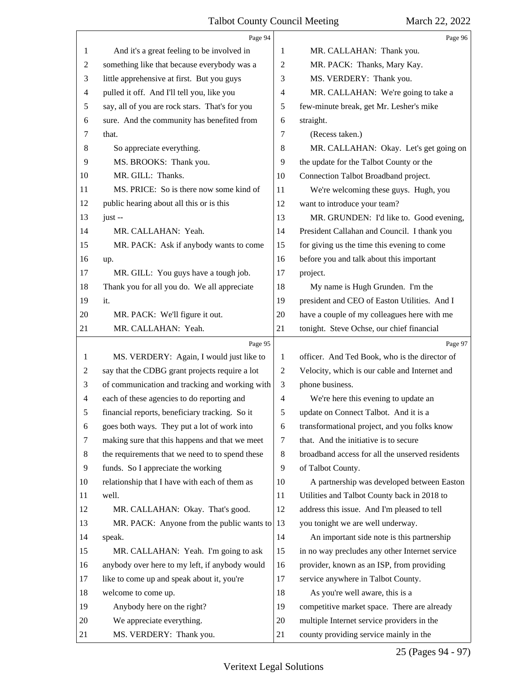|    | Page 94                                         |                | Page 96                                         |
|----|-------------------------------------------------|----------------|-------------------------------------------------|
| 1  | And it's a great feeling to be involved in      | 1              | MR. CALLAHAN: Thank you.                        |
| 2  | something like that because everybody was a     | $\overline{c}$ | MR. PACK: Thanks, Mary Kay.                     |
| 3  | little apprehensive at first. But you guys      | 3              | MS. VERDERY: Thank you.                         |
| 4  | pulled it off. And I'll tell you, like you      | 4              | MR. CALLAHAN: We're going to take a             |
| 5  | say, all of you are rock stars. That's for you  | 5              | few-minute break, get Mr. Lesher's mike         |
| 6  | sure. And the community has benefited from      | 6              | straight.                                       |
| 7  | that.                                           | 7              | (Recess taken.)                                 |
| 8  | So appreciate everything.                       | 8              | MR. CALLAHAN: Okay. Let's get going on          |
| 9  | MS. BROOKS: Thank you.                          | 9              | the update for the Talbot County or the         |
| 10 | MR. GILL: Thanks.                               | 10             | Connection Talbot Broadband project.            |
| 11 | MS. PRICE: So is there now some kind of         | 11             | We're welcoming these guys. Hugh, you           |
| 12 | public hearing about all this or is this        | 12             | want to introduce your team?                    |
| 13 | just-                                           | 13             | MR. GRUNDEN: I'd like to. Good evening,         |
| 14 | MR. CALLAHAN: Yeah.                             | 14             | President Callahan and Council. I thank you     |
| 15 | MR. PACK: Ask if anybody wants to come          | 15             | for giving us the time this evening to come     |
| 16 | up.                                             | 16             | before you and talk about this important        |
| 17 | MR. GILL: You guys have a tough job.            | 17             | project.                                        |
| 18 | Thank you for all you do. We all appreciate     | 18             | My name is Hugh Grunden. I'm the                |
| 19 | it.                                             | 19             | president and CEO of Easton Utilities. And I    |
| 20 | MR. PACK: We'll figure it out.                  | 20             | have a couple of my colleagues here with me     |
| 21 | MR. CALLAHAN: Yeah.                             | 21             | tonight. Steve Ochse, our chief financial       |
|    | Page 95                                         |                |                                                 |
|    |                                                 |                | Page 97                                         |
| 1  | MS. VERDERY: Again, I would just like to        | 1              | officer. And Ted Book, who is the director of   |
| 2  | say that the CDBG grant projects require a lot  | 2              | Velocity, which is our cable and Internet and   |
| 3  | of communication and tracking and working with  | 3              | phone business.                                 |
| 4  | each of these agencies to do reporting and      | $\overline{4}$ | We're here this evening to update an            |
| 5  | financial reports, beneficiary tracking. So it  | 5              | update on Connect Talbot. And it is a           |
| 6  | goes both ways. They put a lot of work into     | 6              | transformational project, and you folks know    |
| 7  | making sure that this happens and that we meet  | 7              | that. And the initiative is to secure           |
| 8  | the requirements that we need to to spend these | 8              | broadband access for all the unserved residents |
| 9  | funds. So I appreciate the working              | 9              | of Talbot County.                               |
| 10 | relationship that I have with each of them as   | 10             | A partnership was developed between Easton      |
| 11 | well.                                           | 11             | Utilities and Talbot County back in 2018 to     |
| 12 | MR. CALLAHAN: Okay. That's good.                | 12             | address this issue. And I'm pleased to tell     |
| 13 | MR. PACK: Anyone from the public wants to       | 13             | you tonight we are well underway.               |
| 14 | speak.                                          | 14             | An important side note is this partnership      |
| 15 | MR. CALLAHAN: Yeah. I'm going to ask            | 15             | in no way precludes any other Internet service  |
| 16 | anybody over here to my left, if anybody would  | 16             | provider, known as an ISP, from providing       |
| 17 | like to come up and speak about it, you're      | 17             | service anywhere in Talbot County.              |
| 18 | welcome to come up.                             | 18             | As you're well aware, this is a                 |
| 19 | Anybody here on the right?                      | 19             | competitive market space. There are already     |
| 20 | We appreciate everything.                       | 20             | multiple Internet service providers in the      |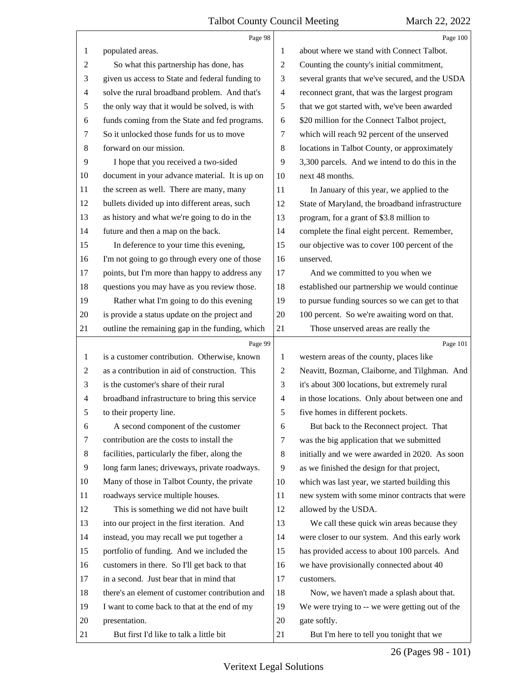|                | Page 98                                                  |                | Page 100                                                 |
|----------------|----------------------------------------------------------|----------------|----------------------------------------------------------|
| 1              | populated areas.                                         | 1              | about where we stand with Connect Talbot.                |
| 2              | So what this partnership has done, has                   | $\overline{c}$ | Counting the county's initial commitment,                |
| 3              | given us access to State and federal funding to          | 3              | several grants that we've secured, and the USDA          |
| $\overline{4}$ | solve the rural broadband problem. And that's            | $\overline{4}$ | reconnect grant, that was the largest program            |
| 5              | the only way that it would be solved, is with            | 5              | that we got started with, we've been awarded             |
| 6              | funds coming from the State and fed programs.            | 6              | \$20 million for the Connect Talbot project,             |
| 7              | So it unlocked those funds for us to move                | 7              | which will reach 92 percent of the unserved              |
| 8              | forward on our mission.                                  | $\,8\,$        | locations in Talbot County, or approximately             |
| 9              | I hope that you received a two-sided                     | 9              | 3,300 parcels. And we intend to do this in the           |
| 10             | document in your advance material. It is up on           | 10             | next 48 months.                                          |
| 11             | the screen as well. There are many, many                 | 11             | In January of this year, we applied to the               |
| 12             | bullets divided up into different areas, such            | 12             | State of Maryland, the broadband infrastructure          |
| 13             | as history and what we're going to do in the             | 13             | program, for a grant of \$3.8 million to                 |
| 14             | future and then a map on the back.                       | 14             | complete the final eight percent. Remember,              |
| 15             | In deference to your time this evening,                  | 15             | our objective was to cover 100 percent of the            |
| 16             | I'm not going to go through every one of those           | 16             | unserved.                                                |
| 17             | points, but I'm more than happy to address any           | 17             | And we committed to you when we                          |
| 18             | questions you may have as you review those.              | 18             | established our partnership we would continue            |
| 19             | Rather what I'm going to do this evening                 | 19             | to pursue funding sources so we can get to that          |
| 20             | is provide a status update on the project and            | 20             | 100 percent. So we're awaiting word on that.             |
| 21             | outline the remaining gap in the funding, which          | 21             | Those unserved areas are really the                      |
|                |                                                          |                |                                                          |
|                | Page 99                                                  |                | Page 101                                                 |
| $\mathbf{1}$   | is a customer contribution. Otherwise, known             | 1              | western areas of the county, places like                 |
| 2              | as a contribution in aid of construction. This           | $\overline{c}$ | Neavitt, Bozman, Claiborne, and Tilghman. And            |
| 3              | is the customer's share of their rural                   | 3              | it's about 300 locations, but extremely rural            |
| $\overline{4}$ | broadband infrastructure to bring this service           | $\overline{4}$ | in those locations. Only about between one and           |
| 5              | to their property line.                                  | 5              | five homes in different pockets.                         |
| 6              | A second component of the customer                       | 6              | But back to the Reconnect project. That                  |
| 7              | contribution are the costs to install the                | 7              | was the big application that we submitted                |
| 8              | facilities, particularly the fiber, along the            | 8              | initially and we were awarded in 2020. As soon           |
| 9              | long farm lanes; driveways, private roadways.            | 9              | as we finished the design for that project,              |
| 10             | Many of those in Talbot County, the private              | 10             | which was last year, we started building this            |
| 11             | roadways service multiple houses.                        | 11             | new system with some minor contracts that were           |
| 12             | This is something we did not have built                  | 12             | allowed by the USDA.                                     |
| 13             | into our project in the first iteration. And             | 13             | We call these quick win areas because they               |
| 14             | instead, you may recall we put together a                | 14             | were closer to our system. And this early work           |
| 15             | portfolio of funding. And we included the                | 15             | has provided access to about 100 parcels. And            |
| 16             | customers in there. So I'll get back to that             | 16             | we have provisionally connected about 40                 |
| 17             | in a second. Just bear that in mind that                 | 17             | customers.                                               |
| 18             | there's an element of customer contribution and          | 18             | Now, we haven't made a splash about that.                |
| 19             | I want to come back to that at the end of my             | 19             | We were trying to -- we were getting out of the          |
| 20<br>21       | presentation.<br>But first I'd like to talk a little bit | 20<br>21       | gate softly.<br>But I'm here to tell you tonight that we |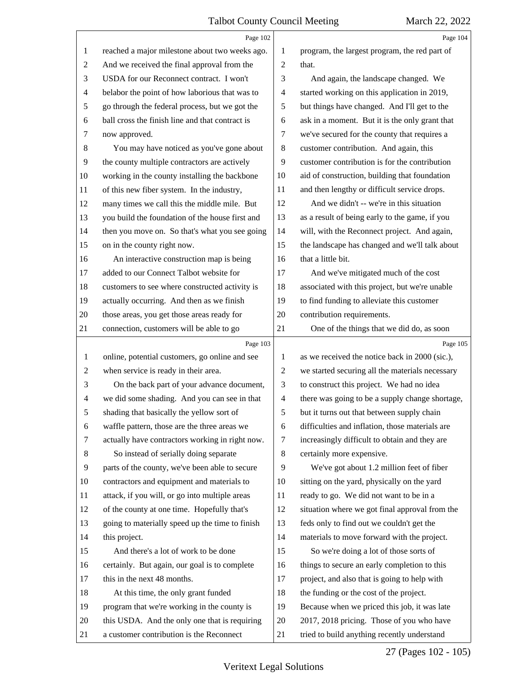|                          | Page 102                                        |                | Page 104                                        |
|--------------------------|-------------------------------------------------|----------------|-------------------------------------------------|
| 1                        | reached a major milestone about two weeks ago.  | 1              | program, the largest program, the red part of   |
| $\overline{c}$           | And we received the final approval from the     | $\overline{2}$ | that.                                           |
| 3                        | USDA for our Reconnect contract. I won't        | 3              | And again, the landscape changed. We            |
| 4                        | belabor the point of how laborious that was to  | $\overline{4}$ | started working on this application in 2019,    |
| 5                        | go through the federal process, but we got the  | 5              | but things have changed. And I'll get to the    |
| 6                        | ball cross the finish line and that contract is | 6              | ask in a moment. But it is the only grant that  |
| 7                        | now approved.                                   | 7              | we've secured for the county that requires a    |
| $8\,$                    | You may have noticed as you've gone about       | 8              | customer contribution. And again, this          |
| 9                        | the county multiple contractors are actively    | 9              | customer contribution is for the contribution   |
| 10                       | working in the county installing the backbone   | 10             | aid of construction, building that foundation   |
| 11                       | of this new fiber system. In the industry,      | 11             | and then lengthy or difficult service drops.    |
| 12                       | many times we call this the middle mile. But    | 12             | And we didn't -- we're in this situation        |
| 13                       | you build the foundation of the house first and | 13             | as a result of being early to the game, if you  |
| 14                       | then you move on. So that's what you see going  | 14             | will, with the Reconnect project. And again,    |
| 15                       | on in the county right now.                     | 15             | the landscape has changed and we'll talk about  |
| 16                       | An interactive construction map is being        | 16             | that a little bit.                              |
| 17                       | added to our Connect Talbot website for         | 17             | And we've mitigated much of the cost            |
| 18                       | customers to see where constructed activity is  | 18             | associated with this project, but we're unable  |
| 19                       | actually occurring. And then as we finish       | 19             | to find funding to alleviate this customer      |
| 20                       | those areas, you get those areas ready for      | 20             | contribution requirements.                      |
| 21                       | connection, customers will be able to go        | 21             | One of the things that we did do, as soon       |
|                          |                                                 |                |                                                 |
|                          | Page 103                                        |                | Page 105                                        |
| $\mathbf{1}$             | online, potential customers, go online and see  | 1              | as we received the notice back in 2000 (sic.),  |
| $\overline{c}$           | when service is ready in their area.            | $\overline{c}$ | we started securing all the materials necessary |
| 3                        | On the back part of your advance document,      | 3              | to construct this project. We had no idea       |
| $\overline{\mathcal{A}}$ | we did some shading. And you can see in that    | $\overline{4}$ | there was going to be a supply change shortage, |
| 5                        | shading that basically the yellow sort of       | 5              | but it turns out that between supply chain      |
| 6                        | waffle pattern, those are the three areas we    | 6              | difficulties and inflation, those materials are |
| 7                        | actually have contractors working in right now. | 7              | increasingly difficult to obtain and they are   |
| 8                        | So instead of serially doing separate           | 8              | certainly more expensive.                       |
| 9                        | parts of the county, we've been able to secure  | 9              | We've got about 1.2 million feet of fiber       |
| 10                       | contractors and equipment and materials to      | 10             | sitting on the yard, physically on the yard     |
| 11                       | attack, if you will, or go into multiple areas  | 11             | ready to go. We did not want to be in a         |
| 12                       | of the county at one time. Hopefully that's     | 12             | situation where we got final approval from the  |
| 13                       | going to materially speed up the time to finish | 13             | feds only to find out we couldn't get the       |
| 14                       | this project.                                   | 14             | materials to move forward with the project.     |
| 15                       | And there's a lot of work to be done            | 15             | So we're doing a lot of those sorts of          |
| 16                       | certainly. But again, our goal is to complete   | 16             | things to secure an early completion to this    |
| 17                       | this in the next 48 months.                     | 17             | project, and also that is going to help with    |
| 18                       | At this time, the only grant funded             | 18             | the funding or the cost of the project.         |
| 19                       | program that we're working in the county is     | 19             | Because when we priced this job, it was late    |
| 20                       | this USDA. And the only one that is requiring   | 20             | 2017, 2018 pricing. Those of you who have       |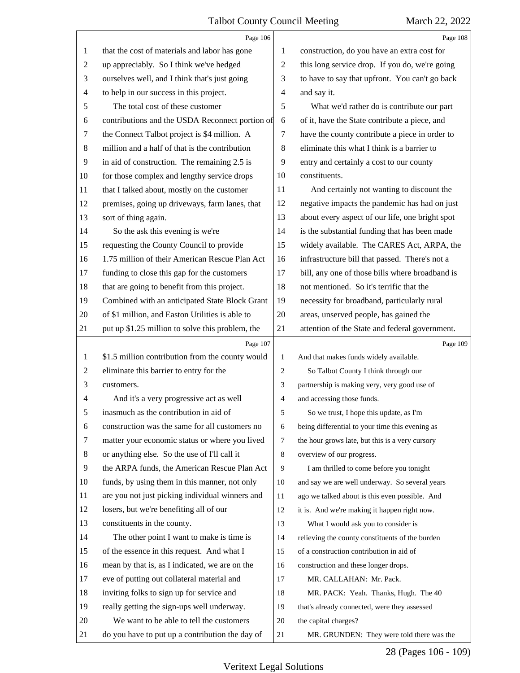|                | Page 106                                         |                | Page 108                                        |
|----------------|--------------------------------------------------|----------------|-------------------------------------------------|
| 1              | that the cost of materials and labor has gone    | 1              | construction, do you have an extra cost for     |
| $\overline{c}$ | up appreciably. So I think we've hedged          | $\overline{2}$ | this long service drop. If you do, we're going  |
| 3              | ourselves well, and I think that's just going    | 3              | to have to say that upfront. You can't go back  |
| 4              | to help in our success in this project.          | $\overline{4}$ | and say it.                                     |
| 5              | The total cost of these customer                 | 5              | What we'd rather do is contribute our part      |
| 6              | contributions and the USDA Reconnect portion of  | 6              | of it, have the State contribute a piece, and   |
| 7              | the Connect Talbot project is \$4 million. A     | 7              | have the county contribute a piece in order to  |
| $\,8\,$        | million and a half of that is the contribution   | 8              | eliminate this what I think is a barrier to     |
| 9              | in aid of construction. The remaining 2.5 is     | 9              | entry and certainly a cost to our county        |
| 10             | for those complex and lengthy service drops      | 10             | constituents.                                   |
| 11             | that I talked about, mostly on the customer      | 11             | And certainly not wanting to discount the       |
| 12             | premises, going up driveways, farm lanes, that   | 12             | negative impacts the pandemic has had on just   |
| 13             | sort of thing again.                             | 13             | about every aspect of our life, one bright spot |
| 14             | So the ask this evening is we're                 | 14             | is the substantial funding that has been made   |
| 15             | requesting the County Council to provide         | 15             | widely available. The CARES Act, ARPA, the      |
| 16             | 1.75 million of their American Rescue Plan Act   | 16             | infrastructure bill that passed. There's not a  |
| 17             | funding to close this gap for the customers      | 17             | bill, any one of those bills where broadband is |
| 18             | that are going to benefit from this project.     | 18             | not mentioned. So it's terrific that the        |
| 19             | Combined with an anticipated State Block Grant   | 19             | necessity for broadband, particularly rural     |
| 20             | of \$1 million, and Easton Utilities is able to  | 20             | areas, unserved people, has gained the          |
| 21             | put up \$1.25 million to solve this problem, the | 21             | attention of the State and federal government.  |
|                |                                                  |                |                                                 |
|                | Page 107                                         |                | Page 109                                        |
| 1              | \$1.5 million contribution from the county would | $\mathbf{1}$   | And that makes funds widely available.          |
| 2              | eliminate this barrier to entry for the          | $\overline{2}$ | So Talbot County I think through our            |
| 3              | customers.                                       | 3              | partnership is making very, very good use of    |
| 4              | And it's a very progressive act as well          | $\overline{4}$ | and accessing those funds.                      |
| 5              | inasmuch as the contribution in aid of           | 5              | So we trust, I hope this update, as I'm         |
| 6              | construction was the same for all customers no   | 6              | being differential to your time this evening as |
| 7              | matter your economic status or where you lived   | 7              | the hour grows late, but this is a very cursory |
| 8              | or anything else. So the use of I'll call it     | 8              | overview of our progress.                       |
| 9              | the ARPA funds, the American Rescue Plan Act     | 9              | I am thrilled to come before you tonight        |
| 10             | funds, by using them in this manner, not only    | 10             | and say we are well underway. So several years  |
| 11             | are you not just picking individual winners and  | 11             | ago we talked about is this even possible. And  |
| 12             | losers, but we're benefiting all of our          | 12             | it is. And we're making it happen right now.    |
| 13             | constituents in the county.                      | 13             | What I would ask you to consider is             |
| 14             | The other point I want to make is time is        | 14             | relieving the county constituents of the burden |
| 15             | of the essence in this request. And what I       | 15             | of a construction contribution in aid of        |
| 16             | mean by that is, as I indicated, we are on the   | 16             | construction and these longer drops.            |
| 17             | eve of putting out collateral material and       | 17             | MR. CALLAHAN: Mr. Pack.                         |
| 18             | inviting folks to sign up for service and        | 18             | MR. PACK: Yeah. Thanks, Hugh. The 40            |
| 19             | really getting the sign-ups well underway.       | 19             | that's already connected, were they assessed    |
| 20             | We want to be able to tell the customers         | 20             | the capital charges?                            |

28 (Pages 106 - 109)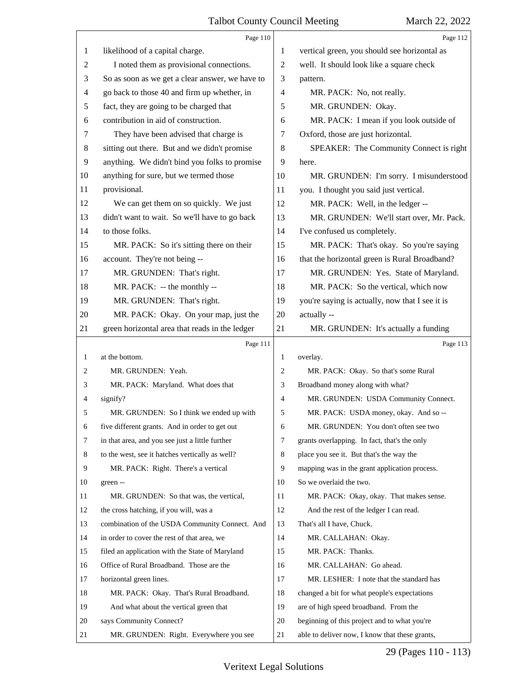|                | Page 110                                        |                | Page 112                                        |
|----------------|-------------------------------------------------|----------------|-------------------------------------------------|
| 1              | likelihood of a capital charge.                 | 1              | vertical green, you should see horizontal as    |
| $\overline{2}$ | I noted them as provisional connections.        | 2              | well. It should look like a square check        |
| 3              | So as soon as we get a clear answer, we have to | 3              | pattern.                                        |
| $\overline{4}$ | go back to those 40 and firm up whether, in     | 4              | MR. PACK: No, not really.                       |
| 5              | fact, they are going to be charged that         | 5              | MR. GRUNDEN: Okay.                              |
| 6              | contribution in aid of construction.            | 6              | MR. PACK: I mean if you look outside of         |
| 7              | They have been advised that charge is           | 7              | Oxford, those are just horizontal.              |
| 8              | sitting out there. But and we didn't promise    | 8              | SPEAKER: The Community Connect is right         |
| 9              | anything. We didn't bind you folks to promise   | 9              | here.                                           |
| 10             | anything for sure, but we termed those          | 10             | MR. GRUNDEN: I'm sorry. I misunderstood         |
| 11             | provisional.                                    | 11             | you. I thought you said just vertical.          |
| 12             | We can get them on so quickly. We just          | 12             | MR. PACK: Well, in the ledger --                |
| 13             | didn't want to wait. So we'll have to go back   | 13             | MR. GRUNDEN: We'll start over, Mr. Pack.        |
| 14             | to those folks.                                 | 14             | I've confused us completely.                    |
| 15             | MR. PACK: So it's sitting there on their        | 15             | MR. PACK: That's okay. So you're saying         |
| 16             | account. They're not being --                   | 16             | that the horizontal green is Rural Broadband?   |
| 17             | MR. GRUNDEN: That's right.                      | 17             | MR. GRUNDEN: Yes. State of Maryland.            |
| 18             | MR. PACK: -- the monthly --                     | 18             | MR. PACK: So the vertical, which now            |
| 19             | MR. GRUNDEN: That's right.                      | 19             | you're saying is actually, now that I see it is |
| 20             | MR. PACK: Okay. On your map, just the           | 20             | actually --                                     |
| 21             | green horizontal area that reads in the ledger  | 21             | MR. GRUNDEN: It's actually a funding            |
|                |                                                 |                |                                                 |
|                | Page 111                                        |                | Page 113                                        |
| 1              | at the bottom.                                  | 1              | overlay.                                        |
| 2              | MR. GRUNDEN: Yeah.                              | 2              | MR. PACK: Okay. So that's some Rural            |
| 3              | MR. PACK: Maryland. What does that              | 3              | Broadband money along with what?                |
| 4              | signify?                                        | $\overline{4}$ | MR. GRUNDEN: USDA Community Connect.            |
| 5              | MR. GRUNDEN: So I think we ended up with        | 5              | MR. PACK: USDA money, okay. And so --           |
| 6              | five different grants. And in order to get out  | 6              | MR. GRUNDEN: You don't often see two            |
| 7              | in that area, and you see just a little further | 7              | grants overlapping. In fact, that's the only    |
| 8              | to the west, see it hatches vertically as well? | 8              | place you see it. But that's the way the        |
| 9              | MR. PACK: Right. There's a vertical             | 9              | mapping was in the grant application process.   |
| 10             | green --                                        | 10             | So we overlaid the two.                         |
| 11             | MR. GRUNDEN: So that was, the vertical,         | 11             | MR. PACK: Okay, okay. That makes sense.         |
| 12             | the cross hatching, if you will, was a          | 12             | And the rest of the ledger I can read.          |
| 13             | combination of the USDA Community Connect. And  | 13             | That's all I have, Chuck.                       |
| 14             | in order to cover the rest of that area, we     | 14             | MR. CALLAHAN: Okay.                             |
| 15             | filed an application with the State of Maryland | 15             | MR. PACK: Thanks.                               |
| 16             | Office of Rural Broadband. Those are the        | 16             | MR. CALLAHAN: Go ahead.                         |
| 17             | horizontal green lines.                         | 17             | MR. LESHER: I note that the standard has        |
| 18             | MR. PACK: Okay. That's Rural Broadband.         | 18             | changed a bit for what people's expectations    |
| 19             | And what about the vertical green that          | 19             | are of high speed broadband. From the           |
| 20             | says Community Connect?                         | 20             | beginning of this project and to what you're    |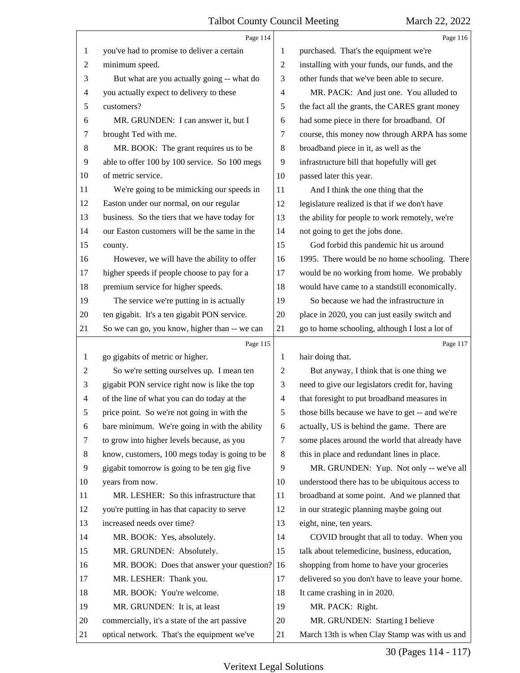|                | Page 114                                       |                | Page 116                                        |
|----------------|------------------------------------------------|----------------|-------------------------------------------------|
| 1              | you've had to promise to deliver a certain     | 1              | purchased. That's the equipment we're           |
| $\overline{c}$ | minimum speed.                                 | $\overline{c}$ | installing with your funds, our funds, and the  |
| 3              | But what are you actually going -- what do     | 3              | other funds that we've been able to secure.     |
| 4              | you actually expect to delivery to these       | 4              | MR. PACK: And just one. You alluded to          |
| 5              | customers?                                     | 5              | the fact all the grants, the CARES grant money  |
| 6              | MR. GRUNDEN: I can answer it, but I            | 6              | had some piece in there for broadband. Of       |
| 7              | brought Ted with me.                           | 7              | course, this money now through ARPA has some    |
| 8              | MR. BOOK: The grant requires us to be          | 8              | broadband piece in it, as well as the           |
| 9              | able to offer 100 by 100 service. So 100 megs  | 9              | infrastructure bill that hopefully will get     |
| 10             | of metric service.                             | 10             | passed later this year.                         |
| 11             | We're going to be mimicking our speeds in      | 11             | And I think the one thing that the              |
| 12             | Easton under our normal, on our regular        | 12             | legislature realized is that if we don't have   |
| 13             | business. So the tiers that we have today for  | 13             | the ability for people to work remotely, we're  |
| 14             | our Easton customers will be the same in the   | 14             | not going to get the jobs done.                 |
| 15             | county.                                        | 15             | God forbid this pandemic hit us around          |
| 16             | However, we will have the ability to offer     | 16             | 1995. There would be no home schooling. There   |
| 17             | higher speeds if people choose to pay for a    | 17             | would be no working from home. We probably      |
| 18             | premium service for higher speeds.             | 18             | would have came to a standstill economically.   |
| 19             | The service we're putting in is actually       | 19             | So because we had the infrastructure in         |
| 20             | ten gigabit. It's a ten gigabit PON service.   | 20             | place in 2020, you can just easily switch and   |
| 21             | So we can go, you know, higher than -- we can  | 21             | go to home schooling, although I lost a lot of  |
|                | Page 115                                       |                | Page 117                                        |
|                |                                                |                |                                                 |
| 1              | go gigabits of metric or higher.               | 1              | hair doing that.                                |
| 2              | So we're setting ourselves up. I mean ten      | $\overline{c}$ | But anyway, I think that is one thing we        |
| 3              | gigabit PON service right now is like the top  | 3              | need to give our legislators credit for, having |
| 4              | of the line of what you can do today at the    | $\overline{4}$ | that foresight to put broadband measures in     |
| 5              | price point. So we're not going in with the    | 5              | those bills because we have to get -- and we're |
| 6              | bare minimum. We're going in with the ability  | 6              | actually, US is behind the game. There are      |
| 7              | to grow into higher levels because, as you     | 7              | some places around the world that already have  |
| 8              | know, customers, 100 megs today is going to be | 8              | this in place and redundant lines in place.     |
| 9              | gigabit tomorrow is going to be ten gig five   | 9              | MR. GRUNDEN: Yup. Not only -- we've all         |
| 10             | years from now.                                | 10             | understood there has to be ubiquitous access to |
| 11             | MR. LESHER: So this infrastructure that        | 11             | broadband at some point. And we planned that    |
| 12             | you're putting in has that capacity to serve   | 12             | in our strategic planning maybe going out       |
| 13             | increased needs over time?                     | 13             | eight, nine, ten years.                         |
| 14             | MR. BOOK: Yes, absolutely.                     | 14             | COVID brought that all to today. When you       |
| 15             | MR. GRUNDEN: Absolutely.                       | 15             | talk about telemedicine, business, education,   |
| 16             | MR. BOOK: Does that answer your question?      | 16             | shopping from home to have your groceries       |
| 17             | MR. LESHER: Thank you.                         | 17             | delivered so you don't have to leave your home. |
| 18             | MR. BOOK: You're welcome.                      | 18             | It came crashing in in 2020.                    |
| 19             | MR. GRUNDEN: It is, at least                   | 19             | MR. PACK: Right.                                |
| 20             | commercially, it's a state of the art passive  | 20             | MR. GRUNDEN: Starting I believe                 |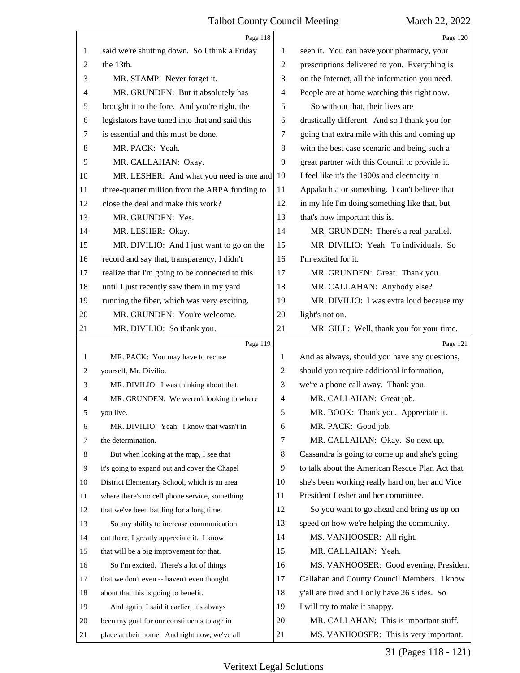|    | Page 118                                       |                | Page 120                                        |
|----|------------------------------------------------|----------------|-------------------------------------------------|
| 1  | said we're shutting down. So I think a Friday  | 1              | seen it. You can have your pharmacy, your       |
| 2  | the 13th.                                      | $\overline{c}$ | prescriptions delivered to you. Everything is   |
| 3  | MR. STAMP: Never forget it.                    | 3              | on the Internet, all the information you need.  |
| 4  | MR. GRUNDEN: But it absolutely has             | 4              | People are at home watching this right now.     |
| 5  | brought it to the fore. And you're right, the  | 5              | So without that, their lives are                |
| 6  | legislators have tuned into that and said this | 6              | drastically different. And so I thank you for   |
| 7  | is essential and this must be done.            | 7              | going that extra mile with this and coming up   |
| 8  | MR. PACK: Yeah.                                | 8              | with the best case scenario and being such a    |
| 9  | MR. CALLAHAN: Okay.                            | 9              | great partner with this Council to provide it.  |
| 10 | MR. LESHER: And what you need is one and       | 10             | I feel like it's the 1900s and electricity in   |
| 11 | three-quarter million from the ARPA funding to | 11             | Appalachia or something. I can't believe that   |
| 12 | close the deal and make this work?             | 12             | in my life I'm doing something like that, but   |
| 13 | MR. GRUNDEN: Yes.                              | 13             | that's how important this is.                   |
| 14 | MR. LESHER: Okay.                              | 14             | MR. GRUNDEN: There's a real parallel.           |
| 15 | MR. DIVILIO: And I just want to go on the      | 15             | MR. DIVILIO: Yeah. To individuals. So           |
| 16 | record and say that, transparency, I didn't    | 16             | I'm excited for it.                             |
| 17 | realize that I'm going to be connected to this | 17             | MR. GRUNDEN: Great. Thank you.                  |
| 18 | until I just recently saw them in my yard      | 18             | MR. CALLAHAN: Anybody else?                     |
| 19 | running the fiber, which was very exciting.    | 19             | MR. DIVILIO: I was extra loud because my        |
| 20 | MR. GRUNDEN: You're welcome.                   | 20             | light's not on.                                 |
| 21 | MR. DIVILIO: So thank you.                     | 21             | MR. GILL: Well, thank you for your time.        |
|    | Page 119                                       |                | Page 121                                        |
| 1  | MR. PACK: You may have to recuse               | 1              | And as always, should you have any questions,   |
| 2  | yourself, Mr. Divilio.                         | 2              | should you require additional information,      |
| 3  | MR. DIVILIO: I was thinking about that.        | 3              | we're a phone call away. Thank you.             |
| 4  | MR. GRUNDEN: We weren't looking to where       | 4              | MR. CALLAHAN: Great job.                        |
|    | you live.                                      | 5              | MR. BOOK: Thank you. Appreciate it.             |
| 6  | MR. DIVILIO: Yeah. I know that wasn't in       | 6              | MR. PACK: Good job.                             |
| 7  | the determination.                             | 7              | MR. CALLAHAN: Okay. So next up,                 |
| 8  | But when looking at the map, I see that        | 8              | Cassandra is going to come up and she's going   |
| 9  | it's going to expand out and cover the Chapel  | 9              | to talk about the American Rescue Plan Act that |
| 10 | District Elementary School, which is an area   | 10             | she's been working really hard on, her and Vice |
| 11 | where there's no cell phone service, something | 11             | President Lesher and her committee.             |
| 12 | that we've been battling for a long time.      | 12             | So you want to go ahead and bring us up on      |
| 13 | So any ability to increase communication       | 13             | speed on how we're helping the community.       |
| 14 | out there, I greatly appreciate it. I know     | 14             | MS. VANHOOSER: All right.                       |
| 15 | that will be a big improvement for that.       | 15             | MR. CALLAHAN: Yeah.                             |
| 16 | So I'm excited. There's a lot of things        | 16             | MS. VANHOOSER: Good evening, President          |
| 17 | that we don't even -- haven't even thought     | 17             | Callahan and County Council Members. I know     |
| 18 | about that this is going to benefit.           | 18             | y'all are tired and I only have 26 slides. So   |
| 19 | And again, I said it earlier, it's always      | 19             | I will try to make it snappy.                   |
| 20 |                                                |                |                                                 |
|    | been my goal for our constituents to age in    | 20             | MR. CALLAHAN: This is important stuff.          |

31 (Pages 118 - 121)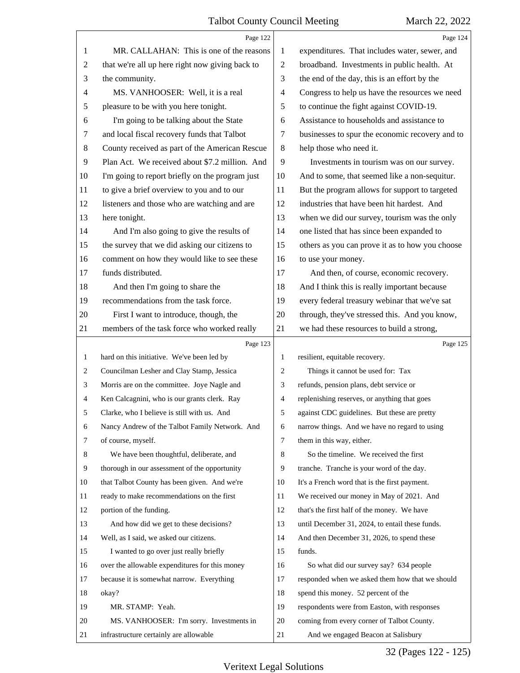|                | Page 122                                        |                | Page 124                                        |
|----------------|-------------------------------------------------|----------------|-------------------------------------------------|
| 1              | MR. CALLAHAN: This is one of the reasons        | 1              | expenditures. That includes water, sewer, and   |
| $\overline{c}$ | that we're all up here right now giving back to | 2              | broadband. Investments in public health. At     |
| 3              | the community.                                  | 3              | the end of the day, this is an effort by the    |
| 4              | MS. VANHOOSER: Well, it is a real               | $\overline{4}$ | Congress to help us have the resources we need  |
| 5              | pleasure to be with you here tonight.           | 5              | to continue the fight against COVID-19.         |
| 6              | I'm going to be talking about the State         | 6              | Assistance to households and assistance to      |
| 7              | and local fiscal recovery funds that Talbot     | 7              | businesses to spur the economic recovery and to |
| 8              | County received as part of the American Rescue  | 8              | help those who need it.                         |
| 9              | Plan Act. We received about \$7.2 million. And  | 9              | Investments in tourism was on our survey.       |
| 10             | I'm going to report briefly on the program just | 10             | And to some, that seemed like a non-sequitur.   |
| 11             | to give a brief overview to you and to our      | 11             | But the program allows for support to targeted  |
| 12             | listeners and those who are watching and are    | 12             | industries that have been hit hardest. And      |
| 13             | here tonight.                                   | 13             | when we did our survey, tourism was the only    |
| 14             | And I'm also going to give the results of       | 14             | one listed that has since been expanded to      |
| 15             | the survey that we did asking our citizens to   | 15             | others as you can prove it as to how you choose |
| 16             | comment on how they would like to see these     | 16             | to use your money.                              |
| 17             | funds distributed.                              | 17             | And then, of course, economic recovery.         |
| 18             | And then I'm going to share the                 | 18             | And I think this is really important because    |
| 19             | recommendations from the task force.            | 19             | every federal treasury webinar that we've sat   |
| 20             | First I want to introduce, though, the          | 20             | through, they've stressed this. And you know,   |
| 21             | members of the task force who worked really     | 21             | we had these resources to build a strong,       |
|                | Page 123                                        |                | Page 125                                        |
| $\mathbf{1}$   | hard on this initiative. We've been led by      | 1              | resilient, equitable recovery.                  |
| 2              | Councilman Lesher and Clay Stamp, Jessica       | 2              | Things it cannot be used for: Tax               |
| 3              | Morris are on the committee. Joye Nagle and     | 3              | refunds, pension plans, debt service or         |
| 4              | Ken Calcagnini, who is our grants clerk. Ray    |                |                                                 |
| 5              |                                                 | 4              | replenishing reserves, or anything that goes    |
|                | Clarke, who I believe is still with us. And     | 5              | against CDC guidelines. But these are pretty    |
| 6              | Nancy Andrew of the Talbot Family Network. And  | 6              | narrow things. And we have no regard to using   |
| 7              | of course, myself.                              | $\tau$         | them in this way, either.                       |
| 8              | We have been thoughtful, deliberate, and        | 8              | So the timeline. We received the first          |
| 9              | thorough in our assessment of the opportunity   | 9              | tranche. Tranche is your word of the day.       |
| 10             | that Talbot County has been given. And we're    | 10             | It's a French word that is the first payment.   |
| 11             | ready to make recommendations on the first      | 11             | We received our money in May of 2021. And       |
| 12             | portion of the funding.                         | 12             | that's the first half of the money. We have     |
| 13             | And how did we get to these decisions?          | 13             | until December 31, 2024, to entail these funds. |
| 14             | Well, as I said, we asked our citizens.         | 14             | And then December 31, 2026, to spend these      |
| 15             | I wanted to go over just really briefly         | 15             | funds.                                          |
| 16             | over the allowable expenditures for this money  | 16             | So what did our survey say? 634 people          |
| 17             | because it is somewhat narrow. Everything       | 17             | responded when we asked them how that we should |
| 18             | okay?                                           | 18             | spend this money. 52 percent of the             |
| 19             | MR. STAMP: Yeah.                                | 19             | respondents were from Easton, with responses    |
| 20             | MS. VANHOOSER: I'm sorry. Investments in        | 20             | coming from every corner of Talbot County.      |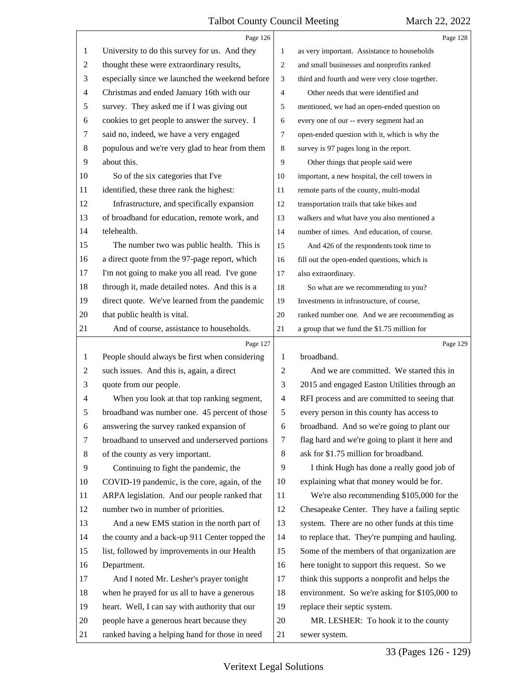|    | Page 126                                        |                | Page 128                                       |
|----|-------------------------------------------------|----------------|------------------------------------------------|
| 1  | University to do this survey for us. And they   | 1              | as very important. Assistance to households    |
| 2  | thought these were extraordinary results,       | 2              | and small businesses and nonprofits ranked     |
| 3  | especially since we launched the weekend before | 3              | third and fourth and were very close together. |
| 4  | Christmas and ended January 16th with our       | 4              | Other needs that were identified and           |
| 5  | survey. They asked me if I was giving out       | 5              | mentioned, we had an open-ended question on    |
| 6  | cookies to get people to answer the survey. I   | 6              | every one of our -- every segment had an       |
| 7  | said no, indeed, we have a very engaged         | 7              | open-ended question with it, which is why the  |
| 8  | populous and we're very glad to hear from them  | 8              | survey is 97 pages long in the report.         |
| 9  | about this.                                     | 9              | Other things that people said were             |
| 10 | So of the six categories that I've              | 10             | important, a new hospital, the cell towers in  |
| 11 | identified, these three rank the highest:       | 11             | remote parts of the county, multi-modal        |
| 12 | Infrastructure, and specifically expansion      | 12             | transportation trails that take bikes and      |
| 13 | of broadband for education, remote work, and    | 13             | walkers and what have you also mentioned a     |
| 14 | telehealth.                                     | 14             | number of times. And education, of course.     |
| 15 | The number two was public health. This is       | 15             | And 426 of the respondents took time to        |
| 16 | a direct quote from the 97-page report, which   | 16             | fill out the open-ended questions, which is    |
| 17 | I'm not going to make you all read. I've gone   | 17             | also extraordinary.                            |
| 18 | through it, made detailed notes. And this is a  | 18             | So what are we recommending to you?            |
| 19 | direct quote. We've learned from the pandemic   | 19             | Investments in infrastructure, of course,      |
| 20 | that public health is vital.                    | 20             | ranked number one. And we are recommending as  |
| 21 | And of course, assistance to households.        | 21             | a group that we fund the \$1.75 million for    |
|    |                                                 |                |                                                |
|    | Page 127                                        |                | Page 129                                       |
| 1  | People should always be first when considering  | 1              | broadband.                                     |
| 2  | such issues. And this is, again, a direct       | 2              | And we are committed. We started this in       |
| 3  | quote from our people.                          | 3              | 2015 and engaged Easton Utilities through an   |
| 4  | When you look at that top ranking segment,      | $\overline{4}$ | RFI process and are committed to seeing that   |
| 5  | broadband was number one. 45 percent of those   | 5              | every person in this county has access to      |
| 6  | answering the survey ranked expansion of        | 6              | broadband. And so we're going to plant our     |
| 7  | broadband to unserved and underserved portions  | 7              | flag hard and we're going to plant it here and |
| 8  | of the county as very important.                | 8              | ask for \$1.75 million for broadband.          |
| 9  | Continuing to fight the pandemic, the           | 9              | I think Hugh has done a really good job of     |
| 10 | COVID-19 pandemic, is the core, again, of the   | 10             | explaining what that money would be for.       |
| 11 | ARPA legislation. And our people ranked that    | 11             | We're also recommending \$105,000 for the      |
| 12 | number two in number of priorities.             | 12             | Chesapeake Center. They have a failing septic  |
| 13 | And a new EMS station in the north part of      | 13             | system. There are no other funds at this time  |
| 14 | the county and a back-up 911 Center topped the  | 14             | to replace that. They're pumping and hauling.  |
| 15 | list, followed by improvements in our Health    | 15             | Some of the members of that organization are   |
| 16 | Department.                                     | 16             | here tonight to support this request. So we    |
| 17 | And I noted Mr. Lesher's prayer tonight         | 17             | think this supports a nonprofit and helps the  |
| 18 | when he prayed for us all to have a generous    | 18             | environment. So we're asking for \$105,000 to  |
| 19 | heart. Well, I can say with authority that our  | 19             | replace their septic system.                   |
| 20 | people have a generous heart because they       | 20             | MR. LESHER: To hook it to the county           |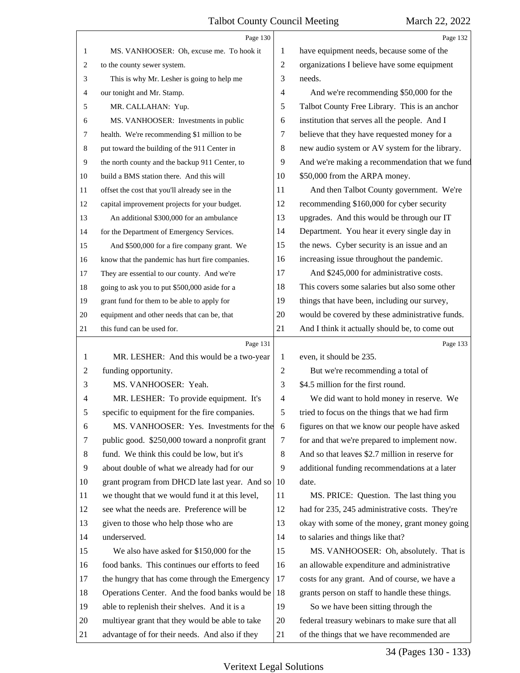|                  | Page 130                                        |                | Page 132                                        |
|------------------|-------------------------------------------------|----------------|-------------------------------------------------|
| 1                | MS. VANHOOSER: Oh, excuse me. To hook it        | 1              | have equipment needs, because some of the       |
| 2                | to the county sewer system.                     | $\overline{2}$ | organizations I believe have some equipment     |
| 3                | This is why Mr. Lesher is going to help me      | 3              | needs.                                          |
| 4                | our tonight and Mr. Stamp.                      | $\overline{4}$ | And we're recommending \$50,000 for the         |
| 5                | MR. CALLAHAN: Yup.                              | 5              | Talbot County Free Library. This is an anchor   |
| 6                | MS. VANHOOSER: Investments in public            | 6              | institution that serves all the people. And I   |
| 7                | health. We're recommending \$1 million to be    | 7              | believe that they have requested money for a    |
| 8                | put toward the building of the 911 Center in    | 8              | new audio system or AV system for the library.  |
| $\boldsymbol{9}$ | the north county and the backup 911 Center, to  | 9              | And we're making a recommendation that we fund  |
| 10               | build a BMS station there. And this will        | 10             | \$50,000 from the ARPA money.                   |
| 11               | offset the cost that you'll already see in the  | 11             | And then Talbot County government. We're        |
| 12               | capital improvement projects for your budget.   | 12             | recommending \$160,000 for cyber security       |
| 13               | An additional \$300,000 for an ambulance        | 13             | upgrades. And this would be through our IT      |
| 14               | for the Department of Emergency Services.       | 14             | Department. You hear it every single day in     |
| 15               | And \$500,000 for a fire company grant. We      | 15             | the news. Cyber security is an issue and an     |
| 16               | know that the pandemic has hurt fire companies. | 16             | increasing issue throughout the pandemic.       |
| 17               | They are essential to our county. And we're     | 17             | And \$245,000 for administrative costs.         |
| 18               | going to ask you to put \$500,000 aside for a   | 18             | This covers some salaries but also some other   |
| 19               | grant fund for them to be able to apply for     | 19             | things that have been, including our survey,    |
| 20               | equipment and other needs that can be, that     | 20             | would be covered by these administrative funds. |
| 21               | this fund can be used for.                      | 21             | And I think it actually should be, to come out  |
|                  |                                                 |                |                                                 |
|                  | Page 131                                        |                | Page 133                                        |
| $\mathbf{1}$     | MR. LESHER: And this would be a two-year        | 1              | even, it should be 235.                         |
| 2                | funding opportunity.                            | $\overline{2}$ | But we're recommending a total of               |
| 3                | MS. VANHOOSER: Yeah.                            | 3              | \$4.5 million for the first round.              |
| 4                | MR. LESHER: To provide equipment. It's          | $\overline{4}$ | We did want to hold money in reserve. We        |
| C                | specific to equipment for the fire companies.   | 5              | tried to focus on the things that we had firm   |
| 6                | MS. VANHOOSER: Yes. Investments for the         | 6              | figures on that we know our people have asked   |
| 7                | public good. \$250,000 toward a nonprofit grant | 7              | for and that we're prepared to implement now.   |
| 8                | fund. We think this could be low, but it's      | 8              | And so that leaves \$2.7 million in reserve for |
| 9                | about double of what we already had for our     | 9              | additional funding recommendations at a later   |
| 10               | grant program from DHCD late last year. And so  | 10             | date.                                           |
| 11               | we thought that we would fund it at this level, | 11             | MS. PRICE: Question. The last thing you         |
| 12               | see what the needs are. Preference will be      | 12             | had for 235, 245 administrative costs. They're  |
| 13               | given to those who help those who are           | 13             | okay with some of the money, grant money going  |
| 14               | underserved.                                    | 14             | to salaries and things like that?               |
| 15               | We also have asked for \$150,000 for the        | 15             | MS. VANHOOSER: Oh, absolutely. That is          |
| 16               | food banks. This continues our efforts to feed  | 16             | an allowable expenditure and administrative     |
| 17               | the hungry that has come through the Emergency  | 17             | costs for any grant. And of course, we have a   |
| 18               | Operations Center. And the food banks would be  | 18             | grants person on staff to handle these things.  |
| 19               | able to replenish their shelves. And it is a    | 19             | So we have been sitting through the             |
| 20               | multiyear grant that they would be able to take | 20             | federal treasury webinars to make sure that all |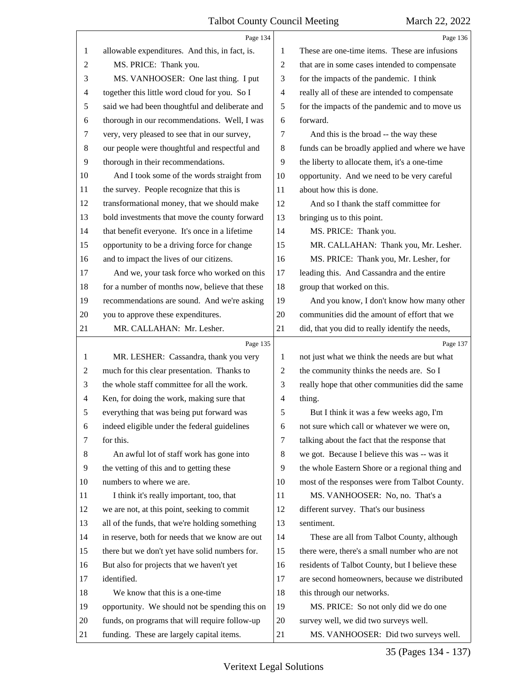|                | Page 134                                        |                          | Page 136                                        |
|----------------|-------------------------------------------------|--------------------------|-------------------------------------------------|
| 1              | allowable expenditures. And this, in fact, is.  | 1                        | These are one-time items. These are infusions   |
| 2              | MS. PRICE: Thank you.                           | $\overline{c}$           | that are in some cases intended to compensate   |
| 3              | MS. VANHOOSER: One last thing. I put            | 3                        | for the impacts of the pandemic. I think        |
| 4              | together this little word cloud for you. So I   | $\overline{\mathcal{A}}$ | really all of these are intended to compensate  |
| 5              | said we had been thoughtful and deliberate and  | 5                        | for the impacts of the pandemic and to move us  |
| 6              | thorough in our recommendations. Well, I was    | 6                        | forward.                                        |
| 7              | very, very pleased to see that in our survey,   | 7                        | And this is the broad -- the way these          |
| $\,8\,$        | our people were thoughtful and respectful and   | 8                        | funds can be broadly applied and where we have  |
| 9              | thorough in their recommendations.              | 9                        | the liberty to allocate them, it's a one-time   |
| 10             | And I took some of the words straight from      | 10                       | opportunity. And we need to be very careful     |
| 11             | the survey. People recognize that this is       | 11                       | about how this is done.                         |
| 12             | transformational money, that we should make     | 12                       | And so I thank the staff committee for          |
| 13             | bold investments that move the county forward   | 13                       | bringing us to this point.                      |
| 14             | that benefit everyone. It's once in a lifetime  | 14                       | MS. PRICE: Thank you.                           |
| 15             | opportunity to be a driving force for change    | 15                       | MR. CALLAHAN: Thank you, Mr. Lesher.            |
| 16             | and to impact the lives of our citizens.        | 16                       | MS. PRICE: Thank you, Mr. Lesher, for           |
| 17             | And we, your task force who worked on this      | 17                       | leading this. And Cassandra and the entire      |
| 18             | for a number of months now, believe that these  | 18                       | group that worked on this.                      |
| 19             | recommendations are sound. And we're asking     | 19                       | And you know, I don't know how many other       |
| 20             | you to approve these expenditures.              | 20                       | communities did the amount of effort that we    |
| 21             | MR. CALLAHAN: Mr. Lesher.                       | 21                       | did, that you did to really identify the needs, |
|                |                                                 |                          |                                                 |
|                | Page 135                                        |                          | Page 137                                        |
| 1              | MR. LESHER: Cassandra, thank you very           | 1                        | not just what we think the needs are but what   |
| $\overline{c}$ | much for this clear presentation. Thanks to     | $\overline{c}$           | the community thinks the needs are. So I        |
| 3              | the whole staff committee for all the work.     | 3                        | really hope that other communities did the same |
| $\overline{4}$ | Ken, for doing the work, making sure that       | $\overline{\mathcal{A}}$ | thing.                                          |
| 5              | everything that was being put forward was       | 5                        | But I think it was a few weeks ago, I'm         |
| 6              | indeed eligible under the federal guidelines    | 6                        | not sure which call or whatever we were on,     |
| 7              | for this.                                       | 7                        | talking about the fact that the response that   |
| 8              | An awful lot of staff work has gone into        | 8                        | we got. Because I believe this was -- was it    |
| 9              | the vetting of this and to getting these        | 9                        | the whole Eastern Shore or a regional thing and |
| 10             | numbers to where we are.                        | 10                       | most of the responses were from Talbot County.  |
| 11             | I think it's really important, too, that        | 11                       | MS. VANHOOSER: No, no. That's a                 |
| 12             | we are not, at this point, seeking to commit    | 12                       | different survey. That's our business           |
| 13             | all of the funds, that we're holding something  | 13                       | sentiment.                                      |
| 14             | in reserve, both for needs that we know are out | 14                       | These are all from Talbot County, although      |
| 15             | there but we don't yet have solid numbers for.  | 15                       | there were, there's a small number who are not  |
| 16             | But also for projects that we haven't yet       | 16                       | residents of Talbot County, but I believe these |
| 17             | identified.                                     | 17                       | are second homeowners, because we distributed   |
| 18             | We know that this is a one-time                 | 18                       | this through our networks.                      |
| 19             | opportunity. We should not be spending this on  | 19                       | MS. PRICE: So not only did we do one            |
| 20             | funds, on programs that will require follow-up  | 20                       | survey well, we did two surveys well.           |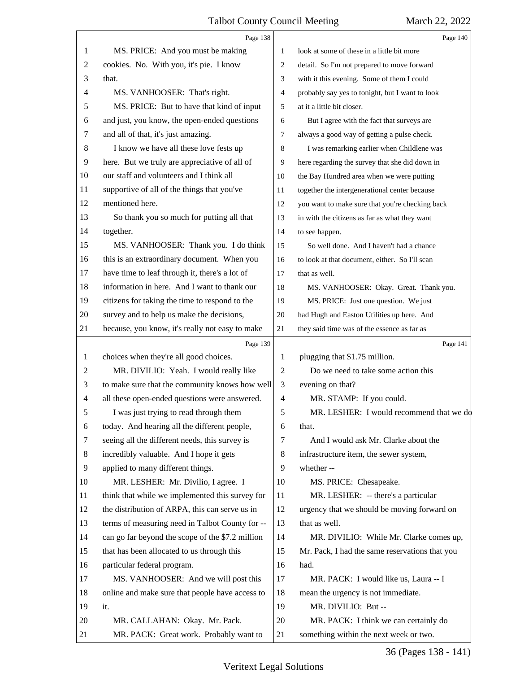|    | Page 138                                         |                | Page 140                                        |
|----|--------------------------------------------------|----------------|-------------------------------------------------|
| 1  | MS. PRICE: And you must be making                | 1              | look at some of these in a little bit more      |
| 2  | cookies. No. With you, it's pie. I know          | 2              | detail. So I'm not prepared to move forward     |
| 3  | that.                                            | 3              | with it this evening. Some of them I could      |
| 4  | MS. VANHOOSER: That's right.                     | 4              | probably say yes to tonight, but I want to look |
| 5  | MS. PRICE: But to have that kind of input        | 5              | at it a little bit closer.                      |
| 6  | and just, you know, the open-ended questions     | 6              | But I agree with the fact that surveys are      |
| 7  | and all of that, it's just amazing.              | 7              | always a good way of getting a pulse check.     |
| 8  | I know we have all these love fests up           | 8              | I was remarking earlier when Childlene was      |
| 9  | here. But we truly are appreciative of all of    | 9              | here regarding the survey that she did down in  |
| 10 | our staff and volunteers and I think all         | 10             | the Bay Hundred area when we were putting       |
| 11 | supportive of all of the things that you've      | 11             | together the intergenerational center because   |
| 12 | mentioned here.                                  | 12             | you want to make sure that you're checking back |
| 13 | So thank you so much for putting all that        | 13             | in with the citizens as far as what they want   |
| 14 | together.                                        | 14             | to see happen.                                  |
| 15 | MS. VANHOOSER: Thank you. I do think             | 15             | So well done. And I haven't had a chance        |
| 16 | this is an extraordinary document. When you      | 16             | to look at that document, either. So I'll scan  |
| 17 | have time to leaf through it, there's a lot of   | 17             | that as well.                                   |
| 18 | information in here. And I want to thank our     | 18             | MS. VANHOOSER: Okay. Great. Thank you.          |
| 19 | citizens for taking the time to respond to the   | 19             | MS. PRICE: Just one question. We just           |
| 20 | survey and to help us make the decisions,        | 20             | had Hugh and Easton Utilities up here. And      |
| 21 | because, you know, it's really not easy to make  | 21             | they said time was of the essence as far as     |
|    | Page 139                                         |                | Page 141                                        |
| 1  | choices when they're all good choices.           | 1              | plugging that \$1.75 million.                   |
| 2  | MR. DIVILIO: Yeah. I would really like           | 2              | Do we need to take some action this             |
| 3  | to make sure that the community knows how well   | 3              | evening on that?                                |
| 4  | all these open-ended questions were answered.    | $\overline{4}$ | MR. STAMP: If you could.                        |
| 5  | I was just trying to read through them           | 5              | MR. LESHER: I would recommend that we do        |
| 6  | today. And hearing all the different people,     | 6              | that.                                           |
| 7  |                                                  |                |                                                 |
|    | seeing all the different needs, this survey is   | 7              | And I would ask Mr. Clarke about the            |
| 8  | incredibly valuable. And I hope it gets          | 8              | infrastructure item, the sewer system,          |
| 9  | applied to many different things.                | 9              | whether-                                        |
| 10 | MR. LESHER: Mr. Divilio, I agree. I              | 10             | MS. PRICE: Chesapeake.                          |
| 11 | think that while we implemented this survey for  | 11             | MR. LESHER: -- there's a particular             |
| 12 | the distribution of ARPA, this can serve us in   | 12             | urgency that we should be moving forward on     |
| 13 | terms of measuring need in Talbot County for --  | 13             | that as well.                                   |
| 14 | can go far beyond the scope of the \$7.2 million | 14             | MR. DIVILIO: While Mr. Clarke comes up,         |
| 15 | that has been allocated to us through this       | 15             | Mr. Pack, I had the same reservations that you  |
| 16 | particular federal program.                      | 16             | had.                                            |
| 17 | MS. VANHOOSER: And we will post this             | 17             | MR. PACK: I would like us, Laura -- I           |
| 18 | online and make sure that people have access to  | 18             | mean the urgency is not immediate.              |
| 19 | it.                                              | 19             | MR. DIVILIO: But --                             |
| 20 | MR. CALLAHAN: Okay. Mr. Pack.                    | 20             | MR. PACK: I think we can certainly do           |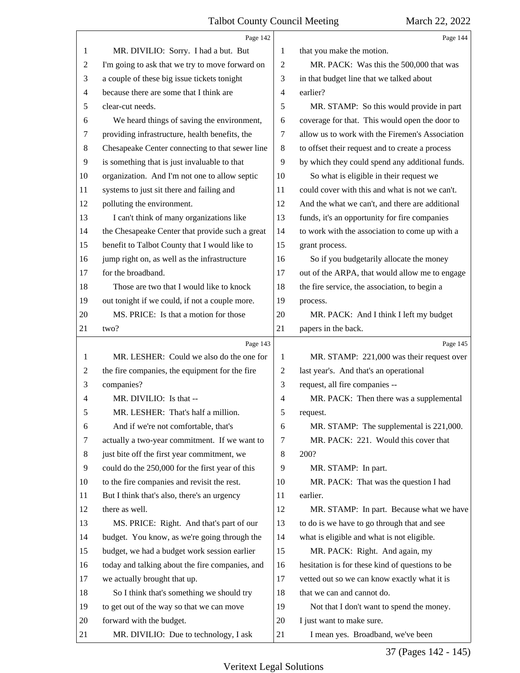<span id="page-36-0"></span>

|                | Page 142                                        |                | Page 144                                        |
|----------------|-------------------------------------------------|----------------|-------------------------------------------------|
| 1              | MR. DIVILIO: Sorry. I had a but. But            | 1              | that you make the motion.                       |
| $\overline{c}$ | I'm going to ask that we try to move forward on | $\overline{2}$ | MR. PACK: Was this the 500,000 that was         |
| 3              | a couple of these big issue tickets tonight     | 3              | in that budget line that we talked about        |
| 4              | because there are some that I think are         | 4              | earlier?                                        |
| 5              | clear-cut needs.                                | 5              | MR. STAMP: So this would provide in part        |
| 6              | We heard things of saving the environment,      | 6              | coverage for that. This would open the door to  |
| 7              | providing infrastructure, health benefits, the  | 7              | allow us to work with the Firemen's Association |
| 8              | Chesapeake Center connecting to that sewer line | $\,8\,$        | to offset their request and to create a process |
| 9              | is something that is just invaluable to that    | 9              | by which they could spend any additional funds. |
| 10             | organization. And I'm not one to allow septic   | 10             | So what is eligible in their request we         |
| 11             | systems to just sit there and failing and       | 11             | could cover with this and what is not we can't. |
| 12             | polluting the environment.                      | 12             | And the what we can't, and there are additional |
| 13             | I can't think of many organizations like        | 13             | funds, it's an opportunity for fire companies   |
| 14             | the Chesapeake Center that provide such a great | 14             | to work with the association to come up with a  |
| 15             | benefit to Talbot County that I would like to   | 15             | grant process.                                  |
| 16             | jump right on, as well as the infrastructure    | 16             | So if you budgetarily allocate the money        |
| 17             | for the broadband.                              | 17             | out of the ARPA, that would allow me to engage  |
| 18             | Those are two that I would like to knock        | 18             | the fire service, the association, to begin a   |
| 19             | out tonight if we could, if not a couple more.  | 19             | process.                                        |
| 20             | MS. PRICE: Is that a motion for those           | 20             | MR. PACK: And I think I left my budget          |
| 21             | two?                                            | 21             | papers in the back.                             |
|                | Page 143                                        |                | Page 145                                        |
| 1              |                                                 |                |                                                 |
|                | MR. LESHER: Could we also do the one for        | 1              | MR. STAMP: 221,000 was their request over       |
| 2              | the fire companies, the equipment for the fire  | 2              | last year's. And that's an operational          |
| 3              | companies?                                      | 3              | request, all fire companies --                  |
| 4              | MR. DIVILIO: Is that --                         | $\overline{4}$ | MR. PACK: Then there was a supplemental         |
| 5              | MR. LESHER: That's half a million.              | 5              | request.                                        |
| 6              | And if we're not comfortable, that's            | 6              | MR. STAMP: The supplemental is 221,000.         |
| 7              | actually a two-year commitment. If we want to   | $\tau$         | MR. PACK: 221. Would this cover that            |
| 8              | just bite off the first year commitment, we     | 8              | 200?                                            |
| 9              | could do the 250,000 for the first year of this | 9              | MR. STAMP: In part.                             |
| 10             | to the fire companies and revisit the rest.     | 10             | MR. PACK: That was the question I had           |
| 11             | But I think that's also, there's an urgency     | 11             | earlier.                                        |
| 12             | there as well.                                  | 12             | MR. STAMP: In part. Because what we have        |
| 13             | MS. PRICE: Right. And that's part of our        | 13             | to do is we have to go through that and see     |
| 14             | budget. You know, as we're going through the    | 14             | what is eligible and what is not eligible.      |
| 15             | budget, we had a budget work session earlier    | 15             | MR. PACK: Right. And again, my                  |
| 16             | today and talking about the fire companies, and | 16             | hesitation is for these kind of questions to be |
| 17             | we actually brought that up.                    | 17             | vetted out so we can know exactly what it is    |
| 18             | So I think that's something we should try       | 18             | that we can and cannot do.                      |
| 19             | to get out of the way so that we can move       | 19             | Not that I don't want to spend the money.       |
| 20             | forward with the budget.                        | 20             | I just want to make sure.                       |

37 (Pages 142 - 145)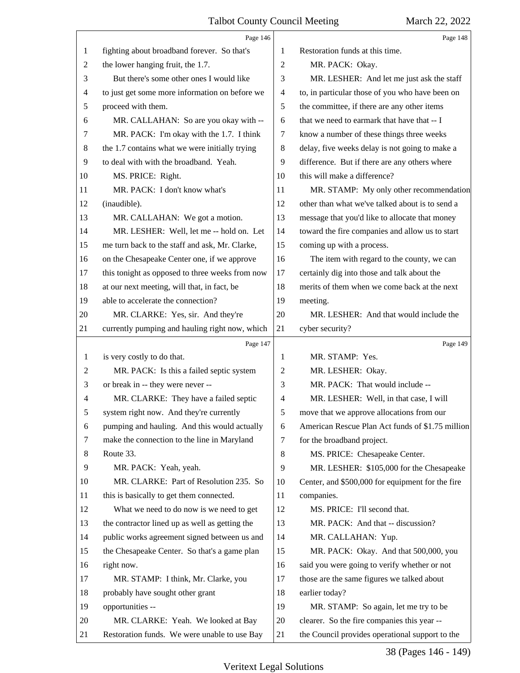<span id="page-37-0"></span>

|                | Page 146                                        |                | Page 148                                         |
|----------------|-------------------------------------------------|----------------|--------------------------------------------------|
| 1              | fighting about broadband forever. So that's     | 1              | Restoration funds at this time.                  |
| 2              | the lower hanging fruit, the 1.7.               | $\overline{2}$ | MR. PACK: Okay.                                  |
| 3              | But there's some other ones I would like        | 3              | MR. LESHER: And let me just ask the staff        |
| 4              | to just get some more information on before we  | 4              | to, in particular those of you who have been on  |
| 5              | proceed with them.                              | 5              | the committee, if there are any other items      |
| 6              | MR. CALLAHAN: So are you okay with --           | 6              | that we need to earmark that have that -- I      |
| 7              | MR. PACK: I'm okay with the 1.7. I think        | 7              | know a number of these things three weeks        |
| 8              | the 1.7 contains what we were initially trying  | 8              | delay, five weeks delay is not going to make a   |
| 9              | to deal with with the broadband. Yeah.          | 9              | difference. But if there are any others where    |
| 10             | MS. PRICE: Right.                               | 10             | this will make a difference?                     |
| 11             | MR. PACK: I don't know what's                   | 11             | MR. STAMP: My only other recommendation          |
| 12             | (inaudible).                                    | 12             | other than what we've talked about is to send a  |
| 13             | MR. CALLAHAN: We got a motion.                  | 13             | message that you'd like to allocate that money   |
| 14             | MR. LESHER: Well, let me -- hold on. Let        | 14             | toward the fire companies and allow us to start  |
| 15             | me turn back to the staff and ask, Mr. Clarke,  | 15             | coming up with a process.                        |
| 16             | on the Chesapeake Center one, if we approve     | 16             | The item with regard to the county, we can       |
| 17             | this tonight as opposed to three weeks from now | 17             | certainly dig into those and talk about the      |
| 18             | at our next meeting, will that, in fact, be     | 18             | merits of them when we come back at the next     |
| 19             | able to accelerate the connection?              | 19             | meeting.                                         |
| 20             | MR. CLARKE: Yes, sir. And they're               | 20             | MR. LESHER: And that would include the           |
| 21             | currently pumping and hauling right now, which  | 21             | cyber security?                                  |
|                | Page 147                                        |                | Page 149                                         |
| $\mathbf{1}$   | is very costly to do that.                      | 1              | MR. STAMP: Yes.                                  |
| $\overline{2}$ | MR. PACK: Is this a failed septic system        | 2              | MR. LESHER: Okay.                                |
|                |                                                 |                |                                                  |
| 3              | or break in -- they were never --               | 3              | MR. PACK: That would include --                  |
| $\overline{4}$ | MR. CLARKE: They have a failed septic           | 4              | MR. LESHER: Well, in that case, I will           |
| 5              | system right now. And they're currently         | 5              | move that we approve allocations from our        |
| 6              | pumping and hauling. And this would actually    | 6              | American Rescue Plan Act funds of \$1.75 million |
| 7              | make the connection to the line in Maryland     | 7              | for the broadband project.                       |
| 8              | Route 33.                                       | 8              | MS. PRICE: Chesapeake Center.                    |
| 9              | MR. PACK: Yeah, yeah.                           | 9              | MR. LESHER: \$105,000 for the Chesapeake         |
| 10             | MR. CLARKE: Part of Resolution 235. So          | 10             | Center, and \$500,000 for equipment for the fire |
| 11             | this is basically to get them connected.        | 11             | companies.                                       |
| 12             | What we need to do now is we need to get        | 12             | MS. PRICE: I'll second that.                     |
| 13             | the contractor lined up as well as getting the  | 13             | MR. PACK: And that -- discussion?                |
| 14             | public works agreement signed between us and    | 14             | MR. CALLAHAN: Yup.                               |
| 15             | the Chesapeake Center. So that's a game plan    | 15             | MR. PACK: Okay. And that 500,000, you            |
| 16             | right now.                                      | 16             | said you were going to verify whether or not     |
| 17             | MR. STAMP: I think, Mr. Clarke, you             | 17             | those are the same figures we talked about       |
| 18             | probably have sought other grant                | 18             | earlier today?                                   |
| 19             | opportunities --                                | 19             | MR. STAMP: So again, let me try to be            |
| 20             | MR. CLARKE: Yeah. We looked at Bay              | 20             | clearer. So the fire companies this year --      |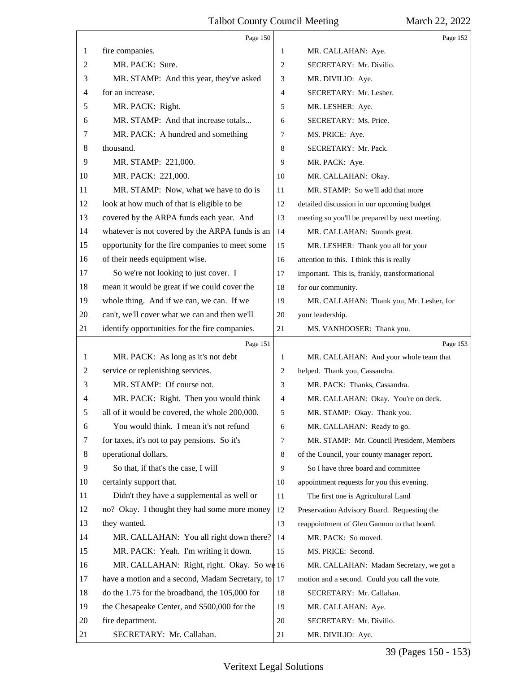<span id="page-38-0"></span>

|    | Page 150                                        |                | Page 152                                       |
|----|-------------------------------------------------|----------------|------------------------------------------------|
| 1  | fire companies.                                 | 1              | MR. CALLAHAN: Aye.                             |
| 2  | MR. PACK: Sure.                                 | $\overline{c}$ | SECRETARY: Mr. Divilio.                        |
| 3  | MR. STAMP: And this year, they've asked         | 3              | MR. DIVILIO: Aye.                              |
| 4  | for an increase.                                | $\overline{4}$ | SECRETARY: Mr. Lesher.                         |
| 5  | MR. PACK: Right.                                | 5              | MR. LESHER: Aye.                               |
| 6  | MR. STAMP: And that increase totals             | 6              | SECRETARY: Ms. Price.                          |
| 7  | MR. PACK: A hundred and something               | 7              | MS. PRICE: Aye.                                |
| 8  | thousand.                                       | 8              | SECRETARY: Mr. Pack.                           |
| 9  | MR. STAMP: 221,000.                             | 9              | MR. PACK: Aye.                                 |
| 10 | MR. PACK: 221,000.                              | 10             | MR. CALLAHAN: Okay.                            |
| 11 | MR. STAMP: Now, what we have to do is           | 11             | MR. STAMP: So we'll add that more              |
| 12 | look at how much of that is eligible to be      | 12             | detailed discussion in our upcoming budget     |
| 13 | covered by the ARPA funds each year. And        | 13             | meeting so you'll be prepared by next meeting. |
| 14 | whatever is not covered by the ARPA funds is an | 14             | MR. CALLAHAN: Sounds great.                    |
| 15 | opportunity for the fire companies to meet some | 15             | MR. LESHER: Thank you all for your             |
| 16 | of their needs equipment wise.                  | 16             | attention to this. I think this is really      |
| 17 | So we're not looking to just cover. I           | 17             | important. This is, frankly, transformational  |
| 18 | mean it would be great if we could cover the    | 18             | for our community.                             |
| 19 | whole thing. And if we can, we can. If we       | 19             | MR. CALLAHAN: Thank you, Mr. Lesher, for       |
| 20 | can't, we'll cover what we can and then we'll   | 20             | your leadership.                               |
| 21 | identify opportunities for the fire companies.  | 21             | MS. VANHOOSER: Thank you.                      |
|    |                                                 |                |                                                |
|    | Page 151                                        |                | Page 153                                       |
| 1  | MR. PACK: As long as it's not debt              | 1              | MR. CALLAHAN: And your whole team that         |
| 2  | service or replenishing services.               | 2              | helped. Thank you, Cassandra.                  |
| 3  | MR. STAMP: Of course not.                       | $\mathfrak{Z}$ | MR. PACK: Thanks, Cassandra.                   |
| 4  | MR. PACK: Right. Then you would think           | $\overline{4}$ | MR. CALLAHAN: Okay. You're on deck.            |
|    | all of it would be covered, the whole 200,000.  | 5              | MR. STAMP: Okay. Thank you.                    |
| 6  | You would think. I mean it's not refund         | 6              | MR. CALLAHAN: Ready to go.                     |
| 7  | for taxes, it's not to pay pensions. So it's    | $\overline{7}$ | MR. STAMP: Mr. Council President, Members      |
| 8  | operational dollars.                            | 8              | of the Council, your county manager report.    |
| 9  | So that, if that's the case, I will             | 9              | So I have three board and committee            |
| 10 | certainly support that.                         | 10             | appointment requests for you this evening.     |
| 11 | Didn't they have a supplemental as well or      | 11             | The first one is Agricultural Land             |
| 12 | no? Okay. I thought they had some more money    | 12             | Preservation Advisory Board. Requesting the    |
| 13 | they wanted.                                    | 13             | reappointment of Glen Gannon to that board.    |
| 14 | MR. CALLAHAN: You all right down there?         | 14             | MR. PACK: So moved.                            |
| 15 | MR. PACK: Yeah. I'm writing it down.            | 15             | MS. PRICE: Second.                             |
| 16 | MR. CALLAHAN: Right, right. Okay. So we 16      |                | MR. CALLAHAN: Madam Secretary, we got a        |
| 17 | have a motion and a second, Madam Secretary, to | 17             | motion and a second. Could you call the vote.  |
| 18 | do the 1.75 for the broadband, the 105,000 for  | 18             | SECRETARY: Mr. Callahan.                       |
| 19 | the Chesapeake Center, and \$500,000 for the    | 19             | MR. CALLAHAN: Aye.                             |
| 20 | fire department.                                | 20             | SECRETARY: Mr. Divilio.                        |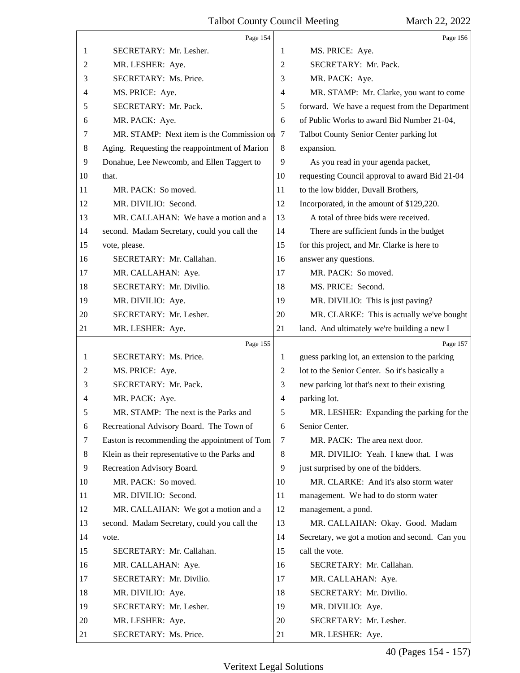<span id="page-39-0"></span>

|                | Page 154                                       |                | Page 156                                       |
|----------------|------------------------------------------------|----------------|------------------------------------------------|
| 1              | SECRETARY: Mr. Lesher.                         | 1              | MS. PRICE: Aye.                                |
| $\overline{c}$ | MR. LESHER: Aye.                               | 2              | SECRETARY: Mr. Pack.                           |
| 3              | SECRETARY: Ms. Price.                          | 3              | MR. PACK: Aye.                                 |
| 4              | MS. PRICE: Aye.                                | 4              | MR. STAMP: Mr. Clarke, you want to come        |
| 5              | SECRETARY: Mr. Pack.                           | 5              | forward. We have a request from the Department |
| 6              | MR. PACK: Aye.                                 | 6              | of Public Works to award Bid Number 21-04,     |
| 7              | MR. STAMP: Next item is the Commission on      | 7              | Talbot County Senior Center parking lot        |
| 8              | Aging. Requesting the reappointment of Marion  | $\,8\,$        | expansion.                                     |
| $\overline{9}$ | Donahue, Lee Newcomb, and Ellen Taggert to     | 9              | As you read in your agenda packet,             |
| 10             | that.                                          | 10             | requesting Council approval to award Bid 21-04 |
| 11             | MR. PACK: So moved.                            | 11             | to the low bidder, Duvall Brothers,            |
| 12             | MR. DIVILIO: Second.                           | 12             | Incorporated, in the amount of \$129,220.      |
| 13             | MR. CALLAHAN: We have a motion and a           | 13             | A total of three bids were received.           |
| 14             | second. Madam Secretary, could you call the    | 14             | There are sufficient funds in the budget       |
| 15             | vote, please.                                  | 15             | for this project, and Mr. Clarke is here to    |
| 16             | SECRETARY: Mr. Callahan.                       | 16             | answer any questions.                          |
| 17             | MR. CALLAHAN: Aye.                             | 17             | MR. PACK: So moved.                            |
| 18             | SECRETARY: Mr. Divilio.                        | 18             | MS. PRICE: Second.                             |
| 19             | MR. DIVILIO: Aye.                              | 19             | MR. DIVILIO: This is just paving?              |
| 20             | SECRETARY: Mr. Lesher.                         | 20             | MR. CLARKE: This is actually we've bought      |
| 21             | MR. LESHER: Aye.                               | 21             | land. And ultimately we're building a new I    |
|                | Page 155                                       |                | Page 157                                       |
| 1              | SECRETARY: Ms. Price.                          | 1              | guess parking lot, an extension to the parking |
| 2              | MS. PRICE: Aye.                                | 2              | lot to the Senior Center. So it's basically a  |
| 3              | SECRETARY: Mr. Pack.                           | 3              | new parking lot that's next to their existing  |
| 4              | MR. PACK: Aye.                                 | $\overline{4}$ | parking lot.                                   |
| 5              |                                                |                |                                                |
| 6              | MR. STAMP: The next is the Parks and           | 5              | MR. LESHER: Expanding the parking for the      |
|                | Recreational Advisory Board. The Town of       | 6              | Senior Center.                                 |
| 7              | Easton is recommending the appointment of Tom  | 7              | MR. PACK: The area next door.                  |
| 8              | Klein as their representative to the Parks and | 8              | MR. DIVILIO: Yeah. I knew that. I was          |
| 9              | Recreation Advisory Board.                     | 9              | just surprised by one of the bidders.          |
| 10             | MR. PACK: So moved.                            | 10             | MR. CLARKE: And it's also storm water          |
| 11             | MR. DIVILIO: Second.                           | 11             | management. We had to do storm water           |
| 12             | MR. CALLAHAN: We got a motion and a            | 12             | management, a pond.                            |
| 13             | second. Madam Secretary, could you call the    | 13             | MR. CALLAHAN: Okay. Good. Madam                |
| 14             | vote.                                          | 14             | Secretary, we got a motion and second. Can you |
| 15             | SECRETARY: Mr. Callahan.                       | 15             | call the vote.                                 |
| 16             | MR. CALLAHAN: Aye.                             | 16             | SECRETARY: Mr. Callahan.                       |
| 17             | SECRETARY: Mr. Divilio.                        | 17             | MR. CALLAHAN: Aye.                             |
| 18             | MR. DIVILIO: Aye.                              | 18             | SECRETARY: Mr. Divilio.                        |
| 19             | SECRETARY: Mr. Lesher.                         | 19             | MR. DIVILIO: Aye.                              |
| 20             | MR. LESHER: Aye.                               | 20             | SECRETARY: Mr. Lesher.                         |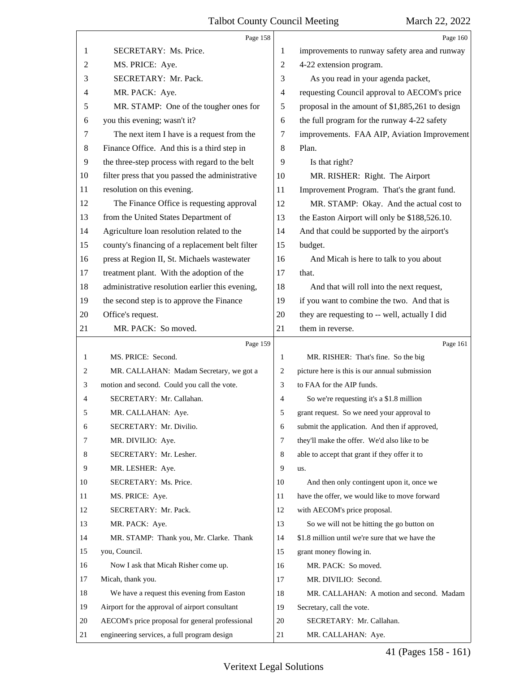<span id="page-40-0"></span>

|    | Page 158                                        |                | Page 160                                        |
|----|-------------------------------------------------|----------------|-------------------------------------------------|
| 1  | SECRETARY: Ms. Price.                           | 1              | improvements to runway safety area and runway   |
| 2  | MS. PRICE: Aye.                                 | 2              | 4-22 extension program.                         |
| 3  | SECRETARY: Mr. Pack.                            | 3              | As you read in your agenda packet,              |
| 4  | MR. PACK: Aye.                                  | 4              | requesting Council approval to AECOM's price    |
| 5  | MR. STAMP: One of the tougher ones for          | 5              | proposal in the amount of \$1,885,261 to design |
| 6  | you this evening; wasn't it?                    | 6              | the full program for the runway 4-22 safety     |
| 7  | The next item I have is a request from the      | 7              | improvements. FAA AIP, Aviation Improvement     |
| 8  | Finance Office. And this is a third step in     | 8              | Plan.                                           |
| 9  | the three-step process with regard to the belt  | 9              | Is that right?                                  |
| 10 | filter press that you passed the administrative | 10             | MR. RISHER: Right. The Airport                  |
| 11 | resolution on this evening.                     | 11             | Improvement Program. That's the grant fund.     |
| 12 | The Finance Office is requesting approval       | 12             | MR. STAMP: Okay. And the actual cost to         |
| 13 | from the United States Department of            | 13             | the Easton Airport will only be \$188,526.10.   |
| 14 | Agriculture loan resolution related to the      | 14             | And that could be supported by the airport's    |
| 15 | county's financing of a replacement belt filter | 15             | budget.                                         |
| 16 | press at Region II, St. Michaels wastewater     | 16             | And Micah is here to talk to you about          |
| 17 | treatment plant. With the adoption of the       | 17             | that.                                           |
| 18 | administrative resolution earlier this evening, | 18             | And that will roll into the next request,       |
| 19 | the second step is to approve the Finance       | 19             | if you want to combine the two. And that is     |
| 20 | Office's request.                               | 20             | they are requesting to -- well, actually I did  |
| 21 | MR. PACK: So moved.                             | 21             | them in reverse.                                |
|    |                                                 |                |                                                 |
|    | Page 159                                        |                | Page 161                                        |
| 1  | MS. PRICE: Second.                              | 1              | MR. RISHER: That's fine. So the big             |
| 2  | MR. CALLAHAN: Madam Secretary, we got a         | $\overline{c}$ | picture here is this is our annual submission   |
| 3  | motion and second. Could you call the vote.     | 3              | to FAA for the AIP funds.                       |
| 4  | SECRETARY: Mr. Callahan.                        | 4              | So we're requesting it's a \$1.8 million        |
| 5  | MR. CALLAHAN: Aye.                              | 5              | grant request. So we need your approval to      |
| 6  | SECRETARY: Mr. Divilio.                         | 6              | submit the application. And then if approved,   |
| 7  | MR. DIVILIO: Aye.                               | $\tau$         | they'll make the offer. We'd also like to be    |
| 8  | SECRETARY: Mr. Lesher.                          | 8              | able to accept that grant if they offer it to   |
| 9  | MR. LESHER: Aye.                                | 9              | us.                                             |
| 10 | SECRETARY: Ms. Price.                           | 10             | And then only contingent upon it, once we       |
| 11 | MS. PRICE: Aye.                                 | 11             | have the offer, we would like to move forward   |
| 12 | SECRETARY: Mr. Pack.                            | 12             | with AECOM's price proposal.                    |
| 13 | MR. PACK: Aye.                                  | 13             | So we will not be hitting the go button on      |
| 14 | MR. STAMP: Thank you, Mr. Clarke. Thank         | 14             | \$1.8 million until we're sure that we have the |
| 15 | you, Council.                                   | 15             | grant money flowing in.                         |
| 16 | Now I ask that Micah Risher come up.            | 16             | MR. PACK: So moved.                             |
| 17 | Micah, thank you.                               | 17             | MR. DIVILIO: Second.                            |
| 18 | We have a request this evening from Easton      | 18             | MR. CALLAHAN: A motion and second. Madam        |
| 19 | Airport for the approval of airport consultant  | 19             | Secretary, call the vote.                       |
| 20 | AECOM's price proposal for general professional | 20             | SECRETARY: Mr. Callahan.                        |

41 (Pages 158 - 161)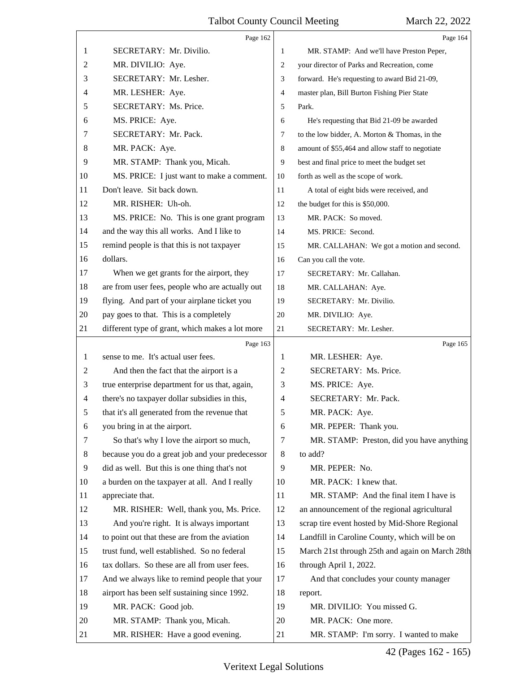<span id="page-41-0"></span>

|                | Page 162                                        |                | Page 164                                        |
|----------------|-------------------------------------------------|----------------|-------------------------------------------------|
| 1              | SECRETARY: Mr. Divilio.                         | 1              | MR. STAMP: And we'll have Preston Peper,        |
| 2              | MR. DIVILIO: Aye.                               | $\overline{2}$ | your director of Parks and Recreation, come     |
| 3              | SECRETARY: Mr. Lesher.                          | 3              | forward. He's requesting to award Bid 21-09,    |
| 4              | MR. LESHER: Aye.                                | $\overline{4}$ | master plan, Bill Burton Fishing Pier State     |
| 5              | SECRETARY: Ms. Price.                           | 5              | Park.                                           |
| 6              | MS. PRICE: Aye.                                 | 6              | He's requesting that Bid 21-09 be awarded       |
| 7              | SECRETARY: Mr. Pack.                            | $\overline{7}$ | to the low bidder, A. Morton & Thomas, in the   |
| 8              | MR. PACK: Aye.                                  | $\,8\,$        | amount of \$55,464 and allow staff to negotiate |
| 9              | MR. STAMP: Thank you, Micah.                    | $\overline{9}$ | best and final price to meet the budget set     |
| 10             | MS. PRICE: I just want to make a comment.       | 10             | forth as well as the scope of work.             |
| 11             | Don't leave. Sit back down.                     | 11             | A total of eight bids were received, and        |
| 12             | MR. RISHER: Uh-oh.                              | 12             | the budget for this is \$50,000.                |
| 13             | MS. PRICE: No. This is one grant program        | 13             | MR. PACK: So moved.                             |
| 14             | and the way this all works. And I like to       | 14             | MS. PRICE: Second.                              |
| 15             | remind people is that this is not taxpayer      | 15             | MR. CALLAHAN: We got a motion and second.       |
| 16             | dollars.                                        | 16             | Can you call the vote.                          |
| 17             | When we get grants for the airport, they        | 17             | SECRETARY: Mr. Callahan.                        |
| 18             | are from user fees, people who are actually out | 18             | MR. CALLAHAN: Aye.                              |
| 19             | flying. And part of your airplane ticket you    | 19             | SECRETARY: Mr. Divilio.                         |
| 20             | pay goes to that. This is a completely          | 20             | MR. DIVILIO: Aye.                               |
| 21             | different type of grant, which makes a lot more | 21             | SECRETARY: Mr. Lesher.                          |
|                | Page 163                                        |                | Page 165                                        |
| 1              | sense to me. It's actual user fees.             | 1              | MR. LESHER: Aye.                                |
| 2              | And then the fact that the airport is a         | 2              | SECRETARY: Ms. Price.                           |
| 3              | true enterprise department for us that, again,  | 3              | MS. PRICE: Aye.                                 |
| $\overline{4}$ | there's no taxpayer dollar subsidies in this,   | $\overline{4}$ | SECRETARY: Mr. Pack.                            |
| 5              | that it's all generated from the revenue that   | 5              | MR. PACK: Aye.                                  |
| 6              | you bring in at the airport.                    | 6              | MR. PEPER: Thank you.                           |
| 7              | So that's why I love the airport so much,       | 7              | MR. STAMP: Preston, did you have anything       |
| 8              | because you do a great job and your predecessor | 8              | to add?                                         |
| 9              | did as well. But this is one thing that's not   | 9              | MR. PEPER: No.                                  |
| 10             | a burden on the taxpayer at all. And I really   | 10             | MR. PACK: I knew that.                          |
| 11             | appreciate that.                                | 11             | MR. STAMP: And the final item I have is         |
| 12             | MR. RISHER: Well, thank you, Ms. Price.         | 12             | an announcement of the regional agricultural    |
| 13             | And you're right. It is always important        | 13             | scrap tire event hosted by Mid-Shore Regional   |
| 14             | to point out that these are from the aviation   | 14             | Landfill in Caroline County, which will be on   |
| 15             | trust fund, well established. So no federal     | 15             | March 21st through 25th and again on March 28th |
| 16             | tax dollars. So these are all from user fees.   | 16             | through April 1, 2022.                          |
| 17             | And we always like to remind people that your   | 17             | And that concludes your county manager          |
| 18             | airport has been self sustaining since 1992.    | 18             | report.                                         |
|                |                                                 |                |                                                 |
| 19             | MR. PACK: Good job.                             | 19             | MR. DIVILIO: You missed G.                      |
| 20             | MR. STAMP: Thank you, Micah.                    | 20             | MR. PACK: One more.                             |

42 (Pages 162 - 165)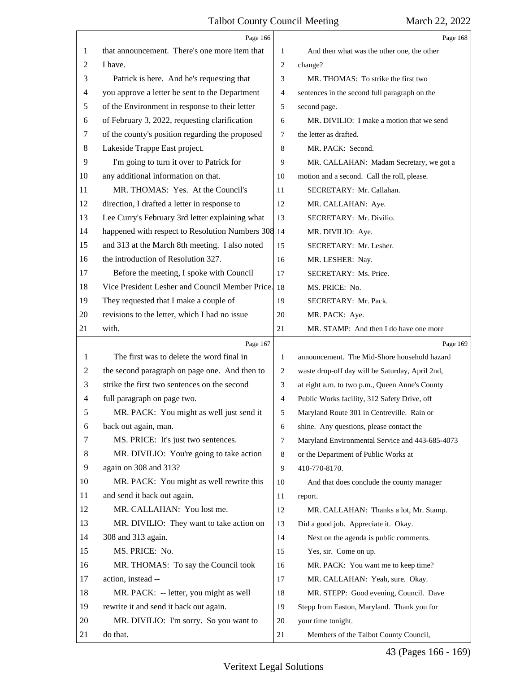<span id="page-42-0"></span>

|    | Page 166                                           |                | Page 168                                        |  |
|----|----------------------------------------------------|----------------|-------------------------------------------------|--|
| 1  | that announcement. There's one more item that      | 1              | And then what was the other one, the other      |  |
| 2  | I have.                                            | $\overline{2}$ | change?                                         |  |
| 3  | Patrick is here. And he's requesting that          | 3              | MR. THOMAS: To strike the first two             |  |
| 4  | you approve a letter be sent to the Department     | $\overline{4}$ | sentences in the second full paragraph on the   |  |
| 5  | of the Environment in response to their letter     | 5              | second page.                                    |  |
| 6  | of February 3, 2022, requesting clarification      | 6              | MR. DIVILIO: I make a motion that we send       |  |
| 7  | of the county's position regarding the proposed    | 7              | the letter as drafted.                          |  |
| 8  | Lakeside Trappe East project.                      | 8              | MR. PACK: Second.                               |  |
| 9  | I'm going to turn it over to Patrick for           | 9              | MR. CALLAHAN: Madam Secretary, we got a         |  |
| 10 | any additional information on that.                | 10             | motion and a second. Call the roll, please.     |  |
| 11 | MR. THOMAS: Yes. At the Council's                  | 11             | SECRETARY: Mr. Callahan.                        |  |
| 12 | direction, I drafted a letter in response to       | 12             | MR. CALLAHAN: Aye.                              |  |
| 13 | Lee Curry's February 3rd letter explaining what    | 13             | SECRETARY: Mr. Divilio.                         |  |
| 14 | happened with respect to Resolution Numbers 308 14 |                | MR. DIVILIO: Aye.                               |  |
| 15 | and 313 at the March 8th meeting. I also noted     | 15             | SECRETARY: Mr. Lesher.                          |  |
| 16 | the introduction of Resolution 327.                | 16             | MR. LESHER: Nay.                                |  |
| 17 | Before the meeting, I spoke with Council           | 17             | SECRETARY: Ms. Price.                           |  |
| 18 | Vice President Lesher and Council Member Price.    | 18             | MS. PRICE: No.                                  |  |
| 19 | They requested that I make a couple of             | 19             | SECRETARY: Mr. Pack.                            |  |
| 20 | revisions to the letter, which I had no issue      | 20             | MR. PACK: Aye.                                  |  |
| 21 | with.                                              | 21             | MR. STAMP: And then I do have one more          |  |
|    |                                                    |                |                                                 |  |
|    | Page 167                                           |                | Page 169                                        |  |
| 1  | The first was to delete the word final in          | 1              | announcement. The Mid-Shore household hazard    |  |
| 2  | the second paragraph on page one. And then to      | $\overline{2}$ | waste drop-off day will be Saturday, April 2nd, |  |
| 3  | strike the first two sentences on the second       | 3              | at eight a.m. to two p.m., Queen Anne's County  |  |
| 4  | full paragraph on page two.                        | $\overline{4}$ | Public Works facility, 312 Safety Drive, off    |  |
| 5  | MR. PACK: You might as well just send it           | 5              | Maryland Route 301 in Centreville. Rain or      |  |
| 6  | back out again, man.                               | 6              | shine. Any questions, please contact the        |  |
| 7  | MS. PRICE: It's just two sentences.                | 7              | Maryland Environmental Service and 443-685-4073 |  |
| 8  | MR. DIVILIO: You're going to take action           | 8              | or the Department of Public Works at            |  |
| 9  | again on 308 and 313?                              | 9              | 410-770-8170.                                   |  |
| 10 | MR. PACK: You might as well rewrite this           | 10             | And that does conclude the county manager       |  |
| 11 | and send it back out again.                        | 11             | report.                                         |  |
| 12 | MR. CALLAHAN: You lost me.                         | 12             | MR. CALLAHAN: Thanks a lot, Mr. Stamp.          |  |
| 13 | MR. DIVILIO: They want to take action on           | 13             | Did a good job. Appreciate it. Okay.            |  |
| 14 | 308 and 313 again.                                 | 14             | Next on the agenda is public comments.          |  |
| 15 | MS. PRICE: No.                                     | 15             | Yes, sir. Come on up.                           |  |
| 16 | MR. THOMAS: To say the Council took                | 16             | MR. PACK: You want me to keep time?             |  |
| 17 | action, instead --                                 | 17             | MR. CALLAHAN: Yeah, sure. Okay.                 |  |
| 18 | MR. PACK: -- letter, you might as well             | 18             | MR. STEPP: Good evening, Council. Dave          |  |
| 19 | rewrite it and send it back out again.             | 19             | Stepp from Easton, Maryland. Thank you for      |  |
| 20 | MR. DIVILIO: I'm sorry. So you want to             | 20             | your time tonight.                              |  |

43 (Pages 166 - 169)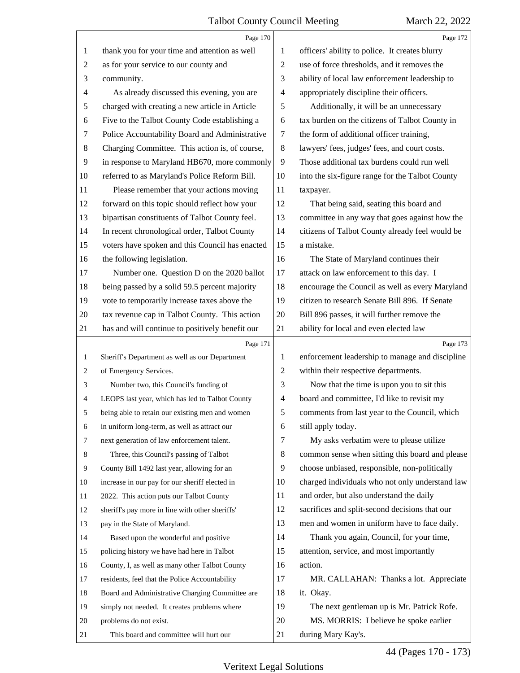<span id="page-43-0"></span>

|                | Page 170                                        |                | Page 172                                        |
|----------------|-------------------------------------------------|----------------|-------------------------------------------------|
| 1              | thank you for your time and attention as well   | 1              | officers' ability to police. It creates blurry  |
| $\overline{c}$ | as for your service to our county and           | $\overline{c}$ | use of force thresholds, and it removes the     |
| 3              | community.                                      | 3              | ability of local law enforcement leadership to  |
| 4              | As already discussed this evening, you are      | 4              | appropriately discipline their officers.        |
| 5              | charged with creating a new article in Article  | 5              | Additionally, it will be an unnecessary         |
| 6              | Five to the Talbot County Code establishing a   | 6              | tax burden on the citizens of Talbot County in  |
| 7              | Police Accountability Board and Administrative  | 7              | the form of additional officer training,        |
| 8              | Charging Committee. This action is, of course,  | $\,8\,$        | lawyers' fees, judges' fees, and court costs.   |
| 9              | in response to Maryland HB670, more commonly    | 9              | Those additional tax burdens could run well     |
| 10             | referred to as Maryland's Police Reform Bill.   | 10             | into the six-figure range for the Talbot County |
| 11             | Please remember that your actions moving        | 11             | taxpayer.                                       |
| 12             | forward on this topic should reflect how your   | 12             | That being said, seating this board and         |
| 13             | bipartisan constituents of Talbot County feel.  | 13             | committee in any way that goes against how the  |
| 14             | In recent chronological order, Talbot County    | 14             | citizens of Talbot County already feel would be |
| 15             | voters have spoken and this Council has enacted | 15             | a mistake.                                      |
| 16             | the following legislation.                      | 16             | The State of Maryland continues their           |
| 17             | Number one. Question D on the 2020 ballot       | 17             | attack on law enforcement to this day. I        |
| 18             | being passed by a solid 59.5 percent majority   | 18             | encourage the Council as well as every Maryland |
| 19             | vote to temporarily increase taxes above the    | 19             | citizen to research Senate Bill 896. If Senate  |
| 20             | tax revenue cap in Talbot County. This action   | 20             | Bill 896 passes, it will further remove the     |
| 21             | has and will continue to positively benefit our | 21             | ability for local and even elected law          |
|                |                                                 |                |                                                 |
|                | Page 171                                        |                | Page 173                                        |
| 1              | Sheriff's Department as well as our Department  | 1              | enforcement leadership to manage and discipline |
| 2              | of Emergency Services.                          | $\overline{c}$ | within their respective departments.            |
| 3              | Number two, this Council's funding of           | 3              | Now that the time is upon you to sit this       |
| 4              | LEOPS last year, which has led to Talbot County | 4              | board and committee, I'd like to revisit my     |
|                | being able to retain our existing men and women | 5              | comments from last year to the Council, which   |
| 6              | in uniform long-term, as well as attract our    | 6              | still apply today.                              |
| 7              | next generation of law enforcement talent.      | 7              | My asks verbatim were to please utilize         |
| 8              | Three, this Council's passing of Talbot         | 8              | common sense when sitting this board and please |
| 9              | County Bill 1492 last year, allowing for an     | 9              | choose unbiased, responsible, non-politically   |
| 10             | increase in our pay for our sheriff elected in  | 10             | charged individuals who not only understand law |
| 11             | 2022. This action puts our Talbot County        | 11             | and order, but also understand the daily        |
| 12             | sheriff's pay more in line with other sheriffs' | 12             | sacrifices and split-second decisions that our  |
| 13             | pay in the State of Maryland.                   | 13             | men and women in uniform have to face daily.    |
| 14             | Based upon the wonderful and positive           | 14             | Thank you again, Council, for your time,        |
| 15             | policing history we have had here in Talbot     | 15             | attention, service, and most importantly        |
| 16             | County, I, as well as many other Talbot County  | 16             | action.                                         |
| 17             | residents, feel that the Police Accountability  | 17             | MR. CALLAHAN: Thanks a lot. Appreciate          |
| 18             | Board and Administrative Charging Committee are | 18             | it. Okay.                                       |
| 19             | simply not needed. It creates problems where    | 19             | The next gentleman up is Mr. Patrick Rofe.      |
| 20             | problems do not exist.                          | 20             | MS. MORRIS: I believe he spoke earlier          |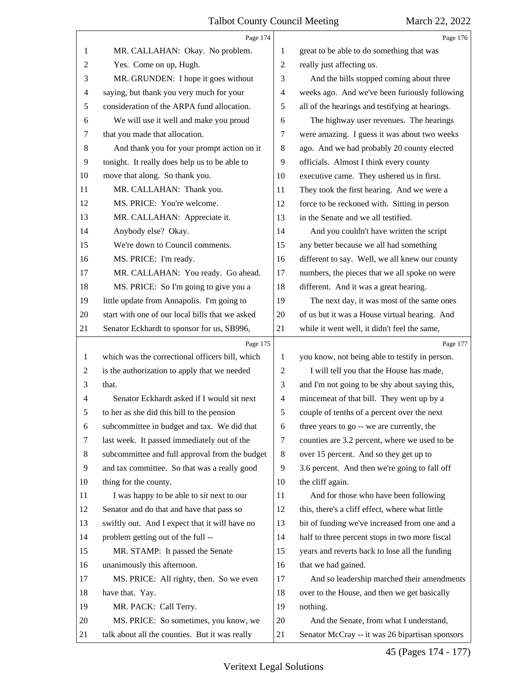<span id="page-44-0"></span>

|                | Page 174                                        |                | Page 176                                        |
|----------------|-------------------------------------------------|----------------|-------------------------------------------------|
| 1              | MR. CALLAHAN: Okay. No problem.                 | 1              | great to be able to do something that was       |
| $\overline{c}$ | Yes. Come on up, Hugh.                          | $\overline{2}$ | really just affecting us.                       |
| 3              | MR. GRUNDEN: I hope it goes without             | 3              | And the bills stopped coming about three        |
| 4              | saying, but thank you very much for your        | 4              | weeks ago. And we've been furiously following   |
| 5              | consideration of the ARPA fund allocation.      | 5              | all of the hearings and testifying at hearings. |
| 6              | We will use it well and make you proud          | 6              | The highway user revenues. The hearings         |
| 7              | that you made that allocation.                  | 7              | were amazing. I guess it was about two weeks    |
| 8              | And thank you for your prompt action on it      | 8              | ago. And we had probably 20 county elected      |
| 9              | tonight. It really does help us to be able to   | 9              | officials. Almost I think every county          |
| 10             | move that along. So thank you.                  | 10             | executive came. They ushered us in first.       |
| 11             | MR. CALLAHAN: Thank you.                        | 11             | They took the first hearing. And we were a      |
| 12             | MS. PRICE: You're welcome.                      | 12             | force to be reckoned with. Sitting in person    |
| 13             | MR. CALLAHAN: Appreciate it.                    | 13             | in the Senate and we all testified.             |
| 14             | Anybody else? Okay.                             | 14             | And you couldn't have written the script        |
| 15             | We're down to Council comments.                 | 15             | any better because we all had something         |
| 16             | MS. PRICE: I'm ready.                           | 16             | different to say. Well, we all knew our county  |
| 17             | MR. CALLAHAN: You ready. Go ahead.              | 17             | numbers, the pieces that we all spoke on were   |
| 18             | MS. PRICE: So I'm going to give you a           | 18             | different. And it was a great hearing.          |
| 19             | little update from Annapolis. I'm going to      | 19             | The next day, it was most of the same ones      |
| 20             | start with one of our local bills that we asked | 20             | of us but it was a House virtual hearing. And   |
| 21             | Senator Eckhardt to sponsor for us, SB996,      | 21             | while it went well, it didn't feel the same,    |
|                |                                                 |                |                                                 |
|                | Page 175                                        |                | Page 177                                        |
| 1              | which was the correctional officers bill, which | 1              | you know, not being able to testify in person.  |
| $\overline{c}$ | is the authorization to apply that we needed    | 2              | I will tell you that the House has made,        |
| 3              | that.                                           | 3              | and I'm not going to be shy about saying this,  |
| 4              | Senator Eckhardt asked if I would sit next      | $\overline{4}$ | mincemeat of that bill. They went up by a       |
|                | to her as she did this bill to the pension      | 5              | couple of tenths of a percent over the next     |
| 6              | subcommittee in budget and tax. We did that     | 6              | three years to go -- we are currently, the      |
| 7              | last week. It passed immediately out of the     | 7              | counties are 3.2 percent, where we used to be   |
| 8              | subcommittee and full approval from the budget  | 8              | over 15 percent. And so they get up to          |
| 9              | and tax committee. So that was a really good    | 9              | 3.6 percent. And then we're going to fall off   |
| 10             | thing for the county.                           | 10             | the cliff again.                                |
| 11             | I was happy to be able to sit next to our       | 11             | And for those who have been following           |
| 12             | Senator and do that and have that pass so       | 12             | this, there's a cliff effect, where what little |
| 13             | swiftly out. And I expect that it will have no  | 13             | bit of funding we've increased from one and a   |
| 14             | problem getting out of the full --              | 14             | half to three percent stops in two more fiscal  |
| 15             | MR. STAMP: It passed the Senate                 | 15             | years and reverts back to lose all the funding  |
| 16             | unanimously this afternoon.                     | 16             | that we had gained.                             |
| 17             | MS. PRICE: All righty, then. So we even         | 17             | And so leadership marched their amendments      |
| 18             | have that. Yay.                                 | 18             | over to the House, and then we get basically    |
| 19             | MR. PACK: Call Terry.                           | 19             | nothing.                                        |
| 20             | MS. PRICE: So sometimes, you know, we           | 20             | And the Senate, from what I understand,         |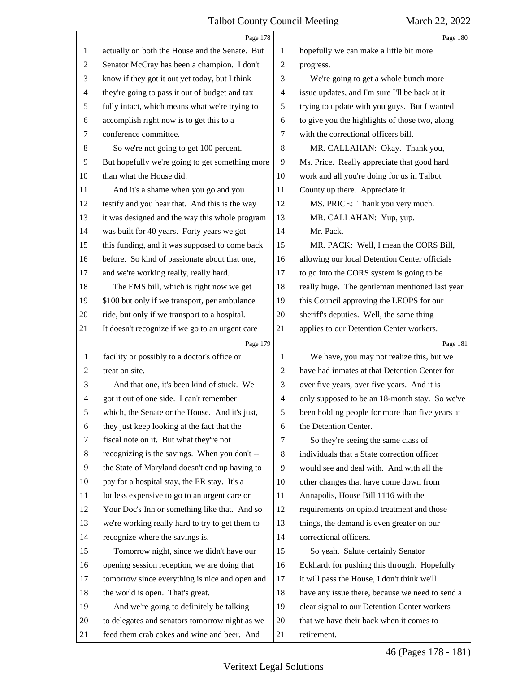<span id="page-45-0"></span>

|                | Page 178                                        |                | Page 180                                        |
|----------------|-------------------------------------------------|----------------|-------------------------------------------------|
| 1              | actually on both the House and the Senate. But  | 1              | hopefully we can make a little bit more         |
| $\overline{c}$ | Senator McCray has been a champion. I don't     | $\overline{c}$ | progress.                                       |
| 3              | know if they got it out yet today, but I think  | 3              | We're going to get a whole bunch more           |
| 4              | they're going to pass it out of budget and tax  | 4              | issue updates, and I'm sure I'll be back at it  |
| 5              | fully intact, which means what we're trying to  | 5              | trying to update with you guys. But I wanted    |
| 6              | accomplish right now is to get this to a        | 6              | to give you the highlights of those two, along  |
| 7              | conference committee.                           | 7              | with the correctional officers bill.            |
| $\,8\,$        | So we're not going to get 100 percent.          | $\,8\,$        | MR. CALLAHAN: Okay. Thank you,                  |
| 9              | But hopefully we're going to get something more | 9              | Ms. Price. Really appreciate that good hard     |
| 10             | than what the House did.                        | 10             | work and all you're doing for us in Talbot      |
| 11             | And it's a shame when you go and you            | 11             | County up there. Appreciate it.                 |
| 12             | testify and you hear that. And this is the way  | 12             | MS. PRICE: Thank you very much.                 |
| 13             | it was designed and the way this whole program  | 13             | MR. CALLAHAN: Yup, yup.                         |
| 14             | was built for 40 years. Forty years we got      | 14             | Mr. Pack.                                       |
| 15             | this funding, and it was supposed to come back  | 15             | MR. PACK: Well, I mean the CORS Bill,           |
| 16             | before. So kind of passionate about that one,   | 16             | allowing our local Detention Center officials   |
| 17             | and we're working really, really hard.          | 17             | to go into the CORS system is going to be       |
| 18             | The EMS bill, which is right now we get         | 18             | really huge. The gentleman mentioned last year  |
| 19             | \$100 but only if we transport, per ambulance   | 19             | this Council approving the LEOPS for our        |
| 20             | ride, but only if we transport to a hospital.   | 20             | sheriff's deputies. Well, the same thing        |
| 21             | It doesn't recognize if we go to an urgent care | 21             | applies to our Detention Center workers.        |
|                |                                                 |                |                                                 |
|                | Page 179                                        |                | Page 181                                        |
| 1              | facility or possibly to a doctor's office or    | 1              | We have, you may not realize this, but we       |
| $\overline{c}$ | treat on site.                                  | $\overline{c}$ | have had inmates at that Detention Center for   |
| 3              | And that one, it's been kind of stuck. We       | 3              | over five years, over five years. And it is     |
| 4              | got it out of one side. I can't remember        | 4              | only supposed to be an 18-month stay. So we've  |
| 5              | which, the Senate or the House. And it's just,  | 5              | been holding people for more than five years at |
| 6              | they just keep looking at the fact that the     | 6              | the Detention Center.                           |
| 7              | fiscal note on it. But what they're not         | 7              | So they're seeing the same class of             |
| 8              | recognizing is the savings. When you don't --   | 8              | individuals that a State correction officer     |
| 9              | the State of Maryland doesn't end up having to  | 9              | would see and deal with. And with all the       |
| 10             | pay for a hospital stay, the ER stay. It's a    | 10             | other changes that have come down from          |
| 11             | lot less expensive to go to an urgent care or   | 11             | Annapolis, House Bill 1116 with the             |
| 12             | Your Doc's Inn or something like that. And so   | 12             | requirements on opioid treatment and those      |
| 13             | we're working really hard to try to get them to | 13             | things, the demand is even greater on our       |
| 14             | recognize where the savings is.                 | 14             | correctional officers.                          |
| 15             | Tomorrow night, since we didn't have our        | 15             | So yeah. Salute certainly Senator               |
| 16             | opening session reception, we are doing that    | 16             | Eckhardt for pushing this through. Hopefully    |
| 17             | tomorrow since everything is nice and open and  | 17             | it will pass the House, I don't think we'll     |
| 18             | the world is open. That's great.                | 18             | have any issue there, because we need to send a |
| 19             | And we're going to definitely be talking        | 19             | clear signal to our Detention Center workers    |
| 20             | to delegates and senators tomorrow night as we  | 20             | that we have their back when it comes to        |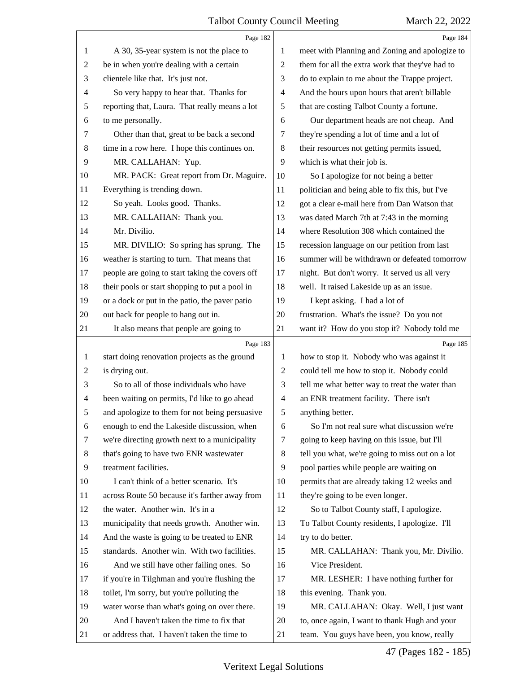<span id="page-46-0"></span>

|                | Page 182                                        |                | Page 184                                        |
|----------------|-------------------------------------------------|----------------|-------------------------------------------------|
| 1              | A 30, 35-year system is not the place to        | 1              | meet with Planning and Zoning and apologize to  |
| $\overline{c}$ | be in when you're dealing with a certain        | $\overline{2}$ | them for all the extra work that they've had to |
| 3              | clientele like that. It's just not.             | 3              | do to explain to me about the Trappe project.   |
| $\overline{4}$ | So very happy to hear that. Thanks for          | $\overline{4}$ | And the hours upon hours that aren't billable   |
| 5              | reporting that, Laura. That really means a lot  | 5              | that are costing Talbot County a fortune.       |
| 6              | to me personally.                               | 6              | Our department heads are not cheap. And         |
| 7              | Other than that, great to be back a second      | 7              | they're spending a lot of time and a lot of     |
| 8              | time in a row here. I hope this continues on.   | 8              | their resources not getting permits issued,     |
| 9              | MR. CALLAHAN: Yup.                              | 9              | which is what their job is.                     |
| 10             | MR. PACK: Great report from Dr. Maguire.        | 10             | So I apologize for not being a better           |
| 11             | Everything is trending down.                    | 11             | politician and being able to fix this, but I've |
| 12             | So yeah. Looks good. Thanks.                    | 12             | got a clear e-mail here from Dan Watson that    |
| 13             | MR. CALLAHAN: Thank you.                        | 13             | was dated March 7th at 7:43 in the morning      |
| 14             | Mr. Divilio.                                    | 14             | where Resolution 308 which contained the        |
| 15             | MR. DIVILIO: So spring has sprung. The          | 15             | recession language on our petition from last    |
| 16             | weather is starting to turn. That means that    | 16             | summer will be withdrawn or defeated tomorrow   |
| 17             | people are going to start taking the covers off | 17             | night. But don't worry. It served us all very   |
| 18             | their pools or start shopping to put a pool in  | 18             | well. It raised Lakeside up as an issue.        |
| 19             | or a dock or put in the patio, the paver patio  | 19             | I kept asking. I had a lot of                   |
| 20             | out back for people to hang out in.             | 20             | frustration. What's the issue? Do you not       |
| 21             | It also means that people are going to          | 21             | want it? How do you stop it? Nobody told me     |
|                | Page 183                                        |                | Page 185                                        |
|                |                                                 |                |                                                 |
| $\mathbf{1}$   | start doing renovation projects as the ground   | 1              | how to stop it. Nobody who was against it       |
| $\overline{2}$ | is drying out.                                  | $\overline{2}$ | could tell me how to stop it. Nobody could      |
| 3              | So to all of those individuals who have         | 3              | tell me what better way to treat the water than |
| $\overline{4}$ | been waiting on permits, I'd like to go ahead   | $\overline{4}$ | an ENR treatment facility. There isn't          |
| 5              | and apologize to them for not being persuasive  | 5              | anything better.                                |
| 6              | enough to end the Lakeside discussion, when     | 6              | So I'm not real sure what discussion we're      |
| 7              | we're directing growth next to a municipality   | 7              | going to keep having on this issue, but I'll    |
| 8              | that's going to have two ENR wastewater         | 8              | tell you what, we're going to miss out on a lot |
| 9              | treatment facilities.                           | 9              | pool parties while people are waiting on        |
| 10             | I can't think of a better scenario. It's        | 10             | permits that are already taking 12 weeks and    |
| 11             | across Route 50 because it's farther away from  | 11             | they're going to be even longer.                |
| 12             | the water. Another win. It's in a               | 12             | So to Talbot County staff, I apologize.         |
| 13             | municipality that needs growth. Another win.    | 13             | To Talbot County residents, I apologize. I'll   |
| 14             | And the waste is going to be treated to ENR     | 14             | try to do better.                               |
| 15             | standards. Another win. With two facilities.    | 15             | MR. CALLAHAN: Thank you, Mr. Divilio.           |
| 16             | And we still have other failing ones. So        | 16             | Vice President.                                 |
| 17             | if you're in Tilghman and you're flushing the   | 17             | MR. LESHER: I have nothing further for          |
| 18             | toilet, I'm sorry, but you're polluting the     | 18             | this evening. Thank you.                        |
| 19             | water worse than what's going on over there.    | 19             | MR. CALLAHAN: Okay. Well, I just want           |
| 20             | And I haven't taken the time to fix that        | 20             | to, once again, I want to thank Hugh and your   |

47 (Pages 182 - 185)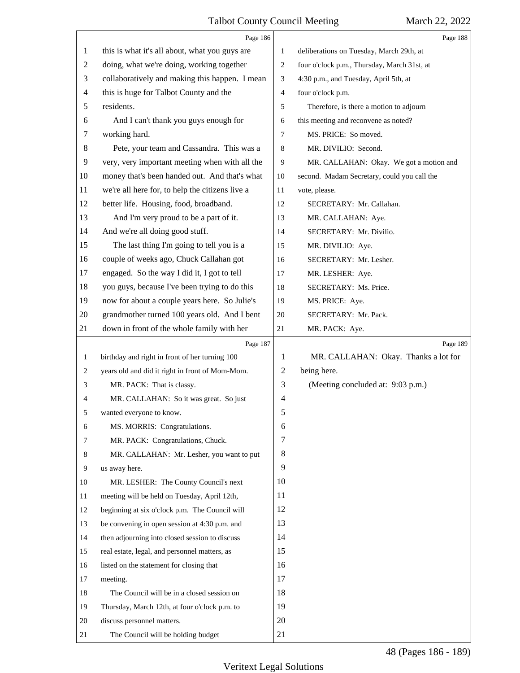<span id="page-47-0"></span>

|                | Page 186                                        |              | Page 188                                    |
|----------------|-------------------------------------------------|--------------|---------------------------------------------|
| 1              | this is what it's all about, what you guys are  | $\mathbf{1}$ | deliberations on Tuesday, March 29th, at    |
| $\overline{c}$ | doing, what we're doing, working together       | 2            | four o'clock p.m., Thursday, March 31st, at |
| 3              | collaboratively and making this happen. I mean  | 3            | 4:30 p.m., and Tuesday, April 5th, at       |
| $\overline{4}$ | this is huge for Talbot County and the          | 4            | four o'clock p.m.                           |
| 5              | residents.                                      | 5            | Therefore, is there a motion to adjourn     |
| 6              | And I can't thank you guys enough for           | 6            | this meeting and reconvene as noted?        |
| 7              | working hard.                                   | 7            | MS. PRICE: So moved.                        |
| 8              | Pete, your team and Cassandra. This was a       | 8            | MR. DIVILIO: Second.                        |
| 9              | very, very important meeting when with all the  | 9            | MR. CALLAHAN: Okay. We got a motion and     |
| 10             | money that's been handed out. And that's what   | 10           | second. Madam Secretary, could you call the |
| 11             | we're all here for, to help the citizens live a | 11           | vote, please.                               |
| 12             | better life. Housing, food, broadband.          | 12           | SECRETARY: Mr. Callahan.                    |
| 13             | And I'm very proud to be a part of it.          | 13           | MR. CALLAHAN: Aye.                          |
| 14             | And we're all doing good stuff.                 | 14           | SECRETARY: Mr. Divilio.                     |
| 15             | The last thing I'm going to tell you is a       | 15           | MR. DIVILIO: Aye.                           |
| 16             | couple of weeks ago, Chuck Callahan got         | 16           | SECRETARY: Mr. Lesher.                      |
| 17             | engaged. So the way I did it, I got to tell     | 17           | MR. LESHER: Aye.                            |
| 18             | you guys, because I've been trying to do this   | 18           | SECRETARY: Ms. Price.                       |
| 19             | now for about a couple years here. So Julie's   | 19           | MS. PRICE: Aye.                             |
| 20             | grandmother turned 100 years old. And I bent    | 20           | SECRETARY: Mr. Pack.                        |
| 21             | down in front of the whole family with her      | 21           | MR. PACK: Aye.                              |
|                |                                                 |              |                                             |
|                | Page 187                                        |              | Page 189                                    |
| $\mathbf{1}$   | birthday and right in front of her turning 100  | 1            | MR. CALLAHAN: Okay. Thanks a lot for        |
| 2              | years old and did it right in front of Mom-Mom. | 2            | being here.                                 |
| 3              | MR. PACK: That is classy.                       | 3            | (Meeting concluded at: 9:03 p.m.)           |
| 4              | MR. CALLAHAN: So it was great. So just          | 4            |                                             |
| 5              | wanted everyone to know.                        | 5            |                                             |
| 6              | MS. MORRIS: Congratulations.                    | 6            |                                             |
| 7              | MR. PACK: Congratulations, Chuck.               | 7            |                                             |
| 8              | MR. CALLAHAN: Mr. Lesher, you want to put       | 8            |                                             |
| 9              | us away here.                                   | 9            |                                             |
| 10             | MR. LESHER: The County Council's next           | 10           |                                             |
| 11             | meeting will be held on Tuesday, April 12th,    | 11           |                                             |
| 12             | beginning at six o'clock p.m. The Council will  | 12           |                                             |
| 13             | be convening in open session at 4:30 p.m. and   | 13           |                                             |
| 14             | then adjourning into closed session to discuss  | 14           |                                             |
| 15             | real estate, legal, and personnel matters, as   | 15           |                                             |
| 16             | listed on the statement for closing that        | 16           |                                             |
| 17             | meeting.                                        | 17           |                                             |
| 18             | The Council will be in a closed session on      | 18           |                                             |
| 19             | Thursday, March 12th, at four o'clock p.m. to   | 19           |                                             |
| 20             | discuss personnel matters.                      | 20           |                                             |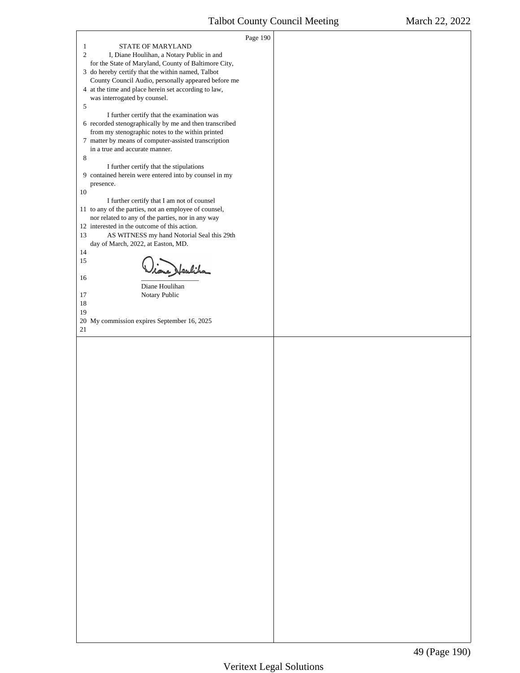<span id="page-48-0"></span> $\Gamma$ 

| STATE OF MARYLAND<br>$\mathbf{1}$                                                                    | Page 190 |  |
|------------------------------------------------------------------------------------------------------|----------|--|
| $\overline{c}$<br>I, Diane Houlihan, a Notary Public in and                                          |          |  |
| for the State of Maryland, County of Baltimore City,                                                 |          |  |
| 3 do hereby certify that the within named, Talbot                                                    |          |  |
| County Council Audio, personally appeared before me                                                  |          |  |
| 4 at the time and place herein set according to law,                                                 |          |  |
| was interrogated by counsel.                                                                         |          |  |
| 5                                                                                                    |          |  |
| I further certify that the examination was<br>6 recorded stenographically by me and then transcribed |          |  |
| from my stenographic notes to the within printed                                                     |          |  |
| 7 matter by means of computer-assisted transcription                                                 |          |  |
| in a true and accurate manner.                                                                       |          |  |
| 8                                                                                                    |          |  |
| I further certify that the stipulations                                                              |          |  |
| 9 contained herein were entered into by counsel in my                                                |          |  |
| presence.                                                                                            |          |  |
| 10<br>I further certify that I am not of counsel                                                     |          |  |
| 11 to any of the parties, not an employee of counsel,                                                |          |  |
| nor related to any of the parties, nor in any way                                                    |          |  |
| 12 interested in the outcome of this action.                                                         |          |  |
| 13<br>AS WITNESS my hand Notorial Seal this 29th                                                     |          |  |
| day of March, 2022, at Easton, MD.                                                                   |          |  |
| 14                                                                                                   |          |  |
| 15<br>ne Heuliha                                                                                     |          |  |
| 16                                                                                                   |          |  |
| Diane Houlihan                                                                                       |          |  |
| Notary Public<br>17                                                                                  |          |  |
| 18                                                                                                   |          |  |
| 19                                                                                                   |          |  |
| 20 My commission expires September 16, 2025<br>21                                                    |          |  |
|                                                                                                      |          |  |
|                                                                                                      |          |  |
|                                                                                                      |          |  |
|                                                                                                      |          |  |
|                                                                                                      |          |  |
|                                                                                                      |          |  |
|                                                                                                      |          |  |
|                                                                                                      |          |  |
|                                                                                                      |          |  |
|                                                                                                      |          |  |
|                                                                                                      |          |  |
|                                                                                                      |          |  |
|                                                                                                      |          |  |
|                                                                                                      |          |  |
|                                                                                                      |          |  |
|                                                                                                      |          |  |
|                                                                                                      |          |  |
|                                                                                                      |          |  |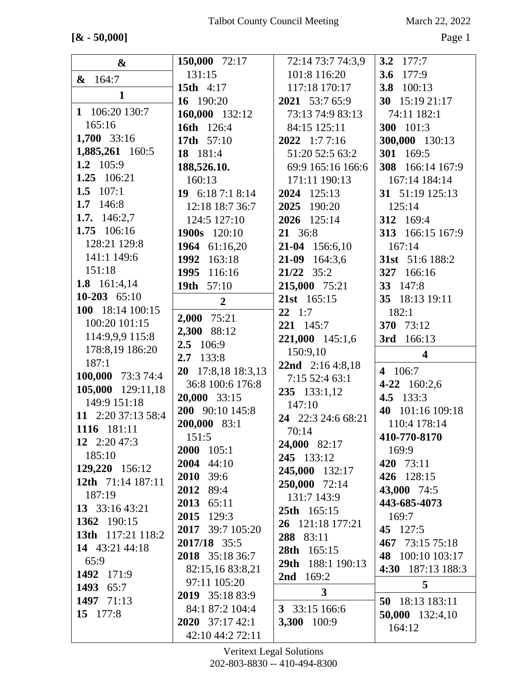## **[& - 50,000]** Page 1

|                    | 150,000 72:17          | 72:14 73:7 74:3,9      | 3.2 $177:7$                 |
|--------------------|------------------------|------------------------|-----------------------------|
| &                  | 131:15                 | 101:8 116:20           | 3.6 $177:9$                 |
| & 164:7            | <b>15th</b> 4:17       | 117:18 170:17          | 3.8 100:13                  |
| $\mathbf{1}$       | 16 190:20              | 2021 53:7 65:9         | 30 15:19 21:17              |
| 1 106:20 130:7     | 160,000 132:12         | 73:13 74:9 83:13       | 74:11 182:1                 |
| 165:16             | 16th 126:4             | 84:15 125:11           | 300 101:3                   |
| 1,700 33:16        | 17th 57:10             | $2022 \quad 1:77:16$   |                             |
| 1,885,261 160:5    |                        |                        | 300,000 130:13<br>301 169:5 |
| 1.2 105:9          | 18 181:4               | 51:20 52:5 63:2        |                             |
| 1.25 106:21        | 188,526.10.            | 69:9 165:16 166:6      | 308 166:14 167:9            |
| 1.5 $107:1$        | 160:13                 | 171:11 190:13          | 167:14 184:14               |
| 1.7 146:8          | 19 6:18 7:1 8:14       | 2024 125:13            | 31 51:19 125:13             |
|                    | 12:18 18:7 36:7        | 2025<br>190:20         | 125:14                      |
| 1.7. $146:2,7$     | 124:5 127:10           | 2026 125:14            | 312 169:4                   |
| 1.75 106:16        | 1900s 120:10           | 21 36:8                | 313 166:15 167:9            |
| 128:21 129:8       | 1964 61:16,20          | 21-04 156:6,10         | 167:14                      |
| 141:1 149:6        | 1992 163:18            | $21-09$ 164:3.6        | 31st 51:6 188:2             |
| 151:18             | 1995 116:16            | $21/22$ 35:2           | 327 166:16                  |
| 1.8 $161:4,14$     | 19th 57:10             | 215,000 75:21          | 33 147:8                    |
| 10-203 $65:10$     | $\overline{2}$         | 21st 165:15            | 35 18:13 19:11              |
| 100 18:14 100:15   | 2,000 75:21            | $22 \t1:7$             | 182:1                       |
| 100:20 101:15      | 2,300 88:12            | 221 145:7              | 370 73:12                   |
| 114:9,9,9 115:8    | 2.5 106:9              | 221,000 145:1,6        | 3rd<br>166:13               |
|                    |                        |                        |                             |
| 178:8,19 186:20    |                        | 150:9,10               | $\overline{\mathbf{4}}$     |
| 187:1              | 133:8<br>2.7           | 22nd 2:16 4:8,18       |                             |
| 100,000 73:3 74:4  | 20 17:8,18 18:3,13     | 7:15 52:4 63:1         | 4 106:7                     |
| 105,000 129:11,18  | 36:8 100:6 176:8       |                        | 4-22 160:2,6                |
| 149:9 151:18       | 20,000 33:15           | 235 133:1,12<br>147:10 | 4.5 133:3                   |
| 11 2:20 37:13 58:4 | 200 90:10 145:8        | 24 22:3 24:6 68:21     | 101:16 109:18<br>40         |
| 1116 181:11        | 200,000 83:1           | 70:14                  | 110:4 178:14                |
| 12 $2:2047:3$      | 151:5                  | 24,000 82:17           | 410-770-8170                |
| 185:10             | 2000 105:1             |                        | 169:9                       |
| 129,220 156:12     | 2004 44:10             | 245 133:12             | 420 73:11                   |
| 12th 71:14 187:11  | 2010<br>39:6           | 245,000 132:17         | 426 128:15                  |
| 187:19             | 2012 89:4              | 250,000 72:14          | 43,000 74:5                 |
| 13 $33:1643:21$    | 2013 65:11             | 131:7 143:9            | 443-685-4073                |
| 1362 190:15        | 2015 129:3             | 25th 165:15            | 169:7                       |
|                    | 2017 39:7 105:20       | 26 121:18 177:21       | 45 127:5                    |
| 13th 117:21 118:2  | 2017/18 35:5           | 288 83:11              | 467 73:15 75:18             |
| 14 43:21 44:18     | 2018 35:18 36:7        | 28th 165:15            | 48 100:10 103:17            |
| 65:9               | 82:15,16 83:8,21       | 29th 188:1 190:13      | 4:30 187:13 188:3           |
| 1492 171:9         | 97:11 105:20           | <b>2nd</b> $169:2$     | 5                           |
| 1493 65:7          | 2019 35:18 83:9        | $\mathbf{3}$           |                             |
| 1497 71:13         | 84:1 87:2 104:4        | 3 33:15 166:6          | 50 18:13 183:11             |
| 15 177:8           | <b>2020</b> 37:17 42:1 | 3,300 100:9            | 50,000 132:4,10<br>164:12   |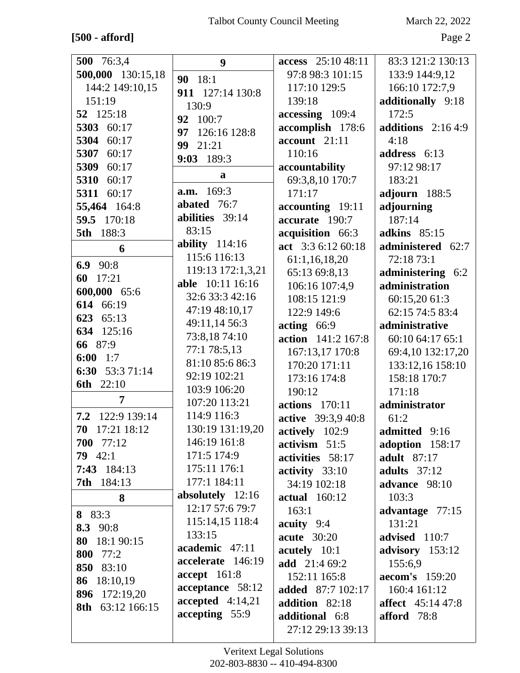## $[500$  - afford]  $\,$

March 22, 2022

Page 2

| 500 76:3,4        | 9                                   | access 25:10 48:11             | 83:3 121:2 130:13        |
|-------------------|-------------------------------------|--------------------------------|--------------------------|
| 500,000 130:15,18 | 90 18:1                             | 97:8 98:3 101:15               | 133:9 144:9,12           |
| 144:2 149:10,15   | 911 127:14 130:8                    | 117:10 129:5                   | 166:10 172:7,9           |
| 151:19            | 130:9                               | 139:18                         | additionally 9:18        |
| 52 125:18         | 92 100:7                            | accessing 109:4                | 172:5                    |
| 5303 60:17        | 97<br>126:16 128:8                  | accomplish 178:6               | additions $2:164:9$      |
| 5304 60:17        | 99<br>21:21                         | $account$ 21:11                | 4:18                     |
| 5307<br>60:17     | 9:03 189:3                          | 110:16                         | address 6:13             |
| 5309<br>60:17     |                                     | accountability                 | 97:12 98:17              |
| 5310 60:17        | a                                   | 69:3,8,10 170:7                | 183:21                   |
| 5311<br>60:17     | <b>a.m.</b> 169:3                   | 171:17                         | adjourn 188:5            |
| 55,464 164:8      | abated 76:7                         | accounting 19:11               | adjourning               |
| 59.5 170:18       | abilities 39:14                     | accurate 190:7                 | 187:14                   |
| 188:3<br>5th      | 83:15                               | acquisition 66:3               | adkins $85:15$           |
| 6                 | ability $114:16$                    | act 3:3 6:12 60:18             | administered 62:7        |
| 6.9 90:8          | 115:6 116:13                        | 61:1,16,18,20                  | 72:18 73:1               |
| 60 17:21          | 119:13 172:1,3,21                   | 65:13 69:8,13                  | administering 6:2        |
| 600,000 65:6      | <b>able</b> 10:11 16:16             | 106:16 107:4,9                 | administration           |
| 614 66:19         | 32:6 33:3 42:16                     | 108:15 121:9                   | 60:15,20 61:3            |
| 623 65:13         | 47:19 48:10,17                      | 122:9 149:6                    | 62:15 74:5 83:4          |
| 634 125:16        | 49:11,14 56:3                       | $\arctin g$ 66:9               | administrative           |
| 66 87:9           | 73:8,1874:10                        | action 141:2 167:8             | 60:10 64:17 65:1         |
| 6:00<br>1:7       | 77:1 78:5,13                        | 167:13,17 170:8                | 69:4,10 132:17,20        |
| 6:30 53:3 71:14   | 81:10 85:6 86:3                     | 170:20 171:11                  | 133:12,16 158:10         |
| 6th 22:10         | 92:19 102:21                        | 173:16 174:8                   | 158:18 170:7             |
| 7                 | 103:9 106:20                        | 190:12                         | 171:18                   |
|                   | 107:20 113:21                       | <b>actions</b> 170:11          | administrator            |
| 7.2 122:9 139:14  | 114:9 116:3                         | active 39:3,9 40:8             | 61:2                     |
| 70 17:21 18:12    | 130:19 131:19,20                    | actively 102:9                 | admitted 9:16            |
| 700 77:12         | 146:19 161:8                        | $\textbf{activism} \quad 51:5$ | adoption 158:17          |
| $79 \quad 42:1$   | 171:5 174:9                         | activities 58:17               | <b>adult</b> 87:17       |
| $7:43$ 184:13     | 175:11 176:1                        | activity 33:10                 | adults $37:12$           |
| <b>7th</b> 184:13 | 177:1 184:11                        | 34:19 102:18                   | advance 98:10            |
| 8                 | absolutely 12:16<br>12:17 57:6 79:7 | <b>actual</b> 160:12           | 103:3                    |
| 8 83:3            | 115:14,15 118:4                     | 163:1                          | advantage 77:15          |
| 8.3 90:8          | 133:15                              | acuity $9:4$                   | 131:21                   |
| 80 18:1 90:15     | academic 47:11                      | <b>acute</b> 30:20             | advised 110:7            |
| 800 77:2          | accelerate 146:19                   | acutely 10:1                   | advisory 153:12          |
| 850 83:10         | accept 161:8                        | <b>add</b> 21:4 69:2           | 155:6,9                  |
| 86 18:10,19       | acceptance 58:12                    | 152:11 165:8                   | <b>aecom's</b> 159:20    |
| 896 172:19,20     | accepted $4:14,21$                  | <b>added</b> 87:7 102:17       | 160:4 161:12             |
| 8th 63:12 166:15  | accepting 55:9                      | addition 82:18                 | <b>affect</b> 45:14 47:8 |
|                   |                                     | additional 6:8                 | afford 78:8              |
|                   |                                     | 27:12 29:13 39:13              |                          |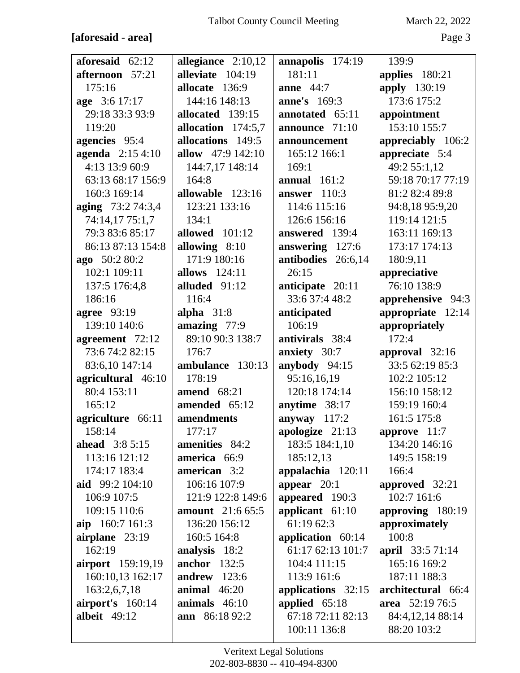#### [aforesaid - area]

March 22, 2022

Page 3

| aforesaid 62:12          | allegiance $2:10,12$     | annapolis 174:19    | 139:9                            |
|--------------------------|--------------------------|---------------------|----------------------------------|
| afternoon 57:21          | alleviate 104:19         | 181:11              | applies 180:21                   |
| 175:16                   | allocate 136:9           | <b>anne</b> 44:7    | apply 130:19                     |
| age 3:6 17:17            | 144:16 148:13            | <b>anne's</b> 169:3 | 173:6 175:2                      |
| 29:18 33:3 93:9          | allocated 139:15         | annotated 65:11     | appointment                      |
| 119:20                   | allocation 174:5,7       | announce 71:10      | 153:10 155:7                     |
| agencies 95:4            | allocations 149:5        | announcement        | appreciably 106:2                |
| agenda 2:15 4:10         | <b>allow</b> 47:9 142:10 | 165:12 166:1        | appreciate 5:4                   |
| 4:13 13:9 60:9           | 144:7,17 148:14          | 169:1               | 49:2 55:1,12                     |
| 63:13 68:17 156:9        | 164:8                    | annual $161:2$      | 59:18 70:17 77:19                |
| 160:3 169:14             | allowable 123:16         | answer $110:3$      | 81:2 82:4 89:8                   |
| aging 73:2 74:3,4        | 123:21 133:16            | 114:6 115:16        | 94:8,18 95:9,20                  |
| 74:14,17 75:1,7          | 134:1                    | 126:6 156:16        | 119:14 121:5                     |
| 79:3 83:6 85:17          | allowed 101:12           | answered 139:4      | 163:11 169:13                    |
| 86:13 87:13 154:8        | allowing 8:10            | answering 127:6     | 173:17 174:13                    |
| ago 50:2 80:2            | 171:9 180:16             | antibodies 26:6,14  | 180:9,11                         |
| 102:1 109:11             | <b>allows</b> 124:11     | 26:15               | appreciative                     |
| 137:5 176:4,8            | alluded 91:12            | anticipate 20:11    | 76:10 138:9                      |
| 186:16                   | 116:4                    | 33:6 37:4 48:2      | apprehensive 94:3                |
| <b>agree</b> 93:19       | alpha $31:8$             | anticipated         | appropriate 12:14                |
| 139:10 140:6             | amazing 77:9             | 106:19              | appropriately                    |
| agreement 72:12          | 89:10 90:3 138:7         | antivirals 38:4     | 172:4                            |
| 73:6 74:2 82:15          | 176:7                    | anxiety 30:7        | approval $32:16$                 |
| 83:6,10 147:14           | ambulance 130:13         | anybody 94:15       | 33:5 62:19 85:3                  |
|                          |                          |                     |                                  |
| agricultural 46:10       | 178:19                   | 95:16,16,19         | 102:2 105:12                     |
| 80:4 153:11              | amend $68:21$            | 120:18 174:14       | 156:10 158:12                    |
| 165:12                   | amended 65:12            | anytime 38:17       | 159:19 160:4                     |
| agriculture 66:11        | amendments               | anyway 117:2        | 161:5 175:8                      |
| 158:14                   | 177:17                   | apologize 21:13     | approve 11:7                     |
| <b>ahead</b> 3:8 5:15    | amenities 84:2           | 183:5 184:1,10      | 134:20 146:16                    |
| 113:16 121:12            | america 66:9             | 185:12,13           | 149:5 158:19                     |
| 174:17 183:4             | american 3:2             | appalachia 120:11   | 166:4                            |
| aid 99:2 104:10          | 106:16 107:9             | appear $20:1$       | approved 32:21                   |
| 106:9 107:5              | 121:9 122:8 149:6        | appeared 190:3      | 102:7 161:6                      |
| 109:15 110:6             | <b>amount</b> 21:6 65:5  | applicant 61:10     | approving 180:19                 |
| aip 160:7 161:3          | 136:20 156:12            | 61:19 62:3          | approximately                    |
|                          | 160:5 164:8              | application $60:14$ | 100:8                            |
| airplane 23:19<br>162:19 | analysis 18:2            | 61:17 62:13 101:7   |                                  |
| <b>airport</b> 159:19,19 | <b>anchor</b> 132:5      | 104:4 111:15        | april 33:5 71:14<br>165:16 169:2 |
| 160:10,13 162:17         | andrew $123:6$           | 113:9 161:6         | 187:11 188:3                     |
| 163:2,6,7,18             | animal $46:20$           | applications 32:15  | architectural 66:4               |
| airport's 160:14         | animals $46:10$          | applied 65:18       | area 52:19 76:5                  |
| <b>albeit</b> 49:12      | ann 86:18 92:2           | 67:18 72:11 82:13   | 84:4,12,14 88:14                 |
|                          |                          | 100:11 136:8        | 88:20 103:2                      |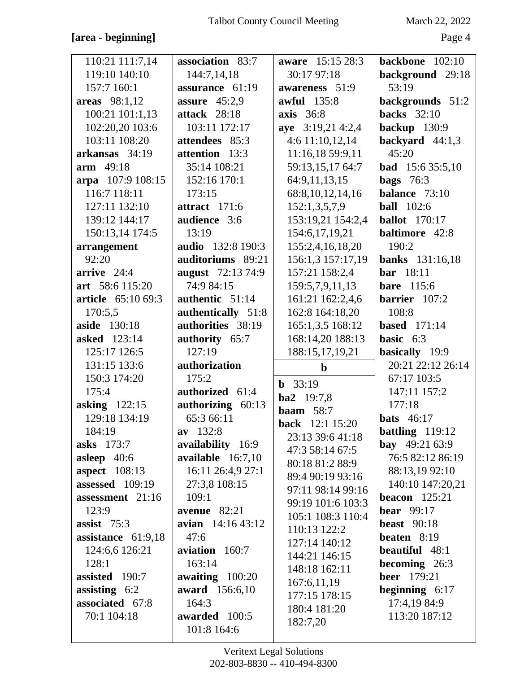#### **[area - beginning]** Page 4

| 110:21 111:7,14           | association 83:7         | <b>aware</b> 15:15 28:3 | backbone $102:10$       |
|---------------------------|--------------------------|-------------------------|-------------------------|
| 119:10 140:10             | 144:7,14,18              | 30:17 97:18             | background 29:18        |
| 157:7 160:1               | assurance 61:19          | awareness 51:9          | 53:19                   |
| areas 98:1,12             | assure $45:2,9$          | <b>awful</b> 135:8      | backgrounds 51:2        |
| 100:21 101:1,13           | attack 28:18             | <b>axis</b> 36:8        | <b>backs</b> 32:10      |
| 102:20,20 103:6           | 103:11 172:17            | aye 3:19,21 4:2,4       | backup 130:9            |
| 103:11 108:20             | attendees 85:3           | $4:6$ 11:10,12,14       | backyard $44:1,3$       |
| arkansas 34:19            | attention 13:3           | 11:16,18 59:9,11        | 45:20                   |
| arm 49:18                 | 35:14 108:21             | 59:13,15,17 64:7        | <b>bad</b> 15:6 35:5,10 |
| arpa 107:9 108:15         | 152:16 170:1             | 64:9,11,13,15           | bags $76:3$             |
| 116:7 118:11              | 173:15                   | 68:8, 10, 12, 14, 16    | balance $73:10$         |
| 127:11 132:10             | attract 171:6            | 152:1,3,5,7,9           | <b>ball</b> 102:6       |
| 139:12 144:17             | audience 3:6             | 153:19,21 154:2,4       | <b>ballot</b> 170:17    |
| 150:13,14 174:5           | 13:19                    | 154:6, 17, 19, 21       | <b>baltimore</b> 42:8   |
| arrangement               | <b>audio</b> 132:8 190:3 | 155:2,4,16,18,20        | 190:2                   |
| 92:20                     | auditoriums 89:21        | 156:1,3 157:17,19       | <b>banks</b> 131:16,18  |
| $arrive$ 24:4             | <b>august</b> 72:13 74:9 | 157:21 158:2,4          | <b>bar</b> 18:11        |
| art 58:6 115:20           | 74:9 84:15               | 159:5,7,9,11,13         | <b>bare</b> 115:6       |
| <b>article</b> 65:10 69:3 | authentic 51:14          | 161:21 162:2,4,6        | barrier 107:2           |
| 170:5,5                   | authentically 51:8       | 162:8 164:18,20         | 108:8                   |
| <b>aside</b> 130:18       | authorities 38:19        | 165:1,3,5 168:12        | based $171:14$          |
| <b>asked</b> 123:14       | authority 65:7           | 168:14,20 188:13        | basic $6:3$             |
| 125:17 126:5              | 127:19                   | 188:15,17,19,21         | basically 19:9          |
| 131:15 133:6              | authorization            | $\mathbf b$             | 20:21 22:12 26:14       |
|                           |                          |                         |                         |
| 150:3 174:20              | 175:2                    |                         | 67:17 103:5             |
| 175:4                     | authorized 61:4          | $b$ 33:19               | 147:11 157:2            |
| <b>asking</b> 122:15      | authorizing 60:13        | $ba2 \quad 19:7,8$      | 177:18                  |
| 129:18 134:19             | 65:3 66:11               | <b>baam</b> 58:7        | bats $46:17$            |
| 184:19                    | $av$ 132:8               | <b>back</b> 12:1 15:20  | battling $119:12$       |
| <b>asks</b> 173:7         | availability 16:9        | 23:13 39:6 41:18        | <b>bay</b> 49:21 63:9   |
| asleep $40:6$             | available 16:7,10        | 47:3 58:14 67:5         | 76:5 82:12 86:19        |
| <b>aspect</b> 108:13      | 16:11 26:4,9 27:1        | 80:18 81:2 88:9         | 88:13,19 92:10          |
| assessed 109:19           | 27:3,8 108:15            | 89:4 90:19 93:16        | 140:10 147:20,21        |
| assessment 21:16          | 109:1                    | 97:11 98:14 99:16       | beacon $125:21$         |
| 123:9                     | avenue 82:21             | 99:19 101:6 103:3       | bear $99:17$            |
| assist $75:3$             | avian 14:16 43:12        | 105:1 108:3 110:4       | <b>beast</b> 90:18      |
| assistance 61:9,18        | 47:6                     | 110:13 122:2            | beaten $8:19$           |
| 124:6,6 126:21            | aviation 160:7           | 127:14 140:12           | <b>beautiful</b> 48:1   |
| 128:1                     | 163:14                   | 144:21 146:15           | becoming 26:3           |
| assisted 190:7            | awaiting $100:20$        | 148:18 162:11           | <b>beer</b> 179:21      |
| assisting $6:2$           | <b>award</b> 156:6,10    | 167:6,11,19             | beginning $6:17$        |
| associated 67:8           | 164:3                    | 177:15 178:15           | 17:4,19 84:9            |
| 70:1 104:18               | awarded 100:5            | 180:4 181:20            | 113:20 187:12           |
|                           | 101:8 164:6              | 182:7,20                |                         |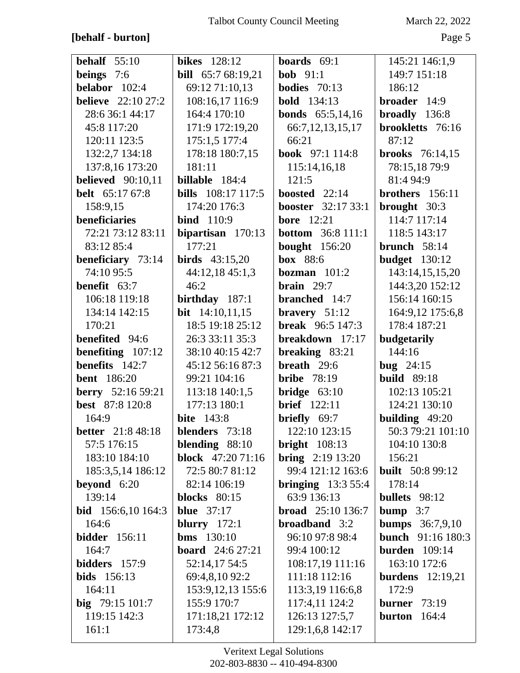## **[behalf - burton]** Page 5

| behalf $55:10$             | <b>bikes</b> 128:12       | <b>boards</b> $69:1$      | 145:21 146:1,9           |
|----------------------------|---------------------------|---------------------------|--------------------------|
| beings $7:6$               | <b>bill</b> 65:7 68:19,21 | <b>bob</b> $91:1$         | 149:7 151:18             |
| belabor $102:4$            | 69:12 71:10,13            | <b>bodies</b> $70:13$     | 186:12                   |
| <b>believe</b> 22:10 27:2  | 108:16,17 116:9           | <b>bold</b> 134:13        | broader 14:9             |
| 28:6 36:1 44:17            | 164:4 170:10              | <b>bonds</b> 65:5,14,16   | broadly 136:8            |
| 45:8 117:20                | 171:9 172:19,20           | 66:7, 12, 13, 15, 17      | brookletts 76:16         |
| 120:11 123:5               | 175:1,5 177:4             | 66:21                     | 87:12                    |
| 132:2,7 134:18             | 178:18 180:7,15           | <b>book</b> 97:1 114:8    | <b>brooks</b> 76:14,15   |
| 137:8,16 173:20            | 181:11                    | 115:14,16,18              | 78:15,18 79:9            |
| <b>believed</b> 90:10,11   | billable 184:4            | 121:5                     | 81:4 94:9                |
| <b>belt</b> 65:17 67:8     | <b>bills</b> 108:17 117:5 | boosted 22:14             | brothers 156:11          |
| 158:9,15                   | 174:20 176:3              | <b>booster</b> 32:17 33:1 | brought 30:3             |
| <b>beneficiaries</b>       | <b>bind</b> 110:9         | <b>bore</b> 12:21         | 114:7 117:14             |
| 72:21 73:12 83:11          | bipartisan $170:13$       | <b>bottom</b> 36:8 111:1  | 118:5 143:17             |
| 83:12 85:4                 | 177:21                    | <b>bought</b> 156:20      | brunch $58:14$           |
| beneficiary 73:14          | <b>birds</b> $43:15,20$   | box 88:6                  | <b>budget</b> 130:12     |
| 74:10 95:5                 | 44:12,18 45:1,3           | bozman $101:2$            | 143:14,15,15,20          |
| <b>benefit</b> $63:7$      | 46:2                      | brain $29:7$              | 144:3,20 152:12          |
| 106:18 119:18              | birthday $187:1$          | branched 14:7             | 156:14 160:15            |
| 134:14 142:15              | bit $14:10,11,15$         | bravery $51:12$           | 164:9,12 175:6,8         |
| 170:21                     | 18:5 19:18 25:12          | <b>break</b> $96:5147:3$  | 178:4 187:21             |
| benefited 94:6             | 26:3 33:11 35:3           | breakdown 17:17           | budgetarily              |
| benefiting $107:12$        | 38:10 40:15 42:7          | breaking 83:21            | 144:16                   |
| benefits 142:7             | 45:12 56:16 87:3          | breath $29:6$             | bug $24:15$              |
| <b>bent</b> 186:20         | 99:21 104:16              | <b>bribe</b> 78:19        | <b>build</b> 89:18       |
| <b>berry</b> 52:16 59:21   | 113:18 140:1,5            | <b>bridge</b> $63:10$     | 102:13 105:21            |
| best 87:8 120:8            | 177:13 180:1              | <b>brief</b> 122:11       | 124:21 130:10            |
| 164:9                      | <b>bite</b> 143:8         | briefly 69:7              | building 49:20           |
| <b>better</b> 21:8 48:18   | blenders 73:18            | 122:10 123:15             | 50:3 79:21 101:10        |
| 57:5 176:15                | blending $88:10$          | <b>bright</b> $108:13$    | 104:10 130:8             |
| 183:10 184:10              | block 47:20 71:16         | <b>bring</b> $2:19$ 13:20 | 156:21                   |
| 185:3,5,14 186:12          | 72:5 80:7 81:12           | 99:4 121:12 163:6         | <b>built</b> 50:8 99:12  |
| beyond $6:20$              | 82:14 106:19              | bringing $13:355:4$       | 178:14                   |
| 139:14                     | blocks $80:15$            | 63:9 136:13               | bullets 98:12            |
| <b>bid</b> $156:6,10164:3$ | <b>blue</b> 37:17         | <b>broad</b> 25:10 136:7  | bump $3:7$               |
| 164:6                      | blurry $172:1$            | <b>broadband</b> 3:2      | <b>bumps</b> 36:7,9,10   |
| <b>bidder</b> 156:11       | <b>bms</b> $130:10$       | 96:10 97:8 98:4           | <b>bunch</b> 91:16 180:3 |
| 164:7                      | <b>board</b> $24:627:21$  | 99:4 100:12               | <b>burden</b> 109:14     |
| <b>bidders</b> 157:9       | 52:14,17 54:5             | 108:17,19 111:16          | 163:10 172:6             |
| bids 156:13                | 69:4,8,10 92:2            | 111:18 112:16             | <b>burdens</b> 12:19,21  |
| 164:11                     | 153:9, 12, 13 155:6       | 113:3,19 116:6,8          | 172:9                    |
| big $79:15101:7$           | 155:9 170:7               | 117:4,11 124:2            | 73:19<br>burner          |
| 119:15 142:3               | 171:18,21 172:12          | 126:13 127:5,7            | 164:4<br>burton          |
| 161:1                      | 173:4,8                   | 129:1,6,8 142:17          |                          |
|                            |                           |                           |                          |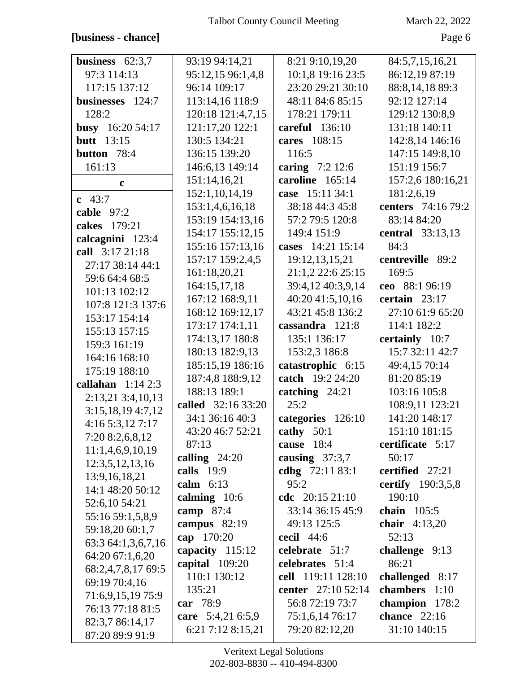#### **[business - chance]** Page 6

| business $62:3,7$  | 93:19 94:14,21     | 8:21 9:10,19,20    | 84:5,7,15,16,21    |
|--------------------|--------------------|--------------------|--------------------|
| 97:3 114:13        | 95:12,15 96:1,4,8  | 10:1,8 19:16 23:5  | 86:12,19 87:19     |
| 117:15 137:12      | 96:14 109:17       | 23:20 29:21 30:10  | 88:8,14,18 89:3    |
| businesses 124:7   | 113:14,16 118:9    | 48:11 84:6 85:15   | 92:12 127:14       |
| 128:2              | 120:18 121:4,7,15  | 178:21 179:11      | 129:12 130:8,9     |
| busy $16:2054:17$  | 121:17,20 122:1    | careful 136:10     | 131:18 140:11      |
| <b>butt</b> 13:15  | 130:5 134:21       | cares 108:15       | 142:8,14 146:16    |
| button 78:4        | 136:15 139:20      | 116:5              | 147:15 149:8,10    |
| 161:13             | 146:6,13 149:14    | caring 7:2 12:6    | 151:19 156:7       |
|                    | 151:14,16,21       | caroline 165:14    | 157:2,6 180:16,21  |
| $\mathbf c$        |                    | case 15:11 34:1    |                    |
| c $43:7$           | 152:1,10,14,19     |                    | 181:2,6,19         |
| cable 97:2         | 153:1,4,6,16,18    | 38:18 44:3 45:8    | centers 74:16 79:2 |
| cakes 179:21       | 153:19 154:13,16   | 57:2 79:5 120:8    | 83:14 84:20        |
| calcagnini 123:4   | 154:17 155:12,15   | 149:4 151:9        | central 33:13,13   |
| call 3:17 21:18    | 155:16 157:13,16   | cases 14:21 15:14  | 84:3               |
| 27:17 38:14 44:1   | 157:17 159:2,4,5   | 19:12,13,15,21     | centreville 89:2   |
| 59:6 64:4 68:5     | 161:18,20,21       | 21:1,2 22:6 25:15  | 169:5              |
| 101:13 102:12      | 164:15,17,18       | 39:4,12 40:3,9,14  | ceo 88:1 96:19     |
| 107:8 121:3 137:6  | 167:12 168:9,11    | 40:20 41:5,10,16   | certain $23:17$    |
| 153:17 154:14      | 168:12 169:12,17   | 43:21 45:8 136:2   | 27:10 61:9 65:20   |
| 155:13 157:15      | 173:17 174:1,11    | cassandra 121:8    | 114:1 182:2        |
| 159:3 161:19       | 174:13,17 180:8    | 135:1 136:17       | certainly 10:7     |
| 164:16 168:10      | 180:13 182:9,13    | 153:2,3 186:8      | 15:7 32:11 42:7    |
| 175:19 188:10      | 185:15,19 186:16   | catastrophic 6:15  | 49:4,15 70:14      |
| callahan $1:142:3$ | 187:4,8 188:9,12   | catch 19:2 24:20   | 81:20 85:19        |
|                    | 188:13 189:1       | catching 24:21     | 103:16 105:8       |
| 2:13,21 3:4,10,13  | called 32:16 33:20 | 25:2               | 108:9,11 123:21    |
| 3:15,18,19 4:7,12  | 34:1 36:16 40:3    | categories 126:10  | 141:20 148:17      |
| 4:165:3,127:17     | 43:20 46:7 52:21   | cathy 50:1         | 151:10 181:15      |
| 7:20 8:2,6,8,12    | 87:13              | cause 18:4         | certificate 5:17   |
| 11:1,4,6,9,10,19   | calling $24:20$    | causing $37:3,7$   | 50:17              |
| 12:3,5,12,13,16    | calls $19:9$       | cdbg 72:11 83:1    | certified 27:21    |
| 13:9, 16, 18, 21   | calm $6:13$        | 95:2               | certify 190:3,5,8  |
| 14:1 48:20 50:12   | calming $10:6$     | cdc 20:15 21:10    | 190:10             |
| 52:6,10 54:21      | camp $87:4$        | 33:14 36:15 45:9   | chain $105:5$      |
| 55:16 59:1,5,8,9   | campus $82:19$     | 49:13 125:5        | chair $4:13,20$    |
| 59:18,20 60:1,7    | cap 170:20         | cecil 44:6         | 52:13              |
| 63:3 64:1,3,6,7,16 | capacity 115:12    | celebrate 51:7     | challenge 9:13     |
| 64:20 67:1,6,20    | capital 109:20     | celebrates 51:4    | 86:21              |
| 68:2,4,7,8,17 69:5 | 110:1 130:12       | cell 119:11 128:10 | challenged 8:17    |
| 69:19 70:4,16      | 135:21             | center 27:10 52:14 | chambers 1:10      |
| 71:6,9,15,19 75:9  | car 78:9           | 56:8 72:19 73:7    | champion 178:2     |
| 76:13 77:18 81:5   | care 5:4,21 6:5,9  |                    | chance $22:16$     |
| 82:3,7 86:14,17    |                    | 75:1,6,14 76:17    |                    |
| 87:20 89:9 91:9    | 6:21 7:12 8:15,21  | 79:20 82:12,20     | 31:10 140:15       |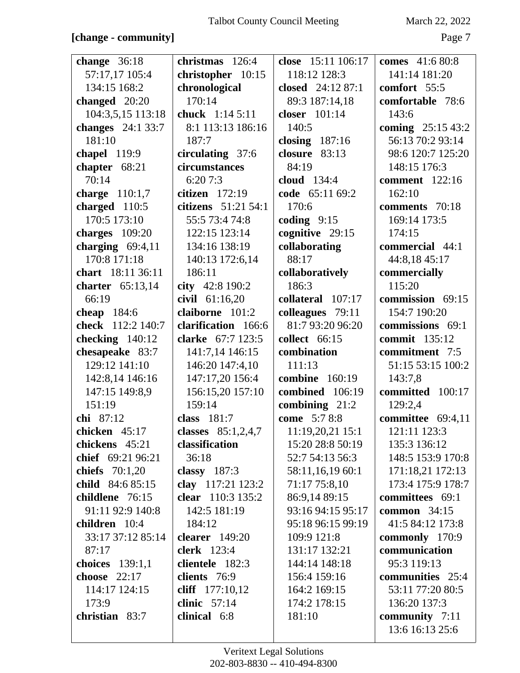#### **[change - community]** Page 7

| change $36:18$           | christmas 126:4      | close 15:11 106:17    | <b>comes</b> 41:6 80:8 |
|--------------------------|----------------------|-----------------------|------------------------|
| 57:17,17 105:4           | christopher 10:15    | 118:12 128:3          | 141:14 181:20          |
| 134:15 168:2             | chronological        | closed 24:12 87:1     | comfort 55:5           |
| changed $20:20$          | 170:14               | 89:3 187:14,18        | comfortable 78:6       |
| 104:3,5,15 113:18        | chuck 1:14 5:11      | closer 101:14         | 143:6                  |
| <b>changes</b> 24:1 33:7 | 8:1 113:13 186:16    | 140:5                 | coming 25:15 43:2      |
| 181:10                   | 187:7                | closing $187:16$      | 56:13 70:2 93:14       |
| chapel 119:9             | circulating 37:6     | closure 83:13         | 98:6 120:7 125:20      |
| chapter 68:21            | circumstances        | 84:19                 | 148:15 176:3           |
| 70:14                    | 6:207:3              | cloud 134:4           | comment 122:16         |
| charge 110:1,7           | citizen $172:19$     | code 65:11 69:2       | 162:10                 |
| charged $110:5$          | citizens 51:21 54:1  | 170:6                 | comments 70:18         |
| 170:5 173:10             | 55:5 73:4 74:8       | coding $9:15$         | 169:14 173:5           |
| charges 109:20           | 122:15 123:14        | cognitive 29:15       | 174:15                 |
| charging $69:4,11$       | 134:16 138:19        | collaborating         | commercial 44:1        |
| 170:8 171:18             | 140:13 172:6,14      | 88:17                 | 44:8,18 45:17          |
| chart 18:11 36:11        | 186:11               | collaboratively       | commercially           |
| charter $65:13,14$       | city 42:8 190:2      | 186:3                 | 115:20                 |
| 66:19                    | civil 61:16,20       | collateral 107:17     | commission 69:15       |
| cheap $184:6$            | claiborne 101:2      | colleagues 79:11      | 154:7 190:20           |
| check 112:2 140:7        | clarification 166:6  | 81:7 93:20 96:20      | commissions 69:1       |
| checking $140:12$        | clarke 67:7 123:5    | collect 66:15         | <b>commit</b> 135:12   |
| chesapeake 83:7          | 141:7,14 146:15      | combination           | commitment 7:5         |
| 129:12 141:10            | 146:20 147:4,10      | 111:13                | 51:15 53:15 100:2      |
| 142:8,14 146:16          | 147:17,20 156:4      | <b>combine</b> 160:19 | 143:7,8                |
| 147:15 149:8,9           | 156:15,20 157:10     | combined 106:19       | committed 100:17       |
| 151:19                   | 159:14               | combining $21:2$      | 129:2,4                |
| chi 87:12                | class $181:7$        | come 5:7 8:8          | committee 69:4,11      |
| chicken $45:17$          | classes $85:1,2,4,7$ | 11:19,20,21 15:1      | 121:11 123:3           |
| chickens 45:21           | classification       | 15:20 28:8 50:19      | 135:3 136:12           |
| chief 69:21 96:21        | 36:18                | 52:7 54:13 56:3       | 148:5 153:9 170:8      |
| chiefs $70:1,20$         | classy $187:3$       | 58:11,16,19 60:1      | 171:18,21 172:13       |
| child 84:6 85:15         | clay 117:21 123:2    | 71:17 75:8,10         | 173:4 175:9 178:7      |
| childlene 76:15          | clear 110:3 135:2    | 86:9,14 89:15         | committees 69:1        |
| 91:11 92:9 140:8         | 142:5 181:19         | 93:16 94:15 95:17     | common $34:15$         |
| children 10:4            | 184:12               | 95:18 96:15 99:19     | 41:5 84:12 173:8       |
| 33:17 37:12 85:14        | clearer $149:20$     | 109:9 121:8           | commonly 170:9         |
| 87:17                    | <b>clerk</b> 123:4   | 131:17 132:21         | communication          |
| choices 139:1,1          | clientele 182:3      | 144:14 148:18         | 95:3 119:13            |
| choose 22:17             | clients 76:9         | 156:4 159:16          | communities 25:4       |
| 114:17 124:15            | cliff 177:10,12      | 164:2 169:15          | 53:11 77:20 80:5       |
| 173:9                    | clinic $57:14$       | 174:2 178:15          | 136:20 137:3           |
| christian 83:7           | clinical 6:8         | 181:10                | community 7:11         |
|                          |                      |                       | 13:6 16:13 25:6        |
|                          |                      |                       |                        |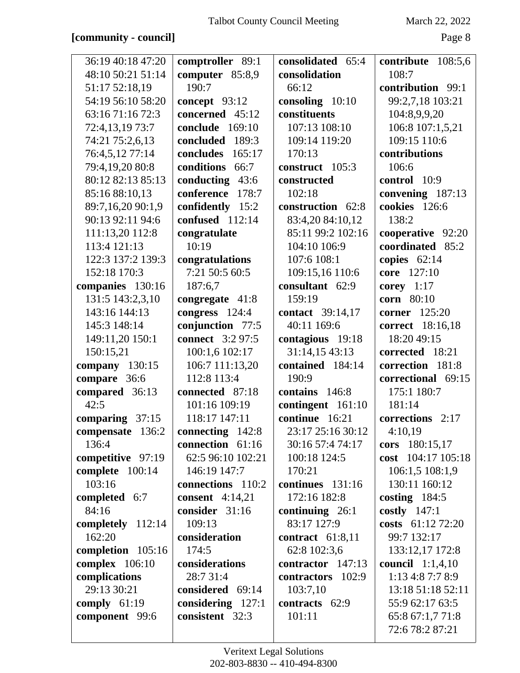## **[community - council]** Page 8

| 36:19 40:18 47:20 | comptroller 89:1        | consolidated 65:4  | contribute 108:5,6      |
|-------------------|-------------------------|--------------------|-------------------------|
| 48:10 50:21 51:14 | computer 85:8,9         | consolidation      | 108:7                   |
| 51:17 52:18,19    | 190:7                   | 66:12              | contribution 99:1       |
| 54:19 56:10 58:20 | concept 93:12           | consoling 10:10    | 99:2,7,18 103:21        |
| 63:16 71:16 72:3  | concerned 45:12         | constituents       | 104:8,9,9,20            |
| 72:4,13,19 73:7   | conclude 169:10         | 107:13 108:10      | 106:8 107:1,5,21        |
| 74:21 75:2,6,13   | concluded 189:3         | 109:14 119:20      | 109:15 110:6            |
| 76:4,5,12 77:14   | concludes<br>165:17     | 170:13             | contributions           |
| 79:4,19,20 80:8   | conditions<br>66:7      | construct 105:3    | 106:6                   |
| 80:12 82:13 85:13 | conducting 43:6         | constructed        | control 10:9            |
| 85:16 88:10,13    | conference<br>178:7     | 102:18             | convening 187:13        |
| 89:7,16,20 90:1,9 | confidently 15:2        | construction 62:8  | cookies 126:6           |
| 90:13 92:11 94:6  | confused 112:14         | 83:4,20 84:10,12   | 138:2                   |
| 111:13,20 112:8   | congratulate            | 85:11 99:2 102:16  | cooperative 92:20       |
| 113:4 121:13      | 10:19                   | 104:10 106:9       | coordinated 85:2        |
| 122:3 137:2 139:3 | congratulations         | 107:6 108:1        | copies $62:14$          |
| 152:18 170:3      | 7:21 50:5 60:5          | 109:15,16 110:6    | core 127:10             |
| companies 130:16  | 187:6,7                 | consultant 62:9    | corey $1:17$            |
| 131:5 143:2,3,10  | congregate 41:8         | 159:19             | corn 80:10              |
| 143:16 144:13     | congress 124:4          | contact 39:14,17   | corner 125:20           |
| 145:3 148:14      | conjunction 77:5        | 40:11 169:6        | correct 18:16,18        |
| 149:11,20 150:1   | <b>connect</b> 3:2 97:5 | contagious 19:18   | 18:20 49:15             |
| 150:15,21         | 100:1,6 102:17          | 31:14,15 43:13     | corrected 18:21         |
| company 130:15    | 106:7 111:13,20         | contained 184:14   | correction 181:8        |
| compare 36:6      | 112:8 113:4             | 190:9              | correctional 69:15      |
| compared 36:13    | connected 87:18         | contains 146:8     | 175:1 180:7             |
| 42:5              | 101:16 109:19           | contingent 161:10  | 181:14                  |
| comparing 37:15   | 118:17 147:11           | continue 16:21     | corrections 2:17        |
| compensate 136:2  | connecting 142:8        | 23:17 25:16 30:12  | 4:10,19                 |
| 136:4             | connection 61:16        | 30:16 57:4 74:17   | cors 180:15,17          |
| competitive 97:19 | 62:5 96:10 102:21       | 100:18 124:5       | cost 104:17 105:18      |
| complete 100:14   | 146:19 147:7            | 170:21             | 106:1,5 108:1,9         |
| 103:16            | connections 110:2       | continues 131:16   | 130:11 160:12           |
| completed 6:7     | consent $4:14,21$       | 172:16 182:8       | costing $184:5$         |
| 84:16             | consider 31:16          | continuing $26:1$  | costly $147:1$          |
| completely 112:14 | 109:13                  | 83:17 127:9        | costs 61:12 72:20       |
| 162:20            | consideration           | contract $61:8,11$ | 99:7 132:17             |
| completion 105:16 | 174:5                   | 62:8 102:3,6       | 133:12,17 172:8         |
| complex $106:10$  | considerations          | contractor 147:13  | <b>council</b> 1:1,4,10 |
| complications     | 28:7 31:4               | contractors 102:9  | 1:13 4:8 7:7 8:9        |
| 29:13 30:21       | considered 69:14        | 103:7,10           | 13:18 51:18 52:11       |
| comply $61:19$    | considering 127:1       | contracts 62:9     | 55:9 62:17 63:5         |
| component 99:6    | consistent 32:3         | 101:11             | 65:8 67:1,7 71:8        |
|                   |                         |                    | 72:6 78:2 87:21         |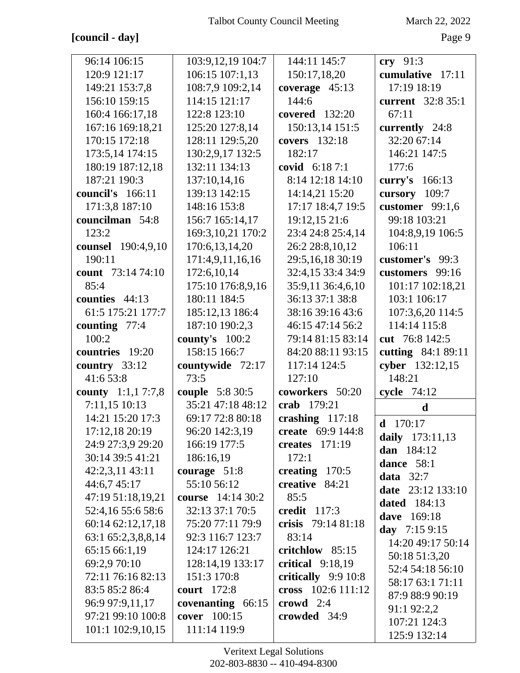## **[council - day]** Page 9

| 96:14 106:15              | 103:9,12,19 104:7        | 144:11 145:7        | $\mathbf{cry}$ 91:3      |
|---------------------------|--------------------------|---------------------|--------------------------|
| 120:9 121:17              | 106:15 107:1,13          | 150:17,18,20        | cumulative 17:11         |
| 149:21 153:7,8            | 108:7,9 109:2,14         | coverage $45:13$    | 17:19 18:19              |
| 156:10 159:15             | 114:15 121:17            | 144:6               | current 32:8 35:1        |
| 160:4 166:17,18           | 122:8 123:10             | covered 132:20      | 67:11                    |
| 167:16 169:18,21          | 125:20 127:8,14          | 150:13,14 151:5     | currently 24:8           |
| 170:15 172:18             | 128:11 129:5,20          | covers 132:18       | 32:20 67:14              |
| 173:5,14 174:15           | 130:2,9,17 132:5         | 182:17              | 146:21 147:5             |
| 180:19 187:12,18          | 132:11 134:13            | covid 6:18 7:1      | 177:6                    |
| 187:21 190:3              | 137:10,14,16             | 8:14 12:18 14:10    | curry's 166:13           |
| council's 166:11          | 139:13 142:15            | 14:14,21 15:20      | cursory 109:7            |
| 171:3,8 187:10            | 148:16 153:8             | 17:17 18:4,7 19:5   | customer $99:1,6$        |
| councilman 54:8           | 156:7 165:14,17          | 19:12,15 21:6       | 99:18 103:21             |
| 123:2                     | 169:3,10,21 170:2        | 23:4 24:8 25:4,14   | 104:8,9,19 106:5         |
| counsel 190:4,9,10        | 170:6,13,14,20           | 26:2 28:8,10,12     | 106:11                   |
| 190:11                    | 171:4,9,11,16,16         | 29:5,16,18 30:19    | customer's 99:3          |
| count 73:14 74:10         | 172:6,10,14              | 32:4,15 33:4 34:9   | customers 99:16          |
| 85:4                      | 175:10 176:8,9,16        | 35:9,11 36:4,6,10   | 101:17 102:18,21         |
| counties 44:13            | 180:11 184:5             | 36:13 37:1 38:8     | 103:1 106:17             |
| 61:5 175:21 177:7         | 185:12,13 186:4          | 38:16 39:16 43:6    | 107:3,6,20 114:5         |
| counting $77:4$           | 187:10 190:2,3           | 46:15 47:14 56:2    | 114:14 115:8             |
| 100:2                     | county's $100:2$         | 79:14 81:15 83:14   | cut 76:8 142:5           |
| countries 19:20           | 158:15 166:7             | 84:20 88:11 93:15   | cutting 84:1 89:11       |
| country 33:12             | countywide 72:17         | 117:14 124:5        | cyber 132:12,15          |
| 41:6 53:8                 | 73:5                     | 127:10              | 148:21                   |
| <b>county</b> 1:1,1 7:7,8 | <b>couple</b> 5:8 30:5   | coworkers 50:20     | cycle $74:12$            |
| 7:11,15 10:13             | 35:21 47:18 48:12        | crab 179:21         | $\mathbf d$              |
| 14:21 15:20 17:3          | 69:17 72:8 80:18         | crashing $117:18$   | <b>d</b> $170:17$        |
| 17:12,18 20:19            | 96:20 142:3,19           | create 69:9 144:8   | daily 173:11,13          |
| 24:9 27:3,9 29:20         | 166:19 177:5             | creates $171:19$    | dan 184:12               |
| 30:14 39:5 41:21          | 186:16,19                | 172:1               | dance 58:1               |
| 42:2,3,11 43:11           | courage $51:8$           | creating $170:5$    | data $32:7$              |
| 44:6,745:17               | 55:10 56:12              | creative 84:21      | <b>date</b> 23:12 133:10 |
| 47:19 51:18,19,21         | <b>course</b> 14:14 30:2 | 85:5                | <b>dated</b> 184:13      |
| 52:4,16 55:6 58:6         | 32:13 37:1 70:5          | credit 117:3        | <b>dave</b> 169:18       |
| 60:14 62:12,17,18         | 75:20 77:11 79:9         | crisis 79:14 81:18  | day $7:159:15$           |
| 63:1 65:2,3,8,8,14        | 92:3 116:7 123:7         | 83:14               | 14:20 49:17 50:14        |
| 65:15 66:1,19             | 124:17 126:21            | critchlow 85:15     | 50:18 51:3,20            |
| 69:2,9 70:10              | 128:14,19 133:17         | critical $9:18,19$  | 52:4 54:18 56:10         |
| 72:11 76:16 82:13         | 151:3 170:8              | critically 9:9 10:8 | 58:17 63:1 71:11         |
| 83:5 85:2 86:4            | <b>court</b> 172:8       | cross 102:6 111:12  | 87:9 88:9 90:19          |
| 96:9 97:9,11,17           | covenanting 66:15        | crowd $2:4$         | 91:1 92:2,2              |
| 97:21 99:10 100:8         | cover 100:15             | crowded 34:9        | 107:21 124:3             |
| 101:1 102:9,10,15         | 111:14 119:9             |                     | 125:9 132:14             |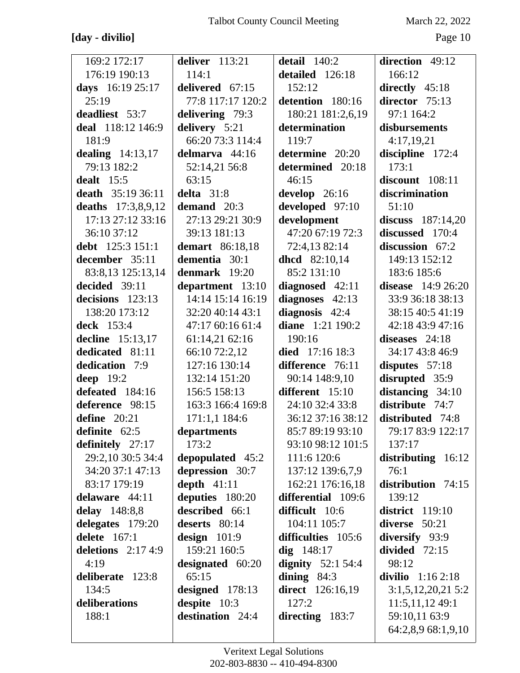## **[day - divilio]** Page 10

| 169:2 172:17        | deliver $113:21$  | detail $140:2$          | direction 49:12      |
|---------------------|-------------------|-------------------------|----------------------|
| 176:19 190:13       | 114:1             | detailed 126:18         | 166:12               |
| days 16:19 25:17    | delivered 67:15   | 152:12                  | directly $45:18$     |
| 25:19               | 77:8 117:17 120:2 | detention 180:16        | director 75:13       |
| deadliest 53:7      | delivering 79:3   | 180:21 181:2,6,19       | 97:1 164:2           |
| deal 118:12 146:9   | delivery 5:21     | determination           | disbursements        |
| 181:9               | 66:20 73:3 114:4  | 119:7                   | 4:17,19,21           |
| dealing $14:13,17$  | delmarva 44:16    | determine 20:20         | discipline 172:4     |
| 79:13 182:2         | 52:14,21 56:8     | determined 20:18        | 173:1                |
| dealt $15:5$        | 63:15             | 46:15                   | discount 108:11      |
| death 35:19 36:11   | delta $31:8$      | develop $26:16$         | discrimination       |
| deaths 17:3,8,9,12  | demand 20:3       | developed 97:10         | 51:10                |
| 17:13 27:12 33:16   | 27:13 29:21 30:9  | development             | discuss $187:14,20$  |
| 36:10 37:12         | 39:13 181:13      | 47:20 67:19 72:3        | discussed 170:4      |
| debt 125:3 151:1    | demart 86:18,18   | 72:4,13 82:14           | discussion 67:2      |
| december 35:11      | dementia 30:1     | dhcd 82:10,14           | 149:13 152:12        |
| 83:8,13 125:13,14   | denmark $19:20$   | 85:2 131:10             | 183:6 185:6          |
| decided 39:11       | department 13:10  | diagnosed 42:11         | disease $14:926:20$  |
| decisions 123:13    | 14:14 15:14 16:19 | diagnoses 42:13         | 33:9 36:18 38:13     |
| 138:20 173:12       | 32:20 40:14 43:1  | diagnosis $42:4$        | 38:15 40:5 41:19     |
| deck 153:4          | 47:17 60:16 61:4  | <b>diane</b> 1:21 190:2 | 42:18 43:9 47:16     |
| decline 15:13,17    | 61:14,21 62:16    | 190:16                  | diseases $24:18$     |
| dedicated 81:11     | 66:10 72:2,12     | died 17:16 18:3         | 34:17 43:8 46:9      |
| dedication 7:9      | 127:16 130:14     | difference 76:11        | disputes $57:18$     |
| deep $19:2$         | 132:14 151:20     | 90:14 148:9,10          | disrupted 35:9       |
| defeated 184:16     | 156:5 158:13      | different 15:10         | distancing $34:10$   |
| deference 98:15     | 163:3 166:4 169:8 | 24:10 32:4 33:8         | distribute 74:7      |
| define $20:21$      | 171:1,1 184:6     | 36:12 37:16 38:12       | distributed 74:8     |
| definite $62:5$     | departments       | 85:7 89:19 93:10        | 79:17 83:9 122:17    |
| definitely $27:17$  | 173:2             | 93:10 98:12 101:5       | 137:17               |
| 29:2,10 30:5 34:4   | depopulated 45:2  | 111:6 120:6             | distributing $16:12$ |
| 34:20 37:1 47:13    | depression 30:7   | 137:12 139:6,7,9        | 76:1                 |
| 83:17 179:19        | depth $41:11$     | 162:21 176:16,18        | distribution 74:15   |
| delaware 44:11      | deputies 180:20   | differential 109:6      | 139:12               |
| delay 148:8,8       | described 66:1    | difficult 10:6          | district $119:10$    |
| delegates 179:20    | deserts 80:14     | 104:11 105:7            | diverse 50:21        |
| delete $167:1$      | design $101:9$    | difficulties 105:6      | diversify 93:9       |
| deletions $2:174:9$ | 159:21 160:5      | $dig$ 148:17            | divided $72:15$      |
| 4:19                | designated 60:20  | dignity $52:154:4$      | 98:12                |
| deliberate 123:8    | 65:15             | dining $84:3$           | divilio $1:162:18$   |
| 134:5               | designed $178:13$ | <b>direct</b> 126:16,19 | 3:1,5,12,20,215:2    |
| deliberations       | despite 10:3      | 127:2                   | 11:5,11,1249:1       |
| 188:1               | destination 24:4  | directing 183:7         | 59:10,11 63:9        |
|                     |                   |                         | 64:2,8,9 68:1,9,10   |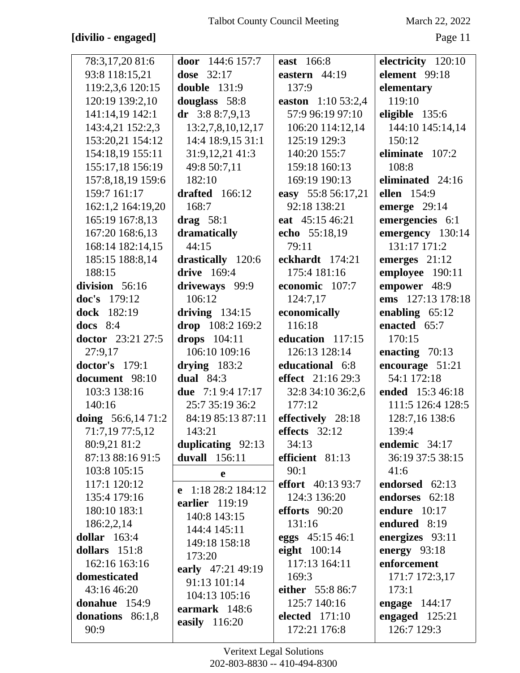#### [divilio - engaged]

March 22, 2022

| 78:3,17,20 81:6       | door $144:6 157:7$  | east 166:8         | electricity 120:10  |
|-----------------------|---------------------|--------------------|---------------------|
| 93:8 118:15,21        | <b>dose</b> 32:17   | eastern $44:19$    | element 99:18       |
| 119:2,3,6 120:15      | <b>double</b> 131:9 | 137:9              | elementary          |
| 120:19 139:2,10       | douglass 58:8       | easton 1:10 53:2,4 | 119:10              |
| 141:14,19 142:1       | dr $3:88:7,9,13$    | 57:9 96:19 97:10   | eligible 135:6      |
| 143:4,21 152:2,3      | 13:2,7,8,10,12,17   | 106:20 114:12,14   | 144:10 145:14,14    |
| 153:20,21 154:12      | 14:4 18:9,15 31:1   | 125:19 129:3       | 150:12              |
| 154:18,19 155:11      | 31:9,12,21 41:3     | 140:20 155:7       | eliminate 107:2     |
| 155:17,18 156:19      | 49:8 50:7,11        | 159:18 160:13      | 108:8               |
| 157:8,18,19 159:6     | 182:10              | 169:19 190:13      | eliminated 24:16    |
| 159:7 161:17          | drafted $166:12$    | easy 55:8 56:17,21 | ellen 154:9         |
| 162:1,2 164:19,20     | 168:7               | 92:18 138:21       | emerge $29:14$      |
| 165:19 167:8,13       | drag $58:1$         | eat 45:15 46:21    | emergencies 6:1     |
| 167:20 168:6,13       | dramatically        | echo 55:18,19      | emergency 130:14    |
| 168:14 182:14,15      | 44:15               | 79:11              | 131:17 171:2        |
| 185:15 188:8,14       | drastically 120:6   | eckhardt 174:21    | emerges $21:12$     |
| 188:15                | drive 169:4         | 175:4 181:16       | employee 190:11     |
| division 56:16        | driveways 99:9      | economic 107:7     | empower 48:9        |
| doc's 179:12          | 106:12              | 124:7,17           | ems 127:13 178:18   |
| dock 182:19           | driving $134:15$    | economically       | enabling $65:12$    |
| docs $8:4$            | drop 108:2 169:2    | 116:18             | enacted 65:7        |
| doctor 23:21 27:5     | drops 104:11        | education 117:15   | 170:15              |
| 27:9,17               | 106:10 109:16       | 126:13 128:14      | enacting $70:13$    |
| <b>doctor's</b> 179:1 | drying $183:2$      | educational 6:8    | encourage 51:21     |
| document 98:10        | dual $84:3$         | effect 21:16 29:3  | 54:1 172:18         |
| 103:3 138:16          | due 7:1 9:4 17:17   | 32:8 34:10 36:2,6  | ended 15:3 46:18    |
| 140:16                | 25:7 35:19 36:2     | 177:12             | 111:5 126:4 128:5   |
| doing $56:6,1471:2$   | 84:19 85:13 87:11   | effectively 28:18  | 128:7,16 138:6      |
| 71:7,19 77:5,12       | 143:21              | effects 32:12      | 139:4               |
| 80:9,21 81:2          | duplicating 92:13   | 34:13              | endemic 34:17       |
| 87:13 88:16 91:5      | duvall 156:11       | efficient 81:13    | 36:19 37:5 38:15    |
| 103:8 105:15          | e                   | 90:1               | 41:6                |
| 117:1 120:12          | e $1:1828:2184:12$  | effort 40:13 93:7  | endorsed 62:13      |
| 135:4 179:16          | earlier $119:19$    | 124:3 136:20       | endorses 62:18      |
| 180:10 183:1          | 140:8 143:15        | efforts $90:20$    | <b>endure</b> 10:17 |
| 186:2,2,14            | 144:4 145:11        | 131:16             | endured 8:19        |
| dollar $163:4$        |                     | eggs 45:15 46:1    | energizes 93:11     |
| dollars 151:8         | 149:18 158:18       | eight $100:14$     | energy $93:18$      |
| 162:16 163:16         | 173:20              | 117:13 164:11      | enforcement         |
| domesticated          | early 47:21 49:19   | 169:3              | 171:7 172:3,17      |
| 43:16 46:20           | 91:13 101:14        | either 55:8 86:7   | 173:1               |
| donahue 154:9         | 104:13 105:16       | 125:7 140:16       | engage $144:17$     |
| donations $86:1,8$    | earmark 148:6       | elected $171:10$   | engaged 125:21      |
| 90:9                  | easily 116:20       | 172:21 176:8       | 126:7 129:3         |
|                       |                     |                    |                     |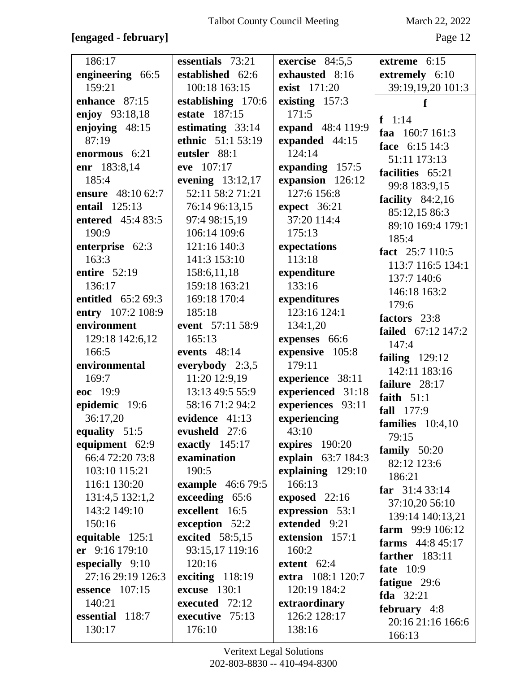#### [engaged - february]

March 22, 2022

Page 12

| 186:17                   | essentials 73:21         | exercise 84:5,5    | extreme 6:15                       |
|--------------------------|--------------------------|--------------------|------------------------------------|
| engineering 66:5         | established 62:6         | exhausted 8:16     | extremely 6:10                     |
| 159:21                   | 100:18 163:15            | exist 171:20       | 39:19,19,20 101:3                  |
| enhance 87:15            | establishing 170:6       | existing 157:3     | f                                  |
| enjoy 93:18,18           | estate 187:15            | 171:5              |                                    |
| enjoying 48:15           | estimating $33:14$       | expand 48:4 119:9  | $f \quad 1:14$<br>faa $160:7161:3$ |
| 87:19                    | ethnic 51:1 53:19        | expanded 44:15     | face 6:15 14:3                     |
| enormous 6:21            | eutsler 88:1             | 124:14             | 51:11 173:13                       |
| enr 183:8,14             | eve 107:17               | expanding 157:5    | facilities 65:21                   |
| 185:4                    | evening $13:12,17$       | expansion 126:12   | 99:8 183:9,15                      |
| ensure 48:10 62:7        | 52:11 58:2 71:21         | 127:6 156:8        | facility $84:2,16$                 |
| entail 125:13            | 76:14 96:13,15           | expect 36:21       | 85:12,15 86:3                      |
| <b>entered</b> 45:4 83:5 | 97:4 98:15,19            | 37:20 114:4        | 89:10 169:4 179:1                  |
| 190:9                    | 106:14 109:6             | 175:13             | 185:4                              |
| enterprise 62:3          | 121:16 140:3             | expectations       | fact 25:7 110:5                    |
| 163:3                    | 141:3 153:10             | 113:18             | 113:7 116:5 134:1                  |
| entire 52:19             | 158:6,11,18              | expenditure        | 137:7 140:6                        |
| 136:17                   | 159:18 163:21            | 133:16             | 146:18 163:2                       |
| entitled 65:2 69:3       | 169:18 170:4             | expenditures       | 179:6                              |
| entry 107:2 108:9        | 185:18                   | 123:16 124:1       | factors 23:8                       |
| environment              | event 57:11 58:9         | 134:1,20           | failed 67:12 147:2                 |
| 129:18 142:6,12          | 165:13                   | expenses 66:6      | 147:4                              |
| 166:5                    | events 48:14             | expensive 105:8    | failing $129:12$                   |
| environmental            | everybody $2:3,5$        | 179:11             | 142:11 183:16                      |
| 169:7                    | 11:20 12:9,19            | experience 38:11   | failure 28:17                      |
| eoc 19:9                 | 13:13 49:5 55:9          | experienced 31:18  | faith $51:1$                       |
| epidemic 19:6            | 58:16 71:2 94:2          | experiences 93:11  | fall 177:9                         |
| 36:17,20                 | evidence 41:13           | experiencing       | families $10:4,10$                 |
| equality 51:5            | evusheld 27:6            | 43:10              | 79:15                              |
| equipment 62:9           | exactly $145:17$         | expires 190:20     | family $50:20$                     |
| 66:4 72:20 73:8          | examination              | explain 63:7 184:3 | 82:12 123:6                        |
| 103:10 115:21            | 190:5                    | explaining 129:10  | 186:21                             |
| 116:1 130:20             | <b>example</b> 46:6 79:5 | 166:13             | far $31:433:14$                    |
| 131:4,5 132:1,2          | exceeding 65:6           | exposed 22:16      | 37:10,20 56:10                     |
| 143:2 149:10             | excellent 16:5           | expression 53:1    | 139:14 140:13,21                   |
| 150:16                   | exception 52:2           | extended 9:21      | farm $99:9106:12$                  |
| equitable 125:1          | excited 58:5,15          | extension 157:1    | farms $44:845:17$                  |
| er 9:16 179:10           | 93:15,17 119:16          | 160:2              | farther $183:11$                   |
| especially 9:10          | 120:16                   | extent 62:4        | fate $10:9$                        |
| 27:16 29:19 126:3        | exciting $118:19$        | extra 108:1 120:7  | fatigue 29:6                       |
| essence $107:15$         | excuse $130:1$           | 120:19 184:2       | fda $32:21$                        |
| 140:21                   | executed 72:12           | extraordinary      | february 4:8                       |
| essential 118:7          | executive 75:13          | 126:2 128:17       | 20:16 21:16 166:6                  |
| 130:17                   | 176:10                   | 138:16             | 166:13                             |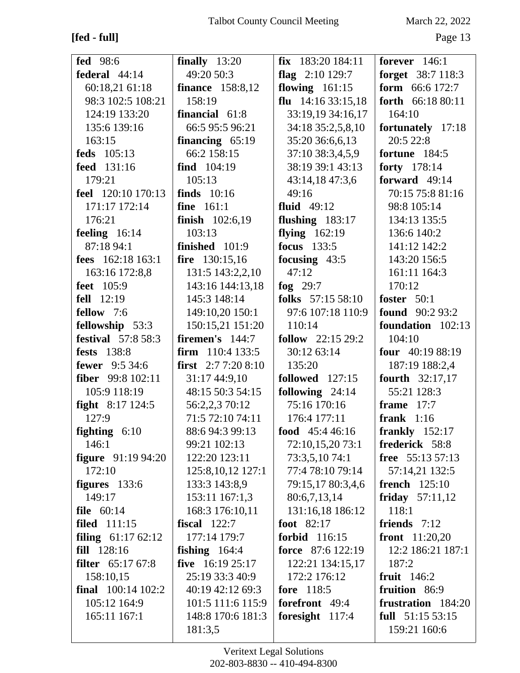## **[fed - full]** Page 13

| <b>fed</b> 98:6               | finally $13:20$            | $fix$ 183:20 184:11      | forever $146:1$          |
|-------------------------------|----------------------------|--------------------------|--------------------------|
| federal 44:14                 | 49:20 50:3                 | flag $2:10$ 129:7        | forget 38:7 118:3        |
| 60:18,21 61:18                | <b>finance</b> 158:8,12    | flowing $161:15$         | <b>form</b> $66:6 172:7$ |
| 98:3 102:5 108:21             | 158:19                     | flu $14:1633:15,18$      | forth 66:18 80:11        |
| 124:19 133:20                 | financial 61:8             | 33:19,19 34:16,17        | 164:10                   |
| 135:6 139:16                  | 66:5 95:5 96:21            | 34:18 35:2,5,8,10        | fortunately 17:18        |
| 163:15                        | financing $65:19$          | 35:20 36:6,6,13          | 20:5 22:8                |
| feds 105:13                   | 66:2 158:15                | 37:10 38:3,4,5,9         | fortune 184:5            |
| feed 131:16                   | find 104:19                | 38:19 39:1 43:13         | forty 178:14             |
| 179:21                        | 105:13                     | 43:14,18 47:3,6          | forward 49:14            |
| feel 120:10 170:13            | finds $10:16$              | 49:16                    | 70:15 75:8 81:16         |
| 171:17 172:14                 | <b>fine</b> 161:1          | fluid $49:12$            | 98:8 105:14              |
| 176:21                        | finish 102:6,19            | flushing $183:17$        | 134:13 135:5             |
| feeling $16:14$               | 103:13                     | flying $162:19$          | 136:6 140:2              |
| 87:18 94:1                    | finished 101:9             | focus 133:5              | 141:12 142:2             |
| fees $162:18163:1$            | fire 130:15,16             | focusing $43:5$          | 143:20 156:5             |
| 163:16 172:8,8                | 131:5 143:2,2,10           | 47:12                    | 161:11 164:3             |
| <b>feet</b> 105:9             | 143:16 144:13,18           | fog $29:7$               | 170:12                   |
| fell $12:19$                  | 145:3 148:14               | folks 57:15 58:10        | foster $50:1$            |
| fellow 7:6                    | 149:10,20 150:1            | 97:6 107:18 110:9        | <b>found</b> 90:2 93:2   |
| fellowship 53:3               | 150:15,21 151:20           | 110:14                   | foundation 102:13        |
| <b>festival</b> 57:8 58:3     | firemen's $144:7$          | follow $22:1529:2$       | 104:10                   |
| fests 138:8                   | firm $110:4133:5$          | 30:12 63:14              | four $40:1988:19$        |
| <b>fewer</b> 9:5 34:6         | <b>first</b> $2:77:208:10$ | 135:20                   | 187:19 188:2,4           |
| fiber 99:8 102:11             | 31:17 44:9,10              | followed 127:15          | <b>fourth</b> $32:17,17$ |
| 105:9 118:19                  | 48:15 50:3 54:15           | following $24:14$        | 55:21 128:3              |
| <b>fight</b> $8:17124:5$      | 56:2,2,3 70:12             | 75:16 170:16             | frame $17:7$             |
| 127:9                         | 71:5 72:10 74:11           | 176:4 177:11             | frank $1:16$             |
| <b>fighting</b> $6:10$        | 88:6 94:3 99:13            | food $45:446:16$         | frankly $152:17$         |
| 146:1                         | 99:21 102:13               | 72:10,15,2073:1          | frederick 58:8           |
| <b>figure</b> 91:19 94:20     | 122:20 123:11              | 73:3,5,10 74:1           | free 55:13 57:13         |
| 172:10                        | 125:8, 10, 12 127:1        | 77:4 78:10 79:14         | 57:14,21 132:5           |
| figures 133:6                 | 133:3 143:8,9              | 79:15,17 80:3,4,6        | french $125:10$          |
| 149:17                        | 153:11 167:1,3             | 80:6,7,13,14             | friday $57:11,12$        |
| file $60:14$                  | 168:3 176:10,11            | 131:16,18 186:12         | 118:1                    |
| <b>filed</b> 111:15           | fiscal $122:7$             | foot 82:17               | friends $7:12$           |
| <b>filing</b> $61:1762:12$    | 177:14 179:7               | forbid 116:15            | front 11:20,20           |
| fill 128:16                   | fishing $164:4$            | <b>force</b> 87:6 122:19 | 12:2 186:21 187:1        |
| filter 65:17 67:8             | five $16:1925:17$          | 122:21 134:15,17         | 187:2                    |
| 158:10,15                     | 25:19 33:3 40:9            | 172:2 176:12             | fruit $146:2$            |
| <b>final</b> $100:14$ $102:2$ | 40:19 42:12 69:3           | fore 118:5               | fruition 86:9            |
| 105:12 164:9                  | 101:5 111:6 115:9          | <b>forefront</b> 49:4    | frustration 184:20       |
| 165:11 167:1                  | 148:8 170:6 181:3          | foresight 117:4          | full 51:15 53:15         |
|                               | 181:3,5                    |                          | 159:21 160:6             |
|                               |                            |                          |                          |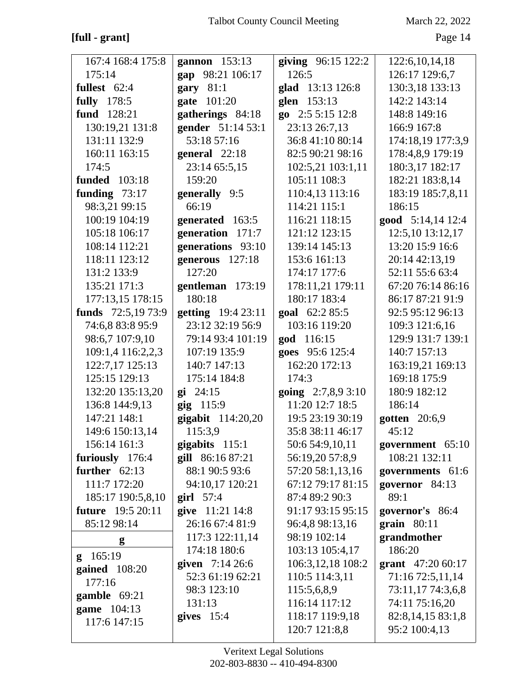#### [full - grant]

March 22, 2022

| 167:4 168:4 175:8        | gannon 153:13      | giving 96:15 122:2    | 122:6, 10, 14, 18  |
|--------------------------|--------------------|-----------------------|--------------------|
| 175:14                   | gap 98:21 106:17   | 126:5                 | 126:17 129:6,7     |
| fullest $62:4$           | gary $81:1$        | glad 13:13 126:8      | 130:3,18 133:13    |
| <b>fully</b> 178:5       | gate 101:20        | glen 153:13           | 142:2 143:14       |
| fund 128:21              | gatherings 84:18   | go $2:55:1512:8$      | 148:8 149:16       |
| 130:19,21 131:8          | gender 51:14 53:1  | 23:13 26:7,13         | 166:9 167:8        |
| 131:11 132:9             | 53:18 57:16        | 36:8 41:10 80:14      | 174:18,19 177:3,9  |
| 160:11 163:15            | general 22:18      | 82:5 90:21 98:16      | 178:4,8,9 179:19   |
| 174:5                    | 23:14 65:5,15      | 102:5,21 103:1,11     | 180:3,17 182:17    |
| <b>funded</b> 103:18     | 159:20             | 105:11 108:3          | 182:21 183:8,14    |
| funding $73:17$          | generally 9:5      | 110:4,13 113:16       | 183:19 185:7,8,11  |
| 98:3,21 99:15            | 66:19              | 114:21 115:1          | 186:15             |
| 100:19 104:19            | generated 163:5    | 116:21 118:15         | good 5:14,14 12:4  |
| 105:18 106:17            | generation 171:7   | 121:12 123:15         | 12:5,10 13:12,17   |
| 108:14 112:21            | generations 93:10  | 139:14 145:13         | 13:20 15:9 16:6    |
| 118:11 123:12            | generous 127:18    | 153:6 161:13          | 20:14 42:13,19     |
| 131:2 133:9              | 127:20             | 174:17 177:6          | 52:11 55:6 63:4    |
| 135:21 171:3             | gentleman 173:19   | 178:11,21 179:11      | 67:20 76:14 86:16  |
| 177:13,15 178:15         | 180:18             | 180:17 183:4          | 86:17 87:21 91:9   |
| funds 72:5,19 73:9       | getting 19:4 23:11 | goal 62:2 85:5        | 92:5 95:12 96:13   |
| 74:6,8 83:8 95:9         | 23:12 32:19 56:9   | 103:16 119:20         | 109:3 121:6,16     |
| 98:6,7 107:9,10          | 79:14 93:4 101:19  | god 116:15            | 129:9 131:7 139:1  |
| 109:1,4 116:2,2,3        | 107:19 135:9       | goes 95:6 125:4       | 140:7 157:13       |
| 122:7,17 125:13          | 140:7 147:13       | 162:20 172:13         | 163:19,21 169:13   |
| 125:15 129:13            | 175:14 184:8       | 174:3                 | 169:18 175:9       |
| 132:20 135:13,20         | $g_i$ 24:15        | going $2:7,8,9\,3:10$ | 180:9 182:12       |
| 136:8 144:9,13           | gig 115:9          | 11:20 12:7 18:5       | 186:14             |
| 147:21 148:1             | gigabit 114:20,20  | 19:5 23:19 30:19      | gotten $20:6,9$    |
| 149:6 150:13,14          | 115:3,9            | 35:8 38:11 46:17      | 45:12              |
| 156:14 161:3             | gigabits $115:1$   | 50:6 54:9,10,11       | government 65:10   |
| furiously 176:4          | gill 86:16 87:21   | 56:19,20 57:8,9       | 108:21 132:11      |
| further $62:13$          | 88:1 90:5 93:6     | 57:20 58:1,13,16      | governments 61:6   |
| 111:7 172:20             | 94:10,17 120:21    | 67:12 79:17 81:15     | governor 84:13     |
| 185:17 190:5,8,10        | girl $57:4$        | 87:4 89:2 90:3        | 89:1               |
| <b>future</b> 19:5 20:11 | give 11:21 14:8    | 91:17 93:15 95:15     | governor's 86:4    |
| 85:12 98:14              | 26:16 67:4 81:9    | 96:4,8 98:13,16       | grain 80:11        |
| g                        | 117:3 122:11,14    | 98:19 102:14          | grandmother        |
| g 165:19                 | 174:18 180:6       | 103:13 105:4,17       | 186:20             |
| gained $108:20$          | given $7:14\,26:6$ | 106:3,12,18 108:2     | grant $47:2060:17$ |
| 177:16                   | 52:3 61:19 62:21   | 110:5 114:3,11        | 71:16 72:5,11,14   |
| gamble 69:21             | 98:3 123:10        | 115:5,6,8,9           | 73:11,17 74:3,6,8  |
| game 104:13              | 131:13             | 116:14 117:12         | 74:11 75:16,20     |
| 117:6 147:15             | gives $15:4$       | 118:17 119:9,18       | 82:8,14,15 83:1,8  |
|                          |                    | 120:7 121:8,8         | 95:2 100:4,13      |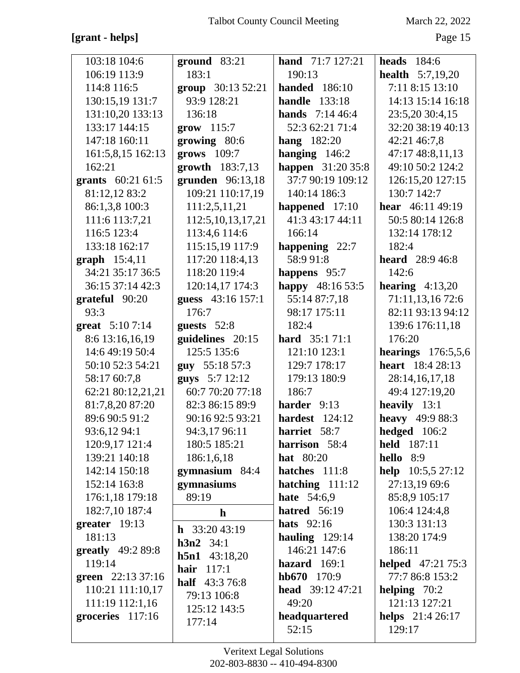## **[grant - helps]** Page 15

| 103:18 104:6            | $ground$ 83:21                  | <b>hand</b> $71:7127:21$   | <b>heads</b> 184:6        |
|-------------------------|---------------------------------|----------------------------|---------------------------|
| 106:19 113:9            | 183:1                           | 190:13                     | <b>health</b> $5:7,19,20$ |
| 114:8 116:5             | group 30:13 52:21               | <b>handed</b> 186:10       | 7:11 8:15 13:10           |
| 130:15,19 131:7         | 93:9 128:21                     | <b>handle</b> 133:18       | 14:13 15:14 16:18         |
| 131:10,20 133:13        | 136:18                          | <b>hands</b> $7:1446:4$    | 23:5,20 30:4,15           |
| 133:17 144:15           | $\text{grow}$ 115:7             | 52:3 62:21 71:4            | 32:20 38:19 40:13         |
| 147:18 160:11           | growing 80:6                    | <b>hang</b> 182:20         | 42:21 46:7,8              |
| 161:5,8,15 162:13       | $grows$ 109:7                   | hanging $146:2$            | 47:17 48:8,11,13          |
| 162:21                  | growth $183:7,13$               | <b>happen</b> 31:20 35:8   | 49:10 50:2 124:2          |
| grants 60:21 61:5       | grunden 96:13,18                | 37:7 90:19 109:12          | 126:15,20 127:15          |
| 81:12,12 83:2           | 109:21 110:17,19                | 140:14 186:3               | 130:7 142:7               |
| 86:1,3,8 100:3          | 111:2,5,11,21                   | happened 17:10             | hear $46:1149:19$         |
| 111:6 113:7,21          | 112:5, 10, 13, 17, 21           | 41:3 43:17 44:11           | 50:5 80:14 126:8          |
| 116:5 123:4             | 113:4,6 114:6                   | 166:14                     | 132:14 178:12             |
| 133:18 162:17           | 115:15,19 117:9                 | happening 22:7             | 182:4                     |
| <b>graph</b> $15:4,11$  | 117:20 118:4,13                 | 58:9 91:8                  | <b>heard</b> 28:9 46:8    |
| 34:21 35:17 36:5        | 118:20 119:4                    | happens 95:7               | 142:6                     |
| 36:15 37:14 42:3        | 120:14,17 174:3                 | happy 48:16 53:5           | hearing $4:13,20$         |
| grateful 90:20          | guess 43:16 157:1               | 55:14 87:7,18              | 71:11,13,16 72:6          |
| 93:3                    | 176:7                           | 98:17 175:11               | 82:11 93:13 94:12         |
| <b>great</b> $5:107:14$ | guests $52:8$                   | 182:4                      | 139:6 176:11,18           |
| 8:6 13:16,16,19         | guidelines 20:15                | <b>hard</b> $35:171:1$     | 176:20                    |
| 14:6 49:19 50:4         | 125:5 135:6                     | 121:10 123:1               | hearings $176:5,5,6$      |
| 50:10 52:3 54:21        | guy 55:18 57:3                  | 129:7 178:17               | <b>heart</b> 18:4 28:13   |
| 58:17 60:7,8            | guys 5:7 12:12                  | 179:13 180:9               | 28:14,16,17,18            |
| 62:21 80:12,21,21       | 60:7 70:20 77:18                | 186:7                      | 49:4 127:19,20            |
| 81:7,8,20 87:20         | 82:3 86:15 89:9                 | harder 9:13                | heavily $13:1$            |
| 89:6 90:5 91:2          | 90:16 92:5 93:21                | hardest $124:12$           | heavy 49:9 88:3           |
| 93:6,12 94:1            | 94:3,17 96:11                   | harriet 58:7               | hedged 106:2              |
| 120:9,17 121:4          | 180:5 185:21                    | harrison 58:4              | held 187:11               |
| 139:21 140:18           | 186:1,6,18                      | <b>hat</b> 80:20           | hello 8:9                 |
| 142:14 150:18           | gymnasium 84:4                  | hatches 111:8              | help $10:5,527:12$        |
| 152:14 163:8            | gymnasiums                      | hatching $111:12$          | 27:13,19 69:6             |
| 176:1,18 179:18         | 89:19                           | <b>hate</b> 54:6,9         | 85:8,9 105:17             |
| 182:7,10 187:4          | $\mathbf{h}$                    | <b>hatred</b> 56:19        | 106:4 124:4,8             |
| greater 19:13           | <b>h</b> $33:2043:19$           | hats $92:16$               | 130:3 131:13              |
| 181:13                  | $h3n2 \quad 34:1$               | hauling $129:14$           | 138:20 174:9              |
| greatly $49:289:8$      |                                 | 146:21 147:6               | 186:11                    |
| 119:14                  | $h5n1$ 43:18,20<br>hair $117:1$ | hazard $169:1$             | <b>helped</b> 47:21 75:3  |
| green 22:13 37:16       | <b>half</b> 43:3 76:8           | $hb670$ 170:9              | 77:7 86:8 153:2           |
| 110:21 111:10,17        | 79:13 106:8                     | <b>head</b> $39:12\,47:21$ | helping $70:2$            |
| 111:19 112:1,16         | 125:12 143:5                    | 49:20                      | 121:13 127:21             |
| groceries $117:16$      | 177:14                          | headquartered              | <b>helps</b> 21:4 26:17   |
|                         |                                 | 52:15                      | 129:17                    |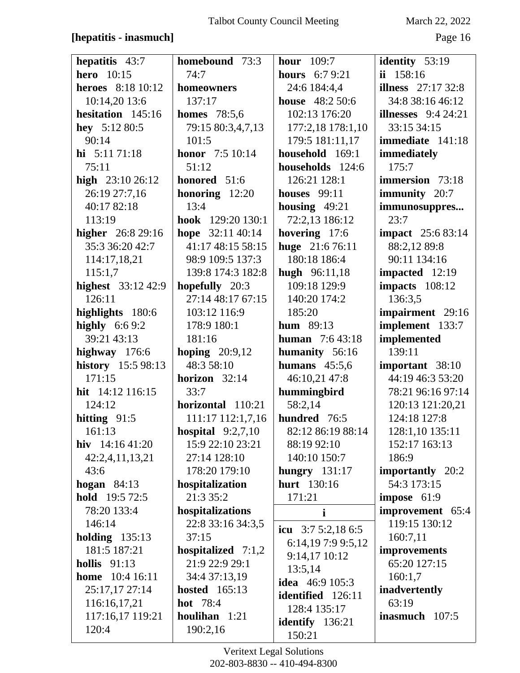#### [hepatitis - inasmuch]

March 22, 2022

| hepatitis 43:7           | homebound 73:3          | hour $109:7$           | identity $53:19$           |
|--------------------------|-------------------------|------------------------|----------------------------|
| <b>hero</b> 10:15        | 74:7                    | <b>hours</b> 6:7 9:21  | ii $158:16$                |
| <b>heroes</b> 8:18 10:12 | homeowners              | 24:6 184:4,4           | <b>illness</b> $27:1732:8$ |
| 10:14,20 13:6            | 137:17                  | <b>house</b> 48:2 50:6 | 34:8 38:16 46:12           |
| hesitation 145:16        | <b>homes</b> 78:5,6     | 102:13 176:20          | illnesses $9:424:21$       |
| hey $5:1280:5$           | 79:15 80:3,4,7,13       | 177:2,18 178:1,10      | 33:15 34:15                |
| 90:14                    | 101:5                   | 179:5 181:11,17        | immediate 141:18           |
| hi $5:1171:18$           | <b>honor</b> 7:5 10:14  | household 169:1        | immediately                |
| 75:11                    | 51:12                   | households 124:6       | 175:7                      |
| high $23:1026:12$        | honored 51:6            | 126:21 128:1           | immersion 73:18            |
| 26:19 27:7,16            |                         | houses $99:11$         |                            |
|                          | <b>honoring</b> $12:20$ |                        | <b>immunity</b> 20:7       |
| 40:17 82:18              | 13:4                    | housing $49:21$        | immunosuppres              |
| 113:19                   | hook 129:20 130:1       | 72:2,13 186:12         | 23:7                       |
| <b>higher</b> 26:8 29:16 | hope 32:11 40:14        | hovering 17:6          | <b>impact</b> 25:6 83:14   |
| 35:3 36:20 42:7          | 41:17 48:15 58:15       | huge 21:6 76:11        | 88:2,12 89:8               |
| 114:17,18,21             | 98:9 109:5 137:3        | 180:18 186:4           | 90:11 134:16               |
| 115:1,7                  | 139:8 174:3 182:8       | <b>hugh</b> 96:11,18   | impacted 12:19             |
| highest 33:12 42:9       | hopefully 20:3          | 109:18 129:9           | impacts $108:12$           |
| 126:11                   | 27:14 48:17 67:15       | 140:20 174:2           | 136:3,5                    |
| highlights 180:6         | 103:12 116:9            | 185:20                 | impairment 29:16           |
| highly $6:69:2$          | 178:9 180:1             | <b>hum</b> $89:13$     | implement 133:7            |
| 39:21 43:13              | 181:16                  | <b>human</b> 7:6 43:18 | implemented                |
| highway $176:6$          | hoping $20:9,12$        | humanity 56:16         | 139:11                     |
| history 15:5 98:13       | 48:3 58:10              | humans $45:5,6$        | important 38:10            |
| 171:15                   | horizon 32:14           | 46:10,21 47:8          | 44:19 46:3 53:20           |
| hit 14:12 116:15         | 33:7                    | hummingbird            | 78:21 96:16 97:14          |
| 124:12                   | horizontal 110:21       | 58:2,14                | 120:13 121:20,21           |
| hitting $91:5$           | 111:17 112:1,7,16       | hundred 76:5           | 124:18 127:8               |
| 161:13                   | hospital $9:2,7,10$     | 82:12 86:19 88:14      | 128:1,10 135:11            |
| hiv 14:16 41:20          | 15:9 22:10 23:21        | 88:19 92:10            | 152:17 163:13              |
| 42:2,4,11,13,21          | 27:14 128:10            | 140:10 150:7           | 186:9                      |
| 43:6                     | 178:20 179:10           | hungry $131:17$        | importantly 20:2           |
| hogan $84:13$            | hospitalization         | hurt 130:16            | 54:3 173:15                |
| <b>hold</b> 19:5 72:5    | 21:3 35:2               | 171:21                 | impose 61:9                |
| 78:20 133:4              | hospitalizations        | $\mathbf i$            | improvement 65:4           |
| 146:14                   | 22:8 33:16 34:3,5       |                        | 119:15 130:12              |
| holding $135:13$         | 37:15                   | icu $3:75:2,186:5$     | 160:7,11                   |
| 181:5 187:21             | hospitalized $7:1,2$    | 6:14,197:99:5,12       | improvements               |
| hollis $91:13$           | 21:9 22:9 29:1          | 9:14,17 10:12          | 65:20 127:15               |
| <b>home</b> 10:4 16:11   | 34:4 37:13,19           | 13:5,14                | 160:1,7                    |
| 25:17,17 27:14           | <b>hosted</b> 165:13    | <b>idea</b> 46:9 105:3 | inadvertently              |
| 116:16,17,21             | <b>hot</b> 78:4         | identified 126:11      | 63:19                      |
| 117:16,17 119:21         | houlihan 1:21           | 128:4 135:17           | inasmuch $107:5$           |
| 120:4                    | 190:2,16                | <b>identify</b> 136:21 |                            |
|                          |                         | 150:21                 |                            |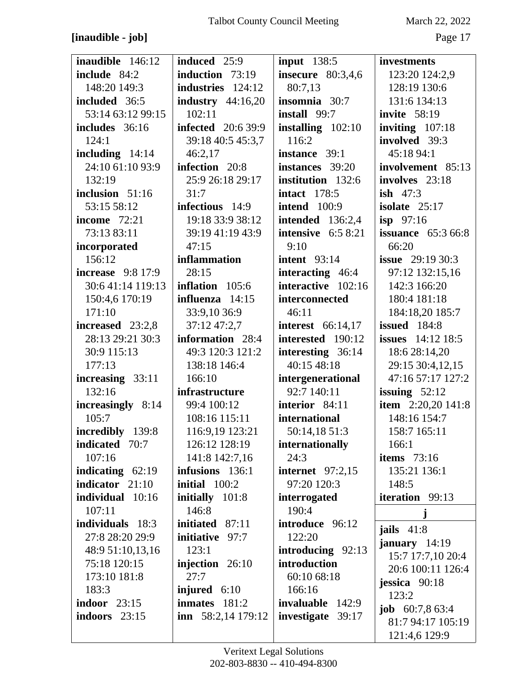## [inaudible - job]

March 22, 2022

| <b>inaudible</b> 146:12  | <b>induced</b> 25:9       | input $138:5$            | investments                |
|--------------------------|---------------------------|--------------------------|----------------------------|
| include 84:2             | induction 73:19           | insecure $80:3,4,6$      | 123:20 124:2,9             |
| 148:20 149:3             | industries 124:12         | 80:7,13                  | 128:19 130:6               |
| included 36:5            | industry $44:16,20$       | insomnia 30:7            | 131:6 134:13               |
| 53:14 63:12 99:15        | 102:11                    | install 99:7             | <b>invite</b> 58:19        |
| includes 36:16           | <b>infected</b> 20:6 39:9 | installing $102:10$      | inviting $107:18$          |
| 124:1                    | 39:18 40:5 45:3,7         | 116:2                    | involved 39:3              |
| including $14:14$        | 46:2,17                   | instance 39:1            | 45:18 94:1                 |
| 24:10 61:10 93:9         | infection 20:8            | instances 39:20          | involvement 85:13          |
| 132:19                   | 25:9 26:18 29:17          | institution 132:6        | involves 23:18             |
|                          | 31:7                      |                          | <b>ish</b> $47:3$          |
| inclusion $51:16$        |                           | <b>intact</b> 178:5      |                            |
| 53:15 58:12              | infectious 14:9           | <b>intend</b> 100:9      | isolate $25:17$            |
| <b>income</b> 72:21      | 19:18 33:9 38:12          | <b>intended</b> 136:2,4  | $i$ sp 97:16               |
| 73:13 83:11              | 39:19 41:19 43:9          | intensive $6:58:21$      | <b>issuance</b> $65:366:8$ |
| incorporated             | 47:15                     | 9:10                     | 66:20                      |
| 156:12                   | inflammation              | intent $93:14$           | <b>issue</b> $29:1930:3$   |
| <b>increase</b> 9:8 17:9 | 28:15                     | <b>interacting</b> 46:4  | 97:12 132:15,16            |
| 30:6 41:14 119:13        | inflation 105:6           | interactive 102:16       | 142:3 166:20               |
| 150:4,6 170:19           | influenza 14:15           | interconnected           | 180:4 181:18               |
| 171:10                   | 33:9,10 36:9              | 46:11                    | 184:18,20 185:7            |
| increased 23:2,8         | 37:12 47:2,7              | <b>interest</b> 66:14,17 | <b>issued</b> 184:8        |
| 28:13 29:21 30:3         | information 28:4          | interested 190:12        | <b>issues</b> $14:12$ 18:5 |
| 30:9 115:13              | 49:3 120:3 121:2          | interesting 36:14        | 18:6 28:14,20              |
| 177:13                   | 138:18 146:4              | 40:15 48:18              | 29:15 30:4,12,15           |
| increasing 33:11         | 166:10                    | intergenerational        | 47:16 57:17 127:2          |
| 132:16                   | infrastructure            | 92:7 140:11              | issuing $52:12$            |
| increasingly 8:14        | 99:4 100:12               | interior 84:11           | <b>item</b> 2:20,20 141:8  |
| 105:7                    | 108:16 115:11             | international            | 148:16 154:7               |
| incredibly 139:8         | 116:9,19 123:21           | 50:14,18 51:3            | 158:7 165:11               |
| <b>indicated</b> 70:7    | 126:12 128:19             | internationally          | 166:1                      |
| 107:16                   | 141:8 142:7,16            | 24:3                     | items $73:16$              |
| indicating $62:19$       | infusions 136:1           | <b>internet</b> 97:2,15  | 135:21 136:1               |
| indicator 21:10          | initial 100:2             | 97:20 120:3              | 148:5                      |
| individual 10:16         | initially 101:8           | interrogated             | iteration 99:13            |
| 107:11                   | 146:8                     | 190:4                    |                            |
| individuals 18:3         | initiated 87:11           | introduce 96:12          |                            |
| 27:8 28:20 29:9          | initiative 97:7           | 122:20                   | jails $41:8$               |
| 48:9 51:10,13,16         | 123:1                     | introducing 92:13        | january $14:19$            |
| 75:18 120:15             | injection 26:10           | introduction             | 15:7 17:7,10 20:4          |
| 173:10 181:8             | 27:7                      | 60:10 68:18              | 20:6 100:11 126:4          |
| 183:3                    | injured 6:10              | 166:16                   | jessica $90:18$            |
| indoor $23:15$           | inmates 181:2             | invaluable 142:9         | 123:2                      |
| indoors 23:15            | inn $58:2,14$ 179:12      | investigate<br>39:17     | <b>job</b> $60:7,863:4$    |
|                          |                           |                          | 81:7 94:17 105:19          |
|                          |                           |                          | 121:4,6 129:9              |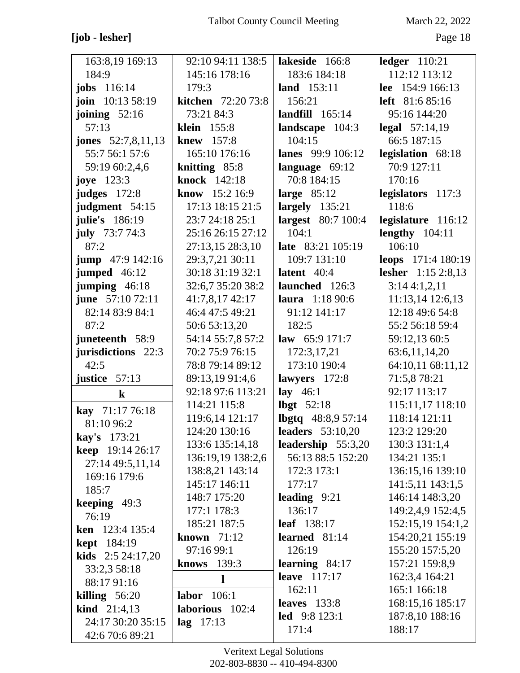## **[job - lesher]** Page 18

| 163:8,19 169:13           | 92:10 94:11 138:5       | lakeside 166:8             | $ledger$ 110:21           |
|---------------------------|-------------------------|----------------------------|---------------------------|
| 184:9                     | 145:16 178:16           | 183:6 184:18               | 112:12 113:12             |
| <b>jobs</b> 116:14        | 179:3                   | land 153:11                | lee 154:9 166:13          |
| join 10:13 58:19          | kitchen 72:20 73:8      | 156:21                     | left 81:6 85:16           |
| joining $52:16$           | 73:21 84:3              | landfill $165:14$          | 95:16 144:20              |
| 57:13                     | <b>klein</b> 155:8      | landscape 104:3            | legal $57:14,19$          |
| jones $52:7,8,11,13$      | knew 157:8              | 104:15                     | 66:5 187:15               |
| 55:7 56:1 57:6            | 165:10 176:16           | lanes 99:9 106:12          | legislation 68:18         |
| 59:19 60:2,4,6            | knitting 85:8           | language $69:12$           | 70:9 127:11               |
| joye $123:3$              | knock 142:18            | 70:8 184:15                | 170:16                    |
| <b>judges</b> 172:8       | <b>know</b> $15:2 16:9$ | large $85:12$              | legislators 117:3         |
| judgment 54:15            | 17:13 18:15 21:5        | largely $135:21$           | 118:6                     |
| julie's 186:19            | 23:7 24:18 25:1         | largest 80:7 100:4         | legislature 116:12        |
| <b>july</b> 73:7 74:3     | 25:16 26:15 27:12       | 104:1                      | lengthy $104:11$          |
| 87:2                      | 27:13,15 28:3,10        | late 83:21 105:19          | 106:10                    |
| jump 47:9 142:16          | 29:3,7,21 30:11         | 109:7 131:10               | leops 171:4 180:19        |
| jumped 46:12              | 30:18 31:19 32:1        | latent $40:4$              | <b>lesher</b> 1:15 2:8,13 |
| jumping $46:18$           | 32:6,7 35:20 38:2       | launched 126:3             | 3:144:1,2,11              |
| june 57:10 72:11          | 41:7,8,17 42:17         | laura 1:18 90:6            | 11:13,14 12:6,13          |
| 82:14 83:9 84:1           | 46:4 47:5 49:21         | 91:12 141:17               | 12:18 49:6 54:8           |
| 87:2                      | 50:6 53:13,20           | 182:5                      | 55:2 56:18 59:4           |
| juneteenth 58:9           | 54:14 55:7,8 57:2       | law $65:9171:7$            | 59:12,13 60:5             |
| jurisdictions 22:3        | 70:2 75:9 76:15         | 172:3,17,21                | 63:6,11,14,20             |
| 42:5                      | 78:8 79:14 89:12        | 173:10 190:4               | 64:10,11 68:11,12         |
| justice 57:13             | 89:13,1991:4,6          | lawyers 172:8              | 71:5,8 78:21              |
| $\bf k$                   | 92:18 97:6 113:21       | lay $46:1$                 | 92:17 113:17              |
| kay 71:17 76:18           | 114:21 115:8            | lbgt $52:18$               | 115:11,17 118:10          |
| 81:10 96:2                | 119:6,14 121:17         | <b>lbgtq</b> $48:8,957:14$ | 118:14 121:11             |
| <b>kay's</b> 173:21       | 124:20 130:16           | <b>leaders</b> 53:10,20    | 123:2 129:20              |
| <b>keep</b> 19:14 26:17   | 133:6 135:14,18         | leadership 55:3,20         | 130:3 131:1,4             |
| 27:14 49:5,11,14          | 136:19,19 138:2,6       | 56:13 88:5 152:20          | 134:21 135:1              |
| 169:16 179:6              | 138:8,21 143:14         | 172:3 173:1                | 136:15,16 139:10          |
| 185:7                     | 145:17 146:11           | 177:17                     | 141:5,11 143:1,5          |
| keeping 49:3              | 148:7 175:20            | leading $9:21$             | 146:14 148:3,20           |
| 76:19                     | 177:1 178:3             | 136:17                     | 149:2,4,9 152:4,5         |
| ken 123:4 135:4           | 185:21 187:5            | leaf 138:17                | 152:15,19 154:1,2         |
| <b>kept</b> 184:19        | known $71:12$           | learned $81:14$            | 154:20,21 155:19          |
| <b>kids</b> $2:524:17,20$ | 97:16 99:1              | 126:19                     | 155:20 157:5,20           |
| 33:2,3 58:18              | <b>knows</b> 139:3      | learning $84:17$           | 157:21 159:8,9            |
| 88:17 91:16               | $\mathbf{l}$            | leave 117:17               | 162:3,4 164:21            |
| killing $56:20$           | labor $106:1$           | 162:11                     | 165:1 166:18              |
| <b>kind</b> $21:4,13$     | laborious 102:4         | leaves $133:8$             | 168:15,16 185:17          |
| 24:17 30:20 35:15         | $lag$ 17:13             | <b>led</b> 9:8 123:1       | 187:8,10 188:16           |
| 42:6 70:6 89:21           |                         | 171:4                      | 188:17                    |
|                           |                         |                            |                           |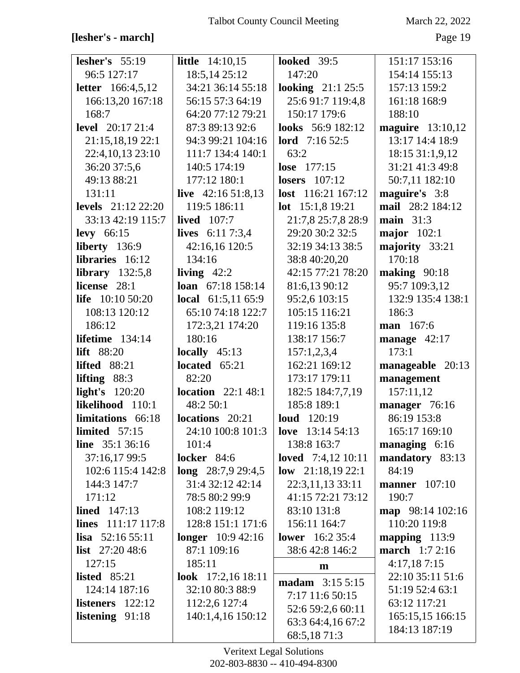## **[lesher's - march]** Page 19

| lesher's $55:19$           | <b>little</b> $14:10,15$   | <b>looked</b> 39:5        | 151:17 153:16        |
|----------------------------|----------------------------|---------------------------|----------------------|
| 96:5 127:17                | 18:5,14 25:12              | 147:20                    | 154:14 155:13        |
| <b>letter</b> $166:4,5,12$ | 34:21 36:14 55:18          | <b>looking</b> $21:125:5$ | 157:13 159:2         |
| 166:13,20 167:18           | 56:15 57:3 64:19           | 25:6 91:7 119:4,8         | 161:18 168:9         |
| 168:7                      | 64:20 77:12 79:21          | 150:17 179:6              | 188:10               |
| <b>level</b> 20:17 21:4    | 87:3 89:13 92:6            | looks 56:9 182:12         | maguire 13:10,12     |
| 21:15,18,19 22:1           | 94:3 99:21 104:16          | <b>lord</b> $7:1652:5$    | 13:17 14:4 18:9      |
| 22:4,10,13 23:10           | 111:7 134:4 140:1          | 63:2                      | 18:15 31:1,9,12      |
| 36:20 37:5,6               | 140:5 174:19               | lose 177:15               | 31:21 41:3 49:8      |
| 49:13 88:21                | 177:12 180:1               | <b>losers</b> 107:12      | 50:7,11 182:10       |
| 131:11                     | live $42:1651:8,13$        | lost 116:21 167:12        | maguire's 3:8        |
| <b>levels</b> 21:12 22:20  | 119:5 186:11               | lot 15:1,8 19:21          | mail 28:2 184:12     |
| 33:13 42:19 115:7          | lived $107:7$              | 21:7,8 25:7,8 28:9        | main $31:3$          |
| levy $66:15$               | <b>lives</b> $6:117:3,4$   | 29:20 30:2 32:5           | major $102:1$        |
| liberty 136:9              | 42:16,16 120:5             | 32:19 34:13 38:5          | majority 33:21       |
| libraries 16:12            | 134:16                     | 38:8 40:20,20             | 170:18               |
| library $132:5,8$          | living $42:2$              | 42:15 77:21 78:20         | making $90:18$       |
| license 28:1               | loan 67:18 158:14          | 81:6,13 90:12             | 95:7 109:3,12        |
| life $10:1050:20$          | <b>local</b> $61:5,1165:9$ | 95:2,6 103:15             | 132:9 135:4 138:1    |
| 108:13 120:12              | 65:10 74:18 122:7          | 105:15 116:21             | 186:3                |
| 186:12                     | 172:3,21 174:20            | 119:16 135:8              | man 167:6            |
| lifetime 134:14            | 180:16                     | 138:17 156:7              | manage $42:17$       |
| <b>lift</b> 88:20          | locally $45:13$            | 157:1,2,3,4               | 173:1                |
| <b>lifted</b> 88:21        | located $65:21$            | 162:21 169:12             | manageable 20:13     |
| lifting $88:3$             | 82:20                      | 173:17 179:11             | management           |
| light's 120:20             | <b>location</b> $22:148:1$ | 182:5 184:7,7,19          | 157:11,12            |
| likelihood 110:1           | 48:2 50:1                  | 185:8 189:1               | manager 76:16        |
| limitations 66:18          | <b>locations</b> 20:21     | <b>loud</b> 120:19        | 86:19 153:8          |
| limited $57:15$            | 24:10 100:8 101:3          | love $13:14\ 54:13$       | 165:17 169:10        |
| <b>line</b> $35:136:16$    | 101:4                      | 138:8 163:7               | managing $6:16$      |
| 37:16,17 99:5              | <b>locker</b> 84:6         | loved $7:4,12$ 10:11      | mandatory 83:13      |
| 102:6 115:4 142:8          | $long$ 28:7,9 29:4,5       | low $21:18,1922:1$        | 84:19                |
| 144:3 147:7                | 31:4 32:12 42:14           | 22:3,11,13 33:11          | <b>manner</b> 107:10 |
| 171:12                     | 78:5 80:2 99:9             | 41:15 72:21 73:12         | 190:7                |
| lined $147:13$             | 108:2 119:12               | 83:10 131:8               | map 98:14 102:16     |
| lines $111:17117:8$        | 128:8 151:1 171:6          | 156:11 164:7              | 110:20 119:8         |
| lisa $52:1655:11$          | <b>longer</b> 10:9 42:16   | <b>lower</b> 16:2 35:4    | mapping $113:9$      |
| <b>list</b> $27:2048:6$    | 87:1 109:16                | 38:6 42:8 146:2           | march 1:7 2:16       |
| 127:15                     | 185:11                     | m                         | 4:17,187:15          |
| listed $85:21$             | look $17:2,1618:11$        | madam 3:15 5:15           | 22:10 35:11 51:6     |
| 124:14 187:16              | 32:10 80:3 88:9            | 7:17 11:6 50:15           | 51:19 52:4 63:1      |
| listeners $122:12$         | 112:2,6 127:4              | 52:6 59:2,6 60:11         | 63:12 117:21         |
| listening 91:18            | 140:1,4,16 150:12          | 63:3 64:4,16 67:2         | 165:15,15 166:15     |
|                            |                            | 68:5,1871:3               | 184:13 187:19        |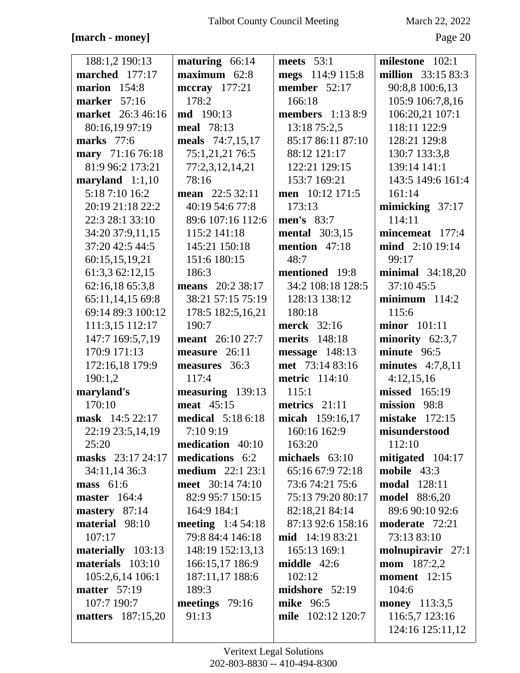## **[march - money]** Page 20

| 188:1,2 190:13           | maturing 66:14            | meets $53:1$            | milestone 102:1      |
|--------------------------|---------------------------|-------------------------|----------------------|
| marched 177:17           | $maximum$ 62:8            | megs 114:9 115:8        | million 33:15 83:3   |
| marion $154:8$           | mccray 177:21             | member 52:17            | 90:8,8 100:6,13      |
| marker 57:16             | 178:2                     | 166:18                  | 105:9 106:7,8,16     |
| market 26:3 46:16        | <b>md</b> 190:13          | <b>members</b> 1:13 8:9 | 106:20,21 107:1      |
| 80:16,19 97:19           | meal 78:13                | 13:18 75:2,5            | 118:11 122:9         |
| <b>marks</b> 77:6        | meals 74:7,15,17          | 85:17 86:11 87:10       | 128:21 129:8         |
| mary 71:16 76:18         | 75:1,21,21 76:5           | 88:12 121:17            | 130:7 133:3,8        |
| 81:9 96:2 173:21         | 77:2,3,12,14,21           | 122:21 129:15           | 139:14 141:1         |
| maryland $1:1,10$        | 78:16                     | 153:7 169:21            | 143:5 149:6 161:4    |
| 5:18 7:10 16:2           | mean 22:5 32:11           | men 10:12 171:5         | 161:14               |
| 20:19 21:18 22:2         | 40:19 54:6 77:8           | 173:13                  | mimicking $37:17$    |
| 22:3 28:1 33:10          | 89:6 107:16 112:6         | men's 83:7              | 114:11               |
| 34:20 37:9,11,15         | 115:2 141:18              | <b>mental</b> 30:3,15   | mincemeat 177:4      |
| 37:20 42:5 44:5          | 145:21 150:18             | mention $47:18$         | mind 2:10 19:14      |
| 60:15,15,19,21           | 151:6 180:15              | 48:7                    | 99:17                |
| 61:3,3 62:12,15          | 186:3                     | mentioned 19:8          | minimal $34:18,20$   |
| 62:16,18 65:3,8          | means 20:2 38:17          | 34:2 108:18 128:5       | 37:10 45:5           |
| 65:11,14,15 69:8         | 38:21 57:15 75:19         | 128:13 138:12           | $minimum$ 114:2      |
| 69:14 89:3 100:12        | 178:5 182:5,16,21         | 180:18                  | 115:6                |
| 111:3,15 112:17          | 190:7                     | <b>merck</b> 32:16      | $minor$ 101:11       |
| 147:7 169:5,7,19         | <b>meant</b> 26:10 27:7   | <b>merits</b> 148:18    | minority $62:3,7$    |
| 170:9 171:13             | measure 26:11             | message 148:13          | minute 96:5          |
| 172:16,18 179:9          | measures 36:3             | met 73:14 83:16         | minutes $4:7,8,11$   |
| 190:1,2                  | 117:4                     | <b>metric</b> 114:10    | 4:12,15,16           |
| maryland's               | measuring 139:13          | 115:1                   | missed 165:19        |
| 170:10                   | meat 45:15                | metrics 21:11           | mission 98:8         |
| mask 14:5 22:17          | <b>medical</b> 5:18 6:18  | micah 159:16,17         | mistake $172:15$     |
| 22:19 23:5,14,19         | 7:10 9:19                 | 160:16 162:9            | misunderstood        |
| 25:20                    | medication 40:10          | 163:20                  | 112:10               |
| masks 23:17 24:17        | medications 6:2           | michaels $63:10$        | mitigated 104:17     |
| 34:11,14 36:3            | <b>medium</b> $22:1 23:1$ | 65:16 67:9 72:18        | mobile 43:3          |
| mass 61:6                | meet 30:14 74:10          | 73:6 74:21 75:6         | <b>modal</b> 128:11  |
| <b>master</b> 164:4      | 82:9 95:7 150:15          | 75:13 79:20 80:17       | <b>model</b> 88:6,20 |
| mastery 87:14            | 164:9 184:1               | 82:18,21 84:14          | 89:6 90:10 92:6      |
| material 98:10           | <b>meeting</b> $1:454:18$ | 87:13 92:6 158:16       | moderate 72:21       |
| 107:17                   | 79:8 84:4 146:18          | <b>mid</b> 14:19 83:21  | 73:13 83:10          |
| materially 103:13        | 148:19 152:13,13          | 165:13 169:1            | molnupiravir 27:1    |
| materials 103:10         | 166:15,17 186:9           | middle $42:6$           | <b>mom</b> $187:2,2$ |
| 105:2,6,14 106:1         | 187:11,17 188:6           | 102:12                  | moment $12:15$       |
| <b>matter</b> 57:19      | 189:3                     | midshore 52:19          | 104:6                |
| 107:7 190:7              | meetings 79:16            | mike 96:5               | <b>money</b> 113:3,5 |
| <b>matters</b> 187:15,20 | 91:13                     | mile 102:12 120:7       | 116:5,7 123:16       |
|                          |                           |                         | 124:16 125:11,12     |
|                          |                           |                         |                      |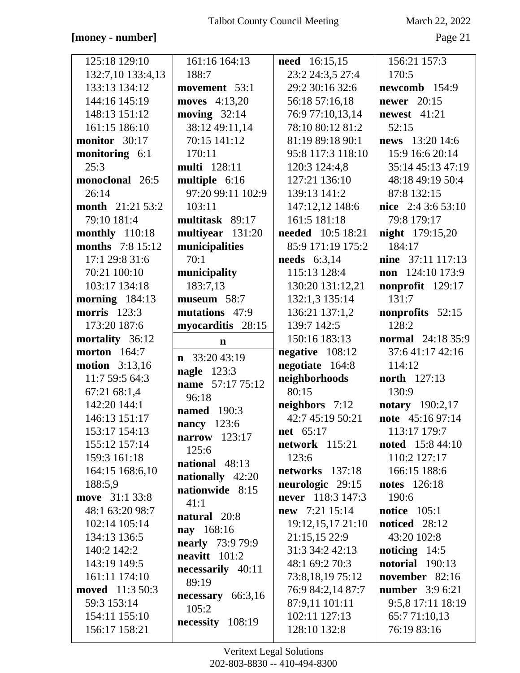#### [money - number]

March 22, 2022

| 125:18 129:10           | 161:16 164:13            | <b>need</b> 16:15,15  | 156:21 157:3             |
|-------------------------|--------------------------|-----------------------|--------------------------|
| 132:7,10 133:4,13       | 188:7                    | 23:2 24:3,5 27:4      | 170:5                    |
| 133:13 134:12           | movement 53:1            | 29:2 30:16 32:6       | newcomb 154:9            |
| 144:16 145:19           | moves 4:13,20            | 56:18 57:16,18        | <b>newer</b> 20:15       |
| 148:13 151:12           | moving $32:14$           | 76:9 77:10,13,14      | newest $41:21$           |
| 161:15 186:10           | 38:12 49:11,14           | 78:10 80:12 81:2      | 52:15                    |
| monitor 30:17           | 70:15 141:12             | 81:19 89:18 90:1      | news 13:20 14:6          |
| monitoring 6:1          | 170:11                   | 95:8 117:3 118:10     | 15:9 16:6 20:14          |
| 25:3                    | <b>multi</b> 128:11      | 120:3 124:4,8         | 35:14 45:13 47:19        |
| monoclonal 26:5         | multiple 6:16            | 127:21 136:10         | 48:18 49:19 50:4         |
| 26:14                   | 97:20 99:11 102:9        | 139:13 141:2          | 87:8 132:15              |
| <b>month</b> 21:21 53:2 | 103:11                   | 147:12,12 148:6       | nice 2:4 3:6 53:10       |
| 79:10 181:4             | multitask 89:17          | 161:5 181:18          | 79:8 179:17              |
| monthly 110:18          | multiyear 131:20         | needed 10:5 18:21     | <b>night</b> 179:15,20   |
| <b>months</b> 7:8 15:12 |                          | 85:9 171:19 175:2     | 184:17                   |
|                         | municipalities<br>70:1   |                       |                          |
| 17:1 29:8 31:6          |                          | needs 6:3,14          | nine 37:11 117:13        |
| 70:21 100:10            | municipality             | 115:13 128:4          | non 124:10 173:9         |
| 103:17 134:18           | 183:7,13                 | 130:20 131:12,21      | nonprofit 129:17         |
| morning $184:13$        | museum 58:7              | 132:1,3 135:14        | 131:7                    |
| morris 123:3            | mutations 47:9           | 136:21 137:1,2        | nonprofits 52:15         |
| 173:20 187:6            | myocarditis 28:15        | 139:7 142:5           | 128:2                    |
| mortality 36:12         | $\mathbf n$              | 150:16 183:13         | <b>normal</b> 24:18 35:9 |
| <b>morton</b> 164:7     | $\mathbf{n}$ 33:20 43:19 | negative $108:12$     | 37:641:1742:16           |
| <b>motion</b> 3:13,16   | <b>nagle</b> 123:3       | negotiate 164:8       | 114:12                   |
| 11:7 59:5 64:3          | name 57:17 75:12         | neighborhoods         | <b>north</b> 127:13      |
| 67:21 68:1,4            | 96:18                    | 80:15                 | 130:9                    |
| 142:20 144:1            | <b>named</b> 190:3       | neighbors 7:12        | <b>notary</b> 190:2,17   |
| 146:13 151:17           |                          | 42:7 45:19 50:21      | note 45:16 97:14         |
| 153:17 154:13           | nancy 123:6              | <b>net</b> 65:17      | 113:17 179:7             |
| 155:12 157:14           | narrow 123:17            | <b>network</b> 115:21 | <b>noted</b> 15:8 44:10  |
| 159:3 161:18            | 125:6<br>national 48:13  | 123:6                 | 110:2 127:17             |
| 164:15 168:6,10         |                          | networks 137:18       | 166:15 188:6             |
| 188:5,9                 | nationally 42:20         | neurologic 29:15      | <b>notes</b> 126:18      |
| move 31:1 33:8          | nationwide 8:15          | never 118:3 147:3     | 190:6                    |
| 48:1 63:20 98:7         | 41:1                     | new 7:21 15:14        | notice $105:1$           |
| 102:14 105:14           | natural 20:8             | 19:12,15,17 21:10     | <b>noticed</b> 28:12     |
| 134:13 136:5            | nay 168:16               | 21:15,15 22:9         | 43:20 102:8              |
| 140:2 142:2             | <b>nearly</b> 73:9 79:9  | 31:3 34:2 42:13       | noticing $14:5$          |
| 143:19 149:5            | $\bf neavitt$ 101:2      | 48:1 69:2 70:3        | <b>notorial</b> 190:13   |
| 161:11 174:10           | necessarily 40:11        | 73:8,18,19 75:12      | november 82:16           |
| <b>moved</b> 11:3 50:3  | 89:19                    | 76:9 84:2,14 87:7     | <b>number</b> 3:9 6:21   |
| 59:3 153:14             | necessary $66:3,16$      | 87:9,11 101:11        | 9:5,8 17:11 18:19        |
| 154:11 155:10           | 105:2                    | 102:11 127:13         | 65:771:10,13             |
|                         | necessity 108:19         |                       |                          |
| 156:17 158:21           |                          | 128:10 132:8          | 76:19 83:16              |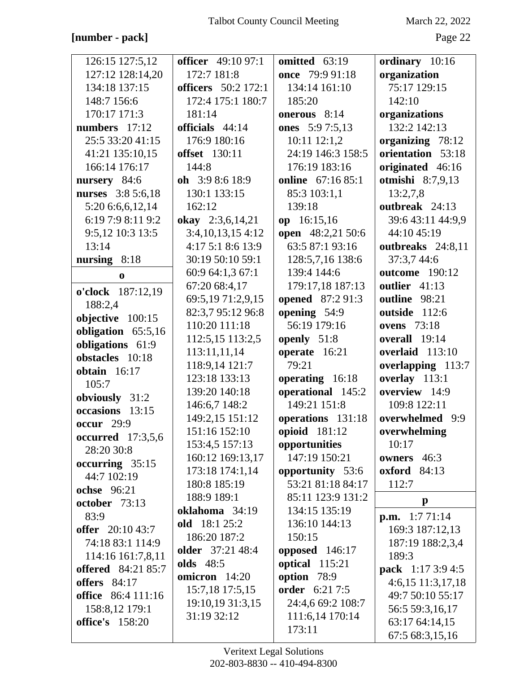#### [number - pack]

March 22, 2022

| 126:15 127:5,12                        | <b>officer</b> 49:10 97:1  | omitted 63:19            | ordinary 10:16           |
|----------------------------------------|----------------------------|--------------------------|--------------------------|
| 127:12 128:14,20                       | 172:7 181:8                | once 79:9 91:18          | organization             |
| 134:18 137:15                          | <b>officers</b> 50:2 172:1 | 134:14 161:10            | 75:17 129:15             |
| 148:7 156:6                            | 172:4 175:1 180:7          | 185:20                   | 142:10                   |
| 170:17 171:3                           | 181:14                     | onerous 8:14             | organizations            |
| numbers $17:12$                        | officials 44:14            | ones 5:9 7:5,13          | 132:2 142:13             |
| 25:5 33:20 41:15                       | 176:9 180:16               | $10:11$ $12:1,2$         | organizing 78:12         |
| 41:21 135:10,15                        | <b>offset</b> 130:11       | 24:19 146:3 158:5        | orientation 53:18        |
| 166:14 176:17                          | 144:8                      | 176:19 183:16            | originated 46:16         |
| nursery 84:6                           | oh $3:98:618:9$            | <b>online</b> 67:16 85:1 | otmishi 8:7,9,13         |
| nurses 3:8 5:6,18                      | 130:1 133:15               | 85:3 103:1,1             | 13:2,7,8                 |
| 5:20 6:6,6,12,14                       | 162:12                     | 139:18                   | outbreak 24:13           |
| 6:19 7:9 8:11 9:2                      | okay 2:3,6,14,21           | op 16:15,16              | 39:6 43:11 44:9,9        |
| 9:5,12 10:3 13:5                       | 3:4,10,13,154:12           | open 48:2,21 50:6        | 44:10 45:19              |
| 13:14                                  | 4:17 5:1 8:6 13:9          | 63:5 87:1 93:16          | outbreaks 24:8,11        |
| nursing $8:18$                         | 30:19 50:10 59:1           | 128:5,7,16 138:6         | 37:3,7 44:6              |
| $\mathbf 0$                            | 60:9 64:1,3 67:1           | 139:4 144:6              | <b>outcome</b> 190:12    |
|                                        | 67:20 68:4,17              | 179:17,18 187:13         | outlier 41:13            |
| o'clock 187:12,19                      | 69:5,19 71:2,9,15          | opened 87:2 91:3         | outline 98:21            |
| 188:2,4                                | 82:3,7 95:12 96:8          | opening 54:9             | outside 112:6            |
| objective 100:15                       | 110:20 111:18              | 56:19 179:16             | <b>ovens</b> 73:18       |
| obligation 65:5,16                     | 112:5,15 113:2,5           | openly 51:8              | overall 19:14            |
| obligations 61:9<br>obstacles 10:18    | 113:11,11,14               | operate 16:21            | overlaid 113:10          |
|                                        | 118:9,14 121:7             | 79:21                    | overlapping 113:7        |
| obtain $16:17$<br>105:7                | 123:18 133:13              | operating 16:18          | overlay 113:1            |
|                                        | 139:20 140:18              | operational 145:2        | overview 14:9            |
| obviously 31:2<br>occasions 13:15      | 146:6,7 148:2              | 149:21 151:8             | 109:8 122:11             |
|                                        | 149:2,15 151:12            | operations 131:18        | overwhelmed 9:9          |
| <b>occur</b> 29:9                      | 151:16 152:10              | opioid 181:12            | overwhelming             |
| <b>occurred</b> 17:3,5,6<br>28:20 30:8 | 153:4,5 157:13             | opportunities            | 10:17                    |
| occurring 35:15                        | 160:12 169:13,17           | 147:19 150:21            | owners 46:3              |
| 44:7 102:19                            | 173:18 174:1,14            | opportunity 53:6         | <b>oxford</b> 84:13      |
| <b>ochse</b> 96:21                     | 180:8 185:19               | 53:21 81:18 84:17        | 112:7                    |
| october 73:13                          | 188:9 189:1                | 85:11 123:9 131:2        | $\mathbf{p}$             |
| 83:9                                   | oklahoma 34:19             | 134:15 135:19            | <b>p.m.</b> $1:771:14$   |
| offer 20:10 43:7                       | old 18:1 25:2              | 136:10 144:13            | 169:3 187:12,13          |
| 74:18 83:1 114:9                       | 186:20 187:2               | 150:15                   | 187:19 188:2,3,4         |
| 114:16 161:7,8,11                      | older 37:21 48:4           | opposed $146:17$         | 189:3                    |
| <b>offered</b> 84:21 85:7              | <b>olds</b> 48:5           | optical 115:21           | <b>pack</b> 1:17 3:9 4:5 |
| offers $84:17$                         | omicron 14:20              | option 78:9              | $4:6,15$ 11:3,17,18      |
| <b>office</b> 86:4 111:16              | 15:7,18 17:5,15            | <b>order</b> 6:21 7:5    | 49:7 50:10 55:17         |
| 158:8,12 179:1                         | 19:10,19 31:3,15           | 24:4,6 69:2 108:7        | 56:5 59:3,16,17          |
| <b>office's</b> 158:20                 | 31:19 32:12                | 111:6,14 170:14          | 63:17 64:14,15           |
|                                        |                            | 173:11                   | 67:5 68:3,15,16          |
|                                        |                            |                          |                          |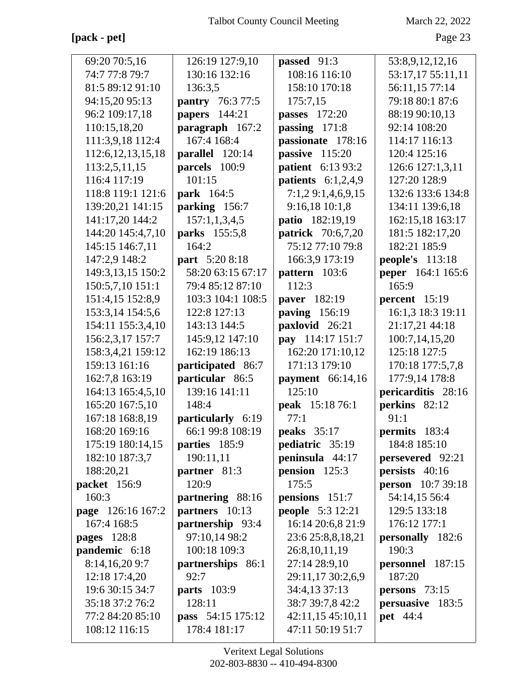## **[pack - pet]** Page 23

| 69:20 70:5,16         | 126:19 127:9,10          | passed 91:3              | 53:8,9,12,12,16          |
|-----------------------|--------------------------|--------------------------|--------------------------|
| 74:7 77:8 79:7        | 130:16 132:16            | 108:16 116:10            | 53:17,17 55:11,11        |
| 81:5 89:12 91:10      | 136:3,5                  | 158:10 170:18            | 56:11,15 77:14           |
| 94:15,20 95:13        | pantry 76:3 77:5         | 175:7,15                 | 79:18 80:1 87:6          |
| 96:2 109:17,18        | <b>papers</b> 144:21     | <b>passes</b> 172:20     | 88:19 90:10,13           |
| 110:15,18,20          | paragraph 167:2          | passing $171:8$          | 92:14 108:20             |
| 111:3,9,18 112:4      | 167:4 168:4              | passionate 178:16        | 114:17 116:13            |
| 112:6, 12, 13, 15, 18 | parallel 120:14          | passive 115:20           | 120:4 125:16             |
| 113:2,5,11,15         | parcels 100:9            | <b>patient</b> 6:13 93:2 | 126:6 127:1,3,11         |
| 116:4 117:19          | 101:15                   | patients $6:1,2,4,9$     | 127:20 128:9             |
| 118:8 119:1 121:6     | park 164:5               | 7:1,29:1,4,6,9,15        | 132:6 133:6 134:8        |
| 139:20,21 141:15      | parking 156:7            | 9:16,18 10:1,8           | 134:11 139:6,18          |
| 141:17,20 144:2       | 157:1,1,3,4,5            | patio 182:19,19          | 162:15,18 163:17         |
| 144:20 145:4,7,10     | parks 155:5,8            | <b>patrick</b> 70:6,7,20 | 181:5 182:17,20          |
| 145:15 146:7,11       | 164:2                    | 75:12 77:10 79:8         | 182:21 185:9             |
| 147:2,9 148:2         | part 5:20 8:18           | 166:3,9 173:19           | <b>people's</b> 113:18   |
| 149:3,13,15 150:2     | 58:20 63:15 67:17        | pattern 103:6            | peper 164:1 165:6        |
| 150:5,7,10 151:1      | 79:4 85:12 87:10         | 112:3                    | 165:9                    |
| 151:4,15 152:8,9      | 103:3 104:1 108:5        | paver 182:19             | percent $15:19$          |
| 153:3,14 154:5,6      | 122:8 127:13             | paving 156:19            | 16:1,3 18:3 19:11        |
| 154:11 155:3,4,10     | 143:13 144:5             | paxlovid 26:21           | 21:17,21 44:18           |
| 156:2,3,17 157:7      | 145:9,12 147:10          | pay 114:17 151:7         | 100:7,14,15,20           |
| 158:3,4,21 159:12     | 162:19 186:13            | 162:20 171:10,12         | 125:18 127:5             |
| 159:13 161:16         | participated 86:7        | 171:13 179:10            | 170:18 177:5,7,8         |
| 162:7,8 163:19        | particular 86:5          | payment $66:14,16$       | 177:9,14 178:8           |
| 164:13 165:4,5,10     | 139:16 141:11            | 125:10                   | pericarditis 28:16       |
| 165:20 167:5,10       | 148:4                    | peak 15:18 76:1          | perkins 82:12            |
| 167:18 168:8,19       | particularly 6:19        | 77:1                     | 91:1                     |
| 168:20 169:16         | 66:1 99:8 108:19         | peaks $35:17$            | permits 183:4            |
| 175:19 180:14,15      | parties 185:9            | pediatric 35:19          | 184:8 185:10             |
| 182:10 187:3,7        | 190:11,11                | peninsula 44:17          | <b>persevered</b> 92:21  |
| 188:20,21             | partner 81:3             | <b>pension</b> $125:3$   | persists 40:16           |
| packet 156:9          | 120:9                    | 175:5                    | <b>person</b> 10:7 39:18 |
| 160:3                 | partnering 88:16         | pensions 151:7           | 54:14,15 56:4            |
| page 126:16 167:2     | partners 10:13           | <b>people</b> 5:3 12:21  | 129:5 133:18             |
| 167:4 168:5           | partnership 93:4         | 16:14 20:6,8 21:9        | 176:12 177:1             |
| pages $128:8$         | 97:10,14 98:2            | 23:6 25:8,8,18,21        | personally 182:6         |
| pandemic 6:18         | 100:18 109:3             | 26:8, 10, 11, 19         | 190:3                    |
| 8:14,16,209:7         | partnerships 86:1        | 27:14 28:9,10            | personnel 187:15         |
| 12:18 17:4,20         | 92:7                     | 29:11,17 30:2,6,9        | 187:20                   |
| 19:6 30:15 34:7       | <b>parts</b> 103:9       | 34:4,13 37:13            | <b>persons</b> $73:15$   |
| 35:18 37:2 76:2       | 128:11                   | 38:7 39:7,8 42:2         | persuasive 183:5         |
| 77:2 84:20 85:10      | <b>pass</b> 54:15 175:12 | 42:11,15 45:10,11        | <b>pet</b> 44:4          |
| 108:12 116:15         | 178:4 181:17             | 47:11 50:19 51:7         |                          |
|                       |                          |                          |                          |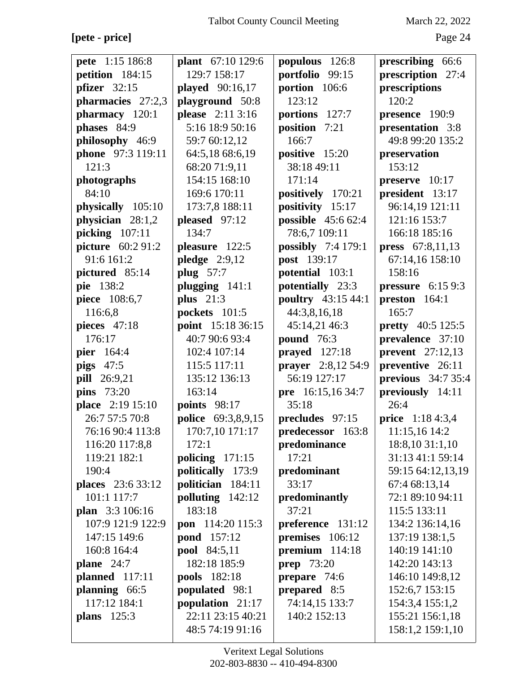**[pete - price]** Page 24

| pete 1:15 186:8     | plant 67:10 129:6   | populous 126:8     | prescribing 66:6         |
|---------------------|---------------------|--------------------|--------------------------|
| petition 184:15     | 129:7 158:17        | portfolio<br>99:15 | prescription 27:4        |
| pfizer $32:15$      | played 90:16,17     | portion $106:6$    | prescriptions            |
| pharmacies 27:2,3   | playground 50:8     | 123:12             | 120:2                    |
| pharmacy 120:1      | please 2:11 3:16    | portions 127:7     | <b>presence</b> 190:9    |
| phases 84:9         | 5:16 18:9 50:16     | position 7:21      | presentation 3:8         |
| philosophy 46:9     | 59:7 60:12,12       | 166:7              | 49:8 99:20 135:2         |
| phone 97:3 119:11   | 64:5,18 68:6,19     | positive 15:20     | preservation             |
| 121:3               | 68:20 71:9,11       | 38:18 49:11        | 153:12                   |
| photographs         | 154:15 168:10       | 171:14             | preserve 10:17           |
| 84:10               | 169:6 170:11        | positively 170:21  | president 13:17          |
| physically 105:10   | 173:7,8 188:11      | positivity 15:17   | 96:14,19 121:11          |
| physician $28:1,2$  | pleased 97:12       | possible 45:6 62:4 | 121:16 153:7             |
| picking 107:11      | 134:7               | 78:6,7 109:11      | 166:18 185:16            |
| picture 60:2 91:2   | pleasure 122:5      | possibly 7:4 179:1 | press 67:8,11,13         |
| 91:6 161:2          | pledge $2:9,12$     | post 139:17        | 67:14,16 158:10          |
| pictured 85:14      | plug 57:7           | potential 103:1    | 158:16                   |
| pie 138:2           | plugging 141:1      | potentially 23:3   | pressure 6:15 9:3        |
| piece 108:6,7       | plus $21:3$         | poultry 43:15 44:1 | preston 164:1            |
| 116:6,8             | pockets 101:5       | 44:3,8,16,18       | 165:7                    |
| pieces 47:18        | point 15:18 36:15   | 45:14,21 46:3      | <b>pretty</b> 40:5 125:5 |
| 176:17              | 40:7 90:6 93:4      | <b>pound</b> 76:3  | prevalence 37:10         |
| pier 164:4          | 102:4 107:14        | prayed $127:18$    | <b>prevent</b> 27:12,13  |
| pigs $47:5$         | 115:5 117:11        | prayer 2:8,12 54:9 | preventive 26:11         |
| <b>pill</b> 26:9,21 | 135:12 136:13       | 56:19 127:17       | previous 34:7 35:4       |
| <b>pins</b> 73:20   | 163:14              | pre 16:15,16 34:7  | previously 14:11         |
| place 2:19 15:10    | <b>points</b> 98:17 | 35:18              | 26:4                     |
| 26:7 57:5 70:8      | police 69:3,8,9,15  | precludes 97:15    | <b>price</b> 1:18 4:3,4  |
| 76:16 90:4 113:8    | 170:7,10 171:17     | predecessor 163:8  | 11:15,16 14:2            |
| 116:20 117:8,8      | 172:1               | predominance       | 18:8,10 31:1,10          |
| 119:21 182:1        | policing $171:15$   | 17:21              | 31:13 41:1 59:14         |
| 190:4               | politically 173:9   | predominant        | 59:15 64:12,13,19        |
| places 23:6 33:12   | politician 184:11   | 33:17              | 67:4 68:13,14            |
| 101:1 117:7         | polluting 142:12    | predominantly      | 72:1 89:10 94:11         |
| plan 3:3 106:16     | 183:18              | 37:21              | 115:5 133:11             |
| 107:9 121:9 122:9   | pon 114:20 115:3    | preference 131:12  | 134:2 136:14,16          |
| 147:15 149:6        | <b>pond</b> 157:12  | premises 106:12    | 137:19 138:1,5           |
| 160:8 164:4         | <b>pool</b> 84:5,11 | premium 114:18     | 140:19 141:10            |
| plane $24:7$        | 182:18 185:9        | <b>prep</b> 73:20  | 142:20 143:13            |
| planned 117:11      | pools 182:18        | prepare 74:6       | 146:10 149:8,12          |
| planning 66:5       | populated 98:1      | prepared 8:5       | 152:6,7 153:15           |
| 117:12 184:1        | population 21:17    | 74:14,15 133:7     | 154:3,4 155:1,2          |
| <b>plans</b> 125:3  | 22:11 23:15 40:21   | 140:2 152:13       | 155:21 156:1,18          |
|                     | 48:5 74:19 91:16    |                    | 158:1,2 159:1,10         |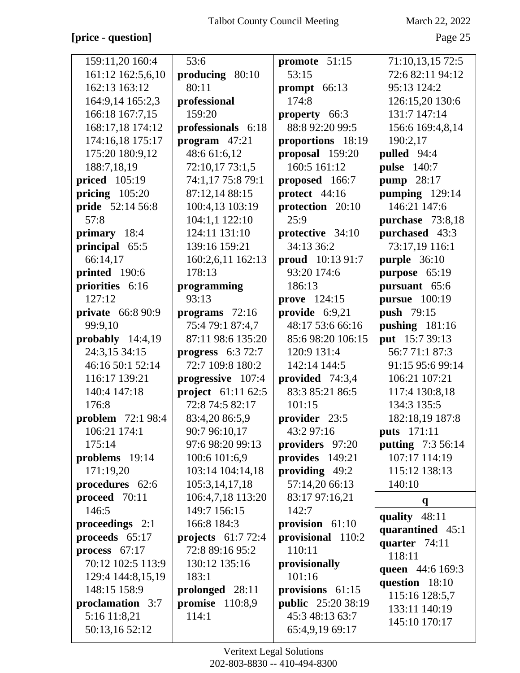## **[price - question]** Page 25

| 159:11,20 160:4<br>161:12 162:5,6,10<br>162:13 163:12<br>164:9,14 165:2,3<br>166:18 167:7,15<br>168:17,18 174:12<br>174:16,18 175:17<br>175:20 180:9,12<br>188:7,18,19<br><b>priced</b> 105:19 | 53:6<br>producing 80:10<br>80:11<br>professional<br>159:20<br>professionals 6:18<br>program $47:21$<br>48:6 61:6,12<br>72:10,17 73:1,5 | promote 51:15<br>53:15<br>prompt 66:13<br>174:8<br>property 66:3<br>88:8 92:20 99:5<br>proportions 18:19<br>proposal 159:20<br>160:5 161:12 | 71:10,13,15 72:5<br>72:6 82:11 94:12<br>95:13 124:2<br>126:15,20 130:6<br>131:7 147:14<br>156:6 169:4,8,14<br>190:2,17<br>pulled 94:4<br><b>pulse</b> 140:7 |
|------------------------------------------------------------------------------------------------------------------------------------------------------------------------------------------------|----------------------------------------------------------------------------------------------------------------------------------------|---------------------------------------------------------------------------------------------------------------------------------------------|-------------------------------------------------------------------------------------------------------------------------------------------------------------|
| pricing $105:20$                                                                                                                                                                               | 74:1,17 75:8 79:1<br>87:12,14 88:15                                                                                                    | proposed 166:7<br>protect 44:16                                                                                                             | pump 28:17<br>pumping 129:14                                                                                                                                |
| <b>pride</b> 52:14 56:8                                                                                                                                                                        | 100:4,13 103:19                                                                                                                        | protection 20:10                                                                                                                            | 146:21 147:6                                                                                                                                                |
| 57:8                                                                                                                                                                                           | 104:1,1 122:10                                                                                                                         | 25:9                                                                                                                                        | purchase 73:8,18                                                                                                                                            |
| <b>primary</b> 18:4                                                                                                                                                                            | 124:11 131:10                                                                                                                          | protective 34:10                                                                                                                            | purchased 43:3                                                                                                                                              |
| principal 65:5                                                                                                                                                                                 | 139:16 159:21                                                                                                                          | 34:13 36:2                                                                                                                                  | 73:17,19 116:1                                                                                                                                              |
| 66:14,17                                                                                                                                                                                       | 160:2,6,11 162:13                                                                                                                      | <b>proud</b> 10:13 91:7                                                                                                                     | purple 36:10                                                                                                                                                |
| printed 190:6                                                                                                                                                                                  | 178:13                                                                                                                                 | 93:20 174:6                                                                                                                                 | purpose 65:19                                                                                                                                               |
| priorities 6:16                                                                                                                                                                                | programming                                                                                                                            | 186:13                                                                                                                                      | pursuant 65:6                                                                                                                                               |
| 127:12                                                                                                                                                                                         | 93:13                                                                                                                                  | <b>prove</b> 124:15                                                                                                                         | <b>pursue</b> 100:19                                                                                                                                        |
| <b>private</b> 66:8 90:9                                                                                                                                                                       | programs $72:16$                                                                                                                       | provide 6:9,21                                                                                                                              | <b>push</b> 79:15                                                                                                                                           |
| 99:9,10                                                                                                                                                                                        | 75:4 79:1 87:4,7                                                                                                                       | 48:17 53:6 66:16                                                                                                                            | pushing 181:16                                                                                                                                              |
| probably $14:4,19$                                                                                                                                                                             | 87:11 98:6 135:20                                                                                                                      | 85:6 98:20 106:15                                                                                                                           | put 15:7 39:13                                                                                                                                              |
| 24:3,15 34:15                                                                                                                                                                                  | progress $6:372:7$                                                                                                                     | 120:9 131:4                                                                                                                                 | 56:771:187:3                                                                                                                                                |
| 46:16 50:1 52:14                                                                                                                                                                               | 72:7 109:8 180:2                                                                                                                       | 142:14 144:5                                                                                                                                | 91:15 95:6 99:14                                                                                                                                            |
| 116:17 139:21                                                                                                                                                                                  | progressive 107:4                                                                                                                      | provided 74:3,4                                                                                                                             | 106:21 107:21                                                                                                                                               |
| 140:4 147:18                                                                                                                                                                                   | project 61:11 62:5                                                                                                                     | 83:3 85:21 86:5                                                                                                                             | 117:4 130:8,18                                                                                                                                              |
| 176:8                                                                                                                                                                                          | 72:8 74:5 82:17                                                                                                                        | 101:15                                                                                                                                      | 134:3 135:5                                                                                                                                                 |
| <b>problem</b> 72:1 98:4                                                                                                                                                                       | 83:4,20 86:5,9                                                                                                                         | provider 23:5                                                                                                                               | 182:18,19 187:8                                                                                                                                             |
| 106:21 174:1                                                                                                                                                                                   | 90:7 96:10,17                                                                                                                          | 43:2 97:16                                                                                                                                  | <b>puts</b> 171:11                                                                                                                                          |
| 175:14                                                                                                                                                                                         | 97:6 98:20 99:13                                                                                                                       | providers 97:20                                                                                                                             | putting 7:3 56:14                                                                                                                                           |
| problems 19:14                                                                                                                                                                                 | 100:6 101:6,9                                                                                                                          | provides 149:21                                                                                                                             | 107:17 114:19                                                                                                                                               |
| 171:19,20                                                                                                                                                                                      | 103:14 104:14,18                                                                                                                       | providing $49:2$                                                                                                                            | 115:12 138:13                                                                                                                                               |
| procedures 62:6                                                                                                                                                                                | 105:3,14,17,18                                                                                                                         | 57:14,20 66:13                                                                                                                              | 140:10                                                                                                                                                      |
| proceed 70:11                                                                                                                                                                                  | 106:4,7,18 113:20                                                                                                                      | 83:17 97:16,21                                                                                                                              | $\mathbf{q}$                                                                                                                                                |
| 146:5                                                                                                                                                                                          | 149:7 156:15                                                                                                                           | 142:7                                                                                                                                       |                                                                                                                                                             |
| proceedings 2:1                                                                                                                                                                                | 166:8 184:3                                                                                                                            | provision 61:10                                                                                                                             | quality 48:11                                                                                                                                               |
| proceeds 65:17                                                                                                                                                                                 | projects $61:772:4$                                                                                                                    | provisional 110:2                                                                                                                           | quarantined 45:1                                                                                                                                            |
| process 67:17                                                                                                                                                                                  | 72:8 89:16 95:2                                                                                                                        | 110:11                                                                                                                                      | quarter 74:11<br>118:11                                                                                                                                     |
| 70:12 102:5 113:9                                                                                                                                                                              | 130:12 135:16                                                                                                                          | provisionally                                                                                                                               |                                                                                                                                                             |
| 129:4 144:8,15,19                                                                                                                                                                              | 183:1                                                                                                                                  | 101:16                                                                                                                                      | queen 44:6 169:3                                                                                                                                            |
| 148:15 158:9                                                                                                                                                                                   | prolonged 28:11                                                                                                                        | provisions 61:15                                                                                                                            | question 18:10                                                                                                                                              |
| proclamation 3:7                                                                                                                                                                               | promise $110:8,9$                                                                                                                      | <b>public</b> 25:20 38:19                                                                                                                   | 115:16 128:5,7<br>133:11 140:19                                                                                                                             |
| 5:16 11:8,21                                                                                                                                                                                   | 114:1                                                                                                                                  | 45:3 48:13 63:7                                                                                                                             | 145:10 170:17                                                                                                                                               |
| 50:13,16 52:12                                                                                                                                                                                 |                                                                                                                                        | 65:4,9,19 69:17                                                                                                                             |                                                                                                                                                             |
|                                                                                                                                                                                                |                                                                                                                                        |                                                                                                                                             |                                                                                                                                                             |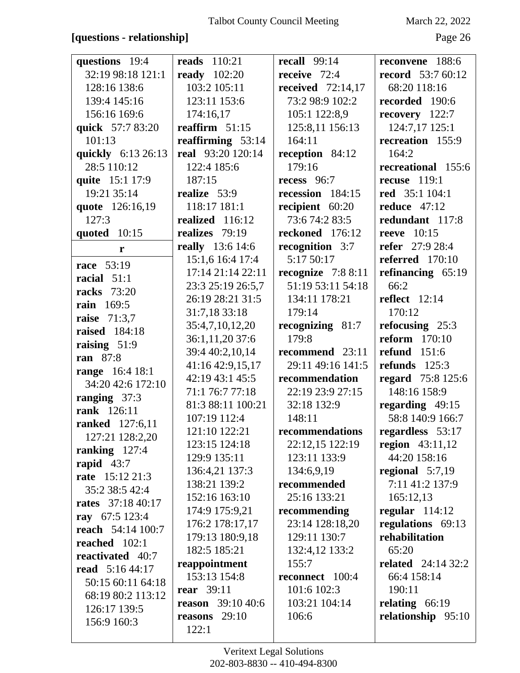## **[questions - relationship]** Page 26

| questions 19:4           | <b>reads</b> 110:21      | <b>recall</b> 99:14 | reconvene 188:6          |
|--------------------------|--------------------------|---------------------|--------------------------|
| 32:19 98:18 121:1        | <b>ready</b> 102:20      | receive 72:4        | <b>record</b> 53:7 60:12 |
| 128:16 138:6             | 103:2 105:11             | received $72:14,17$ | 68:20 118:16             |
| 139:4 145:16             | 123:11 153:6             | 73:2 98:9 102:2     | recorded 190:6           |
| 156:16 169:6             | 174:16,17                | 105:1 122:8,9       | recovery 122:7           |
| quick 57:7 83:20         | reaffirm $51:15$         | 125:8,11 156:13     | 124:7,17 125:1           |
| 101:13                   | reaffirming $53:14$      | 164:11              | recreation 155:9         |
| quickly 6:13 26:13       | real 93:20 120:14        | reception 84:12     | 164:2                    |
| 28:5 110:12              | 122:4 185:6              | 179:16              | recreational 155:6       |
| quite 15:1 17:9          | 187:15                   | recess 96:7         | recuse $119:1$           |
| 19:21 35:14              | realize 53:9             | recession 184:15    | <b>red</b> 35:1 104:1    |
| quote 126:16,19          | 118:17 181:1             | recipient 60:20     | <b>reduce</b> 47:12      |
| 127:3                    | realized 116:12          | 73:6 74:2 83:5      | redundant 117:8          |
| quoted 10:15             | realizes 79:19           | reckoned 176:12     | reeve $10:15$            |
| r                        | <b>really</b> 13:6 14:6  | recognition 3:7     | <b>refer</b> 27:9 28:4   |
| race 53:19               | 15:1,6 16:4 17:4         | 5:17 50:17          | referred $170:10$        |
| racial 51:1              | 17:14 21:14 22:11        | recognize $7:88:11$ | refinancing $65:19$      |
| <b>racks</b> 73:20       | 23:3 25:19 26:5,7        | 51:19 53:11 54:18   | 66:2                     |
| rain 169:5               | 26:19 28:21 31:5         | 134:11 178:21       | reflect $12:14$          |
| raise 71:3,7             | 31:7,18 33:18            | 179:14              | 170:12                   |
| <b>raised</b> 184:18     | 35:4,7,10,12,20          | recognizing 81:7    | refocusing 25:3          |
| raising 51:9             | 36:1,11,20 37:6          | 179:8               | reform $170:10$          |
| <b>ran</b> 87:8          | 39:4 40:2,10,14          | recommend 23:11     | <b>refund</b> 151:6      |
| range 16:4 18:1          | 41:16 42:9,15,17         | 29:11 49:16 141:5   | refunds $125:3$          |
| 34:20 42:6 172:10        | 42:19 43:1 45:5          | recommendation      | regard 75:8 125:6        |
| ranging 37:3             | 71:1 76:7 77:18          | 22:19 23:9 27:15    | 148:16 158:9             |
| rank 126:11              | 81:3 88:11 100:21        | 32:18 132:9         | regarding 49:15          |
| <b>ranked</b> 127:6,11   | 107:19 112:4             | 148:11              | 58:8 140:9 166:7         |
| 127:21 128:2,20          | 121:10 122:21            | recommendations     | regardless 53:17         |
| ranking $127:4$          | 123:15 124:18            | 22:12,15 122:19     | region $43:11,12$        |
| rapid $43:7$             | 129:9 135:11             | 123:11 133:9        | 44:20 158:16             |
| rate 15:12 21:3          | 136:4,21 137:3           | 134:6,9,19          | regional $5:7,19$        |
| 35:2 38:5 42:4           | 138:21 139:2             | recommended         | 7:11 41:2 137:9          |
| rates 37:18 40:17        | 152:16 163:10            | 25:16 133:21        | 165:12,13                |
| ray 67:5 123:4           | 174:9 175:9,21           | recommending        | regular $114:12$         |
| <b>reach</b> 54:14 100:7 | 176:2 178:17,17          | 23:14 128:18,20     | regulations 69:13        |
| reached $102:1$          | 179:13 180:9,18          | 129:11 130:7        | rehabilitation           |
| reactivated 40:7         | 182:5 185:21             | 132:4,12 133:2      | 65:20                    |
| <b>read</b> 5:16 44:17   | reappointment            | 155:7               | related $24:1432:2$      |
| 50:15 60:11 64:18        | 153:13 154:8             | reconnect 100:4     | 66:4 158:14              |
| 68:19 80:2 113:12        | <b>rear</b> 39:11        | 101:6 102:3         | 190:11                   |
| 126:17 139:5             | <b>reason</b> 39:10 40:6 | 103:21 104:14       | relating $66:19$         |
| 156:9 160:3              | reasons $29:10$          | 106:6               | relationship 95:10       |
|                          | 122:1                    |                     |                          |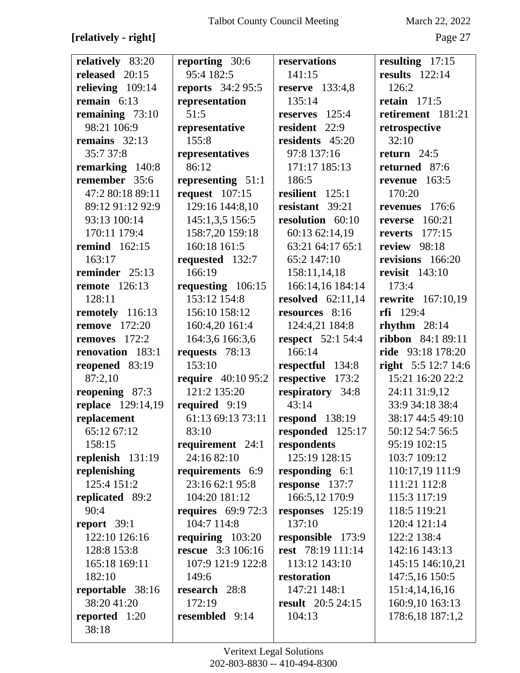# **[relatively - right]** Page 27

| relatively 83:20     | reporting 30:6            | reservations             | resulting 17:15          |
|----------------------|---------------------------|--------------------------|--------------------------|
| released 20:15       | 95:4 182:5                | 141:15                   | results $122:14$         |
| relieving $109:14$   | <b>reports</b> 34:2 95:5  | <b>reserve</b> 133:4,8   | 126:2                    |
| remain $6:13$        | representation            | 135:14                   | retain $171:5$           |
| remaining $73:10$    | 51:5                      | reserves 125:4           | retirement 181:21        |
| 98:21 106:9          | representative            | resident 22:9            | retrospective            |
| remains 32:13        | 155:8                     | residents 45:20          | 32:10                    |
| 35:7 37:8            | representatives           | 97:8 137:16              | return $24:5$            |
| remarking 140:8      | 86:12                     | 171:17 185:13            | returned 87:6            |
| remember 35:6        | representing $51:1$       | 186:5                    | revenue $163:5$          |
| 47:2 80:18 89:11     | request $107:15$          | resilient 125:1          | 170:20                   |
| 89:12 91:12 92:9     | 129:16 144:8,10           | resistant 39:21          | revenues 176:6           |
| 93:13 100:14         | 145:1,3,5 156:5           | resolution 60:10         | 160:21<br>reverse        |
| 170:11 179:4         | 158:7,20 159:18           | 60:13 62:14,19           | <b>reverts</b> 177:15    |
| <b>remind</b> 162:15 | 160:18 161:5              | 63:21 64:17 65:1         | review 98:18             |
| 163:17               | requested 132:7           | 65:2 147:10              | revisions 166:20         |
| reminder 25:13       | 166:19                    | 158:11,14,18             | <b>revisit</b> 143:10    |
| <b>remote</b> 126:13 | requesting 106:15         | 166:14,16 184:14         | 173:4                    |
| 128:11               | 153:12 154:8              | resolved $62:11,14$      | <b>rewrite</b> 167:10,19 |
| remotely 116:13      | 156:10 158:12             | resources 8:16           | $rfi$ 129:4              |
| <b>remove</b> 172:20 | 160:4,20 161:4            | 124:4,21 184:8           | rhythm $28:14$           |
| removes 172:2        | 164:3,6 166:3,6           | <b>respect</b> 52:1 54:4 | ribbon 84:1 89:11        |
| renovation 183:1     | requests 78:13            | 166:14                   | ride 93:18 178:20        |
| reopened 83:19       | 153:10                    | respectful 134:8         | right 5:5 12:7 14:6      |
| 87:2,10              | <b>require</b> 40:10 95:2 | respective 173:2         | 15:21 16:20 22:2         |
| reopening 87:3       | 121:2 135:20              | respiratory 34:8         | 24:11 31:9,12            |
| replace 129:14,19    | required 9:19             | 43:14                    | 33:9 34:18 38:4          |
| replacement          | 61:13 69:13 73:11         | <b>respond</b> 138:19    | 38:17 44:5 49:10         |
| 65:12 67:12          | 83:10                     | responded 125:17         | 50:12 54:7 56:5          |
| 158:15               | requirement $24:1$        | respondents              | 95:19 102:15             |
| replenish 131:19     | 24:16 82:10               | 125:19 128:15            | 103:7 109:12             |
| replenishing         | requirements 6:9          | responding 6:1           | 110:17,19 111:9          |
| 125:4 151:2          | 23:16 62:1 95:8           | response 137:7           | 111:21 112:8             |
| replicated 89:2      | 104:20 181:12             | 166:5,12 170:9           | 115:3 117:19             |
| 90:4                 | requires $69:972:3$       | responses 125:19         | 118:5 119:21             |
| report $39:1$        | 104:7 114:8               | 137:10                   | 120:4 121:14             |
| 122:10 126:16        | requiring $103:20$        | responsible 173:9        | 122:2 138:4              |
| 128:8 153:8          | <b>rescue</b> 3:3 106:16  | rest 78:19 111:14        | 142:16 143:13            |
| 165:18 169:11        | 107:9 121:9 122:8         | 113:12 143:10            | 145:15 146:10,21         |
| 182:10               | 149:6                     | restoration              | 147:5,16 150:5           |
| reportable 38:16     | research 28:8             | 147:21 148:1             | 151:4,14,16,16           |
| 38:20 41:20          | 172:19                    | <b>result</b> 20:5 24:15 | 160:9,10 163:13          |
| reported 1:20        | resembled 9:14            | 104:13                   | 178:6,18 187:1,2         |
| 38:18                |                           |                          |                          |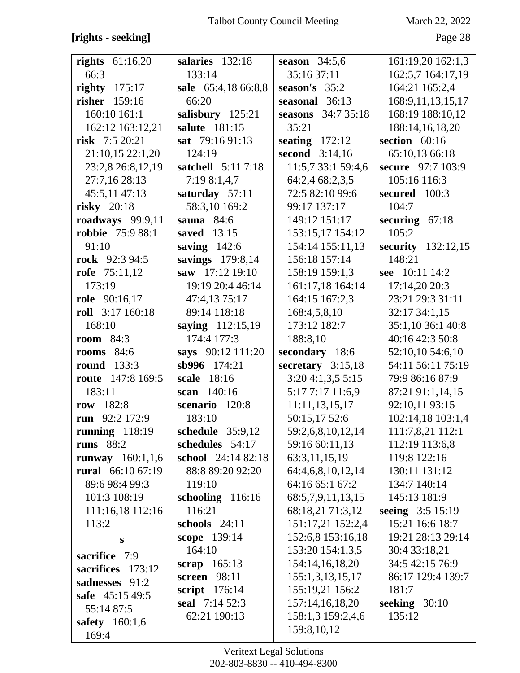# **[rights - seeking]** Page 28

| rights $61:16,20$        | salaries 132:18     | season $34:5,6$     | 161:19,20 162:1,3    |
|--------------------------|---------------------|---------------------|----------------------|
| 66:3                     | 133:14              | 35:16 37:11         | 162:5,7 164:17,19    |
| righty $175:17$          | sale 65:4,18 66:8,8 | season's $35:2$     | 164:21 165:2,4       |
| risher 159:16            | 66:20               | seasonal 36:13      | 168:9,11,13,15,17    |
| 160:10 161:1             | salisbury 125:21    | seasons 34:7 35:18  | 168:19 188:10,12     |
| 162:12 163:12,21         | salute 181:15       | 35:21               | 188:14,16,18,20      |
| risk 7:5 20:21           | sat 79:16 91:13     | seating $172:12$    | section 60:16        |
| 21:10,15 22:1,20         | 124:19              | second 3:14,16      | 65:10,13 66:18       |
| 23:2,8 26:8,12,19        | satchell 5:11 7:18  | 11:5,7 33:1 59:4,6  | secure 97:7 103:9    |
| 27:7,16 28:13            | 7:198:1,4,7         | 64:2,4 68:2,3,5     | 105:16 116:3         |
| 45:5,11 47:13            | saturday 57:11      | 72:5 82:10 99:6     | secured 100:3        |
| risky $20:18$            | 58:3,10 169:2       | 99:17 137:17        | 104:7                |
| roadways 99:9,11         | sauna $84:6$        | 149:12 151:17       | securing $67:18$     |
| <b>robbie</b> 75:9 88:1  | saved 13:15         | 153:15,17 154:12    | 105:2                |
| 91:10                    | saving $142:6$      | 154:14 155:11,13    | security $132:12,15$ |
| rock 92:3 94:5           | savings 179:8,14    | 156:18 157:14       | 148:21               |
| rofe $75:11,12$          | saw 17:12 19:10     | 158:19 159:1,3      | see 10:11 14:2       |
| 173:19                   | 19:19 20:4 46:14    | 161:17,18 164:14    | 17:14,20 20:3        |
| role 90:16,17            | 47:4,13 75:17       | 164:15 167:2,3      | 23:21 29:3 31:11     |
| roll 3:17 160:18         | 89:14 118:18        | 168:4,5,8,10        | 32:17 34:1,15        |
| 168:10                   | saying 112:15,19    | 173:12 182:7        | 35:1,10 36:1 40:8    |
| <b>room</b> 84:3         | 174:4 177:3         | 188:8,10            | 40:16 42:3 50:8      |
| rooms $84:6$             | says 90:12 111:20   | secondary 18:6      | 52:10,10 54:6,10     |
| <b>round</b> 133:3       | sb996 174:21        | secretary $3:15,18$ | 54:11 56:11 75:19    |
| <b>route</b> 147:8 169:5 | scale 18:16         | 3:204:1,3,55:15     | 79:9 86:16 87:9      |
| 183:11                   | scan 140:16         | 5:17 7:17 11:6,9    | 87:21 91:1,14,15     |
| row 182:8                | scenario 120:8      | 11:11,13,15,17      | 92:10,11 93:15       |
| run 92:2 172:9           | 183:10              | 50:15,17 52:6       | 102:14,18 103:1,4    |
| running $118:19$         | schedule 35:9,12    | 59:2,6,8,10,12,14   | 111:7,8,21 112:1     |
| runs $88:2$              | schedules 54:17     | 59:16 60:11,13      | 112:19 113:6,8       |
| runway $160:1,1,6$       | school 24:14 82:18  | 63:3,11,15,19       | 119:8 122:16         |
| rural 66:10 67:19        | 88:8 89:20 92:20    | 64:4,6,8,10,12,14   | 130:11 131:12        |
| 89:6 98:4 99:3           | 119:10              | 64:16 65:1 67:2     | 134:7 140:14         |
| 101:3 108:19             | schooling 116:16    | 68:5,7,9,11,13,15   | 145:13 181:9         |
| 111:16,18 112:16         | 116:21              | 68:18,21 71:3,12    | seeing 3:5 15:19     |
| 113:2                    | schools $24:11$     | 151:17,21 152:2,4   | 15:21 16:6 18:7      |
| S                        | scope 139:14        | 152:6,8 153:16,18   | 19:21 28:13 29:14    |
| sacrifice 7:9            | 164:10              | 153:20 154:1,3,5    | 30:4 33:18,21        |
| sacrifices<br>173:12     | scrap $165:13$      | 154:14,16,18,20     | 34:5 42:15 76:9      |
| sadnesses 91:2           | <b>screen</b> 98:11 | 155:1,3,13,15,17    | 86:17 129:4 139:7    |
| safe 45:15 49:5          | script $176:14$     | 155:19,21 156:2     | 181:7                |
| 55:14 87:5               | seal 7:14 52:3      | 157:14,16,18,20     | seeking $30:10$      |
| safety $160:1,6$         | 62:21 190:13        | 158:1,3 159:2,4,6   | 135:12               |
| 169:4                    |                     | 159:8,10,12         |                      |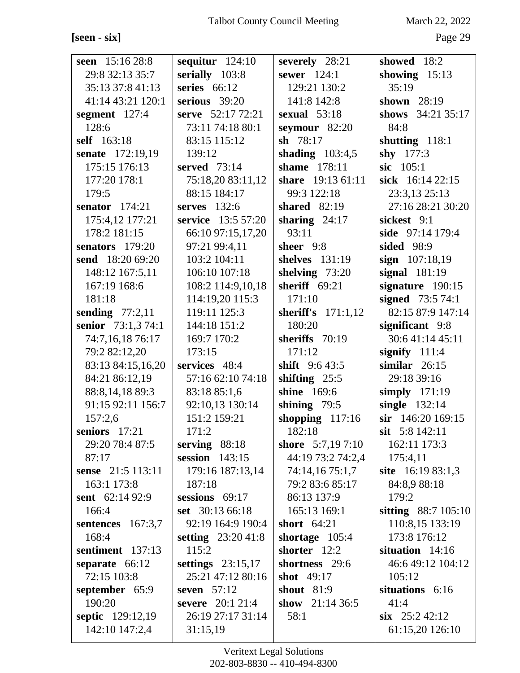[seen - six]

March 22, 2022

Page 29

| seen 15:16 28:8               | sequitur $124:10$                        | severely 28:21                   | showed 18:2                            |
|-------------------------------|------------------------------------------|----------------------------------|----------------------------------------|
| 29:8 32:13 35:7               | serially 103:8                           | sewer $124:1$                    | showing $15:13$                        |
| 35:13 37:8 41:13              | series $66:12$                           | 129:21 130:2                     | 35:19                                  |
| 41:14 43:21 120:1             | serious $39:20$                          | 141:8 142:8                      | shown 28:19                            |
| segment 127:4                 | serve 52:17 72:21                        | sexual 53:18                     | shows 34:21 35:17                      |
| 128:6                         | 73:11 74:18 80:1                         | seymour $82:20$                  | 84:8                                   |
| self 163:18                   | 83:15 115:12                             | sh $78:17$                       | shutting $118:1$                       |
| senate 172:19,19              | 139:12                                   | shading $103:4,5$                | shy $177:3$                            |
| 175:15 176:13                 | served 73:14                             | shame 178:11                     | sic 105:1                              |
| 177:20 178:1                  | 75:18,20 83:11,12                        | share 19:13 61:11                | sick 16:14 22:15                       |
| 179:5                         | 88:15 184:17                             | 99:3 122:18                      | 23:3,13 25:13                          |
| senator $174:21$              | serves 132:6                             | shared 82:19                     | 27:16 28:21 30:20                      |
| 175:4,12 177:21               | service 13:5 57:20                       | sharing $24:17$                  | sickest 9:1                            |
| 178:2 181:15                  | 66:10 97:15,17,20                        | 93:11                            | side 97:14 179:4                       |
| senators 179:20               | 97:21 99:4,11                            | sheer 9:8                        | sided 98:9                             |
| send 18:20 69:20              | 103:2 104:11                             | shelves 131:19                   | sign 107:18,19                         |
| 148:12 167:5,11               | 106:10 107:18                            | shelving 73:20                   | signal $181:19$                        |
| 167:19 168:6                  | 108:2 114:9,10,18                        | sheriff $69:21$                  | signature 190:15                       |
| 181:18                        | 114:19,20 115:3                          | 171:10                           | signed 73:5 74:1                       |
| sending $77:2,11$             | 119:11 125:3                             | sheriff's $171:1,12$             | 82:15 87:9 147:14                      |
| senior 73:1,3 74:1            | 144:18 151:2                             | 180:20                           | significant 9:8                        |
| 74:7,16,18 76:17              | 169:7 170:2                              | sheriffs 70:19                   | 30:641:1445:11                         |
| 79:2 82:12,20                 | 173:15                                   | 171:12                           | signify $111:4$                        |
| 83:13 84:15,16,20             | services 48:4                            | shift $9:643:5$                  | similar $26:15$                        |
| 84:21 86:12,19                | 57:16 62:10 74:18                        | shifting $25:5$                  | 29:18 39:16                            |
| 88:8, 14, 18 89:3             | 83:18 85:1,6                             | shine 169:6                      | simply $171:19$                        |
| 91:15 92:11 156:7             | 92:10,13 130:14                          | shining $79:5$                   | single 132:14                          |
| 157:2,6                       | 151:2 159:21                             | shopping $117:16$                | sir 146:20 169:15                      |
| seniors 17:21                 | 171:2                                    | 182:18                           | sit $5:8$ 142:11                       |
| 29:20 78:4 87:5               | serving $88:18$                          | shore 5:7,19 7:10                | 162:11 173:3                           |
| 87:17                         | session $143:15$                         | 44:19 73:2 74:2,4                | 175:4,11                               |
| sense 21:5 113:11             | 179:16 187:13,14                         | 74:14,16 75:1,7                  | site $16:1983:1,3$                     |
| 163:1 173:8                   | 187:18                                   | 79:2 83:6 85:17                  | 84:8,9 88:18                           |
| sent 62:14 92:9<br>166:4      | sessions $69:17$                         | 86:13 137:9                      | 179:2                                  |
|                               | set 30:13 66:18                          | 165:13 169:1<br>short $64:21$    | sitting 88:7 105:10<br>110:8,15 133:19 |
| sentences $167:3,7$<br>168:4  | 92:19 164:9 190:4                        |                                  |                                        |
| sentiment 137:13              | setting $23:2041:8$<br>115:2             | shortage $105:4$<br>shorter 12:2 | 173:8 176:12<br>situation $14:16$      |
|                               |                                          | shortness 29:6                   | 46:6 49:12 104:12                      |
| separate 66:12<br>72:15 103:8 | settings $23:15,17$<br>25:21 47:12 80:16 | shot 49:17                       |                                        |
|                               | seven $57:12$                            | <b>shout</b> 81:9                | 105:12<br>situations 6:16              |
| september 65:9<br>190:20      | severe 20:1 21:4                         | show $21:1436:5$                 | 41:4                                   |
|                               | 26:19 27:17 31:14                        | 58:1                             | $\sin$ 25:242:12                       |
| septic 129:12,19              |                                          |                                  |                                        |
| 142:10 147:2,4                | 31:15,19                                 |                                  | 61:15,20 126:10                        |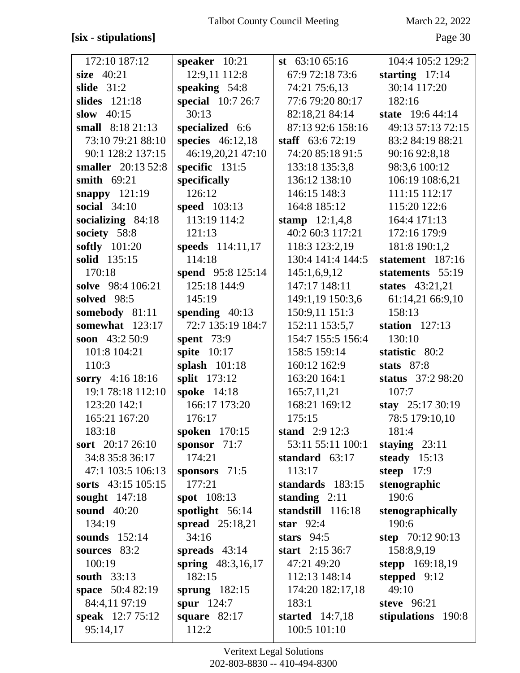## **[six - stipulations]** Page 30

| 172:10 187:12           | speaker $10:21$        | st $63:1065:16$    | 104:4 105:2 129:2  |
|-------------------------|------------------------|--------------------|--------------------|
| size $40:21$            | 12:9,11 112:8          | 67:9 72:18 73:6    | starting $17:14$   |
| slide $31:2$            | speaking $54:8$        | 74:21 75:6,13      | 30:14 117:20       |
| slides $121:18$         | special 10:7 26:7      | 77:6 79:20 80:17   | 182:16             |
| slow $40:15$            | 30:13                  | 82:18,21 84:14     | state 19:6 44:14   |
| small 8:18 21:13        | specialized 6:6        | 87:13 92:6 158:16  | 49:13 57:13 72:15  |
| 73:10 79:21 88:10       | species $46:12,18$     | staff $63:672:19$  | 83:2 84:19 88:21   |
| 90:1 128:2 137:15       | 46:19,20,21 47:10      | 74:20 85:18 91:5   | 90:16 92:8,18      |
| smaller 20:13 52:8      | specific $131:5$       | 133:18 135:3,8     | 98:3,6 100:12      |
| smith $69:21$           | specifically           | 136:12 138:10      | 106:19 108:6,21    |
| snappy 121:19           | 126:12                 | 146:15 148:3       | 111:15 112:17      |
| social 34:10            | <b>speed</b> 103:13    | 164:8 185:12       | 115:20 122:6       |
| socializing $84:18$     | 113:19 114:2           | stamp $12:1,4,8$   | 164:4 171:13       |
| society 58:8            | 121:13                 | 40:2 60:3 117:21   | 172:16 179:9       |
| softly 101:20           | speeds 114:11,17       | 118:3 123:2,19     | 181:8 190:1,2      |
| solid 135:15            | 114:18                 | 130:4 141:4 144:5  | statement 187:16   |
| 170:18                  | spend 95:8 125:14      | 145:1,6,9,12       | statements 55:19   |
| solve 98:4 106:21       | 125:18 144:9           | 147:17 148:11      | states 43:21,21    |
| solved 98:5             | 145:19                 | 149:1,19 150:3,6   | 61:14,21 66:9,10   |
| somebody 81:11          | spending $40:13$       | 150:9,11 151:3     | 158:13             |
| somewhat 123:17         | 72:7 135:19 184:7      | 152:11 153:5,7     | station $127:13$   |
| soon $43:250:9$         | spent 73:9             | 154:7 155:5 156:4  | 130:10             |
| 101:8 104:21            | spite $10:17$          | 158:5 159:14       | statistic 80:2     |
| 110:3                   | splash $101:18$        | 160:12 162:9       | stats $87:8$       |
| sorry 4:16 18:16        | split 173:12           | 163:20 164:1       | status 37:2 98:20  |
| 19:1 78:18 112:10       | spoke 14:18            | 165:7,11,21        | 107:7              |
| 123:20 142:1            | 166:17 173:20          | 168:21 169:12      | stay 25:17 30:19   |
| 165:21 167:20           | 176:17                 | 175:15             | 78:5 179:10,10     |
| 183:18                  | spoken 170:15          | stand 2:9 12:3     | 181:4              |
| sort 20:17 26:10        | sponsor $71:7$         | 53:11 55:11 100:1  | staying $23:11$    |
| 34:8 35:8 36:17         | 174:21                 | standard 63:17     | steady $15:13$     |
| 47:1 103:5 106:13       | sponsors 71:5          | 113:17             | steep $17:9$       |
| sorts 43:15 105:15      | 177:21                 | standards 183:15   | stenographic       |
| sought $147:18$         | <b>spot</b> 108:13     | standing $2:11$    | 190:6              |
| sound 40:20             | spotlight 56:14        | standstill 116:18  | stenographically   |
| 134:19                  | <b>spread</b> 25:18,21 | star $92:4$        | 190:6              |
| sounds $152:14$         | 34:16                  | stars $94:5$       | step $70:1290:13$  |
| sources 83:2            | spreads $43:14$        | start $2:15\,36:7$ | 158:8,9,19         |
| 100:19                  | spring 48:3,16,17      | 47:21 49:20        | stepp 169:18,19    |
| <b>south</b> 33:13      | 182:15                 | 112:13 148:14      | stepped $9:12$     |
| <b>space</b> 50:4 82:19 | sprung $182:15$        | 174:20 182:17,18   | 49:10              |
| 84:4,11 97:19           | spur $124:7$           | 183:1              | steve 96:21        |
| speak 12:7 75:12        | square $82:17$         | started $14:7,18$  | stipulations 190:8 |
| 95:14,17                | 112:2                  | 100:5 101:10       |                    |
|                         |                        |                    |                    |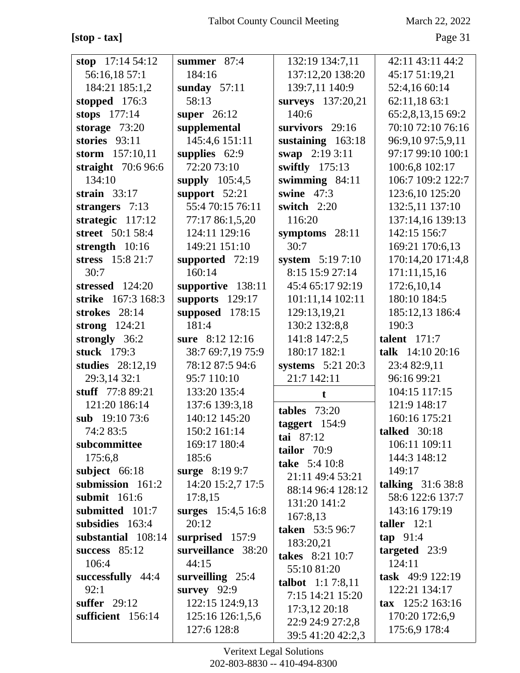**[stop - tax]** Page 31

| stop $17:1454:12$   | summer $87:4$      | 132:19 134:7,11           | 42:11 43:11 44:2            |
|---------------------|--------------------|---------------------------|-----------------------------|
| 56:16,18 57:1       | 184:16             | 137:12,20 138:20          | 45:17 51:19,21              |
| 184:21 185:1,2      | sunday $57:11$     | 139:7,11 140:9            | 52:4,16 60:14               |
| stopped $176:3$     | 58:13              | surveys 137:20,21         | 62:11,18 63:1               |
| stops 177:14        | super $26:12$      | 140:6                     | 65:2,8,13,15 69:2           |
| storage $73:20$     | supplemental       | survivors 29:16           | 70:10 72:10 76:16           |
| stories $93:11$     | 145:4,6 151:11     | sustaining 163:18         | 96:9,10 97:5,9,11           |
| storm 157:10,11     | supplies 62:9      | swap 2:19 3:11            | 97:17 99:10 100:1           |
| straight $70:696:6$ | 72:20 73:10        | swiftly 175:13            | 100:6,8 102:17              |
| 134:10              | supply $105:4,5$   | swimming $84:11$          | 106:7 109:2 122:7           |
| strain $33:17$      | support $52:21$    | swine $47:3$              | 123:6,10 125:20             |
| strangers $7:13$    | 55:4 70:15 76:11   | switch 2:20               | 132:5,11 137:10             |
| strategic $117:12$  | 77:17 86:1,5,20    | 116:20                    | 137:14,16 139:13            |
| street 50:1 58:4    | 124:11 129:16      | symptoms 28:11            | 142:15 156:7                |
| strength 10:16      | 149:21 151:10      | 30:7                      | 169:21 170:6,13             |
| stress 15:8 21:7    | supported $72:19$  | system 5:19 7:10          | 170:14,20 171:4,8           |
| 30:7                | 160:14             | 8:15 15:9 27:14           | 171:11,15,16                |
| stressed 124:20     | supportive 138:11  | 45:4 65:17 92:19          | 172:6,10,14                 |
| strike 167:3 168:3  | supports $129:17$  | 101:11,14 102:11          | 180:10 184:5                |
| strokes 28:14       | supposed 178:15    | 129:13,19,21              | 185:12,13 186:4             |
| strong 124:21       | 181:4              | 130:2 132:8,8             | 190:3                       |
| strongly 36:2       | sure 8:12 12:16    | 141:8 147:2,5             | talent $171:7$              |
| stuck 179:3         | 38:7 69:7,19 75:9  | 180:17 182:1              | talk 14:10 20:16            |
| studies 28:12,19    | 78:12 87:5 94:6    | systems 5:21 20:3         | 23:4 82:9,11                |
| 29:3,14 32:1        | 95:7 110:10        | 21:7 142:11               | 96:16 99:21                 |
| stuff 77:8 89:21    | 133:20 135:4       | t                         | 104:15 117:15               |
| 121:20 186:14       | 137:6 139:3,18     | tables $73:20$            | 121:9 148:17                |
| sub 19:10 73:6      | 140:12 145:20      | taggert 154:9             | 160:16 175:21               |
| 74:2 83:5           | 150:2 161:14       | tai 87:12                 | <b>talked</b> 30:18         |
| subcommittee        | 169:17 180:4       | tailor 70:9               | 106:11 109:11               |
| 175:6,8             | 185:6              | take 5:4 10:8             | 144:3 148:12                |
| subject 66:18       | surge 8:19 9:7     | 21:11 49:4 53:21          | 149:17                      |
| submission 161:2    | 14:20 15:2,7 17:5  | 88:14 96:4 128:12         | talking $31:638:8$          |
| submit 161:6        | 17:8,15            | 131:20 141:2              | 58:6 122:6 137:7            |
| submitted 101:7     | surges 15:4,5 16:8 | 167:8,13                  | 143:16 179:19               |
| subsidies 163:4     | 20:12              | taken 53:5 96:7           | taller $12:1$               |
| substantial 108:14  | surprised 157:9    | 183:20,21                 | tan 91:4                    |
| success $85:12$     | surveillance 38:20 | takes 8:21 10:7           | targeted 23:9               |
| 106:4               | 44:15              | 55:10 81:20               | 124:11                      |
| successfully 44:4   | surveilling $25:4$ | <b>talbot</b> $1:17:8,11$ | task 49:9 122:19            |
| 92:1                | survey 92:9        | 7:15 14:21 15:20          | 122:21 134:17               |
| suffer $29:12$      | 122:15 124:9,13    | 17:3,12 20:18             | $\textbf{tax}$ 125:2 163:16 |
| sufficient 156:14   | 125:16 126:1,5,6   | 22:9 24:9 27:2,8          | 170:20 172:6,9              |
|                     | 127:6 128:8        | 39:5 41:20 42:2,3         | 175:6,9 178:4               |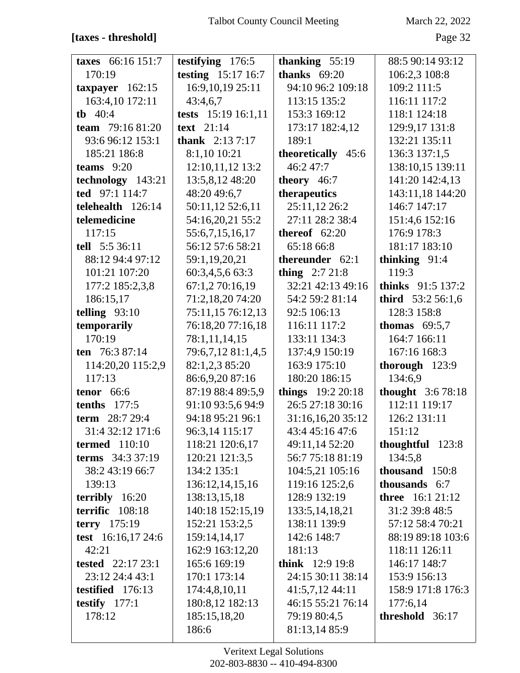# [taxes - threshold]

March 22, 2022

Page 32

| taxes 66:16 151:7               | testifying $176:5$      | thanking 55:19          | 88:5 90:14 93:12        |
|---------------------------------|-------------------------|-------------------------|-------------------------|
| 170:19                          | testing 15:17 16:7      | thanks $69:20$          | 106:2,3 108:8           |
| taxpayer $162:15$               | 16:9, 10, 19 25: 11     | 94:10 96:2 109:18       | 109:2 111:5             |
| 163:4,10 172:11                 | 43:4,6,7                | 113:15 135:2            | 116:11 117:2            |
| <b>tb</b> $40:4$                | tests 15:19 16:1,11     | 153:3 169:12            | 118:1 124:18            |
| team 79:16 81:20                | text $21:14$            | 173:17 182:4,12         | 129:9,17 131:8          |
| 93:6 96:12 153:1                | <b>thank</b> $2:137:17$ | 189:1                   | 132:21 135:11           |
| 185:21 186:8                    | 8:1,10 10:21            | theoretically 45:6      | 136:3 137:1,5           |
| teams $9:20$                    | 12:10,11,12 13:2        | 46:247:7                | 138:10,15 139:11        |
| technology 143:21               | 13:5,8,12 48:20         | theory $46:7$           | 141:20 142:4,13         |
| ted 97:1 114:7                  | 48:20 49:6,7            | therapeutics            | 143:11,18 144:20        |
| telehealth 126:14               | 50:11,12 52:6,11        | 25:11,12 26:2           | 146:7 147:17            |
| telemedicine                    | 54:16,20,21 55:2        | 27:11 28:2 38:4         | 151:4,6 152:16          |
| 117:15                          | 55:6,7,15,16,17         | thereof $62:20$         | 176:9 178:3             |
| tell 5:5 36:11                  | 56:12 57:6 58:21        | 65:18 66:8              | 181:17 183:10           |
| 88:12 94:4 97:12                | 59:1,19,20,21           | thereunder 62:1         | thinking $91:4$         |
| 101:21 107:20                   | 60:3,4,5,6 63:3         | thing $2:721:8$         | 119:3                   |
| 177:2 185:2,3,8                 | 67:1,2 70:16,19         | 32:21 42:13 49:16       | thinks 91:5 137:2       |
| 186:15,17                       | 71:2,18,20 74:20        | 54:2 59:2 81:14         | third 53:2 56:1,6       |
| telling $93:10$                 | 75:11,15 76:12,13       | 92:5 106:13             | 128:3 158:8             |
| temporarily                     | 76:18,20 77:16,18       | 116:11 117:2            | thomas $69:5,7$         |
| 170:19                          | 78:1,11,14,15           | 133:11 134:3            | 164:7 166:11            |
| ten 76:3 87:14                  | 79:6,7,12 81:1,4,5      | 137:4,9 150:19          | 167:16 168:3            |
| 114:20,20 115:2,9               | 82:1,2,3 85:20          | 163:9 175:10            | thorough $123:9$        |
| 117:13                          | 86:6,9,20 87:16         | 180:20 186:15           | 134:6,9                 |
| tenor $66:6$                    | 87:19 88:4 89:5,9       | things 19:2 20:18       | thought 3:6 78:18       |
| tenths $177:5$                  | 91:10 93:5,6 94:9       | 26:5 27:18 30:16        | 112:11 119:17           |
| term 28:7 29:4                  | 94:18 95:21 96:1        | 31:16,16,20 35:12       | 126:2 131:11            |
| 31:4 32:12 171:6                | 96:3,14 115:17          | 43:4 45:16 47:6         | 151:12                  |
| termed $110:10$                 | 118:21 120:6,17         | 49:11,14 52:20          | thoughtful 123:8        |
| terms 34:3 37:19                | 120:21 121:3,5          | 56:7 75:18 81:19        | 134:5,8                 |
| 38:2 43:19 66:7                 | 134:2 135:1             | 104:5,21 105:16         | thousand 150:8          |
| 139:13                          | 136:12,14,15,16         | 119:16 125:2,6          | thousands 6:7           |
| $\textbf{terribly} \quad 16:20$ | 138:13,15,18            | 128:9 132:19            | <b>three</b> 16:1 21:12 |
| terrific 108:18                 | 140:18 152:15,19        | 133:5, 14, 18, 21       | 31:2 39:8 48:5          |
| terry 175:19                    | 152:21 153:2,5          | 138:11 139:9            | 57:12 58:4 70:21        |
| test 16:16,17 24:6              | 159:14,14,17            | 142:6 148:7             | 88:19 89:18 103:6       |
| 42:21                           | 162:9 163:12,20         | 181:13                  | 118:11 126:11           |
| tested $22:1723:1$              | 165:6 169:19            | <b>think</b> $12:919:8$ | 146:17 148:7            |
| 23:12 24:4 43:1                 | 170:1 173:14            | 24:15 30:11 38:14       | 153:9 156:13            |
| testified 176:13                | 174:4,8,10,11           | 41:5,7,12 44:11         | 158:9 171:8 176:3       |
| testify $177:1$                 | 180:8,12 182:13         | 46:15 55:21 76:14       | 177:6,14                |
| 178:12                          | 185:15,18,20            | 79:19 80:4,5            | threshold 36:17         |
|                                 | 186:6                   | 81:13,14 85:9           |                         |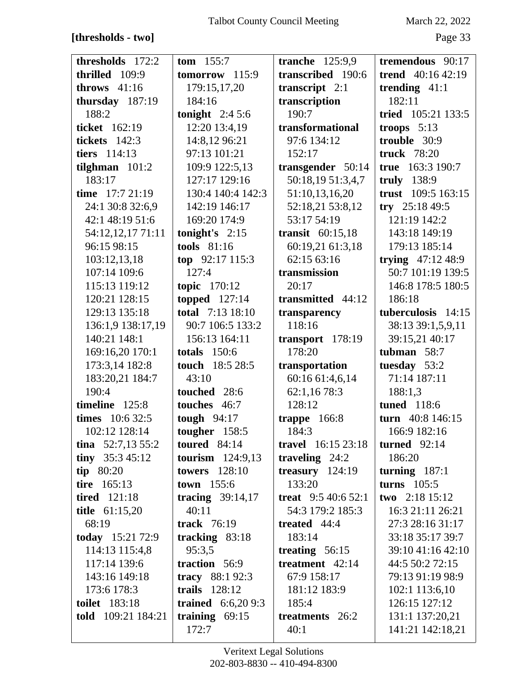# $[{\rm thresholds - two}]$

March 22, 2022

| thresholds 172:2     | <b>tom</b> $155:7$      | tranche $125:9,9$         | tremendous 90:17     |
|----------------------|-------------------------|---------------------------|----------------------|
| thrilled 109:9       | tomorrow 115:9          | transcribed 190:6         | trend $40:1642:19$   |
| throws $41:16$       | 179:15,17,20            | transcript $2:1$          | trending $41:1$      |
| thursday 187:19      | 184:16                  | transcription             | 182:11               |
| 188:2                | tonight $2:45:6$        | 190:7                     | tried 105:21 133:5   |
| ticket 162:19        | 12:20 13:4,19           | transformational          | troops $5:13$        |
| tickets 142:3        | 14:8,12 96:21           | 97:6 134:12               | trouble 30:9         |
| tiers 114:13         | 97:13 101:21            | 152:17                    | <b>truck</b> 78:20   |
| tilghman $101:2$     | 109:9 122:5,13          | transgender 50:14         | true 163:3 190:7     |
| 183:17               | 127:17 129:16           | 50:18,19 51:3,4,7         | truly 138:9          |
| time 17:7 21:19      | 130:4 140:4 142:3       | 51:10,13,16,20            | trust 109:5 163:15   |
| 24:1 30:8 32:6,9     | 142:19 146:17           | 52:18,21 53:8,12          | try $25:1849:5$      |
| 42:1 48:19 51:6      | 169:20 174:9            | 53:17 54:19               | 121:19 142:2         |
| 54:12,12,17 71:11    | tonight's $2:15$        | transit $60:15,18$        | 143:18 149:19        |
| 96:15 98:15          | <b>tools</b> 81:16      | 60:19,21 61:3,18          | 179:13 185:14        |
| 103:12,13,18         | top $92:17115:3$        | 62:15 63:16               | trying $47:12\,48:9$ |
| 107:14 109:6         | 127:4                   | transmission              | 50:7 101:19 139:5    |
| 115:13 119:12        | topic 170:12            | 20:17                     | 146:8 178:5 180:5    |
| 120:21 128:15        | topped $127:14$         | transmitted 44:12         | 186:18               |
| 129:13 135:18        | <b>total</b> 7:13 18:10 | transparency              | tuberculosis 14:15   |
| 136:1,9 138:17,19    | 90:7 106:5 133:2        | 118:16                    | 38:13 39:1,5,9,11    |
| 140:21 148:1         | 156:13 164:11           | transport 178:19          | 39:15,21 40:17       |
| 169:16,20 170:1      | totals $150:6$          | 178:20                    | tubman 58:7          |
| 173:3,14 182:8       | touch 18:5 28:5         | transportation            | tuesday 53:2         |
| 183:20,21 184:7      | 43:10                   | 60:16 61:4,6,14           | 71:14 187:11         |
| 190:4                | touched 28:6            | 62:1,16 78:3              | 188:1,3              |
| timeline 125:8       | touches 46:7            | 128:12                    | tuned 118:6          |
| times 10:6 32:5      | tough $94:17$           | trappe 166:8              | turn 40:8 146:15     |
| 102:12 128:14        | tougher 158:5           | 184:3                     | 166:9 182:16         |
| tina $52:7,1355:2$   | toured $84:14$          | <b>travel</b> 16:15 23:18 | turned $92:14$       |
| tiny $35:345:12$     | tourism $124:9,13$      | traveling $24:2$          | 186:20               |
| tip $80:20$          | <b>towers</b> 128:10    | treasury $124:19$         | turning $187:1$      |
| tire 165:13          | town 155:6              | 133:20                    | turns $105:5$        |
| <b>tired</b> 121:18  | tracing $39:14,17$      | treat $9:540:652:1$       | two $2:18$ 15:12     |
| title $61:15,20$     | 40:11                   | 54:3 179:2 185:3          | 16:3 21:11 26:21     |
| 68:19                | track 76:19             | treated 44:4              | 27:3 28:16 31:17     |
| today 15:21 72:9     | tracking $83:18$        | 183:14                    | 33:18 35:17 39:7     |
| 114:13 115:4,8       | 95:3,5                  | treating $56:15$          | 39:10 41:16 42:10    |
| 117:14 139:6         | traction 56:9           | treatment 42:14           | 44:5 50:2 72:15      |
| 143:16 149:18        | tracy 88:1 92:3         | 67:9 158:17               | 79:13 91:19 98:9     |
| 173:6 178:3          | trails 128:12           | 181:12 183:9              | 102:1 113:6,10       |
| <b>toilet</b> 183:18 | trained $6:6,209:3$     | 185:4                     | 126:15 127:12        |
| told 109:21 184:21   | training $69:15$        | treatments 26:2           | 131:1 137:20,21      |
|                      | 172:7                   | 40:1                      | 141:21 142:18,21     |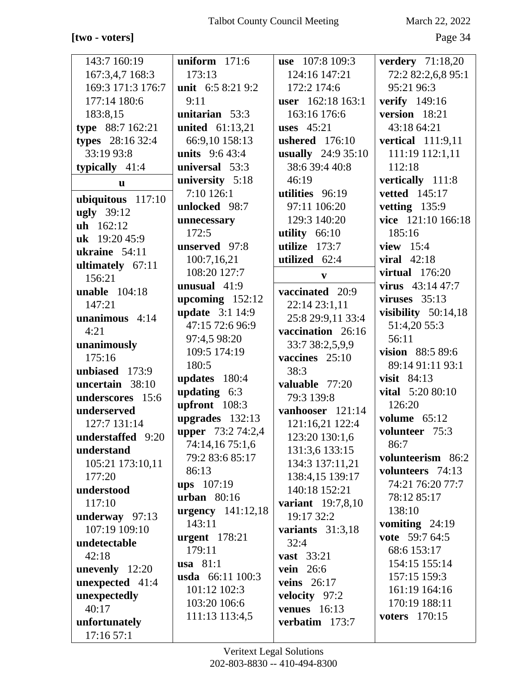## [two - voters]

March 22, 2022

Page 34

| 143:7 160:19            | uniform $171:6$        | use 107:8 109:3           | <b>verdery</b> 71:18,20               |
|-------------------------|------------------------|---------------------------|---------------------------------------|
| 167:3,4,7 168:3         | 173:13                 | 124:16 147:21             | 72:2 82:2,6,8 95:1                    |
| 169:3 171:3 176:7       | unit $6:58:219:2$      | 172:2 174:6               | 95:21 96:3                            |
| 177:14 180:6            | 9:11                   | user 162:18 163:1         | <b>verify</b> 149:16                  |
| 183:8,15                | unitarian 53:3         | 163:16 176:6              | version 18:21                         |
| type 88:7 162:21        | united 61:13,21        | uses $45:21$              | 43:18 64:21                           |
| types 28:16 32:4        | 66:9,10 158:13         | <b>ushered</b> 176:10     | vertical 111:9,11                     |
| 33:19 93:8              | <b>units</b> $9:643:4$ | usually 24:9 35:10        | 111:19 112:1,11                       |
| typically $41:4$        | universal 53:3         | 38:6 39:4 40:8            | 112:18                                |
| $\mathbf{u}$            | university 5:18        | 46:19                     | vertically 111:8                      |
|                         | $7:10$ 126:1           | utilities 96:19           | <b>vetted</b> 145:17                  |
| ubiquitous 117:10       | unlocked 98:7          | 97:11 106:20              | vetting 135:9                         |
| <b>ugly</b> 39:12       | unnecessary            | 129:3 140:20              | vice 121:10 166:18                    |
| $uh$ 162:12             | 172:5                  | utility $66:10$           | 185:16                                |
| uk 19:20 45:9           | unserved 97:8          | utilize 173:7             | view $15:4$                           |
| ukraine $54:11$         | 100:7,16,21            | utilized 62:4             | viral $42:18$                         |
| ultimately 67:11        | 108:20 127:7           |                           | virtual $176:20$                      |
| 156:21                  | unusual $41:9$         | $\boldsymbol{\mathrm{v}}$ | virus $43:1447:7$                     |
| unable $104:18$         | upcoming $152:12$      | vaccinated 20:9           | viruses $35:13$                       |
| 147:21                  | <b>update</b> 3:1 14:9 | 22:14 23:1,11             |                                       |
| unanimous $4:14$        | 47:15 72:6 96:9        | 25:8 29:9,11 33:4         | visibility $50:14,18$<br>51:4,20 55:3 |
| 4:21                    |                        | vaccination 26:16         | 56:11                                 |
| unanimously             | 97:4,5 98:20           | 33:7 38:2,5,9,9           |                                       |
| 175:16                  | 109:5 174:19           | vaccines 25:10            | vision 88:5 89:6                      |
| unbiased 173:9          | 180:5                  | 38:3                      | 89:14 91:11 93:1                      |
| uncertain 38:10         | updates 180:4          | valuable 77:20            | visit $84:13$                         |
| underscores 15:6        | updating $6:3$         | 79:3 139:8                | vital 5:20 80:10                      |
| underserved             | upfront $108:3$        | vanhooser 121:14          | 126:20                                |
| 127:7 131:14            | upgrades 132:13        | 121:16,21 122:4           | volume $65:12$                        |
| understaffed 9:20       | upper 73:2 74:2,4      | 123:20 130:1,6            | volunteer 75:3                        |
| understand              | 74:14,16 75:1,6        | 131:3,6 133:15            | 86:7                                  |
| 105:21 173:10,11        | 79:2 83:6 85:17        | 134:3 137:11,21           | volunteerism 86:2                     |
| 177:20                  | 86:13                  | 138:4,15 139:17           | volunteers 74:13                      |
| understood              | $ups$ 107:19           | 140:18 152:21             | 74:21 76:20 77:7                      |
| 117:10                  | urban 80:16            | <b>variant</b> 19:7,8,10  | 78:12 85:17                           |
| underway $97:13$        | urgency $141:12,18$    | 19:17 32:2                | 138:10                                |
| 107:19 109:10           | 143:11                 | variants $31:3,18$        | vomiting $24:19$                      |
| undetectable            | <b>urgent</b> 178:21   | 32:4                      | vote 59:7 64:5                        |
| 42:18                   | 179:11                 | <b>vast</b> 33:21         | 68:6 153:17                           |
| <b>unevenly</b> $12:20$ | usa $81:1$             | vein 26:6                 | 154:15 155:14                         |
| unexpected 41:4         | usda 66:11 100:3       | <b>veins</b> 26:17        | 157:15 159:3                          |
| unexpectedly            | 101:12 102:3           | velocity 97:2             | 161:19 164:16                         |
| 40:17                   | 103:20 106:6           | venues $16:13$            | 170:19 188:11                         |
| unfortunately           | 111:13 113:4,5         | verbatim 173:7            | voters 170:15                         |
| 17:16 57:1              |                        |                           |                                       |
|                         |                        |                           |                                       |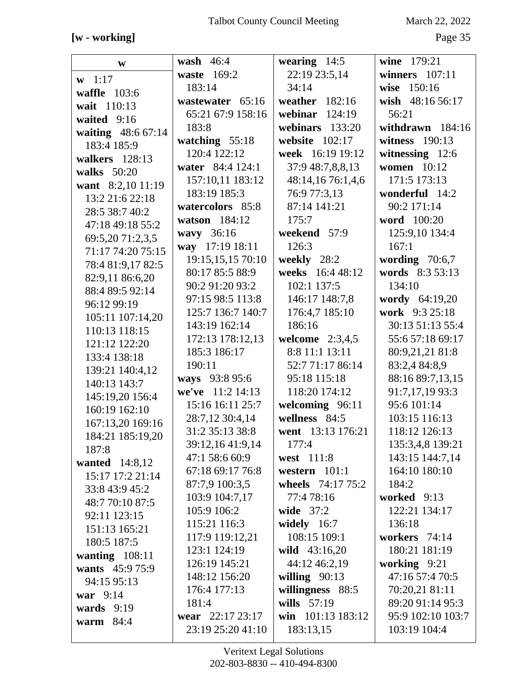# **[w - working]** Page 35

| W                     | wash $46:4$       | wearing $14:5$    | wine 179:21        |
|-----------------------|-------------------|-------------------|--------------------|
| $w 1:17$              | waste 169:2       | 22:19 23:5,14     | winners $107:11$   |
| waffle 103:6          | 183:14            | 34:14             | wise 150:16        |
| wait 110:13           | wastewater 65:16  | weather 182:16    | wish 48:16 56:17   |
| waited 9:16           | 65:21 67:9 158:16 | webinar $124:19$  | 56:21              |
| waiting 48:6 67:14    | 183:8             | webinars 133:20   | withdrawn $184:16$ |
| 183:4 185:9           | watching $55:18$  | website $102:17$  | witness 190:13     |
| walkers 128:13        | 120:4 122:12      | week 16:19 19:12  | witnessing 12:6    |
| walks 50:20           | water 84:4 124:1  | 37:9 48:7,8,8,13  | <b>women</b> 10:12 |
| want 8:2,10 11:19     | 157:10,11 183:12  | 48:14,16 76:1,4,6 | 171:5 173:13       |
| 13:2 21:6 22:18       | 183:19 185:3      | 76:9 77:3,13      | wonderful 14:2     |
| 28:5 38:7 40:2        | watercolors 85:8  | 87:14 141:21      | 90:2 171:14        |
| 47:18 49:18 55:2      | watson 184:12     | 175:7             | word 100:20        |
| 69:5,20 71:2,3,5      | wavy 36:16        | weekend 57:9      | 125:9,10 134:4     |
| 71:17 74:20 75:15     | way 17:19 18:11   | 126:3             | 167:1              |
| 78:4 81:9,17 82:5     | 19:15,15,15 70:10 | weekly 28:2       | wording $70:6,7$   |
| 82:9,11 86:6,20       | 80:17 85:5 88:9   | weeks 16:4 48:12  | words 8:3 53:13    |
| 88:4 89:5 92:14       | 90:2 91:20 93:2   | 102:1 137:5       | 134:10             |
| 96:12 99:19           | 97:15 98:5 113:8  | 146:17 148:7,8    | wordy 64:19,20     |
| 105:11 107:14,20      | 125:7 136:7 140:7 | 176:4,7 185:10    | work 9:3 25:18     |
| 110:13 118:15         | 143:19 162:14     | 186:16            | 30:13 51:13 55:4   |
| 121:12 122:20         | 172:13 178:12,13  | welcome $2:3,4,5$ | 55:6 57:18 69:17   |
| 133:4 138:18          | 185:3 186:17      | 8:8 11:1 13:11    | 80:9,21,21 81:8    |
| 139:21 140:4,12       | 190:11            | 52:7 71:17 86:14  | 83:2,4 84:8,9      |
| 140:13 143:7          | ways 93:8 95:6    | 95:18 115:18      | 88:16 89:7,13,15   |
| 145:19,20 156:4       | we've 11:2 14:13  | 118:20 174:12     | 91:7,17,19 93:3    |
| 160:19 162:10         | 15:16 16:11 25:7  | welcoming 96:11   | 95:6 101:14        |
| 167:13,20 169:16      | 28:7,12 30:4,14   | wellness 84:5     | 103:15 116:13      |
| 184:21 185:19,20      | 31:2 35:13 38:8   | went 13:13 176:21 | 118:12 126:13      |
| 187:8                 | 39:12,16 41:9,14  | 177:4             | 135:3,4,8 139:21   |
| <b>wanted</b> 14:8,12 | 47:1 58:6 60:9    | west 111:8        | 143:15 144:7,14    |
| 15:17 17:2 21:14      | 67:18 69:17 76:8  | western $101:1$   | 164:10 180:10      |
| 33:8 43:9 45:2        | 87:7,9 100:3,5    | wheels 74:17 75:2 | 184:2              |
| 48:7 70:10 87:5       | 103:9 104:7,17    | 77:478:16         | worked 9:13        |
| 92:11 123:15          | 105:9 106:2       | wide $37:2$       | 122:21 134:17      |
| 151:13 165:21         | 115:21 116:3      | widely $16:7$     | 136:18             |
| 180:5 187:5           | 117:9 119:12,21   | 108:15 109:1      | workers 74:14      |
| wanting $108:11$      | 123:1 124:19      | wild 43:16,20     | 180:21 181:19      |
| wants 45:9 75:9       | 126:19 145:21     | 44:12 46:2,19     | working $9:21$     |
| 94:15 95:13           | 148:12 156:20     | willing $90:13$   | 47:16 57:4 70:5    |
| war 9:14              | 176:4 177:13      | willingness 88:5  | 70:20,21 81:11     |
| wards $9:19$          | 181:4             | wills $57:19$     | 89:20 91:14 95:3   |
| warm $84:4$           | wear 22:17 23:17  | win 101:13 183:12 | 95:9 102:10 103:7  |
|                       | 23:19 25:20 41:10 | 183:13,15         | 103:19 104:4       |